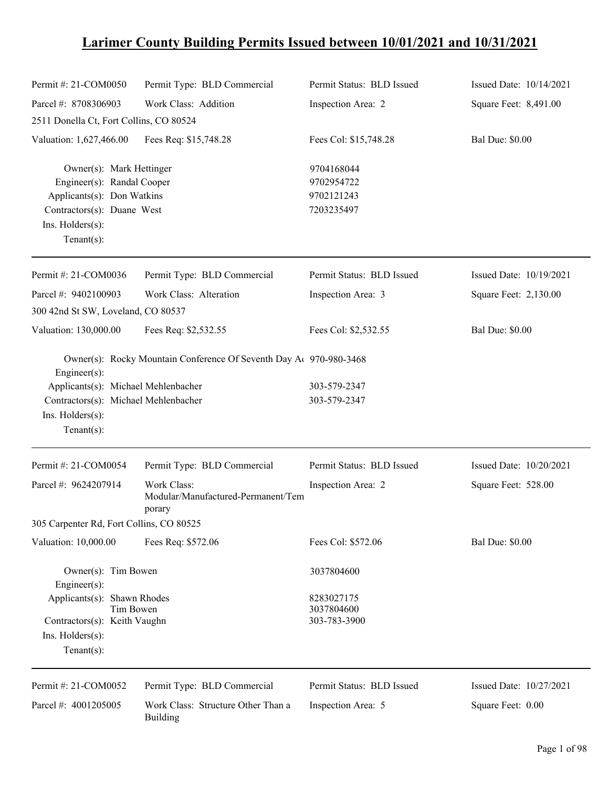## **Larimer County Building Permits Issued between 10/01/2021 and 10/31/2021**

| Permit #: 21-COM0050                                                                                                                                    | Permit Type: BLD Commercial                                        | Permit Status: BLD Issued                            | Issued Date: 10/14/2021 |
|---------------------------------------------------------------------------------------------------------------------------------------------------------|--------------------------------------------------------------------|------------------------------------------------------|-------------------------|
| Parcel #: 8708306903                                                                                                                                    | Work Class: Addition                                               | Inspection Area: 2                                   | Square Feet: 8,491.00   |
| 2511 Donella Ct, Fort Collins, CO 80524                                                                                                                 |                                                                    |                                                      |                         |
| Valuation: 1,627,466.00                                                                                                                                 | Fees Req: \$15,748.28                                              | Fees Col: \$15,748.28                                | <b>Bal Due: \$0.00</b>  |
| Owner(s): Mark Hettinger<br>Engineer(s): Randal Cooper<br>Applicants(s): Don Watkins<br>Contractors(s): Duane West<br>Ins. Holders(s):<br>$Tenant(s)$ : |                                                                    | 9704168044<br>9702954722<br>9702121243<br>7203235497 |                         |
| Permit #: 21-COM0036                                                                                                                                    | Permit Type: BLD Commercial                                        | Permit Status: BLD Issued                            | Issued Date: 10/19/2021 |
| Parcel #: 9402100903                                                                                                                                    | Work Class: Alteration                                             | Inspection Area: 3                                   | Square Feet: 2,130.00   |
| 300 42nd St SW, Loveland, CO 80537                                                                                                                      |                                                                    |                                                      |                         |
| Valuation: 130,000.00                                                                                                                                   | Fees Req: \$2,532.55                                               | Fees Col: \$2,532.55                                 | <b>Bal Due: \$0.00</b>  |
| $Engineering(s)$ :<br>Applicants(s): Michael Mehlenbacher<br>Contractors(s): Michael Mehlenbacher                                                       | Owner(s): Rocky Mountain Conference Of Seventh Day A 970-980-3468  | 303-579-2347<br>303-579-2347                         |                         |
| Ins. Holders(s):<br>$Tenant(s)$ :                                                                                                                       |                                                                    |                                                      |                         |
| Permit #: 21-COM0054                                                                                                                                    | Permit Type: BLD Commercial                                        | Permit Status: BLD Issued                            | Issued Date: 10/20/2021 |
| Parcel #: 9624207914                                                                                                                                    | <b>Work Class:</b><br>Modular/Manufactured-Permanent/Tem<br>porary | Inspection Area: 2                                   | Square Feet: 528.00     |
| 305 Carpenter Rd, Fort Collins, CO 80525                                                                                                                |                                                                    |                                                      |                         |
| Valuation: 10,000.00                                                                                                                                    | Fees Req: \$572.06                                                 | Fees Col: \$572.06                                   | <b>Bal Due: \$0.00</b>  |
| Owner(s): Tim Bowen<br>$Engineering(s)$ :                                                                                                               |                                                                    | 3037804600                                           |                         |
| Applicants(s): Shawn Rhodes<br>Tim Bowen<br>Contractors(s): Keith Vaughn                                                                                |                                                                    | 8283027175<br>3037804600<br>303-783-3900             |                         |
| $Ins.$ Holders $(s)$ :<br>Tenant $(s)$ :                                                                                                                |                                                                    |                                                      |                         |
| Permit #: 21-COM0052                                                                                                                                    | Permit Type: BLD Commercial                                        | Permit Status: BLD Issued                            | Issued Date: 10/27/2021 |
| Parcel #: 4001205005                                                                                                                                    | Work Class: Structure Other Than a<br><b>Building</b>              | Inspection Area: 5                                   | Square Feet: 0.00       |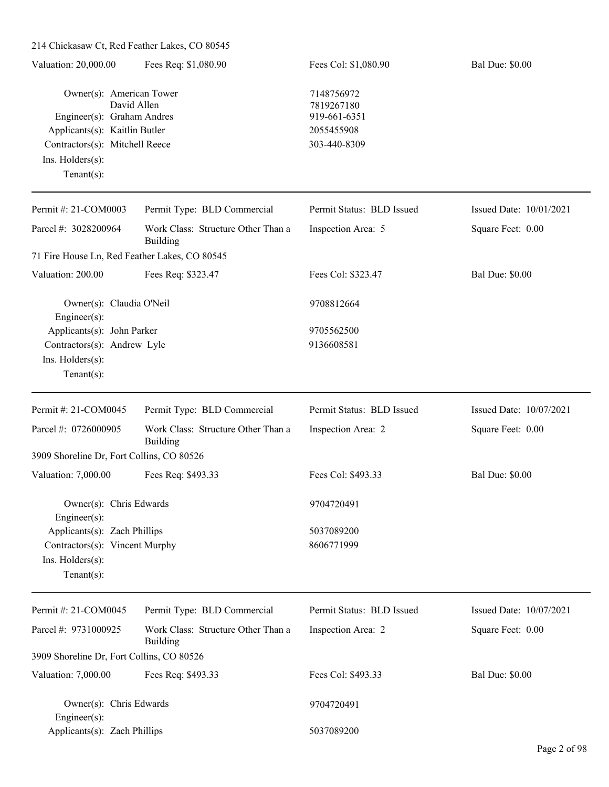| 214 Chickasaw Ct, Red Feather Lakes, CO 80545                                                                                                                   |                                                |                                                                        |                         |
|-----------------------------------------------------------------------------------------------------------------------------------------------------------------|------------------------------------------------|------------------------------------------------------------------------|-------------------------|
| Valuation: 20,000.00                                                                                                                                            | Fees Req: \$1,080.90                           | Fees Col: \$1,080.90                                                   | <b>Bal Due: \$0.00</b>  |
| Owner(s): American Tower<br>Engineer(s): Graham Andres<br>Applicants(s): Kaitlin Butler<br>Contractors(s): Mitchell Reece<br>Ins. Holders(s):<br>Tenant $(s)$ : | David Allen                                    | 7148756972<br>7819267180<br>919-661-6351<br>2055455908<br>303-440-8309 |                         |
| Permit #: 21-COM0003                                                                                                                                            | Permit Type: BLD Commercial                    | Permit Status: BLD Issued                                              | Issued Date: 10/01/2021 |
| Parcel #: 3028200964                                                                                                                                            | Work Class: Structure Other Than a<br>Building | Inspection Area: 5                                                     | Square Feet: 0.00       |
| 71 Fire House Ln, Red Feather Lakes, CO 80545                                                                                                                   |                                                |                                                                        |                         |
| Valuation: 200.00                                                                                                                                               | Fees Req: \$323.47                             | Fees Col: \$323.47                                                     | <b>Bal Due: \$0.00</b>  |
| Owner(s): Claudia O'Neil<br>Engineer(s):                                                                                                                        |                                                | 9708812664                                                             |                         |
| Applicants(s): John Parker<br>Contractors(s): Andrew Lyle<br>Ins. Holders(s):<br>Tenant $(s)$ :                                                                 |                                                | 9705562500<br>9136608581                                               |                         |
| Permit #: 21-COM0045                                                                                                                                            | Permit Type: BLD Commercial                    | Permit Status: BLD Issued                                              | Issued Date: 10/07/2021 |
| Parcel #: 0726000905                                                                                                                                            | Work Class: Structure Other Than a<br>Building | Inspection Area: 2                                                     | Square Feet: 0.00       |
| 3909 Shoreline Dr, Fort Collins, CO 80526                                                                                                                       |                                                |                                                                        |                         |
| Valuation: 7,000.00                                                                                                                                             | Fees Req: \$493.33                             | Fees Col: \$493.33                                                     | <b>Bal Due: \$0.00</b>  |
| Owner(s): Chris Edwards<br>Engineer $(s)$ :                                                                                                                     |                                                | 9704720491                                                             |                         |
| Applicants(s): Zach Phillips<br>Contractors(s): Vincent Murphy<br>Ins. $H$ olders $(s)$ :<br>Tenant $(s)$ :                                                     |                                                | 5037089200<br>8606771999                                               |                         |
| Permit #: 21-COM0045                                                                                                                                            | Permit Type: BLD Commercial                    | Permit Status: BLD Issued                                              | Issued Date: 10/07/2021 |
| Parcel #: 9731000925                                                                                                                                            | Work Class: Structure Other Than a<br>Building | Inspection Area: 2                                                     | Square Feet: 0.00       |
| 3909 Shoreline Dr, Fort Collins, CO 80526                                                                                                                       |                                                |                                                                        |                         |
| Valuation: 7,000.00                                                                                                                                             | Fees Req: \$493.33                             | Fees Col: \$493.33                                                     | <b>Bal Due: \$0.00</b>  |
| Owner(s): Chris Edwards<br>Engineer(s):                                                                                                                         |                                                | 9704720491                                                             |                         |
| Applicants(s): Zach Phillips                                                                                                                                    |                                                | 5037089200                                                             |                         |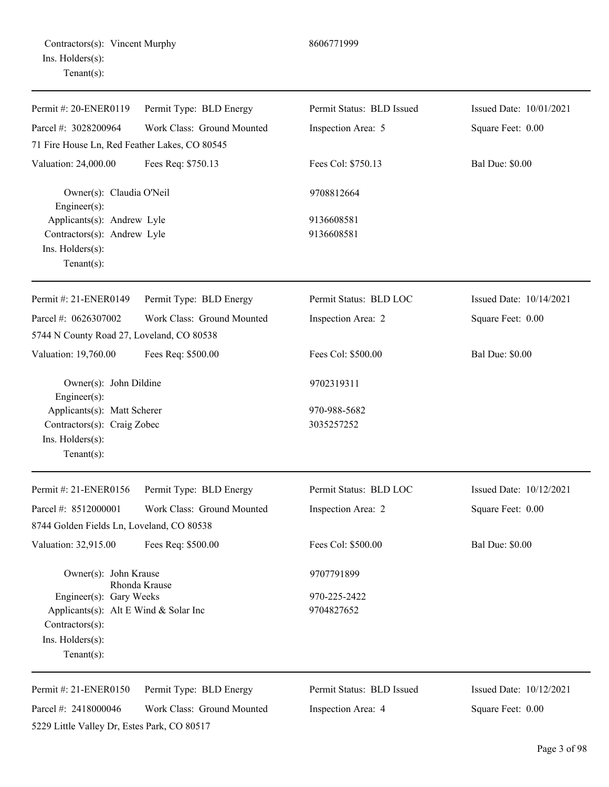|                  | Contractors(s): Vincent Murphy |
|------------------|--------------------------------|
| Ins. Holders(s): |                                |
| Tenant $(s)$ :   |                                |

5229 Little Valley Dr, Estes Park, CO 80517

| Permit #: 20-ENER0119                                            | Permit Type: BLD Energy    | Permit Status: BLD Issued | Issued Date: 10/01/2021 |
|------------------------------------------------------------------|----------------------------|---------------------------|-------------------------|
| Parcel #: 3028200964                                             | Work Class: Ground Mounted | Inspection Area: 5        | Square Feet: 0.00       |
| 71 Fire House Ln, Red Feather Lakes, CO 80545                    |                            |                           |                         |
| Valuation: 24,000.00                                             | Fees Req: \$750.13         | Fees Col: \$750.13        | <b>Bal Due: \$0.00</b>  |
| Owner(s): Claudia O'Neil<br>Engineer(s):                         |                            | 9708812664                |                         |
| Applicants(s): Andrew Lyle                                       |                            | 9136608581                |                         |
| Contractors(s): Andrew Lyle<br>Ins. Holders(s):<br>$Tenant(s)$ : |                            | 9136608581                |                         |
| Permit #: 21-ENER0149                                            | Permit Type: BLD Energy    | Permit Status: BLD LOC    | Issued Date: 10/14/2021 |
| Parcel #: 0626307002                                             | Work Class: Ground Mounted | Inspection Area: 2        | Square Feet: 0.00       |
| 5744 N County Road 27, Loveland, CO 80538                        |                            |                           |                         |
| Valuation: 19,760.00                                             | Fees Req: \$500.00         | Fees Col: \$500.00        | <b>Bal Due: \$0.00</b>  |
| Owner(s): John Dildine<br>Engineer(s):                           |                            | 9702319311                |                         |
| Applicants(s): Matt Scherer                                      |                            | 970-988-5682              |                         |
| Contractors(s): Craig Zobec                                      |                            | 3035257252                |                         |
| Ins. Holders(s):<br>$Tenant(s)$ :                                |                            |                           |                         |
| Permit #: 21-ENER0156                                            | Permit Type: BLD Energy    | Permit Status: BLD LOC    | Issued Date: 10/12/2021 |
| Parcel #: 8512000001                                             | Work Class: Ground Mounted | Inspection Area: 2        | Square Feet: 0.00       |
| 8744 Golden Fields Ln, Loveland, CO 80538                        |                            |                           |                         |
| Valuation: 32,915.00                                             | Fees Req: \$500.00         | Fees Col: \$500.00        | <b>Bal Due: \$0.00</b>  |
| Owner(s): John Krause                                            | Rhonda Krause              | 9707791899                |                         |
| Engineer(s): Gary Weeks                                          |                            | 970-225-2422              |                         |
| Applicants(s): Alt E Wind & Solar Inc                            |                            | 9704827652                |                         |
| Contractors(s):<br>Ins. Holders(s):                              |                            |                           |                         |
| $Tenant(s)$ :                                                    |                            |                           |                         |
| Permit #: 21-ENER0150                                            | Permit Type: BLD Energy    | Permit Status: BLD Issued | Issued Date: 10/12/2021 |
| Parcel #: 2418000046                                             | Work Class: Ground Mounted | Inspection Area: 4        | Square Feet: 0.00       |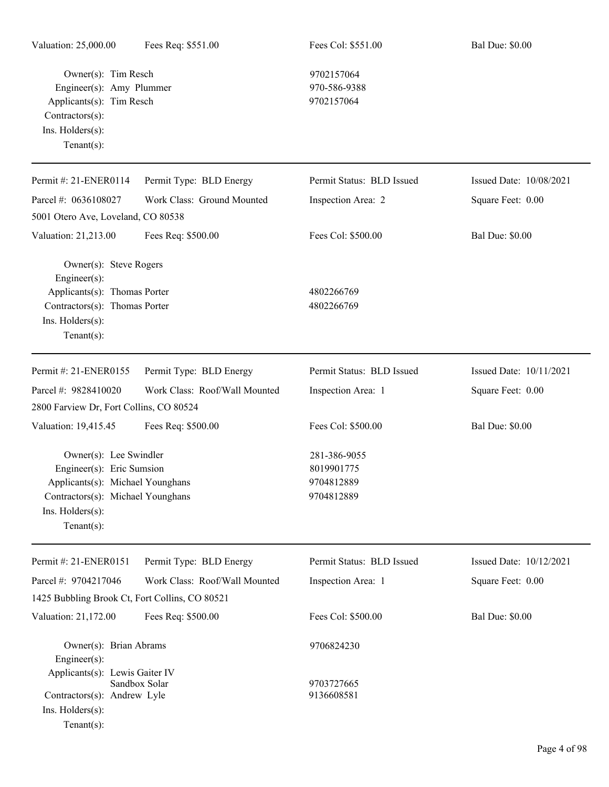Owner(s): Tim Resch 9702157064 Engineer(s): Amy Plummer 970-586-9388 Applicants(s): Tim Resch 9702157064 Contractors(s): Ins. Holders(s): Tenant(s):

| Permit #: 21-ENER0114                                                                                                                            | Permit Type: BLD Energy       | Permit Status: BLD Issued                              | Issued Date: 10/08/2021 |
|--------------------------------------------------------------------------------------------------------------------------------------------------|-------------------------------|--------------------------------------------------------|-------------------------|
| Parcel #: 0636108027                                                                                                                             | Work Class: Ground Mounted    | Inspection Area: 2                                     | Square Feet: 0.00       |
| 5001 Otero Ave, Loveland, CO 80538                                                                                                               |                               |                                                        |                         |
| Valuation: 21,213.00                                                                                                                             | Fees Req: \$500.00            | Fees Col: \$500.00                                     | <b>Bal Due: \$0.00</b>  |
| Owner(s): Steve Rogers<br>Engineer $(s)$ :                                                                                                       |                               |                                                        |                         |
| Applicants(s): Thomas Porter                                                                                                                     |                               | 4802266769                                             |                         |
| Contractors(s): Thomas Porter<br>Ins. Holders(s):<br>Tenant $(s)$ :                                                                              |                               | 4802266769                                             |                         |
| Permit #: 21-ENER0155                                                                                                                            | Permit Type: BLD Energy       | Permit Status: BLD Issued                              | Issued Date: 10/11/2021 |
| Parcel #: 9828410020                                                                                                                             | Work Class: Roof/Wall Mounted | Inspection Area: 1                                     | Square Feet: 0.00       |
| 2800 Farview Dr, Fort Collins, CO 80524                                                                                                          |                               |                                                        |                         |
| Valuation: 19,415.45                                                                                                                             | Fees Req: \$500.00            | Fees Col: \$500.00                                     | <b>Bal Due: \$0.00</b>  |
| Owner(s): Lee Swindler<br>Engineer(s): Eric Sumsion<br>Applicants(s): Michael Younghans<br>Contractors(s): Michael Younghans<br>Ins. Holders(s): |                               | 281-386-9055<br>8019901775<br>9704812889<br>9704812889 |                         |
| Tenant $(s)$ :                                                                                                                                   |                               |                                                        |                         |
| Permit #: 21-ENER0151                                                                                                                            | Permit Type: BLD Energy       | Permit Status: BLD Issued                              | Issued Date: 10/12/2021 |
| Parcel #: 9704217046                                                                                                                             | Work Class: Roof/Wall Mounted | Inspection Area: 1                                     | Square Feet: 0.00       |
| 1425 Bubbling Brook Ct, Fort Collins, CO 80521                                                                                                   |                               |                                                        |                         |
| Valuation: 21,172.00                                                                                                                             | Fees Req: \$500.00            | Fees Col: \$500.00                                     | <b>Bal Due: \$0.00</b>  |
| Owner(s): Brian Abrams<br>Engineer(s):                                                                                                           |                               | 9706824230                                             |                         |
| Applicants(s): Lewis Gaiter IV                                                                                                                   | Sandbox Solar                 | 9703727665                                             |                         |

Contractors(s): Andrew Lyle 9136608581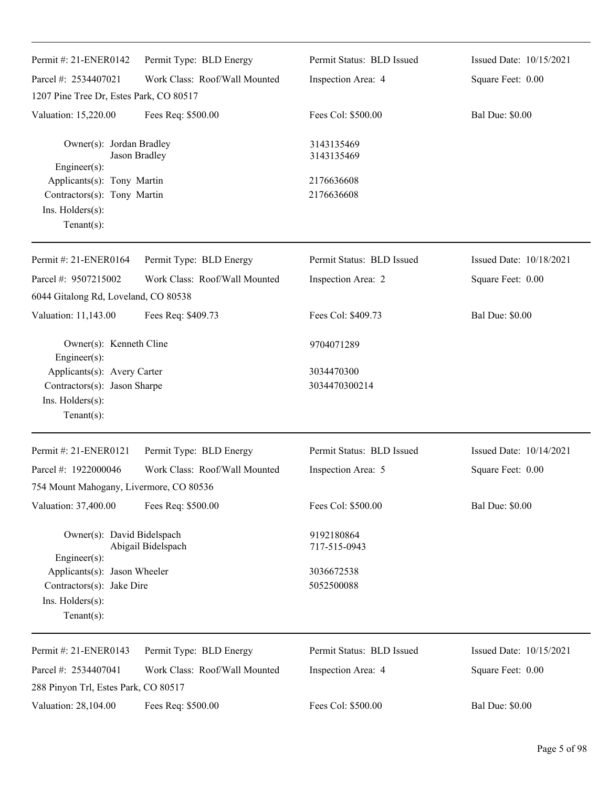| Permit #: 21-ENER0142                                                                          | Permit Type: BLD Energy       | Permit Status: BLD Issued  | Issued Date: 10/15/2021 |
|------------------------------------------------------------------------------------------------|-------------------------------|----------------------------|-------------------------|
| Parcel #: 2534407021                                                                           | Work Class: Roof/Wall Mounted | Inspection Area: 4         | Square Feet: 0.00       |
| 1207 Pine Tree Dr, Estes Park, CO 80517                                                        |                               |                            |                         |
| Valuation: 15,220.00                                                                           | Fees Req: \$500.00            | Fees Col: \$500.00         | <b>Bal Due: \$0.00</b>  |
| Owner(s): Jordan Bradley<br>$Engineering(s)$ :                                                 | Jason Bradley                 | 3143135469<br>3143135469   |                         |
| Applicants(s): Tony Martin<br>Contractors(s): Tony Martin<br>Ins. Holders(s):<br>$Tenant(s)$ : |                               | 2176636608<br>2176636608   |                         |
| Permit #: 21-ENER0164                                                                          | Permit Type: BLD Energy       | Permit Status: BLD Issued  | Issued Date: 10/18/2021 |
| Parcel #: 9507215002                                                                           | Work Class: Roof/Wall Mounted | Inspection Area: 2         | Square Feet: 0.00       |
| 6044 Gitalong Rd, Loveland, CO 80538                                                           |                               |                            |                         |
| Valuation: 11,143.00                                                                           | Fees Req: \$409.73            | Fees Col: \$409.73         | <b>Bal Due: \$0.00</b>  |
| Owner(s): Kenneth Cline<br>Engineer(s):                                                        |                               | 9704071289                 |                         |
| Applicants(s): Avery Carter                                                                    |                               | 3034470300                 |                         |
| Contractors(s): Jason Sharpe<br>Ins. Holders(s):<br>$Tenant(s)$ :                              |                               | 3034470300214              |                         |
| Permit #: 21-ENER0121                                                                          | Permit Type: BLD Energy       | Permit Status: BLD Issued  | Issued Date: 10/14/2021 |
| Parcel #: 1922000046                                                                           | Work Class: Roof/Wall Mounted | Inspection Area: 5         | Square Feet: 0.00       |
| 754 Mount Mahogany, Livermore, CO 80536                                                        |                               |                            |                         |
| Valuation: 37,400.00                                                                           | Fees Req: \$500.00            | Fees Col: \$500.00         | <b>Bal Due: \$0.00</b>  |
| Owner(s): David Bidelspach<br>$Engineering(s)$ :                                               | Abigail Bidelspach            | 9192180864<br>717-515-0943 |                         |
| Applicants(s): Jason Wheeler<br>Contractors(s): Jake Dire<br>Ins. Holders(s):<br>$Tenant(s)$ : |                               | 3036672538<br>5052500088   |                         |
| Permit #: 21-ENER0143                                                                          | Permit Type: BLD Energy       | Permit Status: BLD Issued  | Issued Date: 10/15/2021 |
| Parcel #: 2534407041<br>288 Pinyon Trl, Estes Park, CO 80517                                   | Work Class: Roof/Wall Mounted | Inspection Area: 4         | Square Feet: 0.00       |
| Valuation: 28,104.00                                                                           | Fees Req: \$500.00            | Fees Col: \$500.00         | <b>Bal Due: \$0.00</b>  |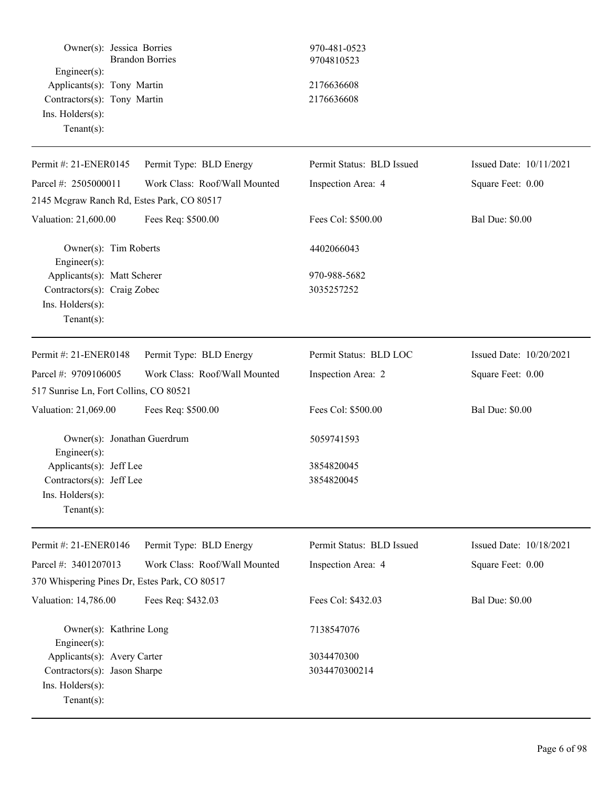| Owner(s): Jessica Borries<br>Engineer(s):<br>Applicants(s): Tony Martin<br>Contractors(s): Tony Martin<br>Ins. Holders(s):<br>Tenant $(s)$ : | <b>Brandon Borries</b>        | 970-481-0523<br>9704810523<br>2176636608<br>2176636608 |                         |
|----------------------------------------------------------------------------------------------------------------------------------------------|-------------------------------|--------------------------------------------------------|-------------------------|
| Permit #: 21-ENER0145                                                                                                                        | Permit Type: BLD Energy       | Permit Status: BLD Issued                              | Issued Date: 10/11/2021 |
| Parcel #: 2505000011                                                                                                                         | Work Class: Roof/Wall Mounted | Inspection Area: 4                                     | Square Feet: 0.00       |
| 2145 Mcgraw Ranch Rd, Estes Park, CO 80517                                                                                                   |                               |                                                        |                         |
| Valuation: 21,600.00                                                                                                                         | Fees Req: \$500.00            | Fees Col: \$500.00                                     | <b>Bal Due: \$0.00</b>  |
| Owner(s): Tim Roberts<br>Engineer(s):                                                                                                        |                               | 4402066043                                             |                         |
| Applicants(s): Matt Scherer<br>Contractors(s): Craig Zobec<br>Ins. Holders(s):<br>Tenant $(s)$ :                                             |                               | 970-988-5682<br>3035257252                             |                         |
| Permit #: 21-ENER0148                                                                                                                        | Permit Type: BLD Energy       | Permit Status: BLD LOC                                 | Issued Date: 10/20/2021 |
| Parcel #: 9709106005                                                                                                                         | Work Class: Roof/Wall Mounted | Inspection Area: 2                                     | Square Feet: 0.00       |
| 517 Sunrise Ln, Fort Collins, CO 80521                                                                                                       |                               |                                                        |                         |
| Valuation: 21,069.00                                                                                                                         | Fees Req: \$500.00            | Fees Col: \$500.00                                     | <b>Bal Due: \$0.00</b>  |
| Owner(s): Jonathan Guerdrum<br>Engineer(s):<br>Applicants(s): Jeff Lee<br>Contractors(s): Jeff Lee<br>Ins. Holders(s):<br>Tenant $(s)$ :     |                               | 5059741593<br>3854820045<br>3854820045                 |                         |
| Permit #: 21-ENER0146                                                                                                                        | Permit Type: BLD Energy       | Permit Status: BLD Issued                              | Issued Date: 10/18/2021 |
| Parcel #: 3401207013                                                                                                                         | Work Class: Roof/Wall Mounted | Inspection Area: 4                                     | Square Feet: 0.00       |
| 370 Whispering Pines Dr, Estes Park, CO 80517                                                                                                |                               |                                                        |                         |
| Valuation: 14,786.00                                                                                                                         | Fees Req: \$432.03            | Fees Col: \$432.03                                     | <b>Bal Due: \$0.00</b>  |
| Owner(s): Kathrine Long<br>Engineer(s):                                                                                                      |                               | 7138547076                                             |                         |
| Applicants(s): Avery Carter<br>Contractors(s): Jason Sharpe<br>Ins. Holders(s):<br>Tenant $(s)$ :                                            |                               | 3034470300<br>3034470300214                            |                         |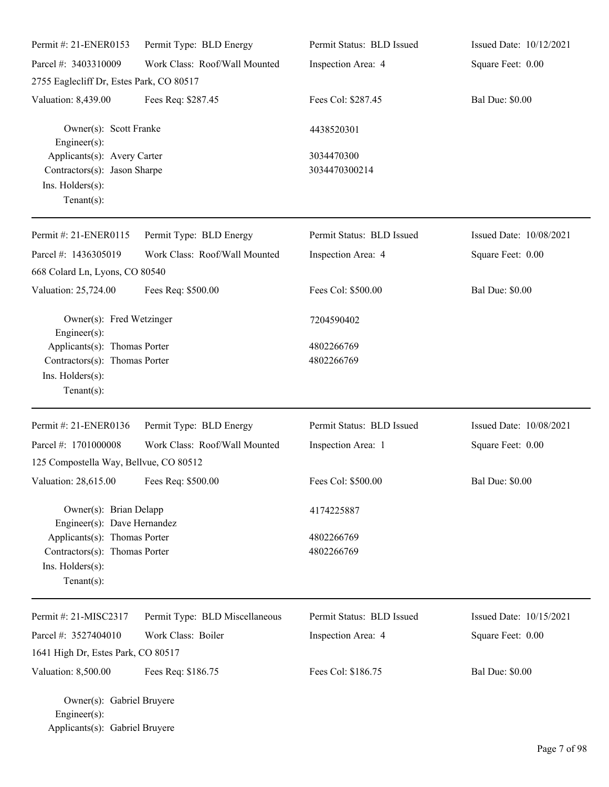| Permit #: 21-ENER0153                                                                                                              | Permit Type: BLD Energy        | Permit Status: BLD Issued   | Issued Date: 10/12/2021 |
|------------------------------------------------------------------------------------------------------------------------------------|--------------------------------|-----------------------------|-------------------------|
| Parcel #: 3403310009                                                                                                               | Work Class: Roof/Wall Mounted  | Inspection Area: 4          | Square Feet: 0.00       |
| 2755 Eaglecliff Dr, Estes Park, CO 80517                                                                                           |                                |                             |                         |
| Valuation: 8,439.00                                                                                                                | Fees Req: \$287.45             | Fees Col: \$287.45          | <b>Bal Due: \$0.00</b>  |
| Owner(s): Scott Franke<br>Engineer(s):                                                                                             |                                | 4438520301                  |                         |
| Applicants(s): Avery Carter<br>Contractors(s): Jason Sharpe<br>Ins. Holders(s):<br>Tenant(s):                                      |                                | 3034470300<br>3034470300214 |                         |
| Permit #: 21-ENER0115                                                                                                              | Permit Type: BLD Energy        | Permit Status: BLD Issued   | Issued Date: 10/08/2021 |
| Parcel #: 1436305019                                                                                                               | Work Class: Roof/Wall Mounted  | Inspection Area: 4          | Square Feet: 0.00       |
| 668 Colard Ln, Lyons, CO 80540                                                                                                     |                                |                             |                         |
| Valuation: 25,724.00                                                                                                               | Fees Req: \$500.00             | Fees Col: \$500.00          | <b>Bal Due: \$0.00</b>  |
| Owner(s): Fred Wetzinger<br>Engineer(s):                                                                                           |                                | 7204590402                  |                         |
| Applicants(s): Thomas Porter                                                                                                       |                                | 4802266769                  |                         |
| Contractors(s): Thomas Porter<br>Ins. Holders(s):<br>Tenant $(s)$ :                                                                |                                | 4802266769                  |                         |
| Permit #: 21-ENER0136                                                                                                              | Permit Type: BLD Energy        | Permit Status: BLD Issued   | Issued Date: 10/08/2021 |
| Parcel #: 1701000008                                                                                                               | Work Class: Roof/Wall Mounted  | Inspection Area: 1          | Square Feet: 0.00       |
| 125 Compostella Way, Bellvue, CO 80512                                                                                             |                                |                             |                         |
| Valuation: 28,615.00 Fees Req: \$500.00                                                                                            |                                | Fees Col: \$500.00          | <b>Bal Due: \$0.00</b>  |
| Owner(s): Brian Delapp                                                                                                             |                                | 4174225887                  |                         |
| Engineer(s): Dave Hernandez<br>Applicants(s): Thomas Porter<br>Contractors(s): Thomas Porter<br>Ins. Holders(s):<br>Tenant $(s)$ : |                                | 4802266769<br>4802266769    |                         |
| Permit #: 21-MISC2317                                                                                                              | Permit Type: BLD Miscellaneous | Permit Status: BLD Issued   | Issued Date: 10/15/2021 |
| Parcel #: 3527404010                                                                                                               | Work Class: Boiler             | Inspection Area: 4          | Square Feet: 0.00       |
| 1641 High Dr, Estes Park, CO 80517                                                                                                 |                                |                             |                         |
| Valuation: 8,500.00                                                                                                                | Fees Req: \$186.75             | Fees Col: \$186.75          | <b>Bal Due: \$0.00</b>  |
| Owner(s): Gabriel Bruyere<br>Engineer(s):                                                                                          |                                |                             |                         |

Applicants(s): Gabriel Bruyere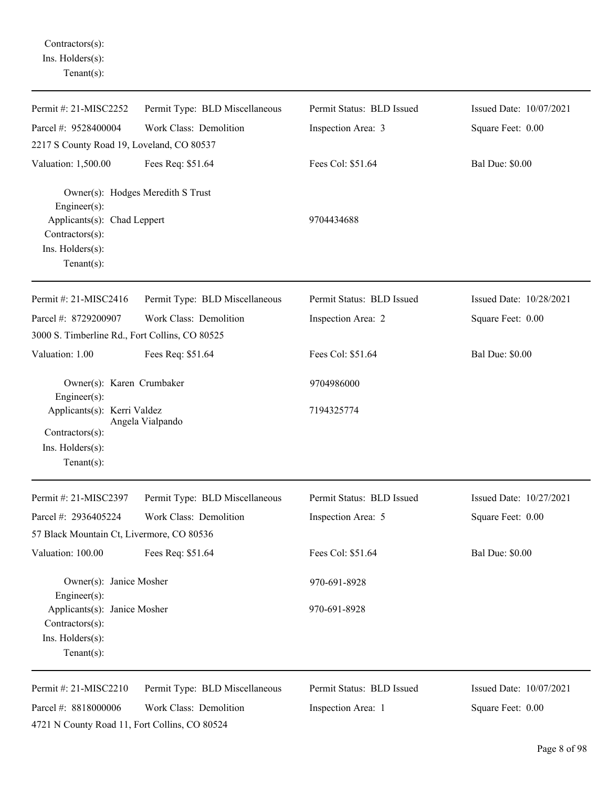Contractors(s): Ins. Holders(s): Tenant(s):

| Permit #: 21-MISC2252                                                                 | Permit Type: BLD Miscellaneous    | Permit Status: BLD Issued | Issued Date: 10/07/2021 |
|---------------------------------------------------------------------------------------|-----------------------------------|---------------------------|-------------------------|
| Parcel #: 9528400004                                                                  | Work Class: Demolition            | Inspection Area: 3        | Square Feet: 0.00       |
| 2217 S County Road 19, Loveland, CO 80537                                             |                                   |                           |                         |
| Valuation: 1,500.00                                                                   | Fees Req: \$51.64                 | Fees Col: \$51.64         | <b>Bal Due: \$0.00</b>  |
| Engineer(s):                                                                          | Owner(s): Hodges Meredith S Trust |                           |                         |
| Applicants(s): Chad Leppert<br>Contractors(s):<br>Ins. Holders(s):<br>Tenant $(s)$ :  |                                   | 9704434688                |                         |
|                                                                                       |                                   |                           |                         |
| Permit #: 21-MISC2416                                                                 | Permit Type: BLD Miscellaneous    | Permit Status: BLD Issued | Issued Date: 10/28/2021 |
| Parcel #: 8729200907                                                                  | Work Class: Demolition            | Inspection Area: 2        | Square Feet: 0.00       |
| 3000 S. Timberline Rd., Fort Collins, CO 80525                                        |                                   |                           |                         |
| Valuation: 1.00                                                                       | Fees Req: \$51.64                 | Fees Col: \$51.64         | <b>Bal Due: \$0.00</b>  |
| Owner(s): Karen Crumbaker<br>Engineer(s):                                             |                                   | 9704986000                |                         |
| Applicants(s): Kerri Valdez<br>Contractors(s):<br>Ins. Holders(s):                    | Angela Vialpando                  | 7194325774                |                         |
| Tenant $(s)$ :                                                                        |                                   |                           |                         |
| Permit #: 21-MISC2397                                                                 | Permit Type: BLD Miscellaneous    | Permit Status: BLD Issued | Issued Date: 10/27/2021 |
| Parcel #: 2936405224                                                                  | Work Class: Demolition            | Inspection Area: 5        | Square Feet: 0.00       |
| 57 Black Mountain Ct, Livermore, CO 80536                                             |                                   |                           |                         |
| Valuation: 100.00                                                                     | Fees Req: \$51.64                 | Fees Col: \$51.64         | <b>Bal Due: \$0.00</b>  |
| Owner(s): Janice Mosher<br>Engineer(s):                                               |                                   | 970-691-8928              |                         |
| Applicants(s): Janice Mosher<br>Contractors(s):<br>Ins. Holders(s):<br>Tenant $(s)$ : |                                   | 970-691-8928              |                         |
| Permit #: 21-MISC2210                                                                 | Permit Type: BLD Miscellaneous    | Permit Status: BLD Issued | Issued Date: 10/07/2021 |
| Parcel #: 8818000006                                                                  | Work Class: Demolition            | Inspection Area: 1        | Square Feet: 0.00       |
| 4721 N County Road 11, Fort Collins, CO 80524                                         |                                   |                           |                         |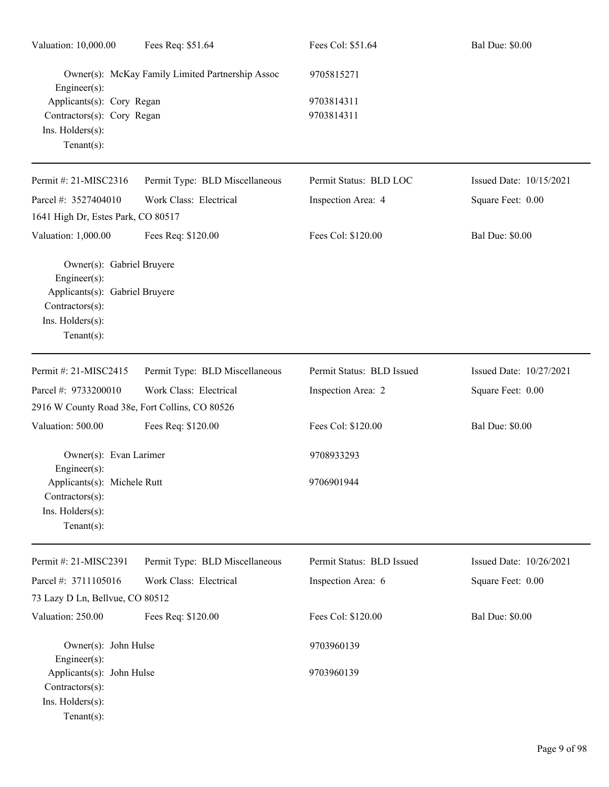| Valuation: 10,000.00                                                                                                                 | Fees Req: \$51.64                                | Fees Col: \$51.64         | <b>Bal Due: \$0.00</b>  |
|--------------------------------------------------------------------------------------------------------------------------------------|--------------------------------------------------|---------------------------|-------------------------|
| Engineer(s):                                                                                                                         | Owner(s): McKay Family Limited Partnership Assoc | 9705815271                |                         |
| Applicants(s): Cory Regan<br>Contractors(s): Cory Regan<br>Ins. Holders(s):<br>Tenant $(s)$ :                                        |                                                  | 9703814311<br>9703814311  |                         |
| Permit #: 21-MISC2316                                                                                                                | Permit Type: BLD Miscellaneous                   | Permit Status: BLD LOC    | Issued Date: 10/15/2021 |
| Parcel #: 3527404010                                                                                                                 | Work Class: Electrical                           | Inspection Area: 4        | Square Feet: 0.00       |
| 1641 High Dr, Estes Park, CO 80517                                                                                                   |                                                  |                           |                         |
| Valuation: 1,000.00                                                                                                                  | Fees Req: \$120.00                               | Fees Col: \$120.00        | <b>Bal Due: \$0.00</b>  |
| Owner(s): Gabriel Bruyere<br>Engineer(s):<br>Applicants(s): Gabriel Bruyere<br>Contractors(s):<br>Ins. Holders(s):<br>Tenant $(s)$ : |                                                  |                           |                         |
| Permit #: 21-MISC2415                                                                                                                | Permit Type: BLD Miscellaneous                   | Permit Status: BLD Issued | Issued Date: 10/27/2021 |
| Parcel #: 9733200010                                                                                                                 | Work Class: Electrical                           | Inspection Area: 2        | Square Feet: 0.00       |
| 2916 W County Road 38e, Fort Collins, CO 80526                                                                                       |                                                  |                           |                         |
| Valuation: 500.00                                                                                                                    | Fees Req: \$120.00                               | Fees Col: \$120.00        | <b>Bal Due: \$0.00</b>  |
| Owner(s): Evan Larimer<br>$Enginer(s)$ :                                                                                             |                                                  | 9708933293                |                         |
| Applicants(s): Michele Rutt<br>Contractors(s):<br>Ins. Holders(s):<br>Tenant $(s)$ :                                                 |                                                  | 9706901944                |                         |
| Permit #: 21-MISC2391                                                                                                                | Permit Type: BLD Miscellaneous                   | Permit Status: BLD Issued | Issued Date: 10/26/2021 |
| Parcel #: 3711105016                                                                                                                 | Work Class: Electrical                           | Inspection Area: 6        | Square Feet: 0.00       |
| 73 Lazy D Ln, Bellvue, CO 80512                                                                                                      |                                                  |                           |                         |
| Valuation: 250.00                                                                                                                    | Fees Req: \$120.00                               | Fees Col: \$120.00        | <b>Bal Due: \$0.00</b>  |
| Owner(s): John Hulse<br>Engineer(s):                                                                                                 |                                                  | 9703960139                |                         |
| Applicants(s): John Hulse<br>Contractors(s):<br>Ins. Holders(s):<br>Tenant $(s)$ :                                                   |                                                  | 9703960139                |                         |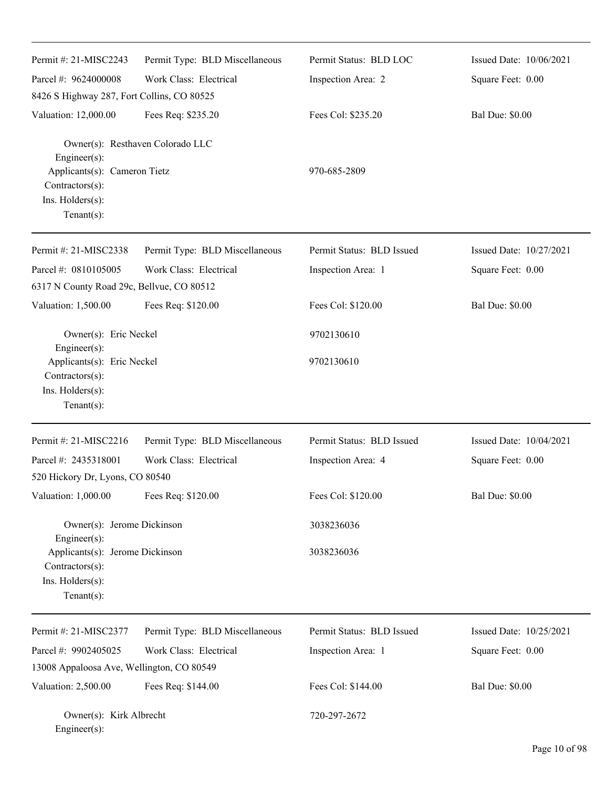| Permit #: 21-MISC2243                                               | Permit Type: BLD Miscellaneous   | Permit Status: BLD LOC    | Issued Date: 10/06/2021 |
|---------------------------------------------------------------------|----------------------------------|---------------------------|-------------------------|
| Parcel #: 9624000008                                                | Work Class: Electrical           | Inspection Area: 2        | Square Feet: 0.00       |
| 8426 S Highway 287, Fort Collins, CO 80525                          |                                  |                           |                         |
| Valuation: 12,000.00                                                | Fees Req: \$235.20               | Fees Col: \$235.20        | <b>Bal Due: \$0.00</b>  |
| Engineer(s):                                                        | Owner(s): Resthaven Colorado LLC |                           |                         |
| Applicants(s): Cameron Tietz<br>Contractors(s):<br>Ins. Holders(s): |                                  | 970-685-2809              |                         |
| Tenant $(s)$ :                                                      |                                  |                           |                         |
| Permit #: 21-MISC2338                                               | Permit Type: BLD Miscellaneous   | Permit Status: BLD Issued | Issued Date: 10/27/2021 |
| Parcel #: 0810105005                                                | Work Class: Electrical           | Inspection Area: 1        | Square Feet: 0.00       |
| 6317 N County Road 29c, Bellvue, CO 80512                           |                                  |                           |                         |
| Valuation: 1,500.00                                                 | Fees Req: \$120.00               | Fees Col: \$120.00        | <b>Bal Due: \$0.00</b>  |
| Owner(s): Eric Neckel<br>Engineer(s):                               |                                  | 9702130610                |                         |
| Applicants(s): Eric Neckel                                          |                                  | 9702130610                |                         |
| Contractors(s):                                                     |                                  |                           |                         |
| Ins. Holders(s):                                                    |                                  |                           |                         |
| Tenant $(s)$ :                                                      |                                  |                           |                         |
| Permit #: 21-MISC2216                                               | Permit Type: BLD Miscellaneous   | Permit Status: BLD Issued | Issued Date: 10/04/2021 |
| Parcel #: 2435318001                                                | Work Class: Electrical           | Inspection Area: 4        | Square Feet: 0.00       |
| 520 Hickory Dr, Lyons, CO 80540                                     |                                  |                           |                         |
| Valuation: 1,000.00                                                 | Fees Req: \$120.00               | Fees Col: \$120.00        | <b>Bal Due: \$0.00</b>  |
| Owner(s): Jerome Dickinson                                          |                                  | 3038236036                |                         |
| Engineer(s):<br>Applicants(s): Jerome Dickinson<br>Contractors(s):  |                                  | 3038236036                |                         |
| Ins. Holders(s):<br>$Tenant(s)$ :                                   |                                  |                           |                         |
| Permit #: 21-MISC2377                                               | Permit Type: BLD Miscellaneous   | Permit Status: BLD Issued | Issued Date: 10/25/2021 |
| Parcel #: 9902405025                                                | Work Class: Electrical           | Inspection Area: 1        | Square Feet: 0.00       |
| 13008 Appaloosa Ave, Wellington, CO 80549                           |                                  |                           |                         |
| Valuation: 2,500.00                                                 | Fees Req: \$144.00               | Fees Col: \$144.00        | <b>Bal Due: \$0.00</b>  |
| Owner(s): Kirk Albrecht<br>Engineer(s):                             |                                  | 720-297-2672              |                         |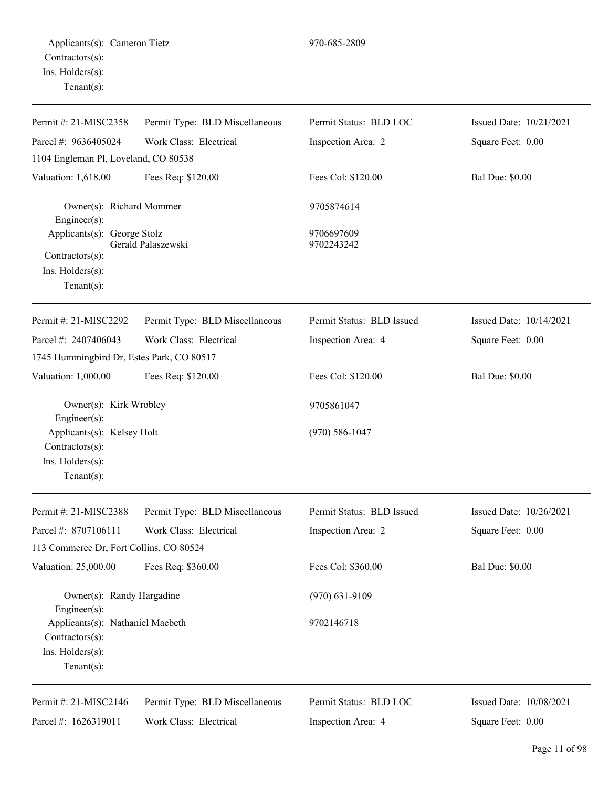| Permit #: 21-MISC2358                                                                     | Permit Type: BLD Miscellaneous | Permit Status: BLD LOC    | Issued Date: 10/21/2021 |
|-------------------------------------------------------------------------------------------|--------------------------------|---------------------------|-------------------------|
| Parcel #: 9636405024                                                                      | Work Class: Electrical         | Inspection Area: 2        | Square Feet: 0.00       |
| 1104 Engleman Pl, Loveland, CO 80538                                                      |                                |                           |                         |
| Valuation: 1,618.00                                                                       | Fees Req: \$120.00             | Fees Col: \$120.00        | <b>Bal Due: \$0.00</b>  |
| Owner(s): Richard Mommer<br>Engineer(s):                                                  |                                | 9705874614                |                         |
| Applicants(s): George Stolz<br>Contractors(s):<br>Ins. Holders(s):<br>Tenant $(s)$ :      | Gerald Palaszewski             | 9706697609<br>9702243242  |                         |
| Permit #: 21-MISC2292                                                                     | Permit Type: BLD Miscellaneous | Permit Status: BLD Issued | Issued Date: 10/14/2021 |
| Parcel #: 2407406043                                                                      | Work Class: Electrical         | Inspection Area: 4        | Square Feet: 0.00       |
| 1745 Hummingbird Dr, Estes Park, CO 80517                                                 |                                |                           |                         |
| Valuation: 1,000.00                                                                       | Fees Req: \$120.00             | Fees Col: \$120.00        | <b>Bal Due: \$0.00</b>  |
| Owner(s): Kirk Wrobley<br>$Engineering(s)$ :                                              |                                | 9705861047                |                         |
| Applicants(s): Kelsey Holt<br>Contractors(s):                                             |                                | $(970) 586 - 1047$        |                         |
| Ins. Holders(s):<br>Tenant $(s)$ :                                                        |                                |                           |                         |
| Permit #: 21-MISC2388                                                                     | Permit Type: BLD Miscellaneous | Permit Status: BLD Issued | Issued Date: 10/26/2021 |
| Parcel #: 8707106111                                                                      | Work Class: Electrical         | Inspection Area: 2        | Square Feet: 0.00       |
| 113 Commerce Dr, Fort Collins, CO 80524                                                   |                                |                           |                         |
| Valuation: 25,000.00                                                                      | Fees Req: \$360.00             | Fees Col: \$360.00        | <b>Bal Due: \$0.00</b>  |
| Owner(s): Randy Hargadine<br>Engineer(s):                                                 |                                | $(970)$ 631-9109          |                         |
| Applicants(s): Nathaniel Macbeth<br>Contractors(s):<br>Ins. Holders(s):<br>Tenant $(s)$ : |                                | 9702146718                |                         |
| Permit #: 21-MISC2146                                                                     | Permit Type: BLD Miscellaneous | Permit Status: BLD LOC    | Issued Date: 10/08/2021 |
| Parcel #: 1626319011                                                                      | Work Class: Electrical         | Inspection Area: 4        | Square Feet: 0.00       |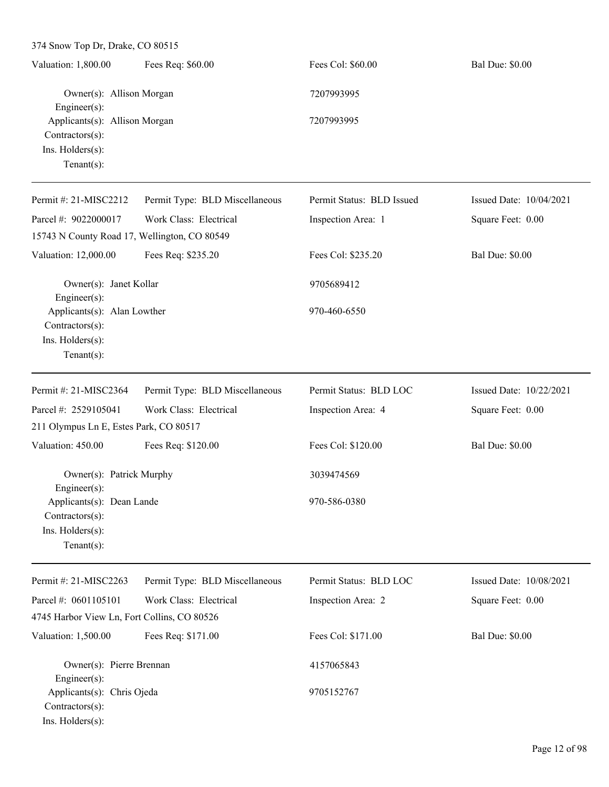| Valuation: 1,800.00                                                                    | Fees Req: \$60.00              | Fees Col: \$60.00         | <b>Bal Due: \$0.00</b>  |
|----------------------------------------------------------------------------------------|--------------------------------|---------------------------|-------------------------|
| Owner(s): Allison Morgan<br>$Engineering(s)$ :                                         |                                | 7207993995                |                         |
| Applicants(s): Allison Morgan<br>Contractors(s):<br>Ins. Holders(s):<br>Tenant $(s)$ : |                                | 7207993995                |                         |
| Permit #: 21-MISC2212                                                                  | Permit Type: BLD Miscellaneous | Permit Status: BLD Issued | Issued Date: 10/04/2021 |
| Parcel #: 9022000017                                                                   | Work Class: Electrical         | Inspection Area: 1        | Square Feet: 0.00       |
| 15743 N County Road 17, Wellington, CO 80549                                           |                                |                           |                         |
| Valuation: 12,000.00                                                                   | Fees Req: \$235.20             | Fees Col: \$235.20        | <b>Bal Due: \$0.00</b>  |
| Owner(s): Janet Kollar<br>Engineer $(s)$ :                                             |                                | 9705689412                |                         |
| Applicants(s): Alan Lowther<br>Contractors(s):<br>Ins. Holders(s):<br>$Tenant(s)$ :    |                                | 970-460-6550              |                         |
| Permit #: 21-MISC2364                                                                  | Permit Type: BLD Miscellaneous | Permit Status: BLD LOC    | Issued Date: 10/22/2021 |
| Parcel #: 2529105041                                                                   | Work Class: Electrical         | Inspection Area: 4        | Square Feet: 0.00       |
| 211 Olympus Ln E, Estes Park, CO 80517                                                 |                                |                           |                         |
| Valuation: 450.00                                                                      | Fees Req: \$120.00             | Fees Col: \$120.00        | <b>Bal Due: \$0.00</b>  |
| Owner(s): Patrick Murphy<br>$Engineer(s)$ :                                            |                                | 3039474569                |                         |
| Applicants(s): Dean Lande<br>Contractors(s):<br>Ins. Holders(s):<br>Tenant $(s)$ :     |                                | 970-586-0380              |                         |
| Permit #: 21-MISC2263                                                                  | Permit Type: BLD Miscellaneous | Permit Status: BLD LOC    | Issued Date: 10/08/2021 |
| Parcel #: 0601105101                                                                   | Work Class: Electrical         | Inspection Area: 2        | Square Feet: 0.00       |
| 4745 Harbor View Ln, Fort Collins, CO 80526                                            |                                |                           |                         |
| Valuation: 1,500.00                                                                    | Fees Req: \$171.00             | Fees Col: \$171.00        | <b>Bal Due: \$0.00</b>  |
| Owner(s): Pierre Brennan<br>Engineer(s):                                               |                                | 4157065843                |                         |
| Applicants(s): Chris Ojeda<br>Contractors(s):                                          |                                | 9705152767                |                         |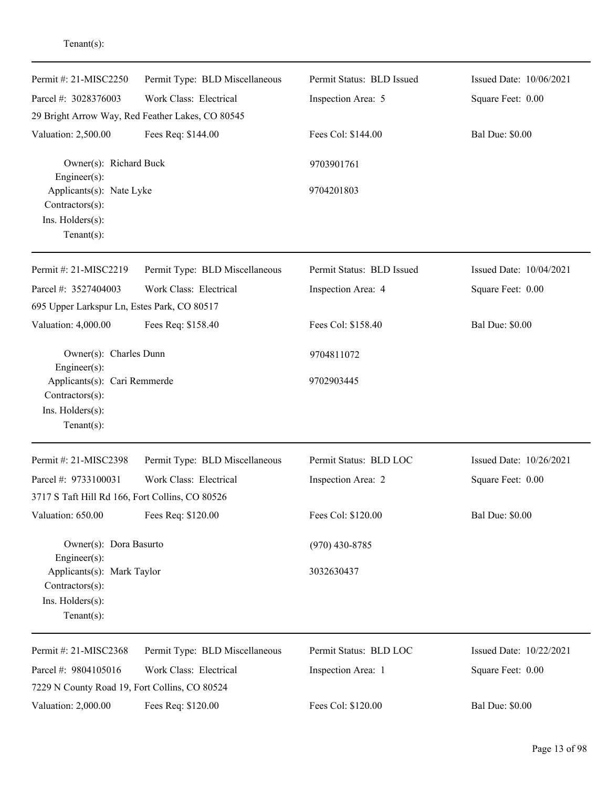| Permit #: 21-MISC2250                                                             | Permit Type: BLD Miscellaneous | Permit Status: BLD Issued | Issued Date: 10/06/2021 |
|-----------------------------------------------------------------------------------|--------------------------------|---------------------------|-------------------------|
| Parcel #: 3028376003                                                              | Work Class: Electrical         | Inspection Area: 5        | Square Feet: 0.00       |
| 29 Bright Arrow Way, Red Feather Lakes, CO 80545                                  |                                |                           |                         |
| Valuation: 2,500.00                                                               | Fees Req: \$144.00             | Fees Col: \$144.00        | <b>Bal Due: \$0.00</b>  |
| Owner(s): Richard Buck<br>Engineer(s):                                            |                                | 9703901761                |                         |
| Applicants(s): Nate Lyke<br>Contractors(s):<br>Ins. Holders(s):<br>Tenant $(s)$ : |                                | 9704201803                |                         |
| Permit #: 21-MISC2219                                                             | Permit Type: BLD Miscellaneous | Permit Status: BLD Issued | Issued Date: 10/04/2021 |
| Parcel #: 3527404003                                                              | Work Class: Electrical         | Inspection Area: 4        | Square Feet: 0.00       |
| 695 Upper Larkspur Ln, Estes Park, CO 80517                                       |                                |                           |                         |
| Valuation: 4,000.00                                                               | Fees Req: \$158.40             | Fees Col: \$158.40        | <b>Bal Due: \$0.00</b>  |
| Owner(s): Charles Dunn<br>Engineer(s):                                            |                                | 9704811072                |                         |
| Applicants(s): Cari Remmerde<br>Contractors(s):                                   |                                | 9702903445                |                         |
| Ins. Holders(s):<br>$Tenant(s)$ :                                                 |                                |                           |                         |
| Permit #: 21-MISC2398                                                             | Permit Type: BLD Miscellaneous | Permit Status: BLD LOC    | Issued Date: 10/26/2021 |
| Parcel #: 9733100031                                                              | Work Class: Electrical         | Inspection Area: 2        | Square Feet: 0.00       |
| 3717 S Taft Hill Rd 166, Fort Collins, CO 80526                                   |                                |                           |                         |
| Valuation: 650.00                                                                 | Fees Req: \$120.00             | Fees Col: \$120.00        | <b>Bal Due: \$0.00</b>  |
| Owner(s): Dora Basurto<br>Engineer(s):                                            |                                | $(970)$ 430-8785          |                         |
| Applicants(s): Mark Taylor<br>Contractors(s):                                     |                                | 3032630437                |                         |
| Ins. Holders(s):<br>$Tenant(s)$ :                                                 |                                |                           |                         |
| Permit #: 21-MISC2368                                                             | Permit Type: BLD Miscellaneous | Permit Status: BLD LOC    | Issued Date: 10/22/2021 |
| Parcel #: 9804105016<br>7229 N County Road 19, Fort Collins, CO 80524             | Work Class: Electrical         | Inspection Area: 1        | Square Feet: 0.00       |
| Valuation: 2,000.00                                                               | Fees Req: \$120.00             | Fees Col: \$120.00        | <b>Bal Due: \$0.00</b>  |

Tenant(s):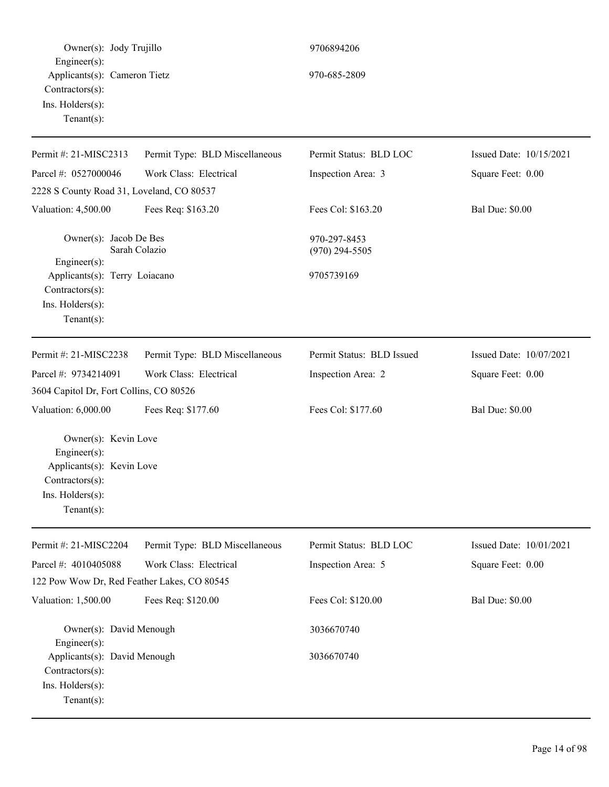Owner(s): Jody Trujillo 9706894206 Engineer(s): Applicants(s): Cameron Tietz 970-685-2809 Contractors(s): Ins. Holders(s): Tenant(s): Permit #: 21-MISC2313 Parcel #: 0527000046 Permit Type: BLD Miscellaneous Work Class: Electrical Permit Status: BLD LOC Inspection Area: 3 Issued Date: 10/15/2021 Square Feet: 0.00 2228 S County Road 31, Loveland, CO 80537 Valuation: 4,500.00 Fees Req: \$163.20 Fees Col: \$163.20 Bal Due: \$0.00 Owner(s): Jacob De Bes 970-297-8453 Sarah Colazio (970) 294-5505 Engineer(s): Applicants(s): Terry Loiacano 9705739169 Contractors(s): Ins. Holders(s): Tenant(s): Permit #: 21-MISC2238 Parcel #: 9734214091 Permit Type: BLD Miscellaneous Work Class: Electrical Permit Status: BLD Issued Inspection Area: 2 Issued Date: 10/07/2021 Square Feet: 0.00 3604 Capitol Dr, Fort Collins, CO 80526 Valuation: 6,000.00 Fees Req: \$177.60 Fees Col: \$177.60 Bal Due: \$0.00 Owner(s): Kevin Love Engineer(s): Applicants(s): Kevin Love Contractors(s): Ins. Holders(s): Tenant(s): Permit #: 21-MISC2204 Parcel #: 4010405088 Permit Type: BLD Miscellaneous Work Class: Electrical Permit Status: BLD LOC Inspection Area: 5 Issued Date: 10/01/2021 Square Feet: 0.00 122 Pow Wow Dr, Red Feather Lakes, CO 80545 Valuation: 1,500.00 Fees Req: \$120.00 Fees Col: \$120.00 Bal Due: \$0.00 Owner(s): David Menough 3036670740 Engineer(s): Applicants(s): David Menough 3036670740 Contractors(s): Ins. Holders(s): Tenant(s):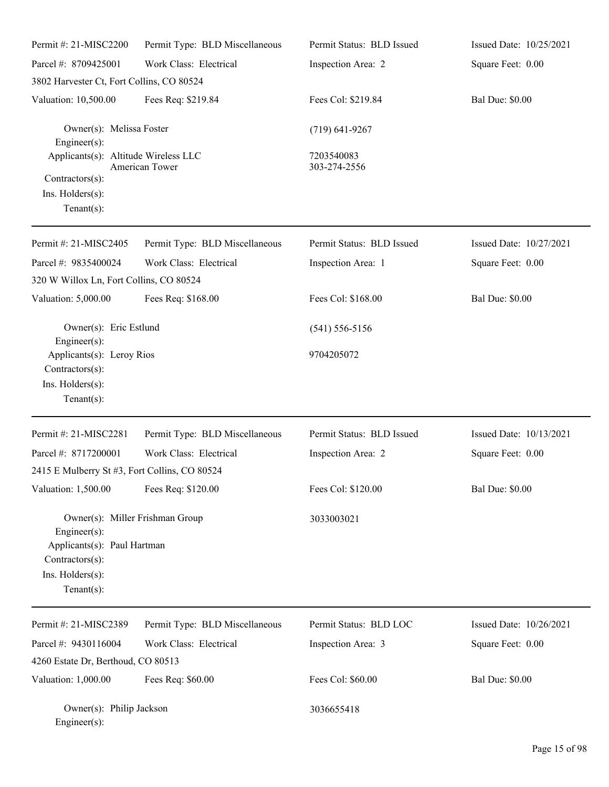| Permit #: 21-MISC2200                                                                                                                   | Permit Type: BLD Miscellaneous | Permit Status: BLD Issued  | Issued Date: 10/25/2021 |
|-----------------------------------------------------------------------------------------------------------------------------------------|--------------------------------|----------------------------|-------------------------|
| Parcel #: 8709425001                                                                                                                    | Work Class: Electrical         | Inspection Area: 2         | Square Feet: 0.00       |
| 3802 Harvester Ct, Fort Collins, CO 80524                                                                                               |                                |                            |                         |
| Valuation: 10,500.00                                                                                                                    | Fees Req: \$219.84             | Fees Col: \$219.84         | <b>Bal Due: \$0.00</b>  |
| Owner(s): Melissa Foster<br>Engineer(s):                                                                                                |                                | $(719) 641 - 9267$         |                         |
| Applicants(s): Altitude Wireless LLC                                                                                                    | <b>American Tower</b>          | 7203540083<br>303-274-2556 |                         |
| Contractors(s):<br>Ins. Holders(s):<br>$Tenant(s)$ :                                                                                    |                                |                            |                         |
| Permit #: 21-MISC2405                                                                                                                   | Permit Type: BLD Miscellaneous | Permit Status: BLD Issued  | Issued Date: 10/27/2021 |
| Parcel #: 9835400024                                                                                                                    | Work Class: Electrical         | Inspection Area: 1         | Square Feet: 0.00       |
| 320 W Willox Ln, Fort Collins, CO 80524                                                                                                 |                                |                            |                         |
| Valuation: 5,000.00                                                                                                                     | Fees Req: \$168.00             | Fees Col: \$168.00         | <b>Bal Due: \$0.00</b>  |
| Owner(s): Eric Estlund<br>Engineer(s):                                                                                                  |                                | $(541) 556 - 5156$         |                         |
| Applicants(s): Leroy Rios<br>Contractors(s):<br>Ins. Holders(s):<br>$Tenant(s)$ :                                                       |                                | 9704205072                 |                         |
| Permit #: 21-MISC2281                                                                                                                   | Permit Type: BLD Miscellaneous | Permit Status: BLD Issued  | Issued Date: 10/13/2021 |
| Parcel #: 8717200001<br>2415 E Mulberry St #3, Fort Collins, CO 80524                                                                   | Work Class: Electrical         | Inspection Area: 2         | Square Feet: 0.00       |
| Valuation: 1,500.00                                                                                                                     | Fees Req: \$120.00             | Fees Col: \$120.00         | <b>Bal Due: \$0.00</b>  |
| Owner(s): Miller Frishman Group<br>Engineer(s):<br>Applicants(s): Paul Hartman<br>Contractors(s):<br>Ins. Holders(s):<br>Tenant $(s)$ : |                                | 3033003021                 |                         |
| Permit #: 21-MISC2389                                                                                                                   | Permit Type: BLD Miscellaneous | Permit Status: BLD LOC     | Issued Date: 10/26/2021 |
| Parcel #: 9430116004                                                                                                                    | Work Class: Electrical         | Inspection Area: 3         | Square Feet: 0.00       |
| 4260 Estate Dr, Berthoud, CO 80513                                                                                                      |                                |                            |                         |
| Valuation: 1,000.00                                                                                                                     | Fees Req: \$60.00              | Fees Col: \$60.00          | <b>Bal Due: \$0.00</b>  |
| Owner(s): Philip Jackson<br>Engineer(s):                                                                                                |                                | 3036655418                 |                         |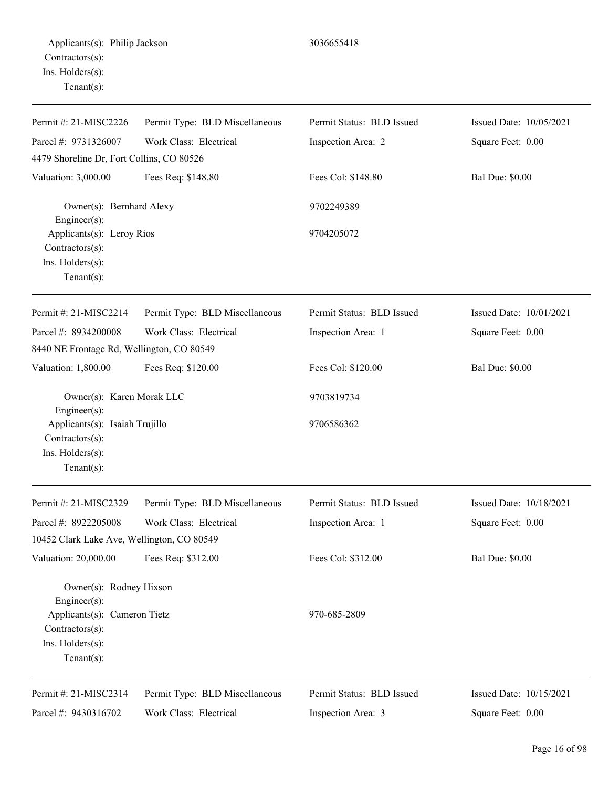| Permit #: 21-MISC2226<br>Parcel #: 9731326007                                                                                          | Permit Type: BLD Miscellaneous<br>Work Class: Electrical | Permit Status: BLD Issued<br>Inspection Area: 2 | Issued Date: 10/05/2021<br>Square Feet: 0.00 |
|----------------------------------------------------------------------------------------------------------------------------------------|----------------------------------------------------------|-------------------------------------------------|----------------------------------------------|
| 4479 Shoreline Dr, Fort Collins, CO 80526                                                                                              |                                                          |                                                 |                                              |
| Valuation: 3,000.00                                                                                                                    | Fees Req: \$148.80                                       | Fees Col: \$148.80                              | <b>Bal Due: \$0.00</b>                       |
| Owner(s): Bernhard Alexy<br>Engineer(s):                                                                                               |                                                          | 9702249389                                      |                                              |
| Applicants(s): Leroy Rios<br>Contractors(s):<br>Ins. Holders(s):<br>Tenant $(s)$ :                                                     |                                                          | 9704205072                                      |                                              |
| Permit #: 21-MISC2214                                                                                                                  | Permit Type: BLD Miscellaneous                           | Permit Status: BLD Issued                       | Issued Date: 10/01/2021                      |
| Parcel #: 8934200008<br>8440 NE Frontage Rd, Wellington, CO 80549                                                                      | Work Class: Electrical                                   | Inspection Area: 1                              | Square Feet: 0.00                            |
| Valuation: 1,800.00                                                                                                                    | Fees Req: \$120.00                                       | Fees Col: \$120.00                              | <b>Bal Due: \$0.00</b>                       |
| Owner(s): Karen Morak LLC<br>Engineer(s):<br>Applicants(s): Isaiah Trujillo<br>Contractors(s):<br>Ins. Holders(s):<br>Tenant $(s)$ :   |                                                          | 9703819734<br>9706586362                        |                                              |
| Permit #: 21-MISC2329                                                                                                                  | Permit Type: BLD Miscellaneous                           | Permit Status: BLD Issued                       | Issued Date: 10/18/2021                      |
| Parcel #: 8922205008<br>10452 Clark Lake Ave, Wellington, CO 80549                                                                     | Work Class: Electrical                                   | Inspection Area: 1                              | Square Feet: 0.00                            |
| Valuation: 20,000.00                                                                                                                   | Fees Req: \$312.00                                       | Fees Col: \$312.00                              | <b>Bal Due: \$0.00</b>                       |
| Owner(s): Rodney Hixson<br>$Engineering(s)$ :<br>Applicants(s): Cameron Tietz<br>Contractors(s):<br>Ins. Holders(s):<br>Tenant $(s)$ : |                                                          | 970-685-2809                                    |                                              |
| Permit #: 21-MISC2314                                                                                                                  | Permit Type: BLD Miscellaneous                           | Permit Status: BLD Issued                       | Issued Date: 10/15/2021                      |
| Parcel #: 9430316702                                                                                                                   | Work Class: Electrical                                   | Inspection Area: 3                              | Square Feet: 0.00                            |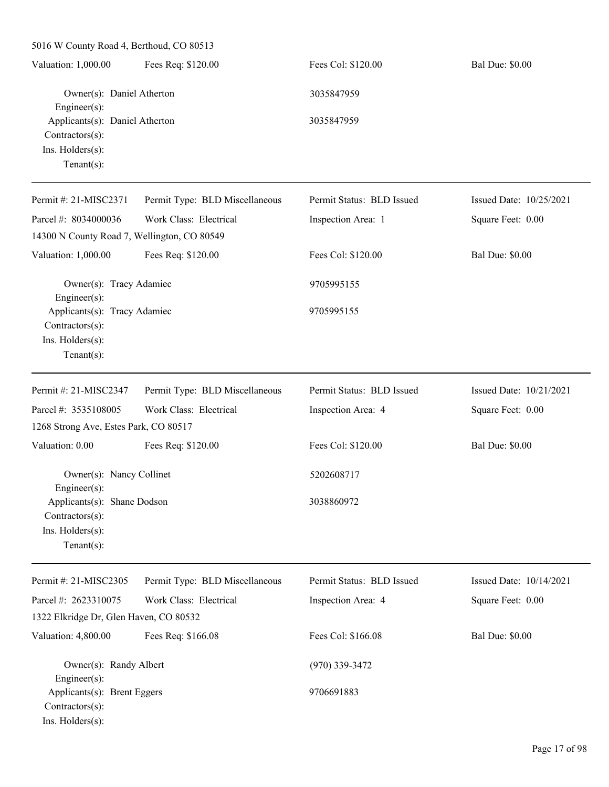5016 W County Road 4, Berthoud, CO 80513 Valuation: 1,000.00 Fees Req: \$120.00 Fees Col: \$120.00 Bal Due: \$0.00 Owner(s): Daniel Atherton 3035847959 Engineer(s): Applicants(s): Daniel Atherton 3035847959 Contractors(s): Ins. Holders(s): Tenant(s): Permit #: 21-MISC2371 Parcel #: 8034000036 Permit Type: BLD Miscellaneous Work Class: Electrical Permit Status: BLD Issued Inspection Area: 1 Issued Date: 10/25/2021 Square Feet: 0.00 14300 N County Road 7, Wellington, CO 80549 Valuation: 1,000.00 Fees Req: \$120.00 Fees Col: \$120.00 Bal Due: \$0.00 Owner(s): Tracy Adamiec 9705995155 Engineer(s): Applicants(s): Tracy Adamiec 9705995155 Contractors(s): Ins. Holders(s): Tenant(s): Permit #: 21-MISC2347 Parcel #: 3535108005 Permit Type: BLD Miscellaneous Work Class: Electrical Permit Status: BLD Issued Inspection Area: 4 Issued Date: 10/21/2021 Square Feet: 0.00 1268 Strong Ave, Estes Park, CO 80517 Valuation: 0.00 Fees Req: \$120.00 Fees Col: \$120.00 Bal Due: \$0.00 Owner(s): Nancy Collinet 5202608717 Engineer(s): Applicants(s): Shane Dodson 3038860972 Contractors(s): Ins. Holders(s): Tenant(s): Permit #: 21-MISC2305 Parcel #: 2623310075 Permit Type: BLD Miscellaneous Work Class: Electrical Permit Status: BLD Issued Inspection Area: 4 Issued Date: 10/14/2021 Square Feet: 0.00 1322 Elkridge Dr, Glen Haven, CO 80532 Valuation: 4,800.00 Fees Req: \$166.08 Fees Col: \$166.08 Bal Due: \$0.00 Owner(s): Randy Albert (970) 339-3472 Engineer(s): Applicants(s): Brent Eggers 9706691883 Contractors(s): Ins. Holders(s):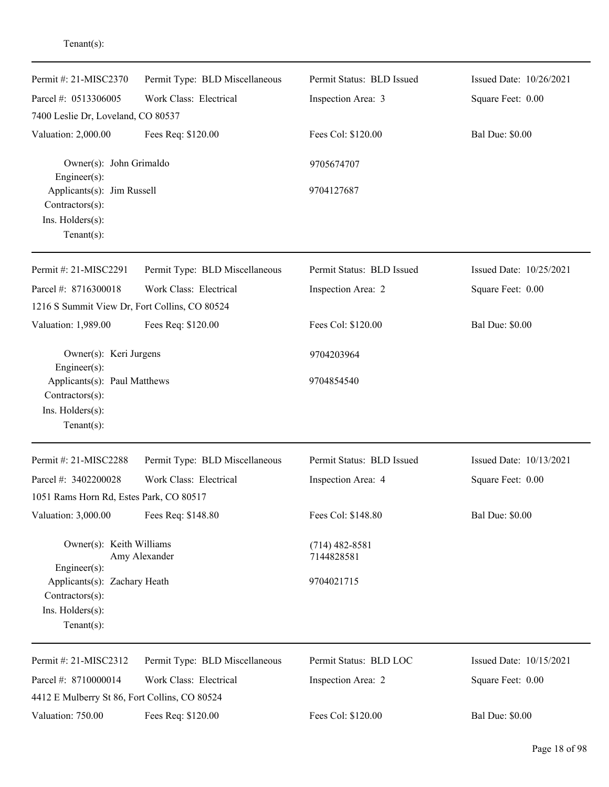| Permit #: 21-MISC2370                                                                                | Permit Type: BLD Miscellaneous | Permit Status: BLD Issued      | Issued Date: 10/26/2021 |
|------------------------------------------------------------------------------------------------------|--------------------------------|--------------------------------|-------------------------|
| Parcel #: 0513306005                                                                                 | Work Class: Electrical         | Inspection Area: 3             | Square Feet: 0.00       |
| 7400 Leslie Dr, Loveland, CO 80537                                                                   |                                |                                |                         |
| Valuation: 2,000.00                                                                                  | Fees Req: \$120.00             | Fees Col: \$120.00             | <b>Bal Due: \$0.00</b>  |
| Owner(s): John Grimaldo<br>Engineer(s):                                                              |                                | 9705674707                     |                         |
| Applicants(s): Jim Russell<br>Contractors(s):                                                        |                                | 9704127687                     |                         |
| Ins. Holders(s):<br>$Tenant(s)$ :                                                                    |                                |                                |                         |
| Permit #: 21-MISC2291                                                                                | Permit Type: BLD Miscellaneous | Permit Status: BLD Issued      | Issued Date: 10/25/2021 |
| Parcel #: 8716300018<br>1216 S Summit View Dr, Fort Collins, CO 80524                                | Work Class: Electrical         | Inspection Area: 2             | Square Feet: 0.00       |
| Valuation: 1,989.00                                                                                  | Fees Req: \$120.00             | Fees Col: \$120.00             | <b>Bal Due: \$0.00</b>  |
| Owner(s): Keri Jurgens<br>Engineer(s):                                                               |                                | 9704203964                     |                         |
| Applicants(s): Paul Matthews<br>Contractors(s):<br>Ins. Holders(s):<br>Tenant $(s)$ :                |                                | 9704854540                     |                         |
| Permit #: 21-MISC2288                                                                                | Permit Type: BLD Miscellaneous | Permit Status: BLD Issued      | Issued Date: 10/13/2021 |
| Parcel #: 3402200028<br>1051 Rams Horn Rd, Estes Park, CO 80517                                      | Work Class: Electrical         | Inspection Area: 4             | Square Feet: 0.00       |
| Valuation: 3,000.00                                                                                  | Fees Req: \$148.80             | Fees Col: \$148.80             | <b>Bal Due: \$0.00</b>  |
| Owner(s): Keith Williams                                                                             | Amy Alexander                  | $(714)$ 482-8581<br>7144828581 |                         |
| Engineer(s):<br>Applicants(s): Zachary Heath<br>Contractors(s):<br>Ins. Holders(s):<br>$Tenant(s)$ : |                                | 9704021715                     |                         |
| Permit #: 21-MISC2312                                                                                | Permit Type: BLD Miscellaneous | Permit Status: BLD LOC         | Issued Date: 10/15/2021 |
| Parcel #: 8710000014<br>4412 E Mulberry St 86, Fort Collins, CO 80524                                | Work Class: Electrical         | Inspection Area: 2             | Square Feet: 0.00       |
| Valuation: 750.00                                                                                    | Fees Req: \$120.00             | Fees Col: \$120.00             | <b>Bal Due: \$0.00</b>  |

## Tenant(s):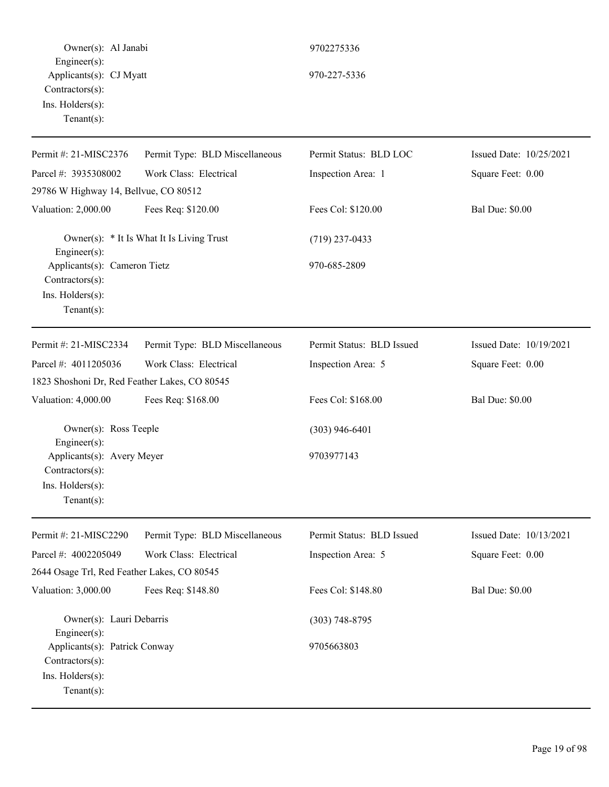Owner(s): Al Janabi 9702275336 Engineer(s): Applicants(s): CJ Myatt 970-227-5336 Contractors(s): Ins. Holders(s): Tenant(s): Permit #: 21-MISC2376 Parcel #: 3935308002 Permit Type: BLD Miscellaneous Work Class: Electrical Permit Status: BLD LOC Inspection Area: 1 Issued Date: 10/25/2021 Square Feet: 0.00 29786 W Highway 14, Bellvue, CO 80512 Valuation: 2,000.00 Fees Req: \$120.00 Fees Col: \$120.00 Bal Due: \$0.00 Owner(s):  $*$  It Is What It Is Living Trust (719) 237-0433 Engineer(s): Applicants(s): Cameron Tietz 970-685-2809 Contractors(s): Ins. Holders(s): Tenant(s): Permit #: 21-MISC2334 Parcel #: 4011205036 Permit Type: BLD Miscellaneous Work Class: Electrical Permit Status: BLD Issued Inspection Area: 5 Issued Date: 10/19/2021 Square Feet: 0.00 1823 Shoshoni Dr, Red Feather Lakes, CO 80545 Valuation: 4,000.00 Fees Req: \$168.00 Fees Col: \$168.00 Bal Due: \$0.00 Owner(s): Ross Teeple (303) 946-6401 Engineer(s): Applicants(s): Avery Meyer 9703977143 Contractors(s): Ins. Holders(s): Tenant(s): Permit #: 21-MISC2290 Parcel #: 4002205049 Permit Type: BLD Miscellaneous Work Class: Electrical Permit Status: BLD Issued Inspection Area: 5 Issued Date: 10/13/2021 Square Feet: 0.00 2644 Osage Trl, Red Feather Lakes, CO 80545 Valuation: 3,000.00 Fees Req: \$148.80 Fees Col: \$148.80 Bal Due: \$0.00 Owner(s): Lauri Debarris (303) 748-8795 Engineer(s): Applicants(s): Patrick Conway 9705663803 Contractors(s): Ins. Holders(s): Tenant(s):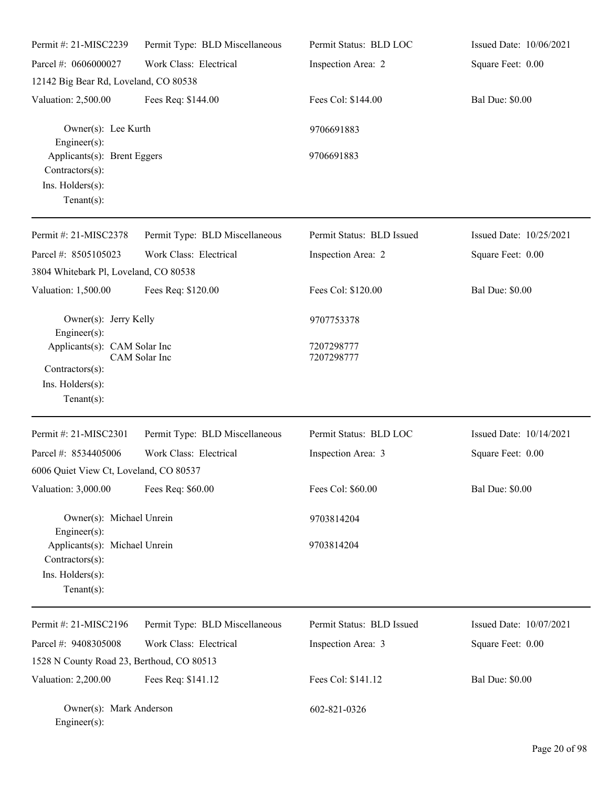| Permit #: 21-MISC2239                                                                  | Permit Type: BLD Miscellaneous | Permit Status: BLD LOC    | Issued Date: 10/06/2021 |
|----------------------------------------------------------------------------------------|--------------------------------|---------------------------|-------------------------|
| Parcel #: 0606000027                                                                   | Work Class: Electrical         | Inspection Area: 2        | Square Feet: 0.00       |
| 12142 Big Bear Rd, Loveland, CO 80538                                                  |                                |                           |                         |
| Valuation: 2,500.00                                                                    | Fees Req: \$144.00             | Fees Col: \$144.00        | <b>Bal Due: \$0.00</b>  |
| Owner(s): Lee Kurth<br>Engineer(s):                                                    |                                | 9706691883                |                         |
| Applicants(s): Brent Eggers<br>Contractors(s):<br>Ins. Holders(s):<br>Tenant $(s)$ :   |                                | 9706691883                |                         |
| Permit #: 21-MISC2378                                                                  | Permit Type: BLD Miscellaneous | Permit Status: BLD Issued | Issued Date: 10/25/2021 |
| Parcel #: 8505105023                                                                   | Work Class: Electrical         | Inspection Area: 2        | Square Feet: 0.00       |
| 3804 Whitebark Pl, Loveland, CO 80538                                                  |                                |                           |                         |
| Valuation: 1,500.00                                                                    | Fees Req: \$120.00             | Fees Col: \$120.00        | <b>Bal Due: \$0.00</b>  |
| Owner(s): Jerry Kelly<br>Engineer(s):                                                  |                                | 9707753378                |                         |
| Applicants(s): CAM Solar Inc<br>Contractors(s):<br>Ins. Holders(s):<br>$Tenant(s)$ :   | CAM Solar Inc                  | 7207298777<br>7207298777  |                         |
| Permit #: 21-MISC2301                                                                  | Permit Type: BLD Miscellaneous | Permit Status: BLD LOC    | Issued Date: 10/14/2021 |
| Parcel #: 8534405006                                                                   | Work Class: Electrical         | Inspection Area: 3        | Square Feet: 0.00       |
| 6006 Quiet View Ct, Loveland, CO 80537                                                 |                                |                           |                         |
| Valuation: 3,000.00                                                                    | Fees Req: \$60.00              | Fees Col: \$60.00         | <b>Bal Due: \$0.00</b>  |
| Owner(s): Michael Unrein<br>Engineer(s):                                               |                                | 9703814204                |                         |
| Applicants(s): Michael Unrein<br>Contractors(s):<br>Ins. Holders(s):<br>Tenant $(s)$ : |                                | 9703814204                |                         |
| Permit #: 21-MISC2196                                                                  | Permit Type: BLD Miscellaneous | Permit Status: BLD Issued | Issued Date: 10/07/2021 |
| Parcel #: 9408305008                                                                   | Work Class: Electrical         | Inspection Area: 3        | Square Feet: 0.00       |
| 1528 N County Road 23, Berthoud, CO 80513                                              |                                |                           |                         |
| Valuation: 2,200.00                                                                    | Fees Req: \$141.12             | Fees Col: \$141.12        | <b>Bal Due: \$0.00</b>  |
| Owner(s): Mark Anderson<br>Engineer(s):                                                |                                | 602-821-0326              |                         |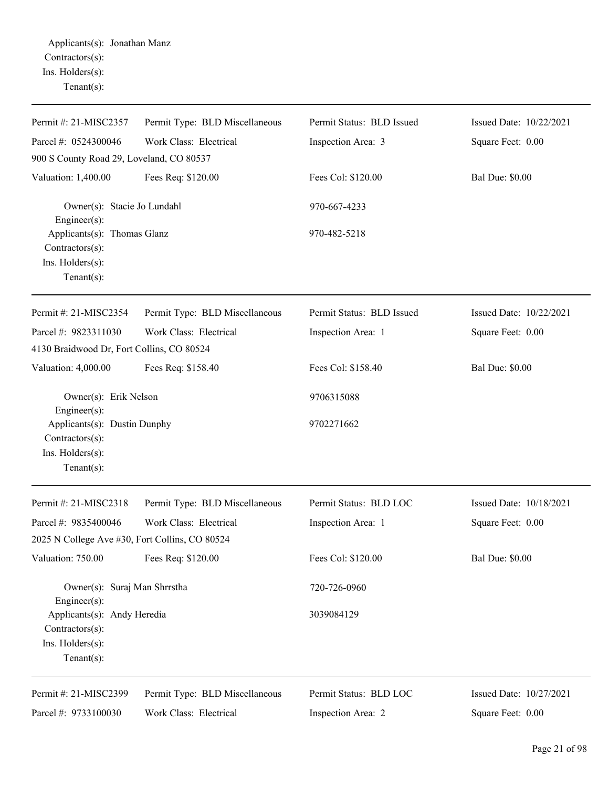| Permit #: 21-MISC2357                                                                 | Permit Type: BLD Miscellaneous | Permit Status: BLD Issued | Issued Date: 10/22/2021 |
|---------------------------------------------------------------------------------------|--------------------------------|---------------------------|-------------------------|
| Parcel #: 0524300046                                                                  | Work Class: Electrical         | Inspection Area: 3        | Square Feet: 0.00       |
| 900 S County Road 29, Loveland, CO 80537                                              |                                |                           |                         |
| Valuation: 1,400.00                                                                   | Fees Req: \$120.00             | Fees Col: \$120.00        | <b>Bal Due: \$0.00</b>  |
| Owner(s): Stacie Jo Lundahl<br>$Engineering(s)$ :                                     |                                | 970-667-4233              |                         |
| Applicants(s): Thomas Glanz<br>Contractors(s):<br>Ins. Holders(s):<br>Tenant $(s)$ :  |                                | 970-482-5218              |                         |
| Permit #: 21-MISC2354                                                                 | Permit Type: BLD Miscellaneous | Permit Status: BLD Issued | Issued Date: 10/22/2021 |
| Parcel #: 9823311030                                                                  | Work Class: Electrical         | Inspection Area: 1        | Square Feet: 0.00       |
| 4130 Braidwood Dr, Fort Collins, CO 80524                                             |                                |                           |                         |
| Valuation: 4,000.00                                                                   | Fees Req: \$158.40             | Fees Col: \$158.40        | <b>Bal Due: \$0.00</b>  |
| Owner(s): Erik Nelson<br>Engineer $(s)$ :                                             |                                | 9706315088                |                         |
| Applicants(s): Dustin Dunphy<br>Contractors(s):<br>Ins. Holders(s):<br>Tenant $(s)$ : |                                | 9702271662                |                         |
| Permit #: 21-MISC2318                                                                 | Permit Type: BLD Miscellaneous | Permit Status: BLD LOC    | Issued Date: 10/18/2021 |
| Parcel #: 9835400046                                                                  | Work Class: Electrical         | Inspection Area: 1        | Square Feet: 0.00       |
| 2025 N College Ave #30, Fort Collins, CO 80524                                        |                                |                           |                         |
| Valuation: 750.00                                                                     | Fees Req: \$120.00             | Fees Col: \$120.00        | Bal Due: \$0.00         |
| Owner(s): Suraj Man Shrrstha<br>Engineer(s):                                          |                                | 720-726-0960              |                         |
| Applicants(s): Andy Heredia<br>Contractors(s):                                        |                                | 3039084129                |                         |
| Ins. Holders(s):<br>Tenant $(s)$ :                                                    |                                |                           |                         |
| Permit #: 21-MISC2399                                                                 | Permit Type: BLD Miscellaneous | Permit Status: BLD LOC    | Issued Date: 10/27/2021 |
| Parcel #: 9733100030                                                                  | Work Class: Electrical         | Inspection Area: 2        | Square Feet: 0.00       |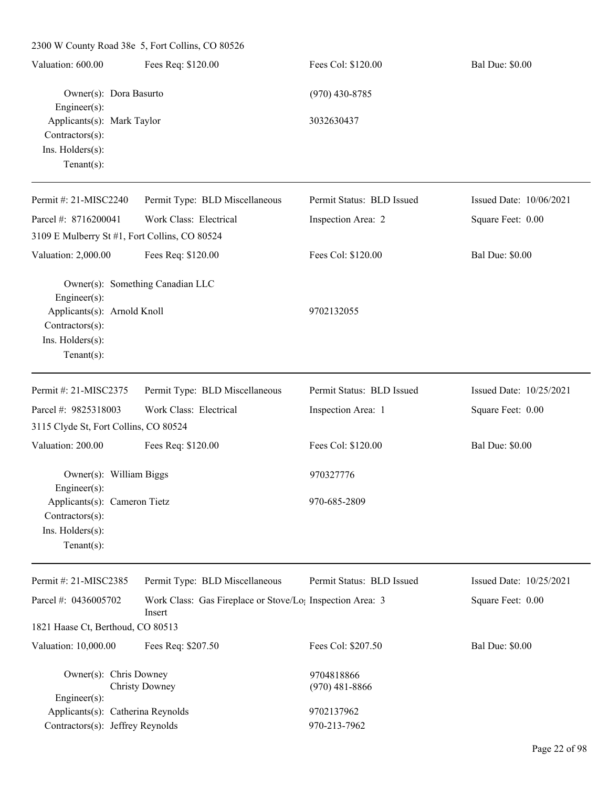| Valuation: 600.00                                                                                          | Fees Req: \$120.00                                                  | Fees Col: \$120.00             | <b>Bal Due: \$0.00</b>  |
|------------------------------------------------------------------------------------------------------------|---------------------------------------------------------------------|--------------------------------|-------------------------|
| Owner(s): Dora Basurto<br>$Engineering(s)$ :                                                               |                                                                     | $(970)$ 430-8785               |                         |
| Applicants(s): Mark Taylor<br>Contractors(s):<br>Ins. Holders(s):<br>Tenant $(s)$ :                        |                                                                     | 3032630437                     |                         |
| Permit#: 21-MISC2240                                                                                       | Permit Type: BLD Miscellaneous                                      | Permit Status: BLD Issued      | Issued Date: 10/06/2021 |
| Parcel #: 8716200041                                                                                       | Work Class: Electrical                                              | Inspection Area: 2             | Square Feet: 0.00       |
| 3109 E Mulberry St #1, Fort Collins, CO 80524                                                              |                                                                     |                                |                         |
| Valuation: 2,000.00                                                                                        | Fees Req: \$120.00                                                  | Fees Col: \$120.00             | <b>Bal Due: \$0.00</b>  |
| $Engineering(s)$ :<br>Applicants(s): Arnold Knoll<br>Contractors(s):<br>Ins. Holders(s):<br>Tenant $(s)$ : | Owner(s): Something Canadian LLC                                    | 9702132055                     |                         |
| Permit #: 21-MISC2375                                                                                      | Permit Type: BLD Miscellaneous                                      | Permit Status: BLD Issued      | Issued Date: 10/25/2021 |
| Parcel #: 9825318003                                                                                       | Work Class: Electrical                                              | Inspection Area: 1             | Square Feet: 0.00       |
| 3115 Clyde St, Fort Collins, CO 80524                                                                      |                                                                     |                                |                         |
| Valuation: 200.00                                                                                          | Fees Req: \$120.00                                                  | Fees Col: \$120.00             | <b>Bal Due: \$0.00</b>  |
| Owner(s): William Biggs<br>$Engineering(s)$ :                                                              |                                                                     | 970327776                      |                         |
| Applicants(s): Cameron Tietz<br>Contractors(s):<br>Ins. Holders(s):<br>Tenant $(s)$ :                      |                                                                     | 970-685-2809                   |                         |
| Permit #: 21-MISC2385                                                                                      | Permit Type: BLD Miscellaneous                                      | Permit Status: BLD Issued      | Issued Date: 10/25/2021 |
| Parcel #: 0436005702                                                                                       | Work Class: Gas Fireplace or Stove/Lo; Inspection Area: 3<br>Insert |                                | Square Feet: 0.00       |
| 1821 Haase Ct, Berthoud, CO 80513                                                                          |                                                                     |                                |                         |
| Valuation: 10,000.00                                                                                       | Fees Req: \$207.50                                                  | Fees Col: \$207.50             | <b>Bal Due: \$0.00</b>  |
| Owner(s): Chris Downey<br>Engineer(s):                                                                     | <b>Christy Downey</b>                                               | 9704818866<br>$(970)$ 481-8866 |                         |
| Applicants(s): Catherina Reynolds<br>Contractors(s): Jeffrey Reynolds                                      |                                                                     | 9702137962<br>970-213-7962     |                         |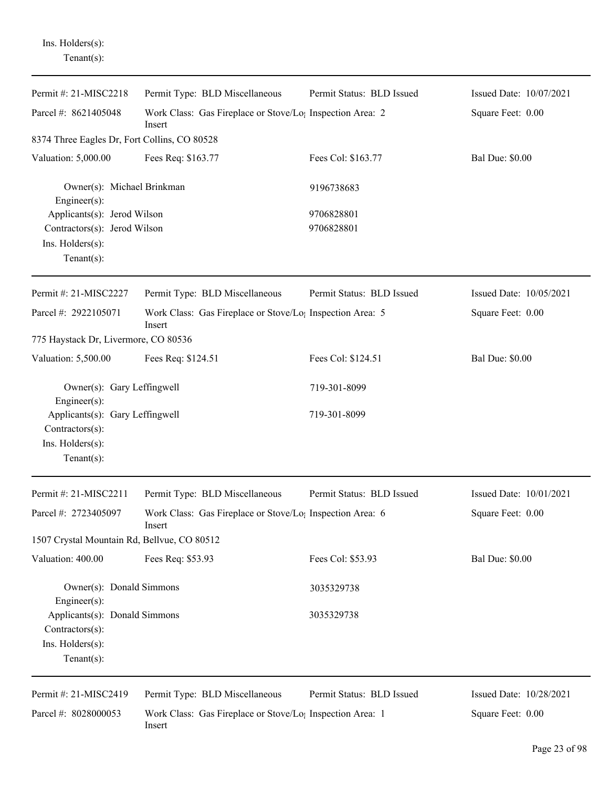Ins. Holders(s): Tenant(s):

| Permit #: 21-MISC2218                                                                            | Permit Type: BLD Miscellaneous                                                  | Permit Status: BLD Issued | Issued Date: 10/07/2021 |
|--------------------------------------------------------------------------------------------------|---------------------------------------------------------------------------------|---------------------------|-------------------------|
| Parcel #: 8621405048                                                                             | Work Class: Gas Fireplace or Stove/Lo <sub>1</sub> Inspection Area: 2<br>Insert |                           | Square Feet: 0.00       |
| 8374 Three Eagles Dr, Fort Collins, CO 80528                                                     |                                                                                 |                           |                         |
| Valuation: 5,000.00                                                                              | Fees Req: \$163.77                                                              | Fees Col: \$163.77        | <b>Bal Due: \$0.00</b>  |
| Owner(s): Michael Brinkman<br>Engineer(s):                                                       |                                                                                 | 9196738683                |                         |
| Applicants(s): Jerod Wilson<br>Contractors(s): Jerod Wilson<br>Ins. Holders(s):<br>$Tenant(s)$ : |                                                                                 | 9706828801<br>9706828801  |                         |
| Permit #: 21-MISC2227                                                                            | Permit Type: BLD Miscellaneous                                                  | Permit Status: BLD Issued | Issued Date: 10/05/2021 |
| Parcel #: 2922105071                                                                             | Work Class: Gas Fireplace or Stove/Lo <sub>1</sub> Inspection Area: 5<br>Insert |                           | Square Feet: 0.00       |
| 775 Haystack Dr, Livermore, CO 80536                                                             |                                                                                 |                           |                         |
| Valuation: 5,500.00                                                                              | Fees Req: \$124.51                                                              | Fees Col: \$124.51        | <b>Bal Due: \$0.00</b>  |
| Owner(s): Gary Leffingwell<br>Engineer(s):                                                       |                                                                                 | 719-301-8099              |                         |
| Applicants(s): Gary Leffingwell<br>Contractors(s):<br>Ins. Holders(s):<br>Tenant $(s)$ :         |                                                                                 | 719-301-8099              |                         |
| Permit #: 21-MISC2211                                                                            | Permit Type: BLD Miscellaneous                                                  | Permit Status: BLD Issued | Issued Date: 10/01/2021 |
| Parcel #: 2723405097                                                                             | Work Class: Gas Fireplace or Stove/Lo <sub>l</sub> Inspection Area: 6<br>Insert |                           | Square Feet: 0.00       |
| 1507 Crystal Mountain Rd, Bellvue, CO 80512                                                      |                                                                                 |                           |                         |
| Valuation: 400.00                                                                                | Fees Req: \$53.93                                                               | Fees Col: \$53.93         | <b>Bal Due: \$0.00</b>  |
| Owner(s): Donald Simmons<br>$Engineering(s)$ :                                                   |                                                                                 | 3035329738                |                         |
| Applicants(s): Donald Simmons<br>Contractors(s):                                                 |                                                                                 | 3035329738                |                         |
| Ins. Holders(s):<br>Tenant $(s)$ :                                                               |                                                                                 |                           |                         |
| Permit #: 21-MISC2419                                                                            | Permit Type: BLD Miscellaneous                                                  | Permit Status: BLD Issued | Issued Date: 10/28/2021 |
| Parcel #: 8028000053                                                                             | Work Class: Gas Fireplace or Stove/Lo <sub>1</sub> Inspection Area: 1<br>Insert |                           | Square Feet: 0.00       |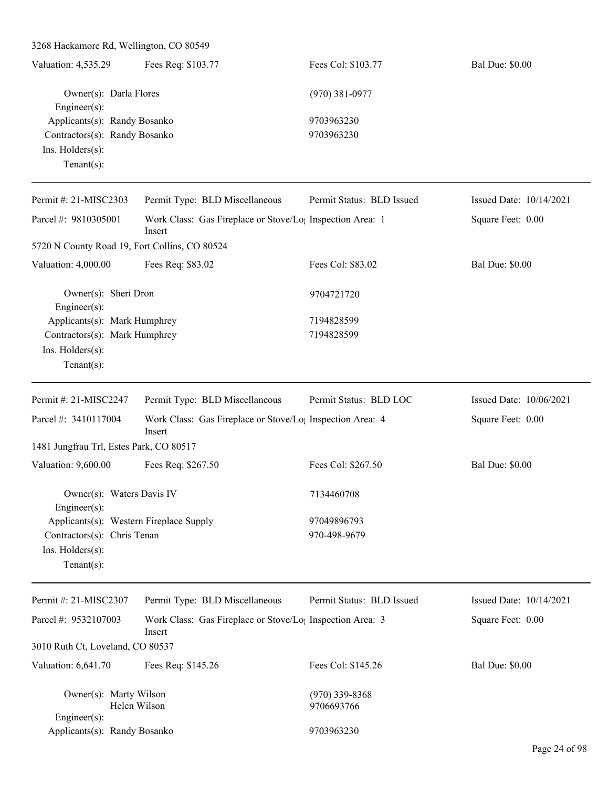| 3268 Hackamore Rd, Wellington, CO 80549       |                                                                                 |                           |                         |
|-----------------------------------------------|---------------------------------------------------------------------------------|---------------------------|-------------------------|
| Valuation: 4,535.29                           | Fees Req: \$103.77                                                              | Fees Col: \$103.77        | <b>Bal Due: \$0.00</b>  |
| Owner(s): Darla Flores<br>Engineer(s):        |                                                                                 | $(970)$ 381-0977          |                         |
| Applicants(s): Randy Bosanko                  |                                                                                 | 9703963230                |                         |
| Contractors(s): Randy Bosanko                 |                                                                                 | 9703963230                |                         |
| Ins. Holders(s):                              |                                                                                 |                           |                         |
| Tenant $(s)$ :                                |                                                                                 |                           |                         |
| Permit #: 21-MISC2303                         | Permit Type: BLD Miscellaneous                                                  | Permit Status: BLD Issued | Issued Date: 10/14/2021 |
| Parcel #: 9810305001                          | Work Class: Gas Fireplace or Stove/Lo <sub>1</sub> Inspection Area: 1<br>Insert |                           | Square Feet: 0.00       |
| 5720 N County Road 19, Fort Collins, CO 80524 |                                                                                 |                           |                         |
| Valuation: 4,000.00                           | Fees Req: \$83.02                                                               | Fees Col: \$83.02         | <b>Bal Due: \$0.00</b>  |
| Owner(s): Sheri Dron<br>Engineer(s):          |                                                                                 | 9704721720                |                         |
| Applicants(s): Mark Humphrey                  |                                                                                 | 7194828599                |                         |
| Contractors(s): Mark Humphrey                 |                                                                                 | 7194828599                |                         |
| Ins. Holders(s):<br>Tenant $(s)$ :            |                                                                                 |                           |                         |
| Permit #: 21-MISC2247                         | Permit Type: BLD Miscellaneous                                                  | Permit Status: BLD LOC    | Issued Date: 10/06/2021 |
| Parcel #: 3410117004                          | Work Class: Gas Fireplace or Stove/Lo <sub>1</sub> Inspection Area: 4<br>Insert |                           | Square Feet: 0.00       |
| 1481 Jungfrau Trl, Estes Park, CO 80517       |                                                                                 |                           |                         |
| Valuation: 9,600.00                           | Fees Req: \$267.50                                                              | Fees Col: \$267.50        | <b>Bal Due: \$0.00</b>  |
| Owner(s): Waters Davis IV<br>Engineer(s):     |                                                                                 | 7134460708                |                         |
| Applicants(s): Western Fireplace Supply       |                                                                                 | 97049896793               |                         |
| Contractors(s): Chris Tenan                   |                                                                                 | 970-498-9679              |                         |
| Ins. Holders(s):<br>Tenant $(s)$ :            |                                                                                 |                           |                         |
| Permit #: 21-MISC2307                         | Permit Type: BLD Miscellaneous                                                  | Permit Status: BLD Issued | Issued Date: 10/14/2021 |
| Parcel #: 9532107003                          | Work Class: Gas Fireplace or Stove/Lo <sub>1</sub> Inspection Area: 3<br>Insert |                           | Square Feet: 0.00       |
| 3010 Ruth Ct, Loveland, CO 80537              |                                                                                 |                           |                         |
| Valuation: 6,641.70                           | Fees Req: \$145.26                                                              | Fees Col: \$145.26        | <b>Bal Due: \$0.00</b>  |
| Owner(s): Marty Wilson                        |                                                                                 | $(970)$ 339-8368          |                         |
| Engineer(s):                                  | Helen Wilson                                                                    | 9706693766                |                         |
| Applicants(s): Randy Bosanko                  |                                                                                 | 9703963230                |                         |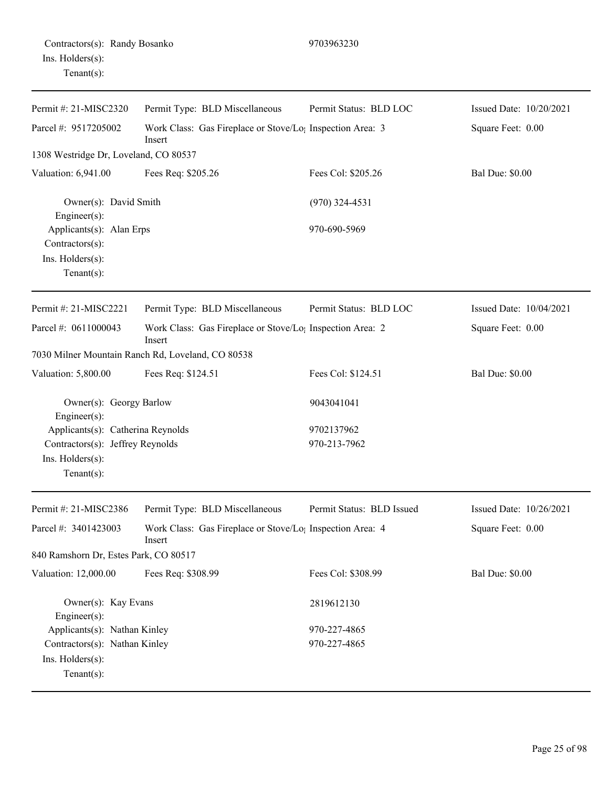| Contractors(s): Randy Bosanko<br>Ins. $H$ olders $(s)$ :<br>Tenant $(s)$ :       |                                                                                 | 9703963230                |                         |
|----------------------------------------------------------------------------------|---------------------------------------------------------------------------------|---------------------------|-------------------------|
| Permit #: 21-MISC2320                                                            | Permit Type: BLD Miscellaneous                                                  | Permit Status: BLD LOC    | Issued Date: 10/20/2021 |
| Parcel #: 9517205002                                                             | Work Class: Gas Fireplace or Stove/Lo <sub>1</sub> Inspection Area: 3<br>Insert |                           | Square Feet: 0.00       |
| 1308 Westridge Dr, Loveland, CO 80537                                            |                                                                                 |                           |                         |
| Valuation: 6,941.00                                                              | Fees Req: \$205.26                                                              | Fees Col: \$205.26        | <b>Bal Due: \$0.00</b>  |
| Owner(s): David Smith<br>Engineer $(s)$ :                                        |                                                                                 | $(970)$ 324-4531          |                         |
| Applicants(s): Alan Erps<br>Contractors(s):<br>Ins. Holders(s):<br>$Tenant(s)$ : |                                                                                 | 970-690-5969              |                         |
| Permit #: 21-MISC2221                                                            | Permit Type: BLD Miscellaneous                                                  | Permit Status: BLD LOC    | Issued Date: 10/04/2021 |
| Parcel #: 0611000043                                                             | Work Class: Gas Fireplace or Stove/Lo <sub>1</sub> Inspection Area: 2<br>Insert |                           | Square Feet: 0.00       |
|                                                                                  | 7030 Milner Mountain Ranch Rd, Loveland, CO 80538                               |                           |                         |
| Valuation: 5,800.00                                                              | Fees Req: \$124.51                                                              | Fees Col: \$124.51        | <b>Bal Due: \$0.00</b>  |
| Owner(s): Georgy Barlow<br>Engineer(s):                                          |                                                                                 | 9043041041                |                         |
| Applicants(s): Catherina Reynolds                                                |                                                                                 | 9702137962                |                         |
| Contractors(s): Jeffrey Reynolds<br>Ins. Holders(s):<br>$Tenant(s)$ :            |                                                                                 | 970-213-7962              |                         |
| Permit #: 21-MISC2386                                                            | Permit Type: BLD Miscellaneous                                                  | Permit Status: BLD Issued | Issued Date: 10/26/2021 |
| Parcel #: 3401423003                                                             | Work Class: Gas Fireplace or Stove/Lo <sub>1</sub> Inspection Area: 4<br>Insert |                           | Square Feet: 0.00       |
| 840 Ramshorn Dr, Estes Park, CO 80517                                            |                                                                                 |                           |                         |
| Valuation: 12,000.00                                                             | Fees Req: \$308.99                                                              | Fees Col: \$308.99        | <b>Bal Due: \$0.00</b>  |
| Owner(s): Kay Evans<br>Engineer(s):                                              |                                                                                 | 2819612130                |                         |
| Applicants(s): Nathan Kinley                                                     |                                                                                 | 970-227-4865              |                         |
| Contractors(s): Nathan Kinley                                                    |                                                                                 | 970-227-4865              |                         |

Ins. Holders(s): Tenant(s):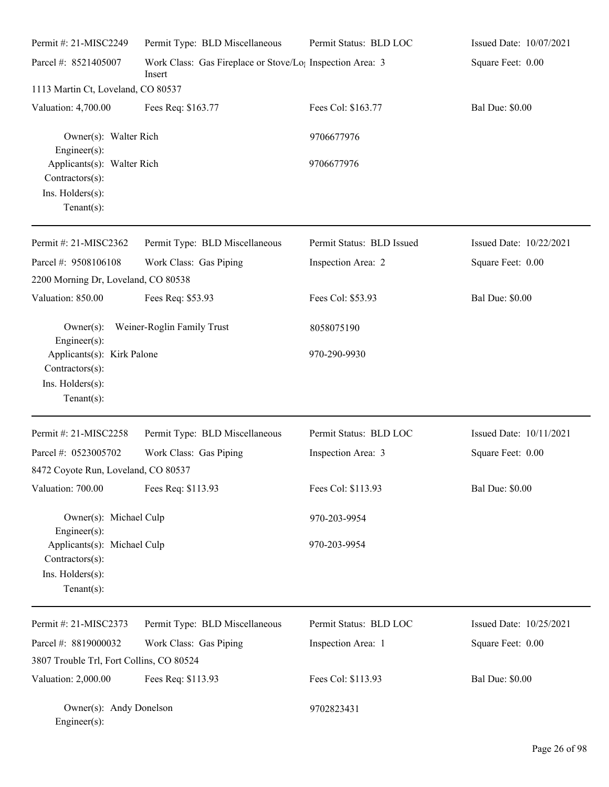| Permit #: 21-MISC2249                                                                                | Permit Type: BLD Miscellaneous                                      | Permit Status: BLD LOC    | Issued Date: 10/07/2021 |
|------------------------------------------------------------------------------------------------------|---------------------------------------------------------------------|---------------------------|-------------------------|
| Parcel #: 8521405007                                                                                 | Work Class: Gas Fireplace or Stove/Lo; Inspection Area: 3<br>Insert |                           | Square Feet: 0.00       |
| 1113 Martin Ct, Loveland, CO 80537                                                                   |                                                                     |                           |                         |
| Valuation: 4,700.00                                                                                  | Fees Req: \$163.77                                                  | Fees Col: \$163.77        | <b>Bal Due: \$0.00</b>  |
| Owner(s): Walter Rich<br>Engineer(s):                                                                |                                                                     | 9706677976                |                         |
| Applicants(s): Walter Rich<br>Contractors(s):<br>Ins. Holders(s):<br>Tenant $(s)$ :                  |                                                                     | 9706677976                |                         |
| Permit #: 21-MISC2362                                                                                | Permit Type: BLD Miscellaneous                                      | Permit Status: BLD Issued | Issued Date: 10/22/2021 |
| Parcel #: 9508106108                                                                                 | Work Class: Gas Piping                                              | Inspection Area: 2        | Square Feet: 0.00       |
| 2200 Morning Dr, Loveland, CO 80538                                                                  |                                                                     |                           |                         |
| Valuation: 850.00                                                                                    | Fees Req: \$53.93                                                   | Fees Col: \$53.93         | <b>Bal Due: \$0.00</b>  |
| $Owner(s)$ :<br>Engineer(s):                                                                         | Weiner-Roglin Family Trust                                          | 8058075190                |                         |
| Applicants(s): Kirk Palone<br>Contractors(s):<br>Ins. Holders(s):<br>$Tenant(s)$ :                   |                                                                     | 970-290-9930              |                         |
| Permit #: 21-MISC2258                                                                                | Permit Type: BLD Miscellaneous                                      | Permit Status: BLD LOC    | Issued Date: 10/11/2021 |
| Parcel #: 0523005702<br>8472 Coyote Run, Loveland, CO 80537                                          | Work Class: Gas Piping                                              | Inspection Area: 3        | Square Feet: 0.00       |
| Valuation: 700.00                                                                                    | Fees Req: \$113.93                                                  | Fees Col: \$113.93        | <b>Bal Due: \$0.00</b>  |
| Owner(s): Michael Culp                                                                               |                                                                     | 970-203-9954              |                         |
| Engineer(s):<br>Applicants(s): Michael Culp<br>Contractors(s):<br>Ins. Holders(s):<br>Tenant $(s)$ : |                                                                     | 970-203-9954              |                         |
| Permit #: 21-MISC2373                                                                                | Permit Type: BLD Miscellaneous                                      | Permit Status: BLD LOC    | Issued Date: 10/25/2021 |
| Parcel #: 8819000032                                                                                 | Work Class: Gas Piping                                              | Inspection Area: 1        | Square Feet: 0.00       |
| 3807 Trouble Trl, Fort Collins, CO 80524                                                             |                                                                     |                           |                         |
| Valuation: 2,000.00                                                                                  | Fees Req: \$113.93                                                  | Fees Col: \$113.93        | <b>Bal Due: \$0.00</b>  |
| Owner(s): Andy Donelson<br>Engineer(s):                                                              |                                                                     | 9702823431                |                         |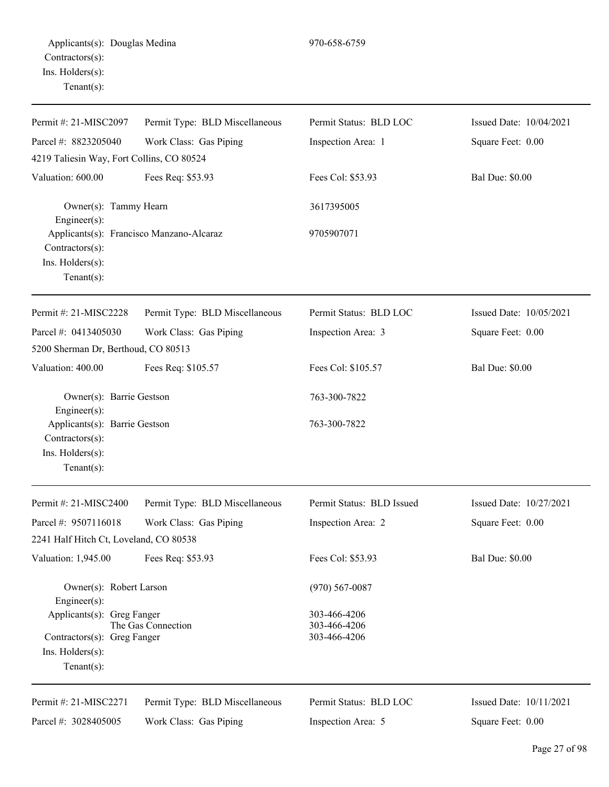| Permit #: 21-MISC2097                                                                                       | Permit Type: BLD Miscellaneous | Permit Status: BLD LOC                       | Issued Date: 10/04/2021 |
|-------------------------------------------------------------------------------------------------------------|--------------------------------|----------------------------------------------|-------------------------|
| Parcel #: 8823205040                                                                                        | Work Class: Gas Piping         | Inspection Area: 1                           | Square Feet: 0.00       |
| 4219 Taliesin Way, Fort Collins, CO 80524                                                                   |                                |                                              |                         |
| Valuation: 600.00                                                                                           | Fees Req: \$53.93              | Fees Col: \$53.93                            | <b>Bal Due: \$0.00</b>  |
| Owner(s): Tammy Hearn<br>Engineer(s):                                                                       |                                | 3617395005                                   |                         |
| Applicants(s): Francisco Manzano-Alcaraz<br>$Contractors(s)$ :<br>Ins. $H$ olders $(s)$ :<br>Tenant $(s)$ : |                                | 9705907071                                   |                         |
| Permit #: 21-MISC2228                                                                                       | Permit Type: BLD Miscellaneous | Permit Status: BLD LOC                       | Issued Date: 10/05/2021 |
| Parcel #: 0413405030                                                                                        | Work Class: Gas Piping         | Inspection Area: 3                           | Square Feet: 0.00       |
| 5200 Sherman Dr, Berthoud, CO 80513                                                                         |                                |                                              |                         |
| Valuation: 400.00                                                                                           | Fees Req: \$105.57             | Fees Col: \$105.57                           | <b>Bal Due: \$0.00</b>  |
| Owner(s): Barrie Gestson<br>Engineer $(s)$ :                                                                |                                | 763-300-7822                                 |                         |
| Applicants(s): Barrie Gestson<br>$Contractors(s)$ :<br>Ins. Holders(s):<br>Tenant $(s)$ :                   |                                | 763-300-7822                                 |                         |
| Permit #: 21-MISC2400                                                                                       | Permit Type: BLD Miscellaneous | Permit Status: BLD Issued                    | Issued Date: 10/27/2021 |
| Parcel #: 9507116018                                                                                        | Work Class: Gas Piping         | Inspection Area: 2                           | Square Feet: 0.00       |
| 2241 Half Hitch Ct, Loveland, CO 80538                                                                      |                                |                                              |                         |
| Valuation: 1,945.00                                                                                         | Fees Req: \$53.93              | Fees Col: \$53.93                            | <b>Bal Due: \$0.00</b>  |
| Owner(s): Robert Larson<br>Engineer(s):                                                                     |                                | $(970)$ 567-0087                             |                         |
| Applicants(s): Greg Fanger<br>Contractors(s): Greg Fanger<br>Ins. Holders(s):<br>Tenant $(s)$ :             | The Gas Connection             | 303-466-4206<br>303-466-4206<br>303-466-4206 |                         |
| Permit #: 21-MISC2271                                                                                       | Permit Type: BLD Miscellaneous | Permit Status: BLD LOC                       | Issued Date: 10/11/2021 |
| Parcel #: 3028405005                                                                                        | Work Class: Gas Piping         | Inspection Area: 5                           | Square Feet: 0.00       |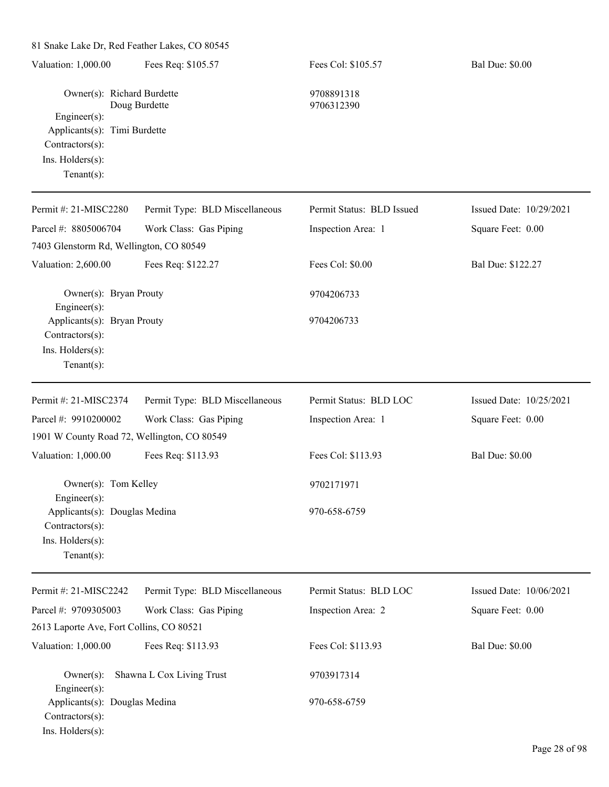81 Snake Lake Dr, Red Feather Lakes, CO 80545 Valuation: 1,000.00 Fees Req: \$105.57 Fees Col: \$105.57 Bal Due: \$0.00 Owner(s): Richard Burdette 9708891318 Doug Burdette 9706312390 Engineer(s): Applicants(s): Timi Burdette Contractors(s): Ins. Holders(s): Tenant(s): Permit #: 21-MISC2280 Parcel #: 8805006704 Permit Type: BLD Miscellaneous Work Class: Gas Piping Permit Status: BLD Issued Inspection Area: 1 Issued Date: 10/29/2021 Square Feet: 0.00 7403 Glenstorm Rd, Wellington, CO 80549 Valuation: 2,600.00 Fees Req: \$122.27 Fees Col: \$0.00 Bal Due: \$122.27 Owner(s): Bryan Prouty 9704206733 Engineer(s): Applicants(s): Bryan Prouty 9704206733 Contractors(s): Ins. Holders(s): Tenant(s): Permit #: 21-MISC2374 Parcel #: 9910200002 Permit Type: BLD Miscellaneous Work Class: Gas Piping Permit Status: BLD LOC Inspection Area: 1 Issued Date: 10/25/2021 Square Feet: 0.00 1901 W County Road 72, Wellington, CO 80549 Valuation: 1,000.00 Fees Req: \$113.93 Fees Col: \$113.93 Bal Due: \$0.00 Owner(s): Tom Kelley 9702171971 Engineer(s): Applicants(s): Douglas Medina 970-658-6759 Contractors(s): Ins. Holders(s): Tenant(s): Permit #: 21-MISC2242 Parcel #: 9709305003 Permit Type: BLD Miscellaneous Work Class: Gas Piping Permit Status: BLD LOC Inspection Area: 2 Issued Date: 10/06/2021 Square Feet: 0.00 2613 Laporte Ave, Fort Collins, CO 80521 Valuation: 1,000.00 Fees Req: \$113.93 Fees Col: \$113.93 Bal Due: \$0.00

Owner(s): Shawna L Cox Living Trust 9703917314 Engineer(s): Applicants(s): Douglas Medina 970-658-6759 Contractors(s): Ins. Holders(s):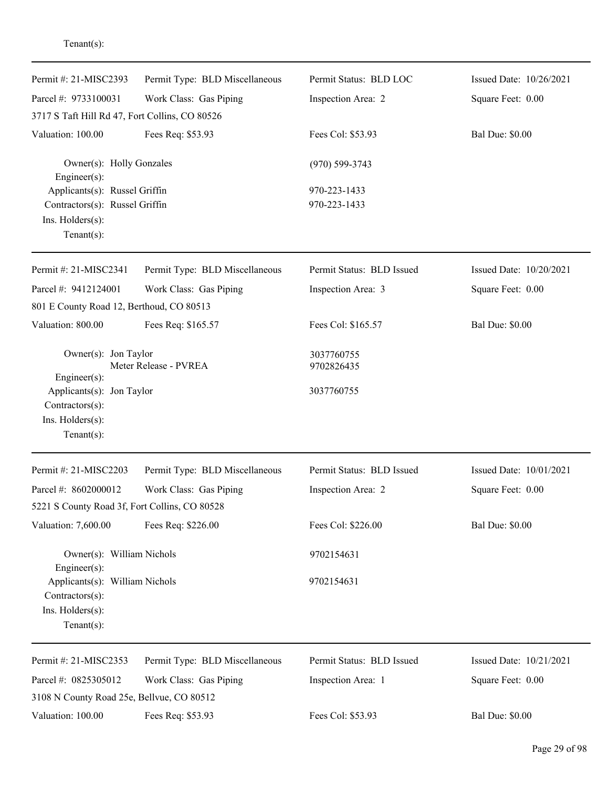| Permit #: 21-MISC2393                                                                                     | Permit Type: BLD Miscellaneous | Permit Status: BLD LOC    | Issued Date: 10/26/2021 |
|-----------------------------------------------------------------------------------------------------------|--------------------------------|---------------------------|-------------------------|
| Parcel #: 9733100031                                                                                      | Work Class: Gas Piping         | Inspection Area: 2        | Square Feet: 0.00       |
| 3717 S Taft Hill Rd 47, Fort Collins, CO 80526                                                            |                                |                           |                         |
| Valuation: 100.00                                                                                         | Fees Req: \$53.93              | Fees Col: \$53.93         | <b>Bal Due: \$0.00</b>  |
| Owner(s): Holly Gonzales<br>Engineer $(s)$ :                                                              |                                | $(970) 599 - 3743$        |                         |
| Applicants(s): Russel Griffin                                                                             |                                | 970-223-1433              |                         |
| Contractors(s): Russel Griffin                                                                            |                                | 970-223-1433              |                         |
| Ins. Holders(s):<br>Tenant $(s)$ :                                                                        |                                |                           |                         |
| Permit #: 21-MISC2341                                                                                     | Permit Type: BLD Miscellaneous | Permit Status: BLD Issued | Issued Date: 10/20/2021 |
| Parcel #: 9412124001                                                                                      | Work Class: Gas Piping         | Inspection Area: 3        | Square Feet: 0.00       |
| 801 E County Road 12, Berthoud, CO 80513                                                                  |                                |                           |                         |
| Valuation: 800.00                                                                                         | Fees Req: \$165.57             | Fees Col: \$165.57        | <b>Bal Due: \$0.00</b>  |
| Owner(s): Jon Taylor<br>Meter Release - PVREA<br>Engineer(s):                                             |                                | 3037760755<br>9702826435  |                         |
| Applicants(s): Jon Taylor<br>Contractors(s):<br>Ins. Holders(s):<br>Tenant $(s)$ :                        |                                | 3037760755                |                         |
| Permit #: 21-MISC2203                                                                                     | Permit Type: BLD Miscellaneous | Permit Status: BLD Issued | Issued Date: 10/01/2021 |
| Parcel #: 8602000012                                                                                      | Work Class: Gas Piping         | Inspection Area: 2        | Square Feet: 0.00       |
| 5221 S County Road 3f, Fort Collins, CO 80528                                                             |                                |                           |                         |
| Valuation: 7,600.00                                                                                       | Fees Req: \$226.00             | Fees Col: \$226.00        | <b>Bal Due: \$0.00</b>  |
| Owner(s): William Nichols                                                                                 |                                | 9702154631                |                         |
| $Engineering(s)$ :<br>Applicants(s): William Nichols<br>Contractors(s):<br>Ins. Holders(s):<br>Tenant(s): |                                | 9702154631                |                         |
| Permit #: 21-MISC2353                                                                                     | Permit Type: BLD Miscellaneous | Permit Status: BLD Issued | Issued Date: 10/21/2021 |
| Parcel #: 0825305012<br>3108 N County Road 25e, Bellvue, CO 80512                                         | Work Class: Gas Piping         | Inspection Area: 1        | Square Feet: 0.00       |
| Valuation: 100.00                                                                                         | Fees Req: \$53.93              | Fees Col: \$53.93         | <b>Bal Due: \$0.00</b>  |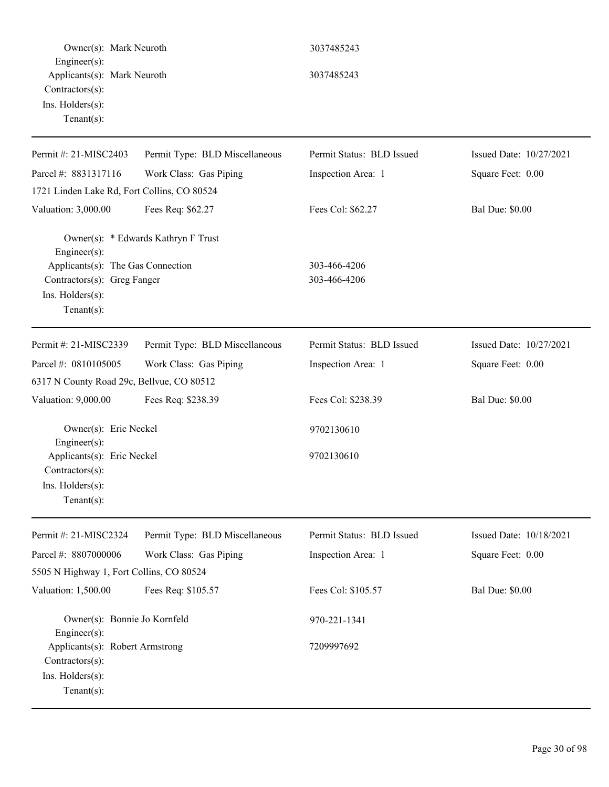| Owner(s): Mark Neuroth                                                                                                 |                                     | 3037485243                   |                         |
|------------------------------------------------------------------------------------------------------------------------|-------------------------------------|------------------------------|-------------------------|
| $Engineering(s)$ :<br>Applicants(s): Mark Neuroth<br>Contractors(s):<br>Ins. Holders(s):<br>Tenant $(s)$ :             |                                     | 3037485243                   |                         |
| Permit #: 21-MISC2403                                                                                                  | Permit Type: BLD Miscellaneous      | Permit Status: BLD Issued    | Issued Date: 10/27/2021 |
| Parcel #: 8831317116                                                                                                   | Work Class: Gas Piping              | Inspection Area: 1           | Square Feet: 0.00       |
| 1721 Linden Lake Rd, Fort Collins, CO 80524                                                                            |                                     |                              |                         |
| Valuation: 3,000.00                                                                                                    | Fees Req: \$62.27                   | Fees Col: \$62.27            | <b>Bal Due: \$0.00</b>  |
| Engineer(s):<br>Applicants(s): The Gas Connection<br>Contractors(s): Greg Fanger<br>Ins. Holders(s):<br>Tenant $(s)$ : | Owner(s): * Edwards Kathryn F Trust | 303-466-4206<br>303-466-4206 |                         |
| Permit #: 21-MISC2339                                                                                                  | Permit Type: BLD Miscellaneous      | Permit Status: BLD Issued    | Issued Date: 10/27/2021 |
| Parcel #: 0810105005                                                                                                   | Work Class: Gas Piping              | Inspection Area: 1           | Square Feet: 0.00       |
| 6317 N County Road 29c, Bellvue, CO 80512                                                                              |                                     |                              |                         |
| Valuation: 9,000.00                                                                                                    | Fees Req: \$238.39                  | Fees Col: \$238.39           | <b>Bal Due: \$0.00</b>  |
| Owner(s): Eric Neckel<br>Engineer(s):                                                                                  |                                     | 9702130610                   |                         |
| Applicants(s): Eric Neckel<br>Contractors(s):<br>Ins. Holders(s):<br>Tenant $(s)$ :                                    |                                     | 9702130610                   |                         |
| Permit #: 21-MISC2324                                                                                                  | Permit Type: BLD Miscellaneous      | Permit Status: BLD Issued    | Issued Date: 10/18/2021 |
| Parcel #: 8807000006                                                                                                   | Work Class: Gas Piping              | Inspection Area: 1           | Square Feet: 0.00       |
| 5505 N Highway 1, Fort Collins, CO 80524                                                                               |                                     |                              |                         |
| Valuation: 1,500.00                                                                                                    | Fees Req: \$105.57                  | Fees Col: \$105.57           | <b>Bal Due: \$0.00</b>  |
| Owner(s): Bonnie Jo Kornfeld<br>Engineer $(s)$ :                                                                       |                                     | 970-221-1341                 |                         |
| Applicants(s): Robert Armstrong<br>Contractors(s):<br>Ins. Holders(s):<br>Tenant $(s)$ :                               |                                     | 7209997692                   |                         |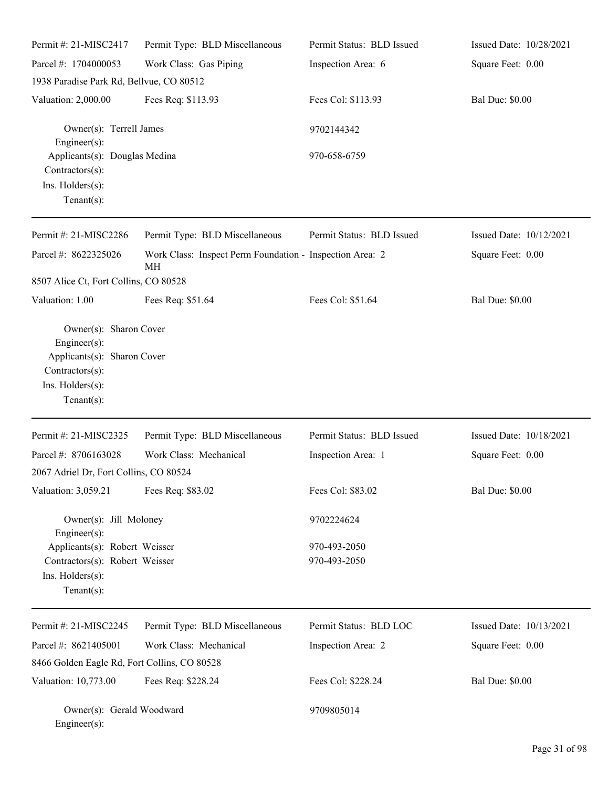| Permit #: 21-MISC2417                                                                                | Permit Type: BLD Miscellaneous                                 | Permit Status: BLD Issued    | Issued Date: 10/28/2021   |
|------------------------------------------------------------------------------------------------------|----------------------------------------------------------------|------------------------------|---------------------------|
| Parcel #: 1704000053                                                                                 | Work Class: Gas Piping                                         | Inspection Area: 6           | Square Feet: 0.00         |
| 1938 Paradise Park Rd, Bellvue, CO 80512                                                             |                                                                |                              |                           |
| Valuation: 2,000.00                                                                                  | Fees Req: \$113.93                                             | Fees Col: \$113.93           | <b>Bal Due: \$0.00</b>    |
| Owner(s): Terrell James<br>Engineer(s):                                                              |                                                                | 9702144342                   |                           |
| Applicants(s): Douglas Medina<br>Contractors(s):<br>Ins. Holders(s):<br>Tenant $(s)$ :               |                                                                | 970-658-6759                 |                           |
| Permit #: 21-MISC2286                                                                                | Permit Type: BLD Miscellaneous                                 | Permit Status: BLD Issued    | Issued Date: 10/12/2021   |
| Parcel #: 8622325026                                                                                 | Work Class: Inspect Perm Foundation - Inspection Area: 2<br>MH |                              | Square Feet: 0.00         |
| 8507 Alice Ct, Fort Collins, CO 80528                                                                |                                                                |                              |                           |
| Valuation: 1.00                                                                                      | Fees Req: \$51.64                                              | Fees Col: \$51.64            | <b>Bal Due: \$0.00</b>    |
| Engineer(s):<br>Applicants(s): Sharon Cover<br>Contractors(s):<br>Ins. Holders(s):<br>Tenant $(s)$ : |                                                                |                              |                           |
| Permit #: 21-MISC2325                                                                                | Permit Type: BLD Miscellaneous                                 | Permit Status: BLD Issued    | Issued Date: $10/18/2021$ |
| Parcel #: 8706163028                                                                                 | Work Class: Mechanical                                         | Inspection Area: 1           | Square Feet: 0.00         |
| 2067 Adriel Dr, Fort Collins, CO 80524                                                               |                                                                |                              |                           |
| Valuation: 3,059.21                                                                                  | Fees Req: \$83.02                                              | Fees Col: \$83.02            | <b>Bal Due: \$0.00</b>    |
| Owner(s): Jill Moloney<br>Engineer(s):                                                               |                                                                | 9702224624                   |                           |
| Applicants(s): Robert Weisser<br>Contractors(s): Robert Weisser<br>Ins. Holders(s):<br>$Tenant(s)$ : |                                                                | 970-493-2050<br>970-493-2050 |                           |
| Permit#: 21-MISC2245                                                                                 | Permit Type: BLD Miscellaneous                                 | Permit Status: BLD LOC       | Issued Date: 10/13/2021   |
| Parcel #: 8621405001                                                                                 | Work Class: Mechanical                                         | Inspection Area: 2           | Square Feet: 0.00         |
| 8466 Golden Eagle Rd, Fort Collins, CO 80528                                                         |                                                                |                              |                           |
| Valuation: 10,773.00                                                                                 | Fees Req: \$228.24                                             | Fees Col: \$228.24           | <b>Bal Due: \$0.00</b>    |
| Owner(s): Gerald Woodward<br>Engineer(s):                                                            |                                                                | 9709805014                   |                           |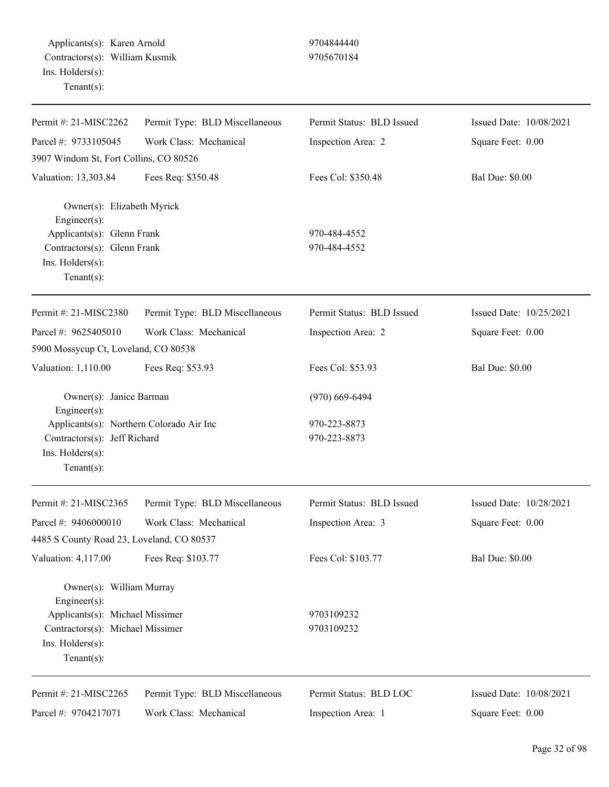Applicants(s): Karen Arnold 9704844440 Contractors(s): William Kusmik 9705670184 Ins. Holders(s): Tenant(s):

| Permit #: 21-MISC2262                                                    | Permit Type: BLD Miscellaneous | Permit Status: BLD Issued | Issued Date: 10/08/2021 |
|--------------------------------------------------------------------------|--------------------------------|---------------------------|-------------------------|
| Parcel #: 9733105045                                                     | Work Class: Mechanical         | Inspection Area: 2        | Square Feet: 0.00       |
| 3907 Windom St, Fort Collins, CO 80526                                   |                                |                           |                         |
| Valuation: 13,303.84                                                     | Fees Req: \$350.48             | Fees Col: \$350.48        | <b>Bal Due: \$0.00</b>  |
| Owner(s): Elizabeth Myrick<br>Engineer $(s)$ :                           |                                |                           |                         |
| Applicants(s): Glenn Frank                                               |                                | 970-484-4552              |                         |
| Contractors(s): Glenn Frank                                              |                                | 970-484-4552              |                         |
| Ins. Holders(s):                                                         |                                |                           |                         |
| Tenant $(s)$ :                                                           |                                |                           |                         |
| Permit #: 21-MISC2380                                                    | Permit Type: BLD Miscellaneous | Permit Status: BLD Issued | Issued Date: 10/25/2021 |
| Parcel #: 9625405010                                                     | Work Class: Mechanical         | Inspection Area: 2        | Square Feet: 0.00       |
| 5900 Mossycup Ct, Loveland, CO 80538                                     |                                |                           |                         |
| Valuation: 1,110.00                                                      | Fees Req: \$53.93              | Fees Col: \$53.93         | <b>Bal Due: \$0.00</b>  |
| Owner(s): Janice Barman                                                  |                                | $(970)$ 669-6494          |                         |
| $Engineering(s)$ :                                                       |                                | 970-223-8873              |                         |
| Applicants(s): Northern Colorado Air Inc<br>Contractors(s): Jeff Richard |                                | 970-223-8873              |                         |
| Ins. Holders(s):                                                         |                                |                           |                         |
| Tenant $(s)$ :                                                           |                                |                           |                         |
| Permit #: 21-MISC2365                                                    | Permit Type: BLD Miscellaneous | Permit Status: BLD Issued | Issued Date: 10/28/2021 |
| Parcel #: 9406000010                                                     | Work Class: Mechanical         | Inspection Area: 3        | Square Feet: 0.00       |
| 4485 S County Road 23, Loveland, CO 80537                                |                                |                           |                         |
| Valuation: 4,117.00                                                      | Fees Req: \$103.77             | Fees Col: \$103.77        | <b>Bal Due: \$0.00</b>  |
|                                                                          |                                |                           |                         |
| Owner(s): William Murray<br>Engineer(s):                                 |                                |                           |                         |
| Applicants(s): Michael Missimer                                          |                                | 9703109232                |                         |
| Contractors(s): Michael Missimer                                         |                                | 9703109232                |                         |
| Ins. Holders(s):                                                         |                                |                           |                         |
| $Tenant(s)$ :                                                            |                                |                           |                         |
| Permit #: 21-MISC2265                                                    | Permit Type: BLD Miscellaneous | Permit Status: BLD LOC    | Issued Date: 10/08/2021 |
| Parcel #: 9704217071                                                     | Work Class: Mechanical         | Inspection Area: 1        | Square Feet: 0.00       |
|                                                                          |                                |                           |                         |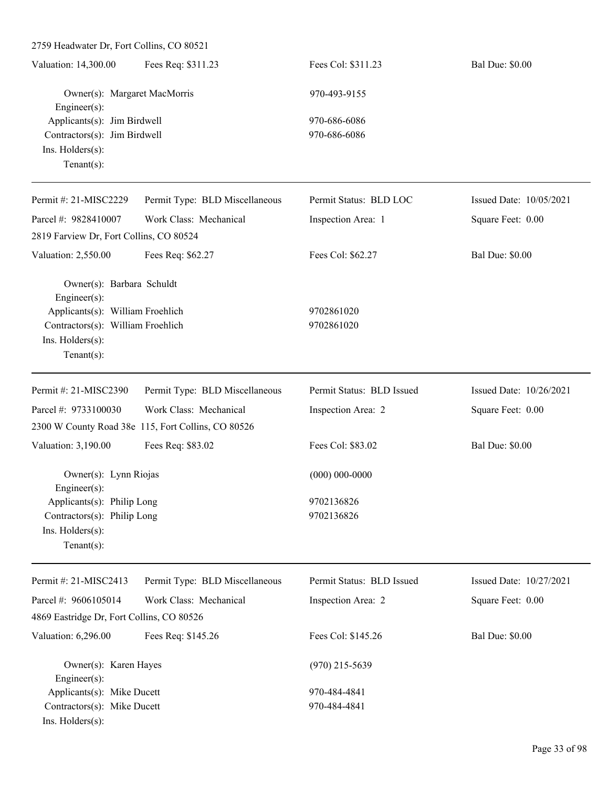2759 Headwater Dr, Fort Collins, CO 80521 Valuation: 14,300.00 Fees Req: \$311.23 Fees Col: \$311.23 Bal Due: \$0.00 Owner(s): Margaret MacMorris 970-493-9155 Engineer(s): Applicants(s): Jim Birdwell 970-686-6086 Contractors(s): Jim Birdwell 970-686-6086 Ins. Holders(s): Tenant(s): Permit #: 21-MISC2229 Parcel #: 9828410007 Permit Type: BLD Miscellaneous Work Class: Mechanical Permit Status: BLD LOC Inspection Area: 1 Issued Date: 10/05/2021 Square Feet: 0.00 2819 Farview Dr, Fort Collins, CO 80524 Valuation: 2,550.00 Fees Req: \$62.27 Fees Col: \$62.27 Bal Due: \$0.00 Owner(s): Barbara Schuldt Engineer(s): Applicants(s): William Froehlich 9702861020 Contractors(s): William Froehlich 9702861020 Ins. Holders(s): Tenant(s): Permit #: 21-MISC2390 Parcel #: 9733100030 Permit Type: BLD Miscellaneous Work Class: Mechanical Permit Status: BLD Issued Inspection Area: 2 Issued Date: 10/26/2021 Square Feet: 0.00 2300 W County Road 38e 115, Fort Collins, CO 80526 Valuation: 3,190.00 Fees Req: \$83.02 Fees Col: \$83.02 Bal Due: \$0.00 Owner(s): Lynn Riojas (000) 000-0000 Engineer(s): Applicants(s): Philip Long 9702136826 Contractors(s): Philip Long 9702136826 Ins. Holders(s): Tenant(s): Permit #: 21-MISC2413 Parcel #: 9606105014 Permit Type: BLD Miscellaneous Work Class: Mechanical Permit Status: BLD Issued Inspection Area: 2 Issued Date: 10/27/2021 Square Feet: 0.00 4869 Eastridge Dr, Fort Collins, CO 80526 Valuation: 6,296.00 Fees Req: \$145.26 Fees Col: \$145.26 Bal Due: \$0.00 Owner(s): Karen Hayes (970) 215-5639 Engineer(s): Applicants(s): Mike Ducett 970-484-4841 Contractors(s): Mike Ducett 970-484-4841

Ins. Holders(s):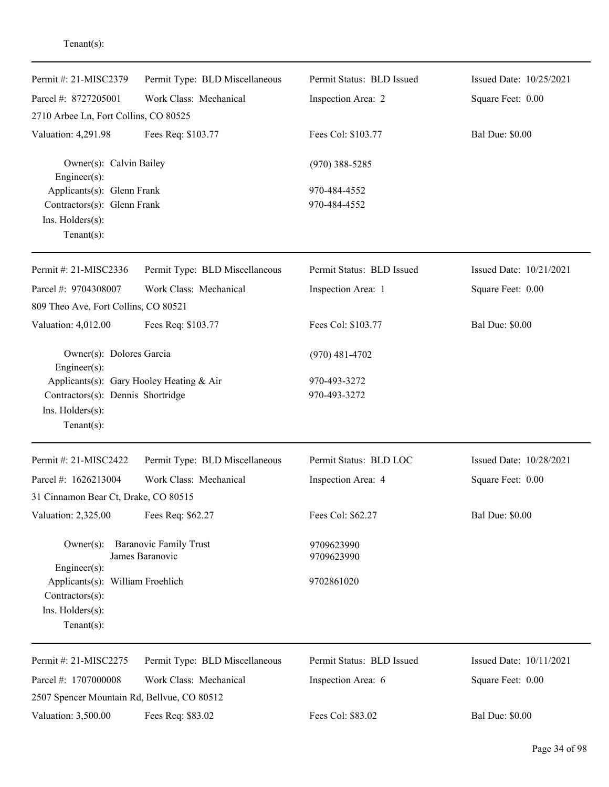| Permit #: 21-MISC2379                                                 | Permit Type: BLD Miscellaneous                   | Permit Status: BLD Issued | Issued Date: 10/25/2021 |
|-----------------------------------------------------------------------|--------------------------------------------------|---------------------------|-------------------------|
| Parcel #: 8727205001                                                  | Work Class: Mechanical                           | Inspection Area: 2        | Square Feet: 0.00       |
| 2710 Arbee Ln, Fort Collins, CO 80525                                 |                                                  |                           |                         |
| Valuation: 4,291.98                                                   | Fees Req: \$103.77                               | Fees Col: \$103.77        | <b>Bal Due: \$0.00</b>  |
| Owner(s): Calvin Bailey<br>Engineer(s):<br>Applicants(s): Glenn Frank |                                                  | $(970)$ 388-5285          |                         |
|                                                                       |                                                  | 970-484-4552              |                         |
| Contractors(s): Glenn Frank                                           |                                                  | 970-484-4552              |                         |
| Ins. Holders(s):                                                      |                                                  |                           |                         |
| Tenant $(s)$ :                                                        |                                                  |                           |                         |
| Permit #: 21-MISC2336                                                 | Permit Type: BLD Miscellaneous                   | Permit Status: BLD Issued | Issued Date: 10/21/2021 |
| Parcel #: 9704308007                                                  | Work Class: Mechanical                           | Inspection Area: 1        | Square Feet: 0.00       |
| 809 Theo Ave, Fort Collins, CO 80521                                  |                                                  |                           |                         |
| Valuation: 4,012.00                                                   | Fees Req: \$103.77                               | Fees Col: \$103.77        | <b>Bal Due: \$0.00</b>  |
| Owner(s): Dolores Garcia<br>Engineer(s):                              |                                                  | $(970)$ 481-4702          |                         |
|                                                                       | Applicants(s): Gary Hooley Heating & Air         | 970-493-3272              |                         |
| Contractors(s): Dennis Shortridge                                     |                                                  | 970-493-3272              |                         |
| Ins. Holders(s):                                                      |                                                  |                           |                         |
| $Tenant(s)$ :                                                         |                                                  |                           |                         |
| Permit #: 21-MISC2422                                                 | Permit Type: BLD Miscellaneous                   | Permit Status: BLD LOC    | Issued Date: 10/28/2021 |
| Parcel #: 1626213004                                                  | Work Class: Mechanical                           | Inspection Area: 4        | Square Feet: 0.00       |
| 31 Cinnamon Bear Ct, Drake, CO 80515                                  |                                                  |                           |                         |
| Valuation: 2,325.00                                                   | Fees Req: \$62.27                                | Fees Col: \$62.27         | <b>Bal Due: \$0.00</b>  |
| $Owner(s)$ :                                                          | <b>Baranovic Family Trust</b><br>James Baranovic | 9709623990<br>9709623990  |                         |
| $Engineering(s)$ :<br>Applicants(s): William Froehlich                |                                                  | 9702861020                |                         |
| Contractors(s):                                                       |                                                  |                           |                         |
| Ins. Holders(s):                                                      |                                                  |                           |                         |
| Tenant $(s)$ :                                                        |                                                  |                           |                         |
| Permit #: 21-MISC2275                                                 | Permit Type: BLD Miscellaneous                   | Permit Status: BLD Issued | Issued Date: 10/11/2021 |
| Parcel #: 1707000008                                                  | Work Class: Mechanical                           | Inspection Area: 6        | Square Feet: 0.00       |
| 2507 Spencer Mountain Rd, Bellvue, CO 80512                           |                                                  |                           |                         |
| Valuation: 3,500.00                                                   | Fees Req: \$83.02                                | Fees Col: \$83.02         | <b>Bal Due: \$0.00</b>  |
|                                                                       |                                                  |                           |                         |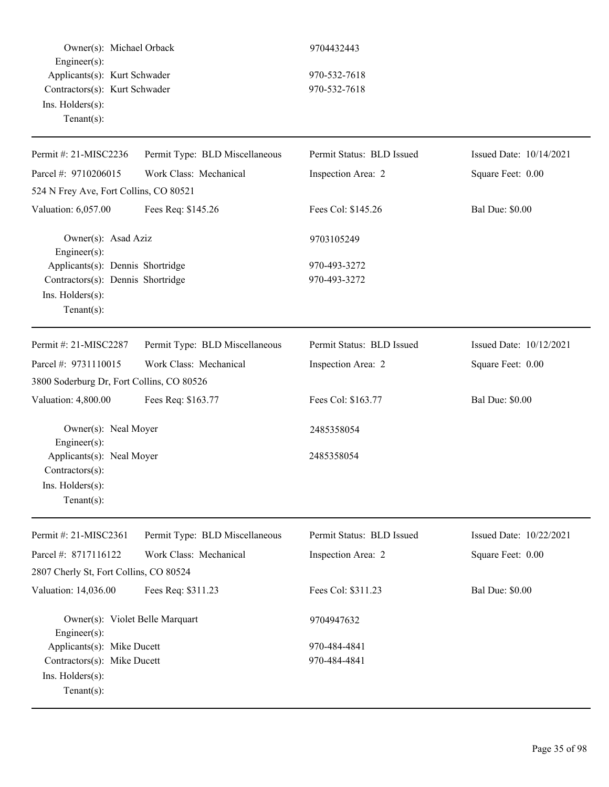| Owner(s): Michael Orback<br>Engineer(s):<br>Applicants(s): Kurt Schwader<br>Contractors(s): Kurt Schwader<br>Ins. Holders(s):<br>Tenant $(s)$ : |                                | 9704432443                   |                         |
|-------------------------------------------------------------------------------------------------------------------------------------------------|--------------------------------|------------------------------|-------------------------|
|                                                                                                                                                 |                                | 970-532-7618<br>970-532-7618 |                         |
| Permit #: 21-MISC2236                                                                                                                           | Permit Type: BLD Miscellaneous | Permit Status: BLD Issued    | Issued Date: 10/14/2021 |
| Parcel #: 9710206015                                                                                                                            | Work Class: Mechanical         | Inspection Area: 2           | Square Feet: 0.00       |
| 524 N Frey Ave, Fort Collins, CO 80521                                                                                                          |                                |                              |                         |
| Valuation: 6,057.00                                                                                                                             | Fees Req: \$145.26             | Fees Col: \$145.26           | <b>Bal Due: \$0.00</b>  |
| Owner(s): Asad Aziz<br>Engineer(s):                                                                                                             |                                | 9703105249                   |                         |
| Applicants(s): Dennis Shortridge                                                                                                                |                                | 970-493-3272                 |                         |
| Contractors(s): Dennis Shortridge                                                                                                               |                                | 970-493-3272                 |                         |
| Ins. Holders(s):<br>Tenant $(s)$ :                                                                                                              |                                |                              |                         |
| Permit #: 21-MISC2287                                                                                                                           | Permit Type: BLD Miscellaneous | Permit Status: BLD Issued    | Issued Date: 10/12/2021 |
| Parcel #: 9731110015                                                                                                                            | Work Class: Mechanical         | Inspection Area: 2           | Square Feet: 0.00       |
| 3800 Soderburg Dr, Fort Collins, CO 80526                                                                                                       |                                |                              |                         |
| Valuation: 4,800.00                                                                                                                             | Fees Req: \$163.77             | Fees Col: \$163.77           | <b>Bal Due: \$0.00</b>  |
| Owner(s): Neal Moyer<br>Engineer(s):                                                                                                            |                                | 2485358054                   |                         |
| Applicants(s): Neal Moyer                                                                                                                       |                                | 2485358054                   |                         |
| Contractors(s):                                                                                                                                 |                                |                              |                         |
| Ins. Holders(s):                                                                                                                                |                                |                              |                         |
| Tenant $(s)$ :                                                                                                                                  |                                |                              |                         |
| Permit #: 21-MISC2361                                                                                                                           | Permit Type: BLD Miscellaneous | Permit Status: BLD Issued    | Issued Date: 10/22/2021 |
| Parcel #: 8717116122                                                                                                                            | Work Class: Mechanical         | Inspection Area: 2           | Square Feet: 0.00       |
| 2807 Cherly St, Fort Collins, CO 80524                                                                                                          |                                |                              |                         |
| Valuation: 14,036.00                                                                                                                            | Fees Req: \$311.23             | Fees Col: \$311.23           | <b>Bal Due: \$0.00</b>  |
| Owner(s): Violet Belle Marquart<br>Engineer(s):                                                                                                 |                                | 9704947632                   |                         |
| Applicants(s): Mike Ducett<br>Contractors(s): Mike Ducett                                                                                       |                                | 970-484-4841                 |                         |
|                                                                                                                                                 |                                | 970-484-4841                 |                         |
| Ins. Holders(s):                                                                                                                                |                                |                              |                         |
| $Tenant(s)$ :                                                                                                                                   |                                |                              |                         |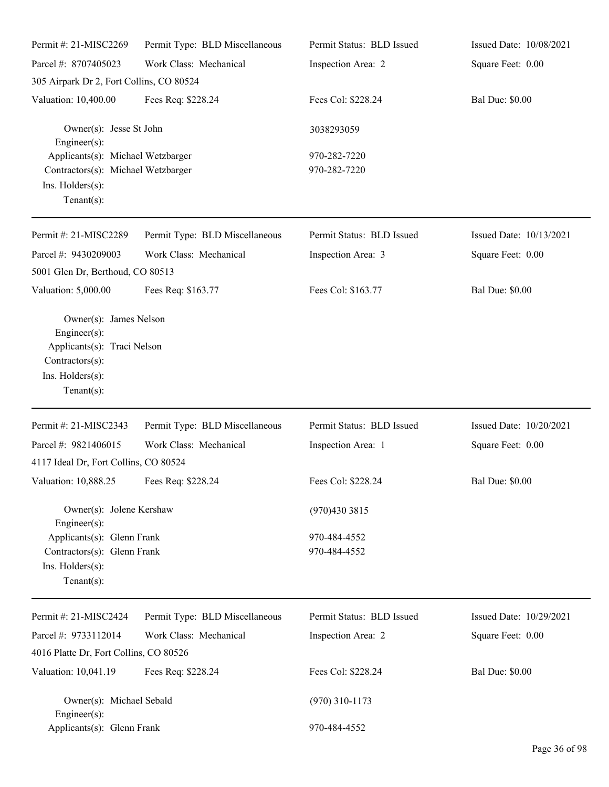| Permit #: 21-MISC2269                                                                                                                | Permit Type: BLD Miscellaneous | Permit Status: BLD Issued    | Issued Date: 10/08/2021 |
|--------------------------------------------------------------------------------------------------------------------------------------|--------------------------------|------------------------------|-------------------------|
| Parcel #: 8707405023                                                                                                                 | Work Class: Mechanical         | Inspection Area: 2           | Square Feet: 0.00       |
| 305 Airpark Dr 2, Fort Collins, CO 80524                                                                                             |                                |                              |                         |
| Valuation: 10,400.00                                                                                                                 | Fees Req: \$228.24             | Fees Col: \$228.24           | <b>Bal Due: \$0.00</b>  |
| Owner(s): Jesse St John<br>$Engineering(s)$ :                                                                                        |                                | 3038293059                   |                         |
| Applicants(s): Michael Wetzbarger<br>Contractors(s): Michael Wetzbarger<br>Ins. Holders(s):<br>Tenant $(s)$ :                        |                                | 970-282-7220<br>970-282-7220 |                         |
| Permit #: 21-MISC2289                                                                                                                | Permit Type: BLD Miscellaneous | Permit Status: BLD Issued    | Issued Date: 10/13/2021 |
| Parcel #: 9430209003<br>5001 Glen Dr, Berthoud, CO 80513                                                                             | Work Class: Mechanical         | Inspection Area: 3           | Square Feet: 0.00       |
| Valuation: 5,000.00                                                                                                                  | Fees Req: \$163.77             | Fees Col: \$163.77           | <b>Bal Due: \$0.00</b>  |
| Owner(s): James Nelson<br>$Engineering(s)$ :<br>Applicants(s): Traci Nelson<br>Contractors(s):<br>Ins. Holders(s):<br>Tenant $(s)$ : |                                |                              |                         |
| Permit #: 21-MISC2343                                                                                                                | Permit Type: BLD Miscellaneous | Permit Status: BLD Issued    | Issued Date: 10/20/2021 |
| Parcel #: 9821406015                                                                                                                 | Work Class: Mechanical         | Inspection Area: 1           | Square Feet: 0.00       |
| 4117 Ideal Dr, Fort Collins, CO 80524                                                                                                |                                |                              |                         |
| Valuation: 10,888.25 Fees Req: \$228.24                                                                                              |                                | Fees Col: \$228.24           | <b>Bal Due: \$0.00</b>  |
| Owner(s): Jolene Kershaw<br>$Engineering(s)$ :                                                                                       |                                | (970)430 3815                |                         |
| Applicants(s): Glenn Frank<br>Contractors(s): Glenn Frank<br>Ins. Holders(s):<br>Tenant $(s)$ :                                      |                                | 970-484-4552<br>970-484-4552 |                         |
| Permit #: 21-MISC2424                                                                                                                | Permit Type: BLD Miscellaneous | Permit Status: BLD Issued    | Issued Date: 10/29/2021 |
| Parcel #: 9733112014                                                                                                                 | Work Class: Mechanical         | Inspection Area: 2           | Square Feet: 0.00       |
| 4016 Platte Dr, Fort Collins, CO 80526                                                                                               |                                |                              |                         |
| Valuation: 10,041.19                                                                                                                 | Fees Req: \$228.24             | Fees Col: \$228.24           | <b>Bal Due: \$0.00</b>  |
| Owner(s): Michael Sebald<br>$Engineer(s)$ :                                                                                          |                                | $(970)$ 310-1173             |                         |
| Applicants(s): Glenn Frank                                                                                                           |                                | 970-484-4552                 |                         |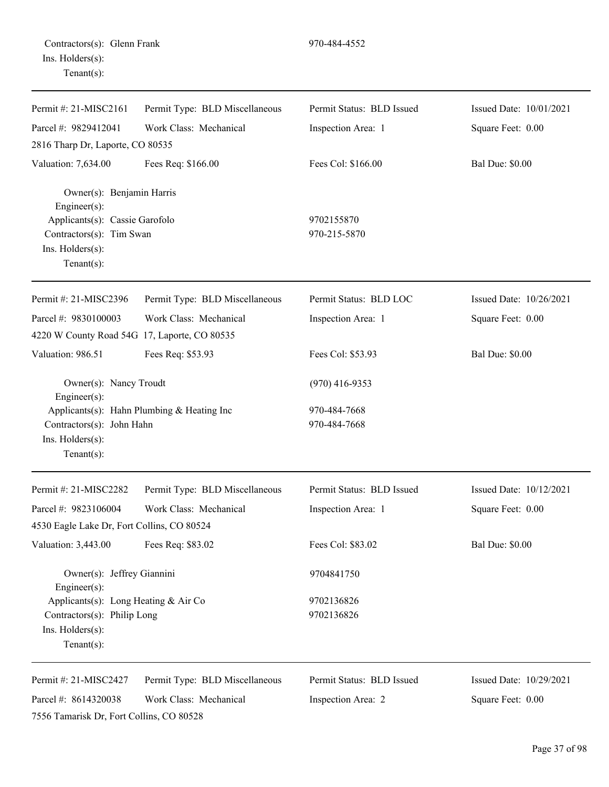| Permit #: $21-MISC2161$                                                                          | Permit Type: BLD Miscellaneous             | Permit Status: BLD Issued    | Issued Date: 10/01/2021 |
|--------------------------------------------------------------------------------------------------|--------------------------------------------|------------------------------|-------------------------|
| Parcel #: 9829412041                                                                             | Work Class: Mechanical                     | Inspection Area: 1           | Square Feet: 0.00       |
| 2816 Tharp Dr, Laporte, CO 80535                                                                 |                                            |                              |                         |
| Valuation: 7,634.00                                                                              | Fees Req: \$166.00                         | Fees Col: \$166.00           | <b>Bal Due: \$0.00</b>  |
| Owner(s): Benjamin Harris<br>Engineer(s):                                                        |                                            |                              |                         |
| Applicants(s): Cassie Garofolo<br>Contractors(s): Tim Swan<br>Ins. Holders(s):<br>Tenant $(s)$ : |                                            | 9702155870<br>970-215-5870   |                         |
| Permit #: 21-MISC2396                                                                            | Permit Type: BLD Miscellaneous             | Permit Status: BLD LOC       | Issued Date: 10/26/2021 |
| Parcel #: 9830100003                                                                             | Work Class: Mechanical                     | Inspection Area: 1           | Square Feet: 0.00       |
| 4220 W County Road 54G 17, Laporte, CO 80535                                                     |                                            |                              |                         |
| Valuation: 986.51                                                                                | Fees Req: \$53.93                          | Fees Col: \$53.93            | <b>Bal Due: \$0.00</b>  |
| Owner(s): Nancy Troudt<br>Engineer(s):                                                           |                                            | $(970)$ 416-9353             |                         |
| Contractors(s): John Hahn<br>Ins. Holders(s):<br>Tenant $(s)$ :                                  | Applicants(s): Hahn Plumbing & Heating Inc | 970-484-7668<br>970-484-7668 |                         |
| Permit #: 21-MISC2282                                                                            | Permit Type: BLD Miscellaneous             | Permit Status: BLD Issued    | Issued Date: 10/12/2021 |
| Parcel #: 9823106004                                                                             | Work Class: Mechanical                     | Inspection Area: 1           | Square Feet: 0.00       |
| 4530 Eagle Lake Dr, Fort Collins, CO 80524                                                       |                                            |                              |                         |
| Valuation: 3,443.00                                                                              | Fees Req: \$83.02                          | Fees Col: \$83.02            | <b>Bal Due: \$0.00</b>  |
| Owner(s): Jeffrey Giannini<br>Engineer $(s)$ :                                                   |                                            | 9704841750                   |                         |
| Applicants(s): Long Heating & Air Co                                                             |                                            | 9702136826                   |                         |
| Contractors(s): Philip Long<br>Ins. Holders(s):<br>Tenant $(s)$ :                                |                                            | 9702136826                   |                         |
| Permit #: 21-MISC2427                                                                            | Permit Type: BLD Miscellaneous             | Permit Status: BLD Issued    | Issued Date: 10/29/2021 |
| Parcel #: 8614320038                                                                             | Work Class: Mechanical                     | Inspection Area: 2           | Square Feet: 0.00       |
| 7556 Tamarisk Dr, Fort Collins, CO 80528                                                         |                                            |                              |                         |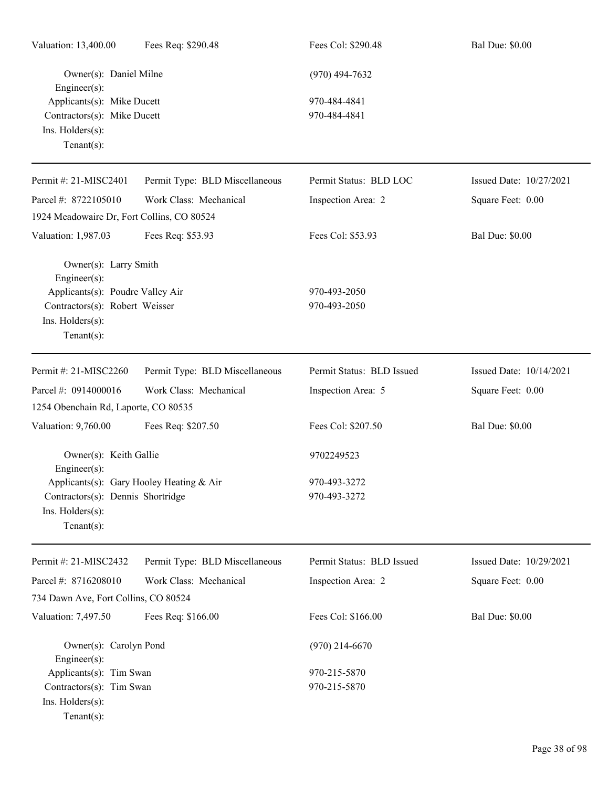| Valuation: 13,400.00                                                                                                                              | Fees Req: \$290.48             | Fees Col: \$290.48           | <b>Bal Due: \$0.00</b>  |
|---------------------------------------------------------------------------------------------------------------------------------------------------|--------------------------------|------------------------------|-------------------------|
| Owner(s): Daniel Milne<br>Engineer(s):                                                                                                            |                                | $(970)$ 494-7632             |                         |
| Applicants(s): Mike Ducett<br>Contractors(s): Mike Ducett<br>Ins. Holders(s):<br>Tenant $(s)$ :                                                   |                                | 970-484-4841<br>970-484-4841 |                         |
| Permit #: 21-MISC2401                                                                                                                             | Permit Type: BLD Miscellaneous | Permit Status: BLD LOC       | Issued Date: 10/27/2021 |
| Parcel #: 8722105010                                                                                                                              | Work Class: Mechanical         | Inspection Area: 2           | Square Feet: 0.00       |
| 1924 Meadowaire Dr, Fort Collins, CO 80524                                                                                                        |                                |                              |                         |
| Valuation: 1,987.03                                                                                                                               | Fees Req: \$53.93              | Fees Col: \$53.93            | <b>Bal Due: \$0.00</b>  |
| Owner(s): Larry Smith<br>Engineer(s):<br>Applicants(s): Poudre Valley Air<br>Contractors(s): Robert Weisser<br>Ins. Holders(s):<br>Tenant $(s)$ : |                                | 970-493-2050<br>970-493-2050 |                         |
| Permit #: 21-MISC2260                                                                                                                             | Permit Type: BLD Miscellaneous | Permit Status: BLD Issued    | Issued Date: 10/14/2021 |
| Parcel #: 0914000016<br>1254 Obenchain Rd, Laporte, CO 80535                                                                                      | Work Class: Mechanical         | Inspection Area: 5           | Square Feet: 0.00       |
| Valuation: 9,760.00                                                                                                                               | Fees Req: \$207.50             | Fees Col: \$207.50           | <b>Bal Due: \$0.00</b>  |
| Owner(s): Keith Gallie<br>Engineer(s):                                                                                                            |                                | 9702249523                   |                         |
| Applicants(s): Gary Hooley Heating & Air<br>Contractors(s): Dennis Shortridge<br>Ins. Holders(s):<br>Tenant $(s)$ :                               |                                | 970-493-3272<br>970-493-3272 |                         |
| Permit #: 21-MISC2432                                                                                                                             | Permit Type: BLD Miscellaneous | Permit Status: BLD Issued    | Issued Date: 10/29/2021 |
| Parcel #: 8716208010                                                                                                                              | Work Class: Mechanical         | Inspection Area: 2           | Square Feet: 0.00       |
| 734 Dawn Ave, Fort Collins, CO 80524                                                                                                              |                                |                              |                         |
| Valuation: 7,497.50                                                                                                                               | Fees Req: \$166.00             | Fees Col: \$166.00           | <b>Bal Due: \$0.00</b>  |
| Owner(s): Carolyn Pond<br>Engineer(s):                                                                                                            |                                | $(970)$ 214-6670             |                         |
| Applicants(s): Tim Swan<br>Contractors(s): Tim Swan<br>Ins. Holders(s):<br>$Tenant(s)$ :                                                          |                                | 970-215-5870<br>970-215-5870 |                         |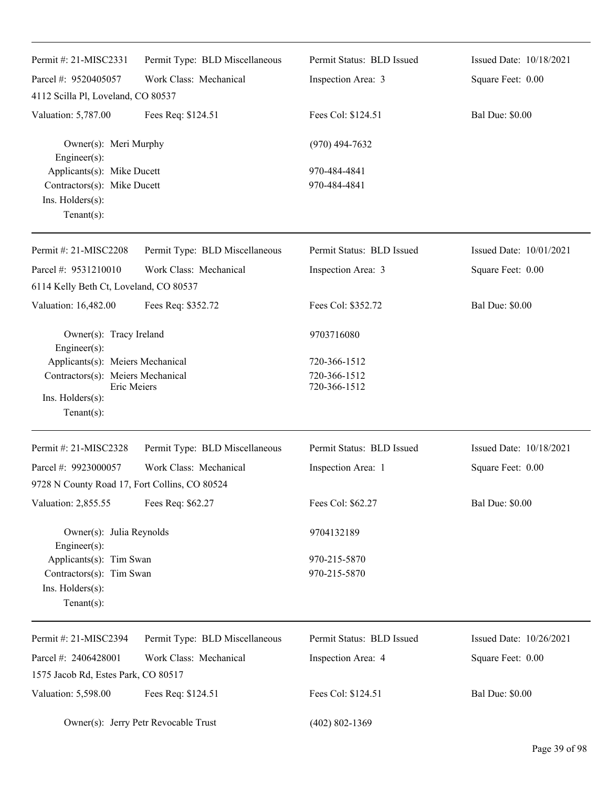| Permit #: 21-MISC2331                                                                                 | Permit Type: BLD Miscellaneous       | Permit Status: BLD Issued    | Issued Date: 10/18/2021 |
|-------------------------------------------------------------------------------------------------------|--------------------------------------|------------------------------|-------------------------|
| Parcel #: 9520405057                                                                                  | Work Class: Mechanical               | Inspection Area: 3           | Square Feet: 0.00       |
| 4112 Scilla Pl, Loveland, CO 80537                                                                    |                                      |                              |                         |
| Valuation: 5,787.00                                                                                   | Fees Req: \$124.51                   | Fees Col: \$124.51           | <b>Bal Due: \$0.00</b>  |
| Owner(s): Meri Murphy<br>Engineer(s):                                                                 |                                      | $(970)$ 494-7632             |                         |
| Applicants(s): Mike Ducett<br>Contractors(s): Mike Ducett<br>Ins. $H$ olders $(s)$ :<br>$Tenant(s)$ : |                                      | 970-484-4841<br>970-484-4841 |                         |
| Permit #: 21-MISC2208                                                                                 | Permit Type: BLD Miscellaneous       | Permit Status: BLD Issued    | Issued Date: 10/01/2021 |
| Parcel #: 9531210010                                                                                  | Work Class: Mechanical               | Inspection Area: 3           | Square Feet: 0.00       |
| 6114 Kelly Beth Ct, Loveland, CO 80537                                                                |                                      |                              |                         |
| Valuation: 16,482.00                                                                                  | Fees Req: \$352.72                   | Fees Col: \$352.72           | <b>Bal Due: \$0.00</b>  |
| Owner(s): Tracy Ireland<br>Engineer(s):                                                               |                                      | 9703716080                   |                         |
| Applicants(s): Meiers Mechanical                                                                      |                                      | 720-366-1512                 |                         |
| Contractors(s): Meiers Mechanical<br>Eric Meiers                                                      |                                      | 720-366-1512<br>720-366-1512 |                         |
| Ins. Holders(s):<br>$Tenant(s)$ :                                                                     |                                      |                              |                         |
| Permit #: 21-MISC2328                                                                                 | Permit Type: BLD Miscellaneous       | Permit Status: BLD Issued    | Issued Date: 10/18/2021 |
| Parcel #: 9923000057                                                                                  | Work Class: Mechanical               | Inspection Area: 1           | Square Feet: 0.00       |
| 9728 N County Road 17, Fort Collins, CO 80524                                                         |                                      |                              |                         |
| Valuation: 2,855.55                                                                                   | Fees Req: \$62.27                    | Fees Col: \$62.27            | <b>Bal Due: \$0.00</b>  |
| Owner(s): Julia Reynolds<br>Engineer(s):                                                              |                                      | 9704132189                   |                         |
| Applicants(s): Tim Swan<br>Contractors(s): Tim Swan<br>Ins. Holders(s):<br>$Tenant(s)$ :              |                                      | 970-215-5870<br>970-215-5870 |                         |
| Permit #: 21-MISC2394                                                                                 | Permit Type: BLD Miscellaneous       | Permit Status: BLD Issued    | Issued Date: 10/26/2021 |
| Parcel #: 2406428001<br>1575 Jacob Rd, Estes Park, CO 80517                                           | Work Class: Mechanical               | Inspection Area: 4           | Square Feet: 0.00       |
| Valuation: 5,598.00                                                                                   | Fees Req: \$124.51                   | Fees Col: \$124.51           | <b>Bal Due: \$0.00</b>  |
|                                                                                                       | Owner(s): Jerry Petr Revocable Trust | $(402) 802 - 1369$           |                         |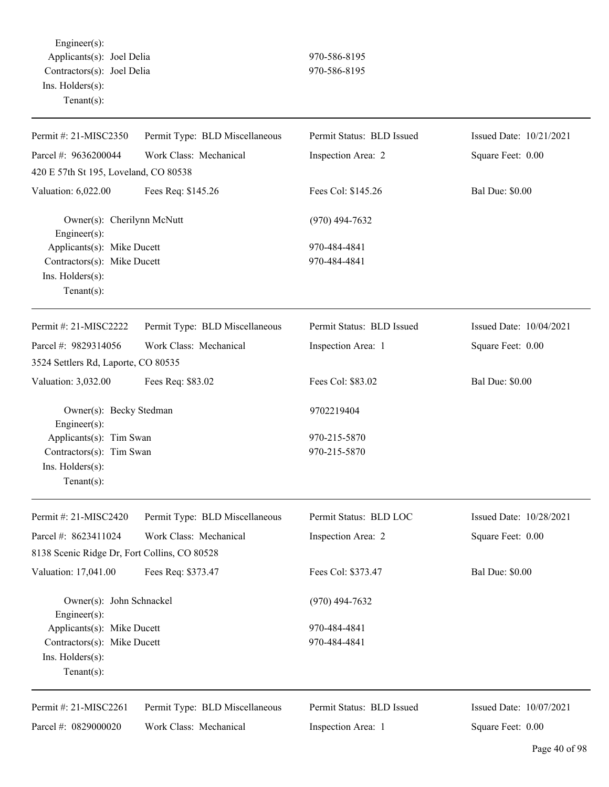Engineer(s): Applicants(s): Joel Delia 970-586-8195 Contractors(s): Joel Delia 970-586-8195 Ins. Holders(s): Tenant(s):

| Permit #: 21-MISC2350                                                                          | Permit Type: BLD Miscellaneous | Permit Status: BLD Issued    | Issued Date: 10/21/2021 |
|------------------------------------------------------------------------------------------------|--------------------------------|------------------------------|-------------------------|
| Parcel #: 9636200044                                                                           | Work Class: Mechanical         | Inspection Area: 2           | Square Feet: 0.00       |
| 420 E 57th St 195, Loveland, CO 80538                                                          |                                |                              |                         |
| Valuation: 6,022.00                                                                            | Fees Req: \$145.26             | Fees Col: \$145.26           | <b>Bal Due: \$0.00</b>  |
| Owner(s): Cherilynn McNutt<br>Engineer(s):                                                     |                                | $(970)$ 494-7632             |                         |
| Applicants(s): Mike Ducett<br>Contractors(s): Mike Ducett<br>Ins. Holders(s):<br>$Tenant(s)$ : |                                | 970-484-4841<br>970-484-4841 |                         |
| Permit #: $21-MISC2222$                                                                        | Permit Type: BLD Miscellaneous | Permit Status: BLD Issued    | Issued Date: 10/04/2021 |
| Parcel #: 9829314056                                                                           | Work Class: Mechanical         | Inspection Area: 1           | Square Feet: 0.00       |
| 3524 Settlers Rd, Laporte, CO 80535                                                            |                                |                              |                         |
| Valuation: 3,032.00                                                                            | Fees Req: \$83.02              | Fees Col: \$83.02            | <b>Bal Due: \$0.00</b>  |
| Owner(s): Becky Stedman<br>Engineer(s):                                                        |                                | 9702219404                   |                         |
| Applicants(s): Tim Swan<br>Contractors(s): Tim Swan<br>Ins. Holders(s):<br>$Tenant(s)$ :       |                                | 970-215-5870<br>970-215-5870 |                         |
| Permit #: 21-MISC2420                                                                          | Permit Type: BLD Miscellaneous | Permit Status: BLD LOC       | Issued Date: 10/28/2021 |
| Parcel #: 8623411024                                                                           | Work Class: Mechanical         | Inspection Area: 2           | Square Feet: 0.00       |
| 8138 Scenic Ridge Dr, Fort Collins, CO 80528                                                   |                                |                              |                         |
| Valuation: 17,041.00                                                                           | Fees Req: \$373.47             | Fees Col: \$373.47           | <b>Bal Due: \$0.00</b>  |
| Owner(s): John Schnackel<br>Engineer $(s)$ :                                                   |                                | $(970)$ 494-7632             |                         |
| Applicants(s): Mike Ducett                                                                     |                                | 970-484-4841                 |                         |
| Contractors(s): Mike Ducett<br>Ins. Holders(s):<br>$Tenant(s)$ :                               |                                | 970-484-4841                 |                         |
| Permit #: 21-MISC2261                                                                          | Permit Type: BLD Miscellaneous | Permit Status: BLD Issued    | Issued Date: 10/07/2021 |
| Parcel #: 0829000020                                                                           | Work Class: Mechanical         | Inspection Area: 1           | Square Feet: 0.00       |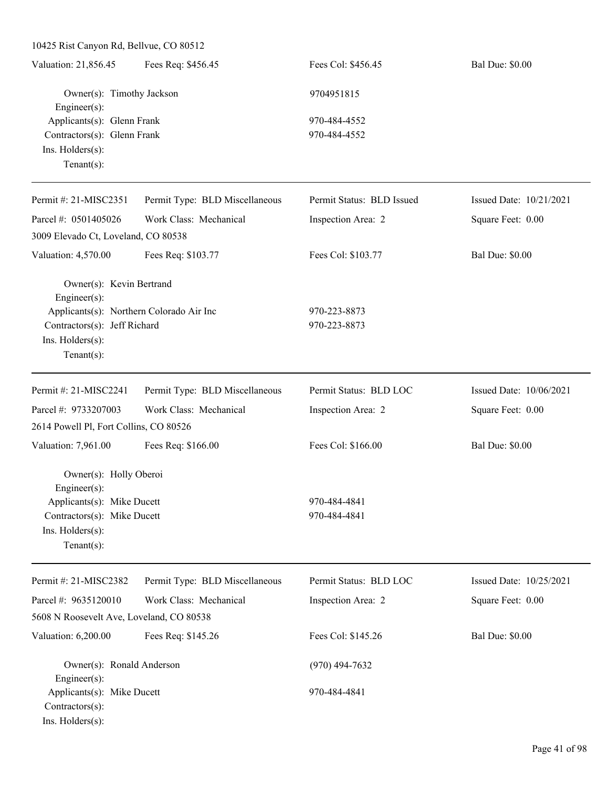10425 Rist Canyon Rd, Bellvue, CO 80512 Valuation: 21,856.45 Fees Req: \$456.45 Fees Col: \$456.45 Bal Due: \$0.00 Owner(s): Timothy Jackson 9704951815 Engineer(s): Applicants(s): Glenn Frank 970-484-4552 Contractors(s): Glenn Frank 970-484-4552 Ins. Holders(s): Tenant(s): Permit #: 21-MISC2351 Parcel #: 0501405026 Permit Type: BLD Miscellaneous Work Class: Mechanical Permit Status: BLD Issued Inspection Area: 2 Issued Date: 10/21/2021 Square Feet: 0.00 3009 Elevado Ct, Loveland, CO 80538 Valuation: 4,570.00 Fees Req: \$103.77 Fees Col: \$103.77 Bal Due: \$0.00 Owner(s): Kevin Bertrand Engineer(s): Applicants(s): Northern Colorado Air Inc 970-223-8873 Contractors(s): Jeff Richard 970-223-8873 Ins. Holders(s): Tenant(s): Permit #: 21-MISC2241 Parcel #: 9733207003 Permit Type: BLD Miscellaneous Work Class: Mechanical Permit Status: BLD LOC Inspection Area: 2 Issued Date: 10/06/2021 Square Feet: 0.00 2614 Powell Pl, Fort Collins, CO 80526 Valuation: 7,961.00 Fees Req: \$166.00 Fees Col: \$166.00 Bal Due: \$0.00 Owner(s): Holly Oberoi Engineer(s): Applicants(s): Mike Ducett 970-484-4841 Contractors(s): Mike Ducett 970-484-4841 Ins. Holders(s): Tenant(s): Permit #: 21-MISC2382 Parcel #: 9635120010 Permit Type: BLD Miscellaneous Work Class: Mechanical Permit Status: BLD LOC Inspection Area: 2 Issued Date: 10/25/2021 Square Feet: 0.00 5608 N Roosevelt Ave, Loveland, CO 80538 Valuation: 6,200.00 Fees Req: \$145.26 Fees Col: \$145.26 Bal Due: \$0.00 Owner(s): Ronald Anderson (970) 494-7632 Engineer(s): Applicants(s): Mike Ducett 970-484-4841 Contractors(s): Ins. Holders(s):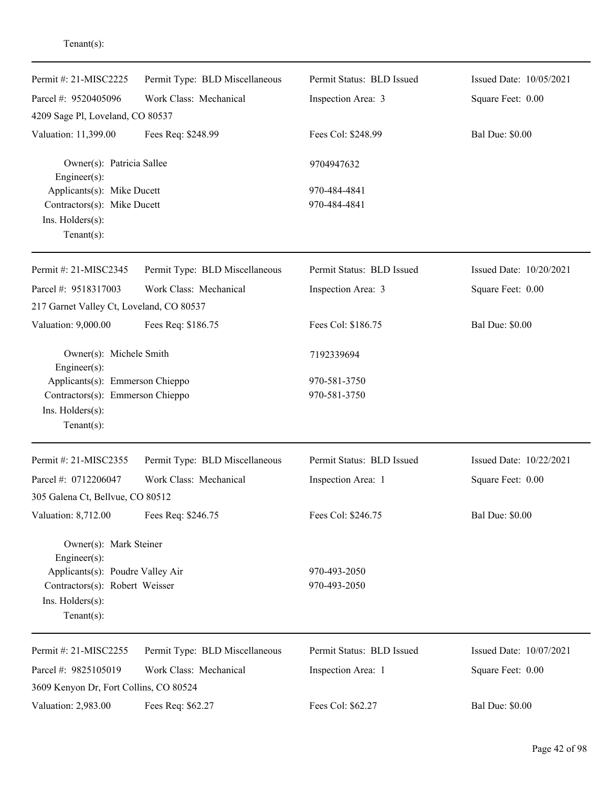| Permit #: 21-MISC2225                                                 | Permit Type: BLD Miscellaneous | Permit Status: BLD Issued | Issued Date: 10/05/2021 |
|-----------------------------------------------------------------------|--------------------------------|---------------------------|-------------------------|
| Parcel #: 9520405096                                                  | Work Class: Mechanical         | Inspection Area: 3        | Square Feet: 0.00       |
| 4209 Sage Pl, Loveland, CO 80537                                      |                                |                           |                         |
| Valuation: 11,399.00                                                  | Fees Req: \$248.99             | Fees Col: \$248.99        | <b>Bal Due: \$0.00</b>  |
| Owner(s): Patricia Sallee<br>Engineer(s):                             |                                | 9704947632                |                         |
| Applicants(s): Mike Ducett                                            |                                | 970-484-4841              |                         |
| Contractors(s): Mike Ducett                                           |                                | 970-484-4841              |                         |
| Ins. Holders(s):<br>$Tenant(s)$ :                                     |                                |                           |                         |
| Permit #: 21-MISC2345                                                 | Permit Type: BLD Miscellaneous | Permit Status: BLD Issued | Issued Date: 10/20/2021 |
| Parcel #: 9518317003                                                  | Work Class: Mechanical         | Inspection Area: 3        | Square Feet: 0.00       |
| 217 Garnet Valley Ct, Loveland, CO 80537                              |                                |                           |                         |
| Valuation: 9,000.00                                                   | Fees Req: \$186.75             | Fees Col: \$186.75        | <b>Bal Due: \$0.00</b>  |
| Owner(s): Michele Smith<br>Engineer(s):                               |                                | 7192339694                |                         |
| Applicants(s): Emmerson Chieppo                                       |                                | 970-581-3750              |                         |
| Contractors(s): Emmerson Chieppo<br>Ins. Holders(s):<br>$Tenant(s)$ : |                                | 970-581-3750              |                         |
| Permit #: 21-MISC2355                                                 | Permit Type: BLD Miscellaneous | Permit Status: BLD Issued | Issued Date: 10/22/2021 |
| Parcel #: 0712206047                                                  | Work Class: Mechanical         | Inspection Area: 1        | Square Feet: 0.00       |
| 305 Galena Ct, Bellvue, CO 80512                                      |                                |                           |                         |
| Valuation: 8,712.00                                                   | Fees Req: \$246.75             | Fees Col: \$246.75        | <b>Bal Due: \$0.00</b>  |
| Owner(s): Mark Steiner<br>Engineer(s):                                |                                |                           |                         |
| Applicants(s): Poudre Valley Air                                      |                                | 970-493-2050              |                         |
| Contractors(s): Robert Weisser<br>Ins. Holders(s):<br>$Tenant(s)$ :   |                                | 970-493-2050              |                         |
| Permit #: 21-MISC2255                                                 | Permit Type: BLD Miscellaneous | Permit Status: BLD Issued | Issued Date: 10/07/2021 |
| Parcel #: 9825105019                                                  | Work Class: Mechanical         | Inspection Area: 1        | Square Feet: 0.00       |
| 3609 Kenyon Dr, Fort Collins, CO 80524                                |                                |                           |                         |
| Valuation: 2,983.00                                                   | Fees Req: \$62.27              | Fees Col: \$62.27         | <b>Bal Due: \$0.00</b>  |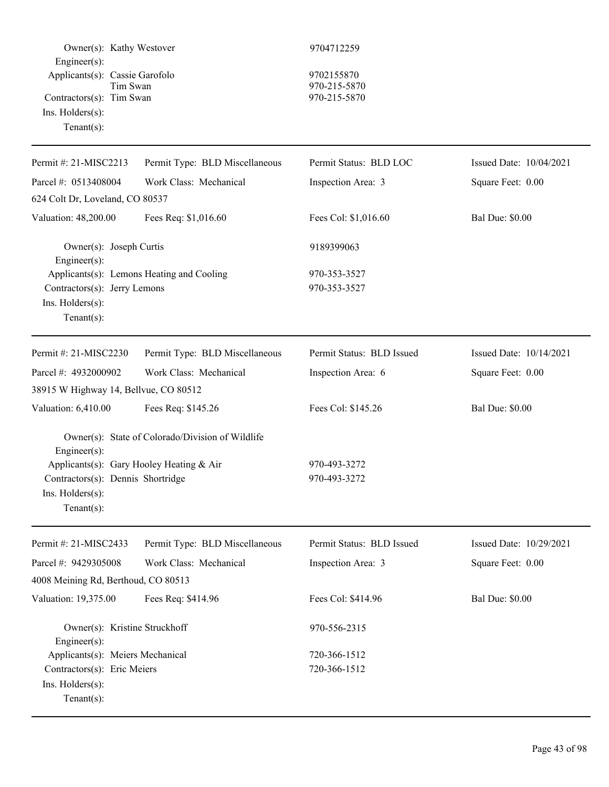| Owner(s): Kathy Westover<br>Engineer(s):                                                                                           |                                                  | 9704712259                                 |                         |
|------------------------------------------------------------------------------------------------------------------------------------|--------------------------------------------------|--------------------------------------------|-------------------------|
| Applicants(s): Cassie Garofolo<br>Tim Swan<br>Contractors(s): Tim Swan<br>$Ins.$ Holders $(s)$ :<br>$Tenant(s)$ :                  |                                                  | 9702155870<br>970-215-5870<br>970-215-5870 |                         |
| Permit #: 21-MISC2213                                                                                                              | Permit Type: BLD Miscellaneous                   | Permit Status: BLD LOC                     | Issued Date: 10/04/2021 |
| Parcel #: 0513408004                                                                                                               | Work Class: Mechanical                           | Inspection Area: 3                         | Square Feet: 0.00       |
| 624 Colt Dr, Loveland, CO 80537                                                                                                    |                                                  |                                            |                         |
| Valuation: 48,200.00                                                                                                               | Fees Req: \$1,016.60                             | Fees Col: \$1,016.60                       | <b>Bal Due: \$0.00</b>  |
| Owner(s): Joseph Curtis<br>Engineer(s):                                                                                            |                                                  | 9189399063                                 |                         |
| Contractors(s): Jerry Lemons<br>Ins. Holders(s):<br>Tenant $(s)$ :                                                                 | Applicants(s): Lemons Heating and Cooling        | 970-353-3527<br>970-353-3527               |                         |
| Permit #: 21-MISC2230                                                                                                              | Permit Type: BLD Miscellaneous                   | Permit Status: BLD Issued                  | Issued Date: 10/14/2021 |
| Parcel #: 4932000902                                                                                                               | Work Class: Mechanical                           | Inspection Area: 6                         | Square Feet: 0.00       |
| 38915 W Highway 14, Bellvue, CO 80512                                                                                              |                                                  |                                            |                         |
| Valuation: 6,410.00                                                                                                                | Fees Req: \$145.26                               | Fees Col: \$145.26                         | <b>Bal Due: \$0.00</b>  |
| Engineer(s):<br>Applicants(s): Gary Hooley Heating & Air<br>Contractors(s): Dennis Shortridge<br>Ins. Holders(s):<br>$Tenant(s)$ : | Owner(s): State of Colorado/Division of Wildlife | 970-493-3272<br>970-493-3272               |                         |
| Permit #: 21-MISC2433                                                                                                              | Permit Type: BLD Miscellaneous                   | Permit Status: BLD Issued                  | Issued Date: 10/29/2021 |
| Parcel #: 9429305008                                                                                                               | Work Class: Mechanical                           | Inspection Area: 3                         | Square Feet: 0.00       |
| 4008 Meining Rd, Berthoud, CO 80513                                                                                                |                                                  |                                            |                         |
| Valuation: 19,375.00                                                                                                               | Fees Req: \$414.96                               | Fees Col: \$414.96                         | <b>Bal Due: \$0.00</b>  |
| Owner(s): Kristine Struckhoff<br>Engineer(s):                                                                                      |                                                  | 970-556-2315                               |                         |
| Applicants(s): Meiers Mechanical                                                                                                   |                                                  | 720-366-1512                               |                         |
| Contractors(s): Eric Meiers<br>Ins. Holders(s):<br>$Tenant(s)$ :                                                                   |                                                  | 720-366-1512                               |                         |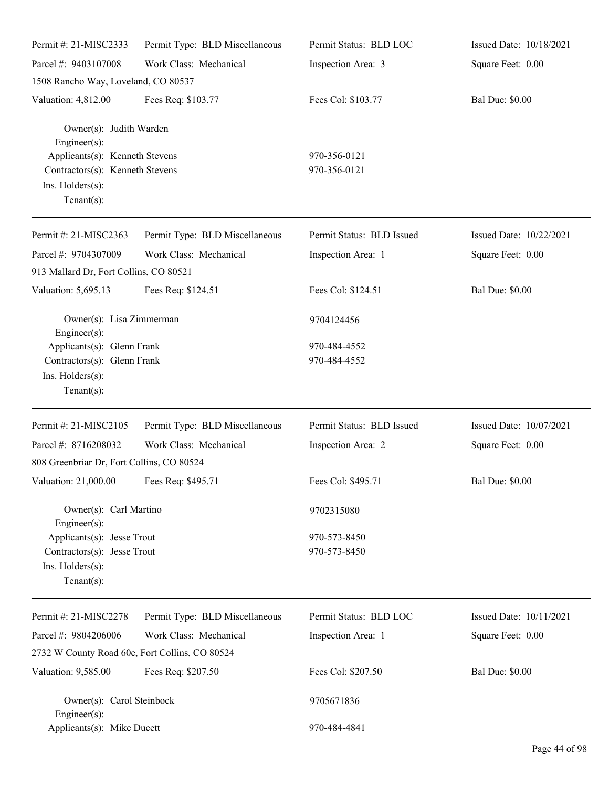| Permit #: 21-MISC2333                                                                                                                                   | Permit Type: BLD Miscellaneous | Permit Status: BLD LOC       | Issued Date: 10/18/2021 |
|---------------------------------------------------------------------------------------------------------------------------------------------------------|--------------------------------|------------------------------|-------------------------|
| Parcel #: 9403107008                                                                                                                                    | Work Class: Mechanical         | Inspection Area: 3           | Square Feet: 0.00       |
| 1508 Rancho Way, Loveland, CO 80537                                                                                                                     |                                |                              |                         |
| Valuation: 4,812.00                                                                                                                                     | Fees Req: \$103.77             | Fees Col: \$103.77           | <b>Bal Due: \$0.00</b>  |
| Owner(s): Judith Warden<br>$Engineering(s)$ :<br>Applicants(s): Kenneth Stevens<br>Contractors(s): Kenneth Stevens<br>Ins. Holders(s):<br>$Tenant(s)$ : |                                | 970-356-0121<br>970-356-0121 |                         |
|                                                                                                                                                         |                                |                              |                         |
| Permit #: 21-MISC2363                                                                                                                                   | Permit Type: BLD Miscellaneous | Permit Status: BLD Issued    | Issued Date: 10/22/2021 |
| Parcel #: 9704307009<br>913 Mallard Dr, Fort Collins, CO 80521                                                                                          | Work Class: Mechanical         | Inspection Area: 1           | Square Feet: 0.00       |
| Valuation: 5,695.13                                                                                                                                     | Fees Req: \$124.51             | Fees Col: \$124.51           | <b>Bal Due: \$0.00</b>  |
| Owner(s): Lisa Zimmerman<br>Engineer(s):                                                                                                                |                                | 9704124456                   |                         |
| Applicants(s): Glenn Frank<br>Contractors(s): Glenn Frank<br>Ins. Holders(s):<br>$Tenant(s)$ :                                                          |                                | 970-484-4552<br>970-484-4552 |                         |
| Permit #: 21-MISC2105                                                                                                                                   | Permit Type: BLD Miscellaneous | Permit Status: BLD Issued    | Issued Date: 10/07/2021 |
| Parcel #: 8716208032<br>808 Greenbriar Dr, Fort Collins, CO 80524                                                                                       | Work Class: Mechanical         | Inspection Area: 2           | Square Feet: 0.00       |
| Valuation: 21,000.00 Fees Req: \$495.71                                                                                                                 |                                | Fees Col: \$495.71           | <b>Bal Due: \$0.00</b>  |
| Owner(s): Carl Martino<br>Engineer(s):                                                                                                                  |                                | 9702315080                   |                         |
| Applicants(s): Jesse Trout<br>Contractors(s): Jesse Trout<br>Ins. Holders(s):<br>Tenant $(s)$ :                                                         |                                | 970-573-8450<br>970-573-8450 |                         |
| Permit #: 21-MISC2278                                                                                                                                   | Permit Type: BLD Miscellaneous | Permit Status: BLD LOC       | Issued Date: 10/11/2021 |
| Parcel #: 9804206006                                                                                                                                    | Work Class: Mechanical         | Inspection Area: 1           | Square Feet: 0.00       |
| 2732 W County Road 60e, Fort Collins, CO 80524                                                                                                          |                                |                              |                         |
| Valuation: 9,585.00                                                                                                                                     | Fees Req: \$207.50             | Fees Col: \$207.50           | <b>Bal Due: \$0.00</b>  |
| Owner(s): Carol Steinbock<br>Engineer(s):                                                                                                               |                                | 9705671836                   |                         |
| Applicants(s): Mike Ducett                                                                                                                              |                                | 970-484-4841                 |                         |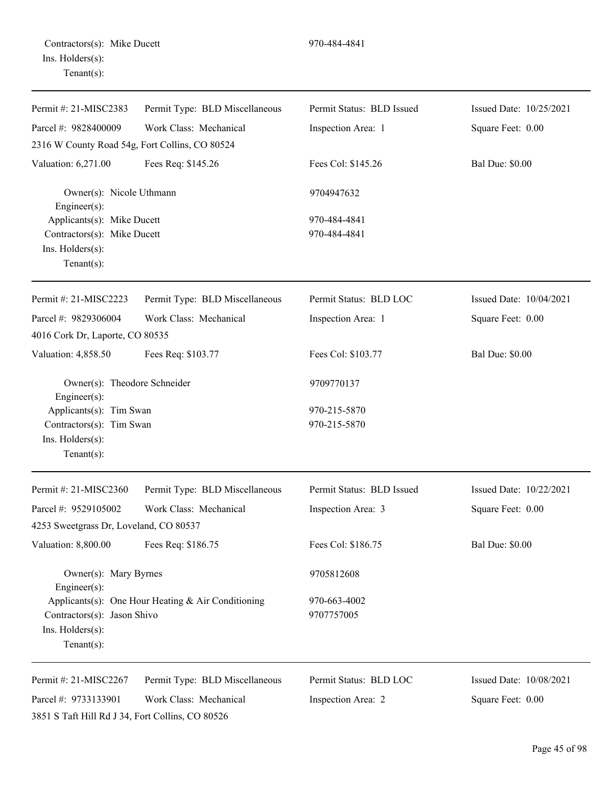Contractors(s): Mike Ducett 970-484-4841 Ins. Holders(s): Tenant(s):

| Permit #: 21-MISC2383                                                                     | Permit Type: BLD Miscellaneous                     | Permit Status: BLD Issued    | Issued Date: 10/25/2021 |
|-------------------------------------------------------------------------------------------|----------------------------------------------------|------------------------------|-------------------------|
| Parcel #: 9828400009                                                                      | Work Class: Mechanical                             | Inspection Area: 1           | Square Feet: 0.00       |
| 2316 W County Road 54g, Fort Collins, CO 80524                                            |                                                    |                              |                         |
| Valuation: 6,271.00                                                                       | Fees Req: \$145.26                                 | Fees Col: \$145.26           | <b>Bal Due: \$0.00</b>  |
| Owner(s): Nicole Uthmann<br>Engineer(s):                                                  |                                                    | 9704947632                   |                         |
| Applicants(s): Mike Ducett                                                                |                                                    | 970-484-4841                 |                         |
| Contractors(s): Mike Ducett                                                               |                                                    | 970-484-4841                 |                         |
| Ins. Holders(s):<br>Tenant $(s)$ :                                                        |                                                    |                              |                         |
| Permit #: 21-MISC2223                                                                     | Permit Type: BLD Miscellaneous                     | Permit Status: BLD LOC       | Issued Date: 10/04/2021 |
| Parcel #: 9829306004<br>4016 Cork Dr, Laporte, CO 80535                                   | Work Class: Mechanical                             | Inspection Area: 1           | Square Feet: 0.00       |
| Valuation: 4,858.50                                                                       | Fees Req: \$103.77                                 | Fees Col: \$103.77           | <b>Bal Due: \$0.00</b>  |
| Owner(s): Theodore Schneider<br>Engineer(s):                                              |                                                    | 9709770137                   |                         |
| Applicants(s): Tim Swan<br>Contractors(s): Tim Swan<br>Ins. Holders(s):<br>Tenant $(s)$ : |                                                    | 970-215-5870<br>970-215-5870 |                         |
| Permit #: 21-MISC2360                                                                     | Permit Type: BLD Miscellaneous                     | Permit Status: BLD Issued    | Issued Date: 10/22/2021 |
| Parcel #: 9529105002                                                                      | Work Class: Mechanical                             | Inspection Area: 3           | Square Feet: 0.00       |
| 4253 Sweetgrass Dr, Loveland, CO 80537                                                    |                                                    |                              |                         |
| Valuation: 8,800.00                                                                       | Fees Req: \$186.75                                 | Fees Col: \$186.75           | <b>Bal Due: \$0.00</b>  |
| Owner(s): Mary Byrnes<br>Engineer(s):                                                     |                                                    | 9705812608                   |                         |
| Contractors(s): Jason Shivo<br>Ins. Holders(s):<br>Tenant $(s)$ :                         | Applicants(s): One Hour Heating & Air Conditioning | 970-663-4002<br>9707757005   |                         |
| Permit #: 21-MISC2267                                                                     | Permit Type: BLD Miscellaneous                     | Permit Status: BLD LOC       | Issued Date: 10/08/2021 |
| Parcel #: 9733133901                                                                      | Work Class: Mechanical                             | Inspection Area: 2           | Square Feet: 0.00       |
| 3851 S Taft Hill Rd J 34, Fort Collins, CO 80526                                          |                                                    |                              |                         |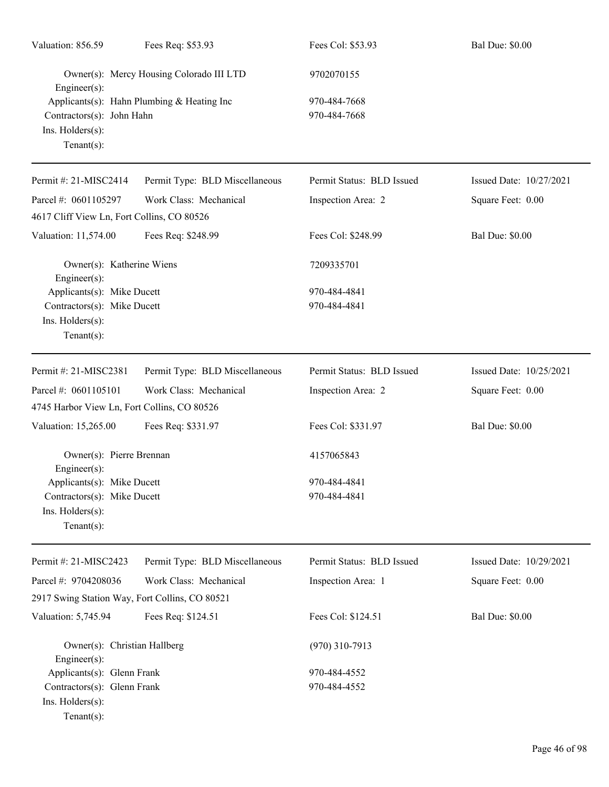| Valuation: 856.59                                                                                             | Fees Req: \$53.93                        | Fees Col: \$53.93            | <b>Bal Due: \$0.00</b>  |  |
|---------------------------------------------------------------------------------------------------------------|------------------------------------------|------------------------------|-------------------------|--|
| Engineer(s):                                                                                                  | Owner(s): Mercy Housing Colorado III LTD | 9702070155                   |                         |  |
| Applicants(s): Hahn Plumbing & Heating Inc<br>Contractors(s): John Hahn<br>Ins. Holders(s):<br>Tenant $(s)$ : |                                          | 970-484-7668<br>970-484-7668 |                         |  |
| Permit #: 21-MISC2414                                                                                         | Permit Type: BLD Miscellaneous           | Permit Status: BLD Issued    | Issued Date: 10/27/2021 |  |
| Parcel #: 0601105297                                                                                          | Work Class: Mechanical                   | Inspection Area: 2           | Square Feet: 0.00       |  |
| 4617 Cliff View Ln, Fort Collins, CO 80526                                                                    |                                          |                              |                         |  |
| Valuation: 11,574.00                                                                                          | Fees Req: \$248.99                       | Fees Col: \$248.99           | <b>Bal Due: \$0.00</b>  |  |
| Owner(s): Katherine Wiens<br>Engineer $(s)$ :                                                                 |                                          | 7209335701                   |                         |  |
| Applicants(s): Mike Ducett<br>Contractors(s): Mike Ducett<br>Ins. Holders(s):<br>Tenant $(s)$ :               |                                          | 970-484-4841<br>970-484-4841 |                         |  |
| Permit #: 21-MISC2381                                                                                         | Permit Type: BLD Miscellaneous           | Permit Status: BLD Issued    | Issued Date: 10/25/2021 |  |
| Parcel #: 0601105101                                                                                          | Work Class: Mechanical                   | Inspection Area: 2           | Square Feet: 0.00       |  |
| 4745 Harbor View Ln, Fort Collins, CO 80526                                                                   |                                          |                              |                         |  |
| Valuation: 15,265.00                                                                                          | Fees Req: \$331.97                       | Fees Col: \$331.97           | <b>Bal Due: \$0.00</b>  |  |
| Owner(s): Pierre Brennan<br>Engineer(s):                                                                      |                                          | 4157065843                   |                         |  |
| Applicants(s): Mike Ducett                                                                                    |                                          | 970-484-4841                 |                         |  |
| Contractors(s): Mike Ducett<br>Ins. Holders(s):<br>Tenant $(s)$ :                                             |                                          | 970-484-4841                 |                         |  |
| Permit #: 21-MISC2423                                                                                         | Permit Type: BLD Miscellaneous           | Permit Status: BLD Issued    | Issued Date: 10/29/2021 |  |
| Parcel #: 9704208036                                                                                          | Work Class: Mechanical                   | Inspection Area: 1           | Square Feet: 0.00       |  |
| 2917 Swing Station Way, Fort Collins, CO 80521                                                                |                                          |                              |                         |  |
| Valuation: 5,745.94                                                                                           | Fees Req: \$124.51                       | Fees Col: \$124.51           | <b>Bal Due: \$0.00</b>  |  |
| Owner(s): Christian Hallberg<br>Engineer(s):                                                                  |                                          | $(970)$ 310-7913             |                         |  |
| Applicants(s): Glenn Frank                                                                                    |                                          | 970-484-4552                 |                         |  |
| Contractors(s): Glenn Frank<br>Ins. Holders(s):<br>$Tenant(s)$ :                                              |                                          | 970-484-4552                 |                         |  |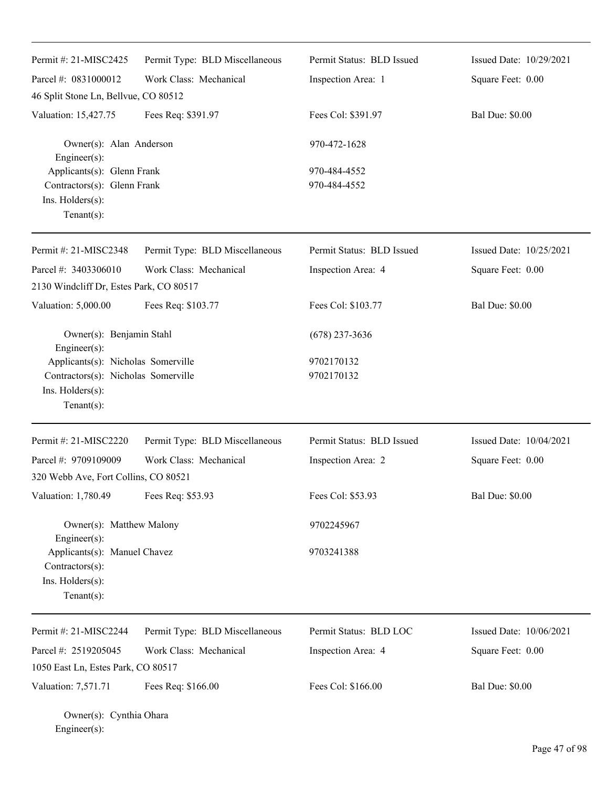| Permit #: 21-MISC2425                                                                                          | Permit Type: BLD Miscellaneous | Permit Status: BLD Issued    | Issued Date: 10/29/2021 |
|----------------------------------------------------------------------------------------------------------------|--------------------------------|------------------------------|-------------------------|
| Parcel #: 0831000012                                                                                           | Work Class: Mechanical         | Inspection Area: 1           | Square Feet: 0.00       |
| 46 Split Stone Ln, Bellvue, CO 80512                                                                           |                                |                              |                         |
| Valuation: 15,427.75                                                                                           | Fees Req: \$391.97             | Fees Col: \$391.97           | <b>Bal Due: \$0.00</b>  |
| Owner(s): Alan Anderson<br>Engineer(s):                                                                        |                                | 970-472-1628                 |                         |
| Applicants(s): Glenn Frank<br>Contractors(s): Glenn Frank<br>Ins. Holders(s):<br>$Tenant(s)$ :                 |                                | 970-484-4552<br>970-484-4552 |                         |
| Permit #: 21-MISC2348                                                                                          | Permit Type: BLD Miscellaneous | Permit Status: BLD Issued    | Issued Date: 10/25/2021 |
| Parcel #: 3403306010<br>2130 Windcliff Dr, Estes Park, CO 80517                                                | Work Class: Mechanical         | Inspection Area: 4           | Square Feet: 0.00       |
| Valuation: 5,000.00                                                                                            | Fees Req: \$103.77             | Fees Col: \$103.77           | <b>Bal Due: \$0.00</b>  |
| Owner(s): Benjamin Stahl<br>Engineer(s):                                                                       |                                | $(678)$ 237-3636             |                         |
| Applicants(s): Nicholas Somerville<br>Contractors(s): Nicholas Somerville<br>Ins. Holders(s):<br>$Tenant(s)$ : |                                | 9702170132<br>9702170132     |                         |
| Permit #: 21-MISC2220                                                                                          | Permit Type: BLD Miscellaneous | Permit Status: BLD Issued    | Issued Date: 10/04/2021 |
| Parcel #: 9709109009<br>320 Webb Ave, Fort Collins, CO 80521                                                   | Work Class: Mechanical         | Inspection Area: 2           | Square Feet: 0.00       |
| Valuation: 1,780.49                                                                                            | Fees Req: \$53.93              | Fees Col: \$53.93            | <b>Bal Due: \$0.00</b>  |
| Owner(s): Matthew Malony<br>Engineer(s):                                                                       |                                | 9702245967                   |                         |
| Applicants(s): Manuel Chavez<br>Contractors(s):<br>Ins. Holders(s):<br>$Tenant(s)$ :                           |                                | 9703241388                   |                         |
| Permit #: 21-MISC2244                                                                                          | Permit Type: BLD Miscellaneous | Permit Status: BLD LOC       | Issued Date: 10/06/2021 |
| Parcel #: 2519205045                                                                                           | Work Class: Mechanical         | Inspection Area: 4           | Square Feet: 0.00       |
| 1050 East Ln, Estes Park, CO 80517                                                                             |                                |                              |                         |
| Valuation: 7,571.71                                                                                            | Fees Req: \$166.00             | Fees Col: \$166.00           | <b>Bal Due: \$0.00</b>  |

Owner(s): Cynthia Ohara Engineer(s):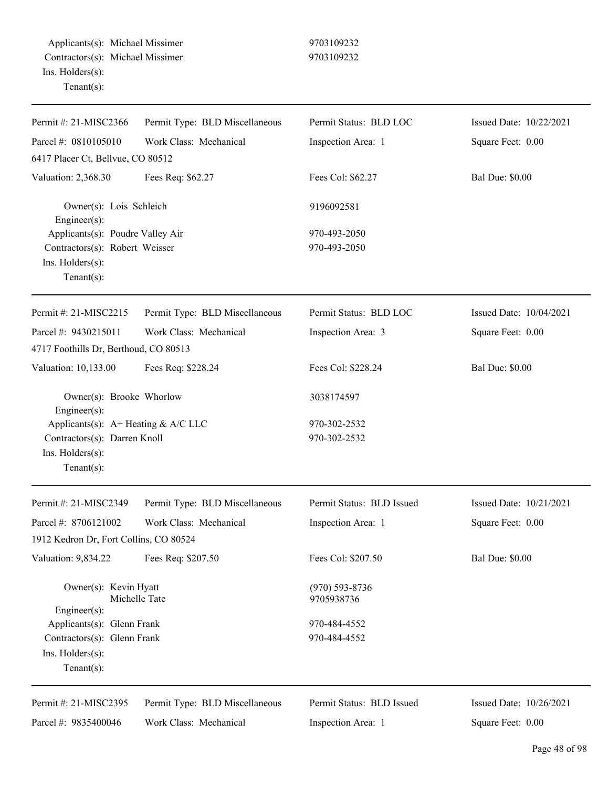| Permit #: 21-MISC2366                                     | Permit Type: BLD Miscellaneous | Permit Status: BLD LOC    | Issued Date: 10/22/2021 |
|-----------------------------------------------------------|--------------------------------|---------------------------|-------------------------|
| Parcel #: 0810105010                                      | Work Class: Mechanical         | Inspection Area: 1        | Square Feet: 0.00       |
| 6417 Placer Ct, Bellvue, CO 80512                         |                                |                           |                         |
| Valuation: 2,368.30                                       | Fees Req: \$62.27              | Fees Col: \$62.27         | <b>Bal Due: \$0.00</b>  |
| Owner(s): Lois Schleich<br>Engineer $(s)$ :               |                                | 9196092581                |                         |
| Applicants(s): Poudre Valley Air                          |                                | 970-493-2050              |                         |
| Contractors(s): Robert Weisser                            |                                | 970-493-2050              |                         |
| Ins. Holders(s):                                          |                                |                           |                         |
| Tenant $(s)$ :                                            |                                |                           |                         |
| Permit #: 21-MISC2215                                     | Permit Type: BLD Miscellaneous | Permit Status: BLD LOC    | Issued Date: 10/04/2021 |
| Parcel #: 9430215011                                      | Work Class: Mechanical         | Inspection Area: 3        | Square Feet: 0.00       |
| 4717 Foothills Dr, Berthoud, CO 80513                     |                                |                           |                         |
| Valuation: 10,133.00                                      | Fees Req: \$228.24             | Fees Col: \$228.24        | <b>Bal Due: \$0.00</b>  |
| Owner(s): Brooke Whorlow                                  |                                | 3038174597                |                         |
| Engineer $(s)$ :<br>Applicants(s): $A+$ Heating & A/C LLC |                                | 970-302-2532              |                         |
| Contractors(s): Darren Knoll                              |                                | 970-302-2532              |                         |
| Ins. Holders(s):                                          |                                |                           |                         |
| $Tenant(s)$ :                                             |                                |                           |                         |
| Permit #: 21-MISC2349                                     | Permit Type: BLD Miscellaneous | Permit Status: BLD Issued | Issued Date: 10/21/2021 |
| Parcel #: 8706121002                                      | Work Class: Mechanical         | Inspection Area: 1        | Square Feet: 0.00       |
| 1912 Kedron Dr, Fort Collins, CO 80524                    |                                |                           |                         |
| <b>Valuation: 9,834.22</b>                                | Fees Req: \$207.50             | Fees Col: \$207.50        | <b>Bal Due: \$0.00</b>  |
| Owner(s): Kevin Hyatt                                     |                                | $(970) 593 - 8736$        |                         |
| $Engineering(s)$ :                                        | Michelle Tate                  | 9705938736                |                         |
| Applicants(s): Glenn Frank                                |                                | 970-484-4552              |                         |
| Contractors(s): Glenn Frank                               |                                | 970-484-4552              |                         |
| Ins. Holders(s):                                          |                                |                           |                         |
| Tenant $(s)$ :                                            |                                |                           |                         |
| Permit #: 21-MISC2395                                     | Permit Type: BLD Miscellaneous | Permit Status: BLD Issued | Issued Date: 10/26/2021 |
| Parcel #: 9835400046                                      | Work Class: Mechanical         | Inspection Area: 1        | Square Feet: 0.00       |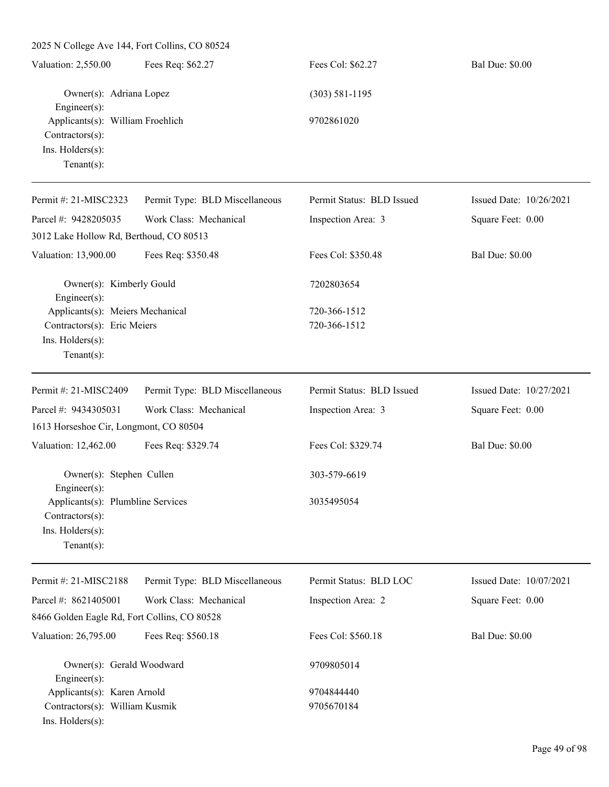2025 N College Ave 144, Fort Collins, CO 80524 Valuation: 2,550.00 Fees Req: \$62.27 Fees Col: \$62.27 Bal Due: \$0.00 Owner(s): Adriana Lopez (303) 581-1195 Engineer(s): Applicants(s): William Froehlich 9702861020 Contractors(s): Ins. Holders(s): Tenant(s): Permit #: 21-MISC2323 Parcel #: 9428205035 Permit Type: BLD Miscellaneous Work Class: Mechanical Permit Status: BLD Issued Inspection Area: 3 Issued Date: 10/26/2021 Square Feet: 0.00 3012 Lake Hollow Rd, Berthoud, CO 80513 Valuation: 13,900.00 Fees Req: \$350.48 Fees Col: \$350.48 Bal Due: \$0.00 Owner(s): Kimberly Gould 7202803654 Engineer(s): Applicants(s): Meiers Mechanical 720-366-1512 Contractors(s): Eric Meiers 720-366-1512 Ins. Holders(s): Tenant(s): Permit #: 21-MISC2409 Parcel #: 9434305031 Permit Type: BLD Miscellaneous Work Class: Mechanical Permit Status: BLD Issued Inspection Area: 3 Issued Date: 10/27/2021 Square Feet: 0.00 1613 Horseshoe Cir, Longmont, CO 80504 Valuation: 12,462.00 Fees Req: \$329.74 Fees Col: \$329.74 Bal Due: \$0.00 Owner(s): Stephen Cullen 303-579-6619 Engineer(s): Applicants(s): Plumbline Services 3035495054 Contractors(s): Ins. Holders(s): Tenant(s): Permit #: 21-MISC2188 Parcel #: 8621405001 Permit Type: BLD Miscellaneous Work Class: Mechanical Permit Status: BLD LOC Inspection Area: 2 Issued Date: 10/07/2021 Square Feet: 0.00 8466 Golden Eagle Rd, Fort Collins, CO 80528 Valuation: 26,795.00 Fees Req: \$560.18 Fees Col: \$560.18 Bal Due: \$0.00 Owner(s): Gerald Woodward 9709805014 Engineer(s): Applicants(s): Karen Arnold 9704844440 Contractors(s): William Kusmik 9705670184 Ins. Holders(s):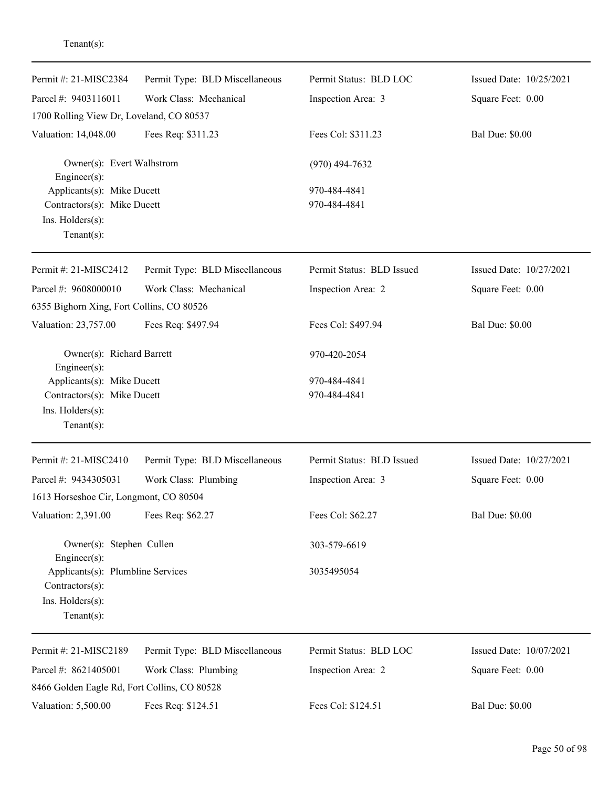| Permit #: 21-MISC2384                           | Permit Type: BLD Miscellaneous | Permit Status: BLD LOC    | Issued Date: 10/25/2021 |
|-------------------------------------------------|--------------------------------|---------------------------|-------------------------|
| Parcel #: 9403116011                            | Work Class: Mechanical         | Inspection Area: 3        | Square Feet: 0.00       |
| 1700 Rolling View Dr, Loveland, CO 80537        |                                |                           |                         |
| Valuation: 14,048.00                            | Fees Req: \$311.23             | Fees Col: \$311.23        | <b>Bal Due: \$0.00</b>  |
| Owner(s): Evert Walhstrom<br>$Engineering(s)$ : |                                | $(970)$ 494-7632          |                         |
| Applicants(s): Mike Ducett                      |                                | 970-484-4841              |                         |
| Contractors(s): Mike Ducett                     |                                | 970-484-4841              |                         |
| Ins. Holders(s):<br>$Tenant(s)$ :               |                                |                           |                         |
| Permit #: 21-MISC2412                           | Permit Type: BLD Miscellaneous | Permit Status: BLD Issued | Issued Date: 10/27/2021 |
|                                                 |                                |                           |                         |
| Parcel #: 9608000010                            | Work Class: Mechanical         | Inspection Area: 2        | Square Feet: 0.00       |
| 6355 Bighorn Xing, Fort Collins, CO 80526       |                                |                           |                         |
| Valuation: 23,757.00                            | Fees Req: \$497.94             | Fees Col: \$497.94        | <b>Bal Due: \$0.00</b>  |
| Owner(s): Richard Barrett<br>Engineer(s):       |                                | 970-420-2054              |                         |
| Applicants(s): Mike Ducett                      |                                | 970-484-4841              |                         |
| Contractors(s): Mike Ducett                     |                                | 970-484-4841              |                         |
| Ins. Holders(s):                                |                                |                           |                         |
| Tenant $(s)$ :                                  |                                |                           |                         |
| Permit #: 21-MISC2410                           | Permit Type: BLD Miscellaneous | Permit Status: BLD Issued | Issued Date: 10/27/2021 |
| Parcel #: 9434305031                            | Work Class: Plumbing           | Inspection Area: 3        | Square Feet: 0.00       |
| 1613 Horseshoe Cir, Longmont, CO 80504          |                                |                           |                         |
| Valuation: 2,391.00                             | Fees Req: \$62.27              | Fees Col: \$62.27         | <b>Bal Due: \$0.00</b>  |
| Owner(s): Stephen Cullen<br>Engineer(s):        |                                | 303-579-6619              |                         |
| Applicants(s): Plumbline Services               |                                | 3035495054                |                         |
| Contractors(s):                                 |                                |                           |                         |
| Ins. Holders(s):                                |                                |                           |                         |
| $Tenant(s)$ :                                   |                                |                           |                         |
| Permit #: 21-MISC2189                           | Permit Type: BLD Miscellaneous | Permit Status: BLD LOC    | Issued Date: 10/07/2021 |
| Parcel #: 8621405001                            | Work Class: Plumbing           | Inspection Area: 2        | Square Feet: 0.00       |
| 8466 Golden Eagle Rd, Fort Collins, CO 80528    |                                |                           |                         |
| Valuation: 5,500.00                             | Fees Req: \$124.51             | Fees Col: \$124.51        | <b>Bal Due: \$0.00</b>  |
|                                                 |                                |                           |                         |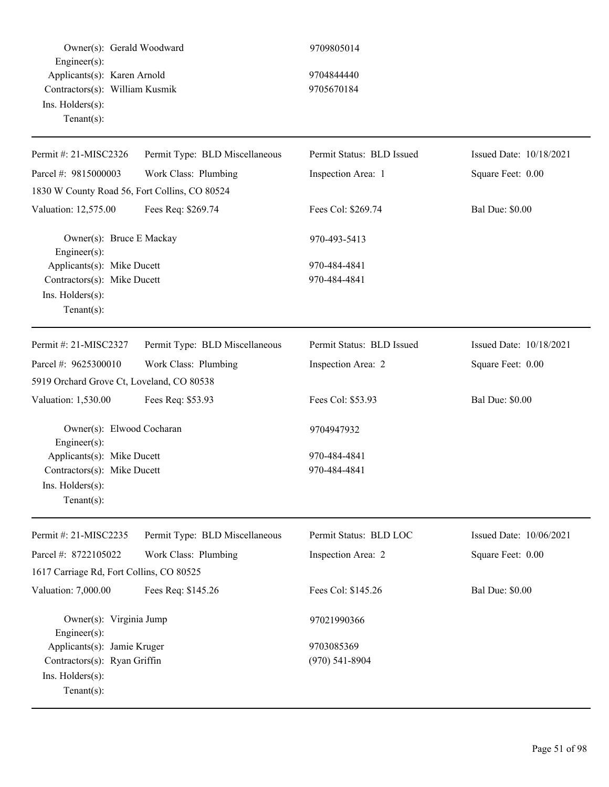Owner(s): Gerald Woodward 9709805014 Engineer(s): Applicants(s): Karen Arnold 9704844440 Contractors(s): William Kusmik 9705670184 Ins. Holders(s): Tenant(s): Permit #: 21-MISC2326 Parcel #: 9815000003 Permit Type: BLD Miscellaneous Work Class: Plumbing Permit Status: BLD Issued Inspection Area: 1 Issued Date: 10/18/2021 Square Feet: 0.00 1830 W County Road 56, Fort Collins, CO 80524 Valuation: 12,575.00 Fees Req: \$269.74 Fees Col: \$269.74 Bal Due: \$0.00 Owner(s): Bruce E Mackay 970-493-5413 Engineer(s): Applicants(s): Mike Ducett 970-484-4841 Contractors(s): Mike Ducett 970-484-4841 Ins. Holders(s): Tenant(s): Permit #: 21-MISC2327 Parcel #: 9625300010 Permit Type: BLD Miscellaneous Work Class: Plumbing Permit Status: BLD Issued Inspection Area: 2 Issued Date: 10/18/2021 Square Feet: 0.00 5919 Orchard Grove Ct, Loveland, CO 80538 Valuation: 1,530.00 Fees Req: \$53.93 Fees Col: \$53.93 Bal Due: \$0.00 Owner(s): Elwood Cocharan 9704947932 Engineer(s): Applicants(s): Mike Ducett 970-484-4841 Contractors(s): Mike Ducett 970-484-4841 Ins. Holders(s): Tenant(s): Permit #: 21-MISC2235 Parcel #: 8722105022 Permit Type: BLD Miscellaneous Work Class: Plumbing Permit Status: BLD LOC Inspection Area: 2 Issued Date: 10/06/2021 Square Feet: 0.00 1617 Carriage Rd, Fort Collins, CO 80525 Valuation: 7,000.00 Fees Req: \$145.26 Fees Col: \$145.26 Bal Due: \$0.00 Owner(s): Virginia Jump 97021990366 Engineer(s): Applicants(s): Jamie Kruger 9703085369 Contractors(s): Ryan Griffin  $(970)$  541-8904 Ins. Holders(s):

Tenant(s):

Page 51 of 98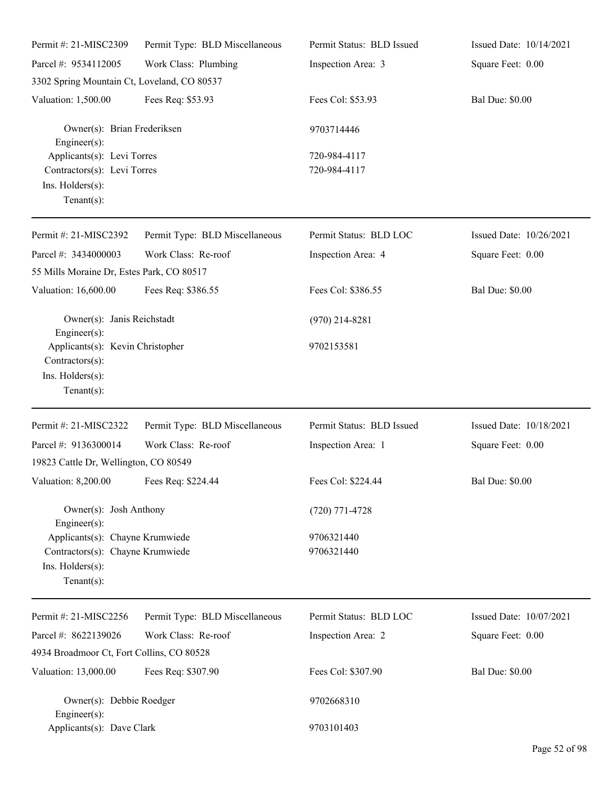| Permit #: 21-MISC2309                                                                                     | Permit Type: BLD Miscellaneous | Permit Status: BLD Issued  | Issued Date: 10/14/2021 |
|-----------------------------------------------------------------------------------------------------------|--------------------------------|----------------------------|-------------------------|
| Parcel #: 9534112005                                                                                      | Work Class: Plumbing           | Inspection Area: 3         | Square Feet: 0.00       |
| 3302 Spring Mountain Ct, Loveland, CO 80537                                                               |                                |                            |                         |
| Valuation: 1,500.00                                                                                       | Fees Req: \$53.93              | Fees Col: \$53.93          | <b>Bal Due: \$0.00</b>  |
| Owner(s): Brian Frederiksen<br>$Engineering(s)$ :<br>Applicants(s): Levi Torres                           |                                | 9703714446<br>720-984-4117 |                         |
| Contractors(s): Levi Torres<br>Ins. Holders(s):<br>Tenant $(s)$ :                                         |                                | 720-984-4117               |                         |
| Permit #: 21-MISC2392                                                                                     | Permit Type: BLD Miscellaneous | Permit Status: BLD LOC     | Issued Date: 10/26/2021 |
| Parcel #: 3434000003<br>55 Mills Moraine Dr, Estes Park, CO 80517                                         | Work Class: Re-roof            | Inspection Area: 4         | Square Feet: 0.00       |
| Valuation: 16,600.00                                                                                      | Fees Req: \$386.55             | Fees Col: \$386.55         | <b>Bal Due: \$0.00</b>  |
| Owner(s): Janis Reichstadt<br>$Engineering(s)$ :                                                          |                                | $(970)$ 214-8281           |                         |
| Applicants(s): Kevin Christopher<br>Contractors(s):<br>Ins. Holders(s):<br>Tenant $(s)$ :                 |                                | 9702153581                 |                         |
| Permit #: 21-MISC2322                                                                                     | Permit Type: BLD Miscellaneous | Permit Status: BLD Issued  | Issued Date: 10/18/2021 |
| Parcel #: 9136300014                                                                                      | Work Class: Re-roof            | Inspection Area: 1         | Square Feet: 0.00       |
| 19823 Cattle Dr, Wellington, CO 80549                                                                     |                                |                            |                         |
| Valuation: 8,200.00 Fees Req: \$224.44                                                                    |                                | Fees Col: \$224.44         | <b>Bal Due: \$0.00</b>  |
| Owner(s): Josh Anthony<br>Engineer(s):                                                                    |                                | $(720)$ 771-4728           |                         |
| Applicants(s): Chayne Krumwiede<br>Contractors(s): Chayne Krumwiede<br>Ins. Holders(s):<br>Tenant $(s)$ : |                                | 9706321440<br>9706321440   |                         |
| Permit #: 21-MISC2256                                                                                     | Permit Type: BLD Miscellaneous | Permit Status: BLD LOC     | Issued Date: 10/07/2021 |
| Parcel #: 8622139026                                                                                      | Work Class: Re-roof            | Inspection Area: 2         | Square Feet: 0.00       |
| 4934 Broadmoor Ct, Fort Collins, CO 80528                                                                 |                                |                            |                         |
| Valuation: 13,000.00                                                                                      | Fees Req: \$307.90             | Fees Col: \$307.90         | <b>Bal Due: \$0.00</b>  |
| Owner(s): Debbie Roedger<br>$Engineering(s)$ :                                                            |                                | 9702668310                 |                         |
| Applicants(s): Dave Clark                                                                                 |                                | 9703101403                 |                         |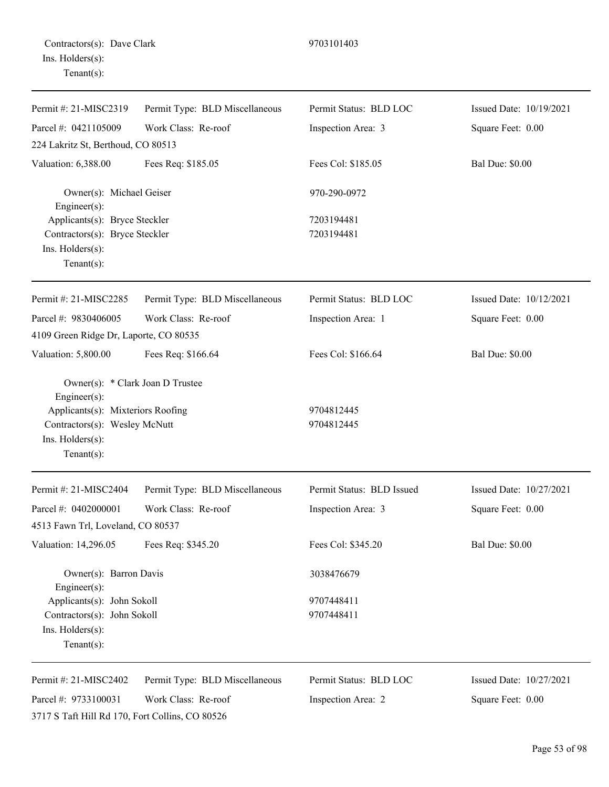| Permit #: 21-MISC2319                                                                                                                                        | Permit Type: BLD Miscellaneous | Permit Status: BLD LOC    | Issued Date: 10/19/2021 |
|--------------------------------------------------------------------------------------------------------------------------------------------------------------|--------------------------------|---------------------------|-------------------------|
| Parcel #: 0421105009                                                                                                                                         | Work Class: Re-roof            | Inspection Area: 3        | Square Feet: 0.00       |
| 224 Lakritz St, Berthoud, CO 80513                                                                                                                           |                                |                           |                         |
| Valuation: 6,388.00                                                                                                                                          | Fees Req: \$185.05             | Fees Col: \$185.05        | <b>Bal Due: \$0.00</b>  |
| Owner(s): Michael Geiser<br>Engineer(s):                                                                                                                     |                                | 970-290-0972              |                         |
| Applicants(s): Bryce Steckler                                                                                                                                |                                | 7203194481                |                         |
| Contractors(s): Bryce Steckler                                                                                                                               |                                | 7203194481                |                         |
| Ins. Holders(s):<br>Tenant $(s)$ :                                                                                                                           |                                |                           |                         |
| Permit#: 21-MISC2285                                                                                                                                         | Permit Type: BLD Miscellaneous | Permit Status: BLD LOC    | Issued Date: 10/12/2021 |
| Parcel #: 9830406005                                                                                                                                         | Work Class: Re-roof            | Inspection Area: 1        | Square Feet: 0.00       |
| 4109 Green Ridge Dr, Laporte, CO 80535                                                                                                                       |                                |                           |                         |
| Valuation: 5,800.00                                                                                                                                          | Fees Req: \$166.64             | Fees Col: \$166.64        | <b>Bal Due: \$0.00</b>  |
| Owner(s): * Clark Joan D Trustee<br>Engineer(s):<br>Applicants(s): Mixteriors Roofing<br>Contractors(s): Wesley McNutt<br>Ins. Holders(s):<br>Tenant $(s)$ : |                                | 9704812445<br>9704812445  |                         |
| Permit #: 21-MISC2404                                                                                                                                        | Permit Type: BLD Miscellaneous | Permit Status: BLD Issued | Issued Date: 10/27/2021 |
| Parcel #: 0402000001                                                                                                                                         | Work Class: Re-roof            | Inspection Area: 3        | Square Feet: 0.00       |
| 4513 Fawn Trl, Loveland, CO 80537                                                                                                                            |                                |                           |                         |
| Valuation: 14,296.05                                                                                                                                         | Fees Req: \$345.20             | Fees Col: \$345.20        | <b>Bal Due: \$0.00</b>  |
| Owner(s): Barron Davis<br>Engineer(s):                                                                                                                       |                                | 3038476679                |                         |
| Applicants(s): John Sokoll                                                                                                                                   |                                | 9707448411                |                         |
| Contractors(s): John Sokoll                                                                                                                                  |                                | 9707448411                |                         |
| Ins. Holders(s):<br>Tenant $(s)$ :                                                                                                                           |                                |                           |                         |
|                                                                                                                                                              |                                |                           |                         |
| Permit #: 21-MISC2402                                                                                                                                        | Permit Type: BLD Miscellaneous | Permit Status: BLD LOC    | Issued Date: 10/27/2021 |

3717 S Taft Hill Rd 170, Fort Collins, CO 80526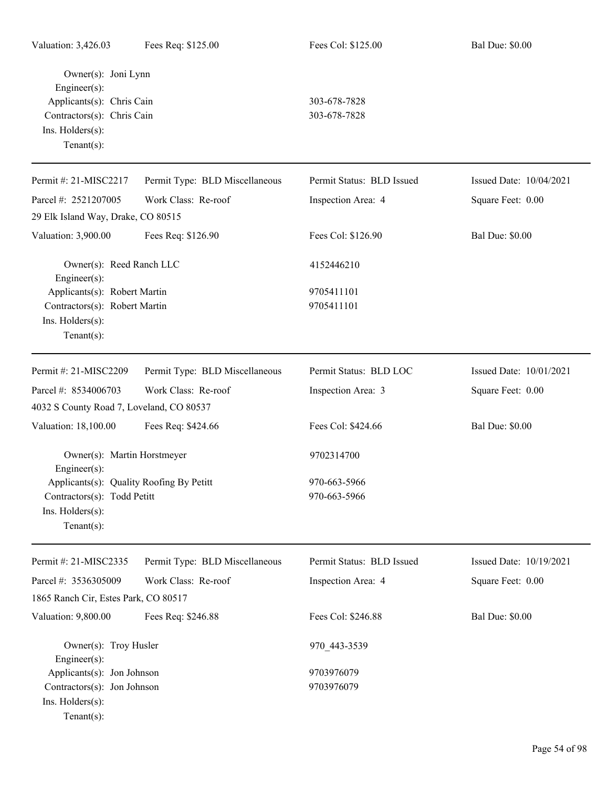| Owner(s): Joni Lynn<br>Engineer(s):                       |                                |                           |                         |
|-----------------------------------------------------------|--------------------------------|---------------------------|-------------------------|
| Applicants(s): Chris Cain                                 |                                | 303-678-7828              |                         |
| Contractors(s): Chris Cain<br>Ins. Holders(s):            |                                | 303-678-7828              |                         |
| Tenant $(s)$ :                                            |                                |                           |                         |
| Permit #: 21-MISC2217                                     | Permit Type: BLD Miscellaneous | Permit Status: BLD Issued | Issued Date: 10/04/2021 |
| Parcel #: 2521207005                                      | Work Class: Re-roof            | Inspection Area: 4        | Square Feet: 0.00       |
| 29 Elk Island Way, Drake, CO 80515                        |                                |                           |                         |
| Valuation: 3,900.00                                       | Fees Req: \$126.90             | Fees Col: \$126.90        | <b>Bal Due: \$0.00</b>  |
| Owner(s): Reed Ranch LLC<br>Engineer(s):                  |                                | 4152446210                |                         |
| Applicants(s): Robert Martin                              |                                | 9705411101                |                         |
| Contractors(s): Robert Martin                             |                                | 9705411101                |                         |
| Ins. Holders(s):                                          |                                |                           |                         |
| $Tenant(s)$ :                                             |                                |                           |                         |
| Permit #: 21-MISC2209                                     | Permit Type: BLD Miscellaneous | Permit Status: BLD LOC    | Issued Date: 10/01/2021 |
| Parcel #: 8534006703                                      | Work Class: Re-roof            | Inspection Area: 3        | Square Feet: 0.00       |
| 4032 S County Road 7, Loveland, CO 80537                  |                                |                           |                         |
| Valuation: 18,100.00                                      | Fees Req: \$424.66             | Fees Col: \$424.66        | <b>Bal Due: \$0.00</b>  |
| Owner(s): Martin Horstmeyer<br>Engineer(s):               |                                | 9702314700                |                         |
| Applicants(s): Quality Roofing By Petitt                  |                                | 970-663-5966              |                         |
| Contractors(s): Todd Petitt                               |                                | 970-663-5966              |                         |
| Ins. Holders(s):<br>Tenant $(s)$ :                        |                                |                           |                         |
| Permit #: 21-MISC2335                                     | Permit Type: BLD Miscellaneous | Permit Status: BLD Issued | Issued Date: 10/19/2021 |
| Parcel #: 3536305009                                      | Work Class: Re-roof            | Inspection Area: 4        | Square Feet: 0.00       |
| 1865 Ranch Cir, Estes Park, CO 80517                      |                                |                           |                         |
| Valuation: 9,800.00                                       | Fees Req: \$246.88             | Fees Col: \$246.88        | <b>Bal Due: \$0.00</b>  |
| Owner(s): Troy Husler                                     |                                | 970_443-3539              |                         |
| Engineer(s):                                              |                                |                           |                         |
| Applicants(s): Jon Johnson<br>Contractors(s): Jon Johnson |                                | 9703976079<br>9703976079  |                         |
| Ins. Holders(s):                                          |                                |                           |                         |
| $Tenant(s)$ :                                             |                                |                           |                         |
|                                                           |                                |                           |                         |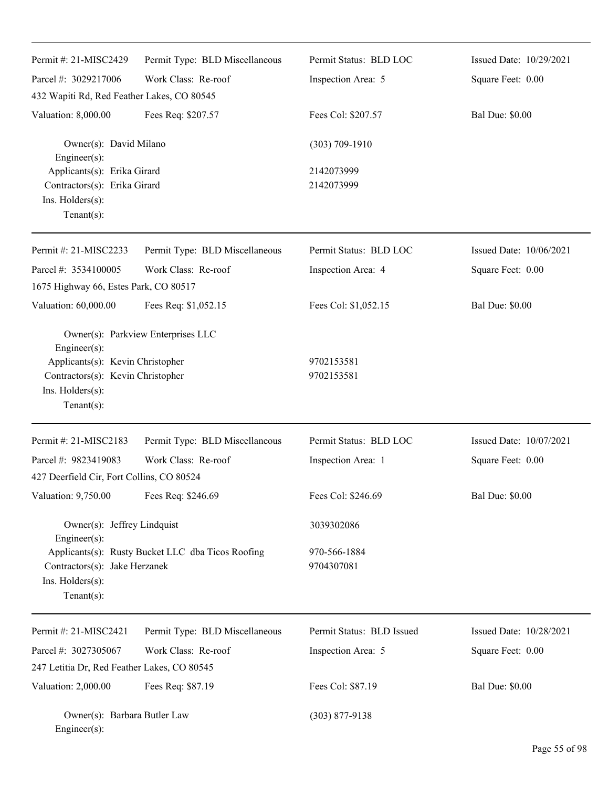| Permit #: 21-MISC2429                                                                                                      | Permit Type: BLD Miscellaneous                    | Permit Status: BLD LOC     | Issued Date: 10/29/2021 |
|----------------------------------------------------------------------------------------------------------------------------|---------------------------------------------------|----------------------------|-------------------------|
| Parcel #: 3029217006                                                                                                       | Work Class: Re-roof                               | Inspection Area: 5         | Square Feet: 0.00       |
| 432 Wapiti Rd, Red Feather Lakes, CO 80545                                                                                 |                                                   |                            |                         |
| Valuation: 8,000.00                                                                                                        | Fees Req: \$207.57                                | Fees Col: \$207.57         | <b>Bal Due: \$0.00</b>  |
| Owner(s): David Milano<br>Engineer(s):                                                                                     |                                                   | $(303) 709 - 1910$         |                         |
| Applicants(s): Erika Girard<br>Contractors(s): Erika Girard<br>Ins. Holders(s):<br>$Tenant(s)$ :                           |                                                   | 2142073999<br>2142073999   |                         |
| Permit #: 21-MISC2233                                                                                                      | Permit Type: BLD Miscellaneous                    | Permit Status: BLD LOC     | Issued Date: 10/06/2021 |
| Parcel #: 3534100005                                                                                                       | Work Class: Re-roof                               | Inspection Area: 4         | Square Feet: 0.00       |
| 1675 Highway 66, Estes Park, CO 80517                                                                                      |                                                   |                            |                         |
| Valuation: 60,000.00                                                                                                       | Fees Req: \$1,052.15                              | Fees Col: \$1,052.15       | <b>Bal Due: \$0.00</b>  |
| Engineer(s):<br>Applicants(s): Kevin Christopher<br>Contractors(s): Kevin Christopher<br>Ins. Holders(s):<br>$Tenant(s)$ : | Owner(s): Parkview Enterprises LLC                | 9702153581<br>9702153581   |                         |
| Permit #: 21-MISC2183                                                                                                      | Permit Type: BLD Miscellaneous                    | Permit Status: BLD LOC     | Issued Date: 10/07/2021 |
| Parcel #: 9823419083                                                                                                       | Work Class: Re-roof                               | Inspection Area: 1         | Square Feet: 0.00       |
| 427 Deerfield Cir, Fort Collins, CO 80524                                                                                  |                                                   |                            |                         |
| Valuation: 9,750.00                                                                                                        | Fees Req: \$246.69                                | Fees Col: \$246.69         | <b>Bal Due: \$0.00</b>  |
| Owner(s): Jeffrey Lindquist<br>Engineer(s):                                                                                |                                                   | 3039302086                 |                         |
| Contractors(s): Jake Herzanek<br>Ins. Holders(s):<br>$Tenant(s)$ :                                                         | Applicants(s): Rusty Bucket LLC dba Ticos Roofing | 970-566-1884<br>9704307081 |                         |
| Permit #: 21-MISC2421                                                                                                      | Permit Type: BLD Miscellaneous                    | Permit Status: BLD Issued  | Issued Date: 10/28/2021 |
| Parcel #: 3027305067                                                                                                       | Work Class: Re-roof                               | Inspection Area: 5         | Square Feet: 0.00       |
| 247 Letitia Dr, Red Feather Lakes, CO 80545                                                                                |                                                   |                            |                         |
| Valuation: 2,000.00                                                                                                        | Fees Req: \$87.19                                 | Fees Col: \$87.19          | <b>Bal Due: \$0.00</b>  |
| Owner(s): Barbara Butler Law<br>Engineer(s):                                                                               |                                                   | $(303)$ 877-9138           |                         |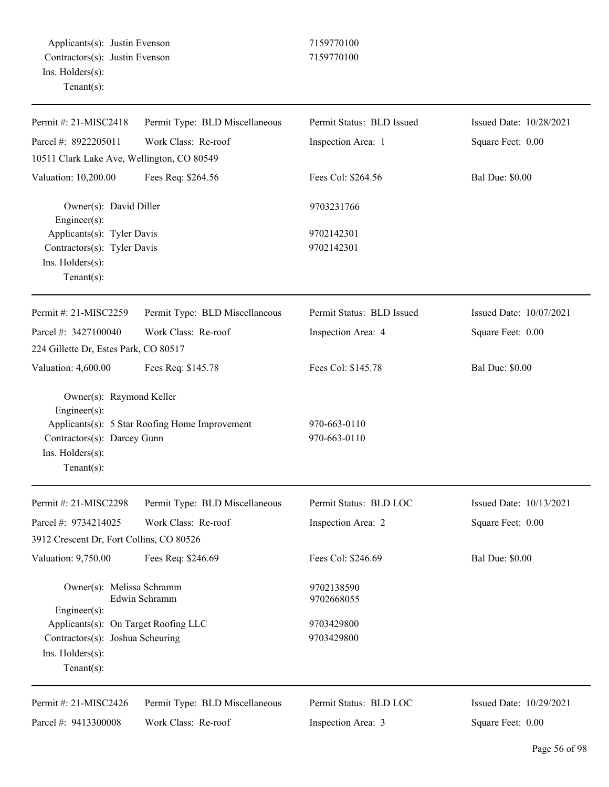| Permit #: 21-MISC2418                                                                                                                                                                                                                                                                                                                                                                                                                                                                                                                                                                                                                                                                                                                                                                                                                                                                                                                                                                                                                                                                                                                                                                        | Permit Type: BLD Miscellaneous | Permit Status: BLD Issued | Issued Date: 10/28/2021 |
|----------------------------------------------------------------------------------------------------------------------------------------------------------------------------------------------------------------------------------------------------------------------------------------------------------------------------------------------------------------------------------------------------------------------------------------------------------------------------------------------------------------------------------------------------------------------------------------------------------------------------------------------------------------------------------------------------------------------------------------------------------------------------------------------------------------------------------------------------------------------------------------------------------------------------------------------------------------------------------------------------------------------------------------------------------------------------------------------------------------------------------------------------------------------------------------------|--------------------------------|---------------------------|-------------------------|
| Parcel #: 8922205011                                                                                                                                                                                                                                                                                                                                                                                                                                                                                                                                                                                                                                                                                                                                                                                                                                                                                                                                                                                                                                                                                                                                                                         | Work Class: Re-roof            | Inspection Area: 1        | Square Feet: 0.00       |
| 10511 Clark Lake Ave, Wellington, CO 80549<br>Fees Req: \$264.56<br>Fees Col: \$264.56<br>Owner(s): David Diller<br>9703231766<br>$Engineering(s)$ :<br>Applicants(s): Tyler Davis<br>9702142301<br>9702142301<br>Contractors(s): Tyler Davis<br>Ins. Holders(s):<br>Tenant $(s)$ :<br>Permit Type: BLD Miscellaneous<br>Permit Status: BLD Issued<br>Work Class: Re-roof<br>Inspection Area: 4<br>224 Gillette Dr, Estes Park, CO 80517<br>Fees Col: \$145.78<br>Fees Req: \$145.78<br>Owner(s): Raymond Keller<br>Engineer(s):<br>Applicants(s): 5 Star Roofing Home Improvement<br>970-663-0110<br>970-663-0110<br>Contractors(s): Darcey Gunn<br>Ins. Holders(s):<br>Tenant $(s)$ :<br>Permit Type: BLD Miscellaneous<br>Permit Status: BLD LOC<br>Work Class: Re-roof<br>Inspection Area: 2<br>3912 Crescent Dr, Fort Collins, CO 80526<br>Fees Req: \$246.69<br>Fees Col: \$246.69<br>Owner(s): Melissa Schramm<br>9702138590<br>Edwin Schramm<br>9702668055<br>Engineer(s):<br>Applicants(s): On Target Roofing LLC<br>9703429800<br>Contractors(s): Joshua Scheuring<br>9703429800<br>Ins. Holders(s):<br>Tenant $(s)$ :<br>Permit Type: BLD Miscellaneous<br>Permit Status: BLD LOC |                                |                           |                         |
| Valuation: 10,200.00                                                                                                                                                                                                                                                                                                                                                                                                                                                                                                                                                                                                                                                                                                                                                                                                                                                                                                                                                                                                                                                                                                                                                                         |                                |                           | <b>Bal Due: \$0.00</b>  |
|                                                                                                                                                                                                                                                                                                                                                                                                                                                                                                                                                                                                                                                                                                                                                                                                                                                                                                                                                                                                                                                                                                                                                                                              |                                |                           |                         |
|                                                                                                                                                                                                                                                                                                                                                                                                                                                                                                                                                                                                                                                                                                                                                                                                                                                                                                                                                                                                                                                                                                                                                                                              |                                |                           |                         |
|                                                                                                                                                                                                                                                                                                                                                                                                                                                                                                                                                                                                                                                                                                                                                                                                                                                                                                                                                                                                                                                                                                                                                                                              |                                |                           |                         |
|                                                                                                                                                                                                                                                                                                                                                                                                                                                                                                                                                                                                                                                                                                                                                                                                                                                                                                                                                                                                                                                                                                                                                                                              |                                |                           |                         |
| Permit #: 21-MISC2259                                                                                                                                                                                                                                                                                                                                                                                                                                                                                                                                                                                                                                                                                                                                                                                                                                                                                                                                                                                                                                                                                                                                                                        |                                |                           | Issued Date: 10/07/2021 |
| Parcel #: 3427100040                                                                                                                                                                                                                                                                                                                                                                                                                                                                                                                                                                                                                                                                                                                                                                                                                                                                                                                                                                                                                                                                                                                                                                         |                                |                           | Square Feet: 0.00       |
|                                                                                                                                                                                                                                                                                                                                                                                                                                                                                                                                                                                                                                                                                                                                                                                                                                                                                                                                                                                                                                                                                                                                                                                              |                                |                           |                         |
| Valuation: 4,600.00                                                                                                                                                                                                                                                                                                                                                                                                                                                                                                                                                                                                                                                                                                                                                                                                                                                                                                                                                                                                                                                                                                                                                                          |                                |                           | <b>Bal Due: \$0.00</b>  |
|                                                                                                                                                                                                                                                                                                                                                                                                                                                                                                                                                                                                                                                                                                                                                                                                                                                                                                                                                                                                                                                                                                                                                                                              |                                |                           |                         |
|                                                                                                                                                                                                                                                                                                                                                                                                                                                                                                                                                                                                                                                                                                                                                                                                                                                                                                                                                                                                                                                                                                                                                                                              |                                |                           |                         |
|                                                                                                                                                                                                                                                                                                                                                                                                                                                                                                                                                                                                                                                                                                                                                                                                                                                                                                                                                                                                                                                                                                                                                                                              |                                |                           |                         |
|                                                                                                                                                                                                                                                                                                                                                                                                                                                                                                                                                                                                                                                                                                                                                                                                                                                                                                                                                                                                                                                                                                                                                                                              |                                |                           |                         |
| Permit #: 21-MISC2298                                                                                                                                                                                                                                                                                                                                                                                                                                                                                                                                                                                                                                                                                                                                                                                                                                                                                                                                                                                                                                                                                                                                                                        |                                |                           | Issued Date: 10/13/2021 |
| Parcel #: 9734214025                                                                                                                                                                                                                                                                                                                                                                                                                                                                                                                                                                                                                                                                                                                                                                                                                                                                                                                                                                                                                                                                                                                                                                         |                                |                           | Square Feet: 0.00       |
|                                                                                                                                                                                                                                                                                                                                                                                                                                                                                                                                                                                                                                                                                                                                                                                                                                                                                                                                                                                                                                                                                                                                                                                              |                                |                           |                         |
| Valuation: 9,750.00                                                                                                                                                                                                                                                                                                                                                                                                                                                                                                                                                                                                                                                                                                                                                                                                                                                                                                                                                                                                                                                                                                                                                                          |                                |                           | <b>Bal Due: \$0.00</b>  |
|                                                                                                                                                                                                                                                                                                                                                                                                                                                                                                                                                                                                                                                                                                                                                                                                                                                                                                                                                                                                                                                                                                                                                                                              |                                |                           |                         |
|                                                                                                                                                                                                                                                                                                                                                                                                                                                                                                                                                                                                                                                                                                                                                                                                                                                                                                                                                                                                                                                                                                                                                                                              |                                |                           |                         |
|                                                                                                                                                                                                                                                                                                                                                                                                                                                                                                                                                                                                                                                                                                                                                                                                                                                                                                                                                                                                                                                                                                                                                                                              |                                |                           |                         |
|                                                                                                                                                                                                                                                                                                                                                                                                                                                                                                                                                                                                                                                                                                                                                                                                                                                                                                                                                                                                                                                                                                                                                                                              |                                |                           |                         |
|                                                                                                                                                                                                                                                                                                                                                                                                                                                                                                                                                                                                                                                                                                                                                                                                                                                                                                                                                                                                                                                                                                                                                                                              |                                |                           |                         |
|                                                                                                                                                                                                                                                                                                                                                                                                                                                                                                                                                                                                                                                                                                                                                                                                                                                                                                                                                                                                                                                                                                                                                                                              |                                |                           |                         |
| Permit #: 21-MISC2426                                                                                                                                                                                                                                                                                                                                                                                                                                                                                                                                                                                                                                                                                                                                                                                                                                                                                                                                                                                                                                                                                                                                                                        |                                |                           | Issued Date: 10/29/2021 |
| Parcel #: 9413300008                                                                                                                                                                                                                                                                                                                                                                                                                                                                                                                                                                                                                                                                                                                                                                                                                                                                                                                                                                                                                                                                                                                                                                         | Work Class: Re-roof            | Inspection Area: 3        | Square Feet: 0.00       |
|                                                                                                                                                                                                                                                                                                                                                                                                                                                                                                                                                                                                                                                                                                                                                                                                                                                                                                                                                                                                                                                                                                                                                                                              |                                |                           |                         |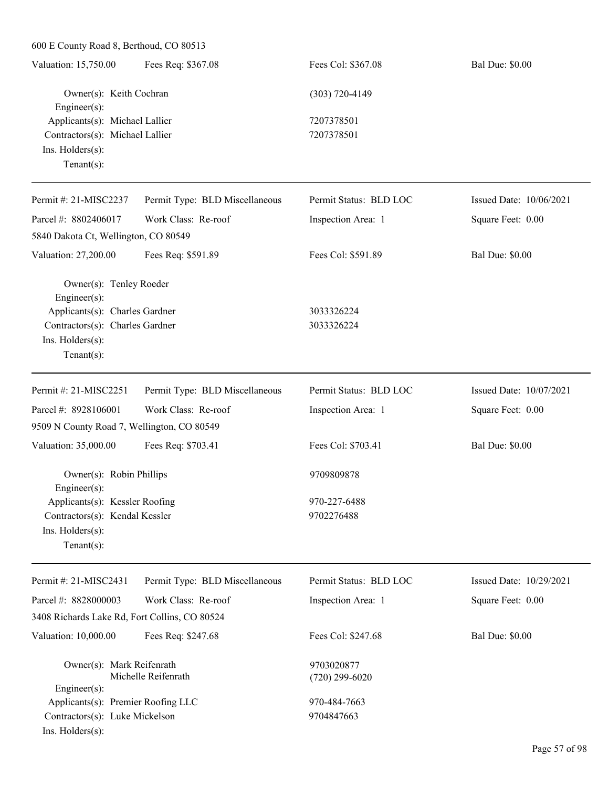| Valuation: 15,750.00            | Fees Req: \$367.08 | Fees Col: \$367.08 | <b>Bal Due: \$0.00</b> |
|---------------------------------|--------------------|--------------------|------------------------|
| Owner(s): Keith Cochran         |                    | (303) 720-4149     |                        |
| Engineer $(s)$ :                |                    |                    |                        |
| Applicants(s): Michael Lallier  |                    | 7207378501         |                        |
| Contractors(s): Michael Lallier |                    | 7207378501         |                        |
| $Ins.$ Holders $(s)$ :          |                    |                    |                        |
| $Tenant(s)$ :                   |                    |                    |                        |
|                                 |                    |                    |                        |

| Permit #: $21-MISC2237$                                                                                                                      | Permit Type: BLD Miscellaneous | Permit Status: BLD LOC   | Issued Date: $10/06/2021$ |                        |                                |                        |                         |
|----------------------------------------------------------------------------------------------------------------------------------------------|--------------------------------|--------------------------|---------------------------|------------------------|--------------------------------|------------------------|-------------------------|
| Parcel #: $8802406017$                                                                                                                       | Work Class: Re-roof            | Inspection Area: 1       | Square Feet: 0.00         |                        |                                |                        |                         |
| 5840 Dakota Ct, Wellington, CO 80549                                                                                                         |                                |                          |                           |                        |                                |                        |                         |
| Valuation: 27,200.00                                                                                                                         | Fees Req: \$591.89             | Fees Col: \$591.89       | <b>Bal Due: \$0.00</b>    |                        |                                |                        |                         |
| Owner(s): Tenley Roeder<br>$Engineering(s)$ :<br>Applicants(s): Charles Gardner<br>Contractors(s): Charles Gardner<br>$Ins.$ Holders $(s)$ : |                                | 3033326224<br>3033326224 |                           |                        |                                |                        |                         |
|                                                                                                                                              |                                |                          |                           | Tenant $(s)$ :         |                                |                        |                         |
|                                                                                                                                              |                                |                          |                           | Permit #: 21-MISC2251  | Permit Type: BLD Miscellaneous | Permit Status: BLD LOC | Issued Date: 10/07/2021 |
|                                                                                                                                              |                                |                          |                           | Parcel #: $8928106001$ | Work Class: Re-roof            | Inspection Area: 1     | Square Feet: 0.00       |
| 9509 N County Road 7, Wellington, CO 80549                                                                                                   |                                |                          |                           |                        |                                |                        |                         |
| Valuation: 35,000.00                                                                                                                         | Fees Req: \$703.41             | Fees Col: \$703.41       | <b>Bal Due: \$0.00</b>    |                        |                                |                        |                         |

Owner(s): Robin Phillips 9709809878 Engineer(s): Applicants(s): Kessler Roofing 970-227-6488 Contractors(s): Kendal Kessler 9702276488 Ins. Holders(s): Tenant(s):

Permit #: 21-MISC2431 Parcel #: 8828000003

Permit Status: BLD LOC

Inspection Area: 1

Issued Date: 10/29/2021

Square Feet: 0.00

3408 Richards Lake Rd, Fort Collins, CO 80524

Valuation: 10,000.00 Fees Req: \$247.68 Fees Col: \$247.68 Bal Due: \$0.00 Owner(s): Mark Reifenrath 9703020877 Michelle Reifenrath (720) 299-6020 Engineer(s): Applicants(s): Premier Roofing LLC 970-484-7663 Contractors(s): Luke Mickelson 9704847663 Ins. Holders(s):

Permit Type: BLD Miscellaneous

Work Class: Re-roof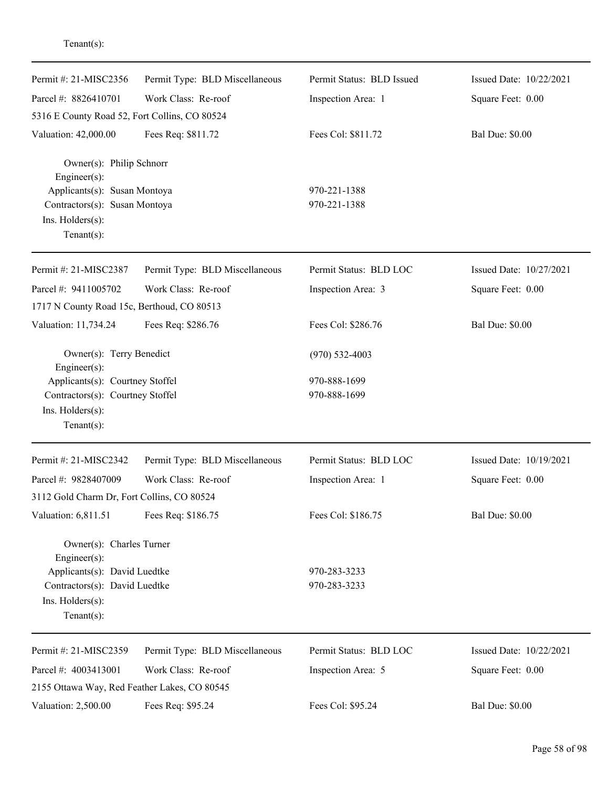| Permit #: 21-MISC2356                          | Permit Type: BLD Miscellaneous | Permit Status: BLD Issued | Issued Date: 10/22/2021 |
|------------------------------------------------|--------------------------------|---------------------------|-------------------------|
| Parcel #: 8826410701                           | Work Class: Re-roof            | Inspection Area: 1        | Square Feet: 0.00       |
| 5316 E County Road 52, Fort Collins, CO 80524  |                                |                           |                         |
| Valuation: 42,000.00                           | Fees Req: \$811.72             | Fees Col: \$811.72        | <b>Bal Due: \$0.00</b>  |
| Owner(s): Philip Schnorr<br>$Engineering(s)$ : |                                |                           |                         |
| Applicants(s): Susan Montoya                   |                                | 970-221-1388              |                         |
| Contractors(s): Susan Montoya                  |                                | 970-221-1388              |                         |
| Ins. Holders(s):<br>Tenant $(s)$ :             |                                |                           |                         |
|                                                |                                |                           |                         |
| Permit #: 21-MISC2387                          | Permit Type: BLD Miscellaneous | Permit Status: BLD LOC    | Issued Date: 10/27/2021 |
| Parcel #: 9411005702                           | Work Class: Re-roof            | Inspection Area: 3        | Square Feet: 0.00       |
| 1717 N County Road 15c, Berthoud, CO 80513     |                                |                           |                         |
| Valuation: 11,734.24                           | Fees Req: \$286.76             | Fees Col: \$286.76        | <b>Bal Due: \$0.00</b>  |
| Owner(s): Terry Benedict<br>$Engineering(s)$ : |                                | $(970)$ 532-4003          |                         |
| Applicants(s): Courtney Stoffel                |                                | 970-888-1699              |                         |
| Contractors(s): Courtney Stoffel               |                                | 970-888-1699              |                         |
| Ins. Holders(s):                               |                                |                           |                         |
| Tenant $(s)$ :                                 |                                |                           |                         |
| Permit #: 21-MISC2342                          | Permit Type: BLD Miscellaneous | Permit Status: BLD LOC    | Issued Date: 10/19/2021 |
| Parcel #: 9828407009                           | Work Class: Re-roof            | Inspection Area: 1        | Square Feet: 0.00       |
| 3112 Gold Charm Dr, Fort Collins, CO 80524     |                                |                           |                         |
| Valuation: 6,811.51                            | Fees Req: \$186.75             | Fees Col: \$186.75        | <b>Bal Due: \$0.00</b>  |
| Owner(s): Charles Turner<br>$Engineering(s)$ : |                                |                           |                         |
| Applicants(s): David Luedtke                   |                                | 970-283-3233              |                         |
| Contractors(s): David Luedtke                  |                                | 970-283-3233              |                         |
| Ins. Holders(s):                               |                                |                           |                         |
| Tenant $(s)$ :                                 |                                |                           |                         |
| Permit #: 21-MISC2359                          | Permit Type: BLD Miscellaneous | Permit Status: BLD LOC    | Issued Date: 10/22/2021 |
| Parcel #: 4003413001                           | Work Class: Re-roof            | Inspection Area: 5        | Square Feet: 0.00       |
| 2155 Ottawa Way, Red Feather Lakes, CO 80545   |                                |                           |                         |
| Valuation: 2,500.00                            | Fees Req: \$95.24              | Fees Col: \$95.24         | <b>Bal Due: \$0.00</b>  |

Tenant(s):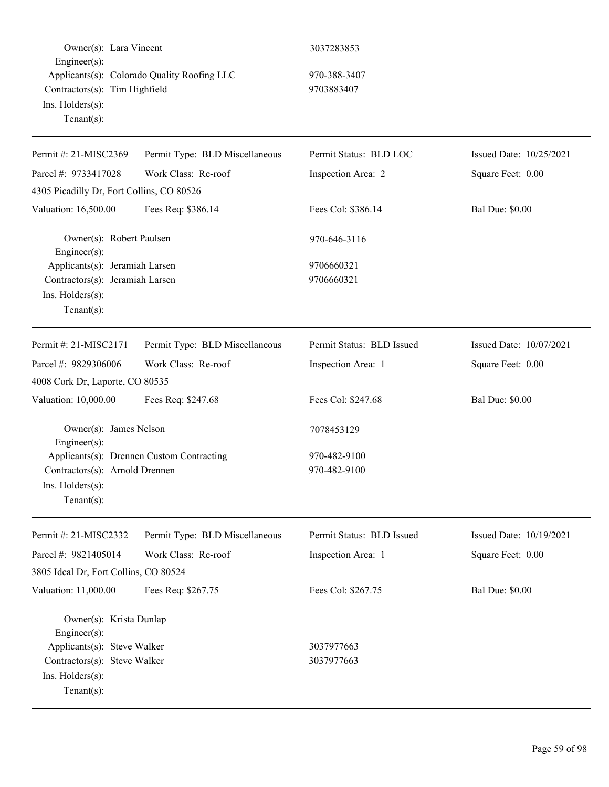| Owner(s): Lara Vincent                                                                                  |                                             | 3037283853                   |                         |
|---------------------------------------------------------------------------------------------------------|---------------------------------------------|------------------------------|-------------------------|
| Engineer(s):<br>Contractors(s): Tim Highfield<br>Ins. Holders(s):<br>Tenant $(s)$ :                     | Applicants(s): Colorado Quality Roofing LLC | 970-388-3407<br>9703883407   |                         |
| Permit #: 21-MISC2369                                                                                   | Permit Type: BLD Miscellaneous              | Permit Status: BLD LOC       | Issued Date: 10/25/2021 |
| Parcel #: 9733417028                                                                                    | Work Class: Re-roof                         | Inspection Area: 2           | Square Feet: 0.00       |
| 4305 Picadilly Dr, Fort Collins, CO 80526                                                               |                                             |                              |                         |
| Valuation: 16,500.00                                                                                    | Fees Req: \$386.14                          | Fees Col: \$386.14           | <b>Bal Due: \$0.00</b>  |
| Owner(s): Robert Paulsen<br>Engineer(s):                                                                |                                             | 970-646-3116                 |                         |
| Applicants(s): Jeramiah Larsen<br>Contractors(s): Jeramiah Larsen<br>Ins. Holders(s):<br>Tenant $(s)$ : |                                             | 9706660321<br>9706660321     |                         |
| Permit #: 21-MISC2171                                                                                   | Permit Type: BLD Miscellaneous              | Permit Status: BLD Issued    | Issued Date: 10/07/2021 |
| Parcel #: 9829306006                                                                                    | Work Class: Re-roof                         | Inspection Area: 1           | Square Feet: 0.00       |
| 4008 Cork Dr, Laporte, CO 80535                                                                         |                                             |                              |                         |
| Valuation: 10,000.00                                                                                    | Fees Req: \$247.68                          | Fees Col: \$247.68           | <b>Bal Due: \$0.00</b>  |
| Owner(s): James Nelson<br>Engineer(s):                                                                  |                                             | 7078453129                   |                         |
| Contractors(s): Arnold Drennen<br>Ins. Holders(s):<br>Tenant $(s)$ :                                    | Applicants(s): Drennen Custom Contracting   | 970-482-9100<br>970-482-9100 |                         |
| Permit #: 21-MISC2332                                                                                   | Permit Type: BLD Miscellaneous              | Permit Status: BLD Issued    | Issued Date: 10/19/2021 |
| Parcel #: 9821405014<br>3805 Ideal Dr, Fort Collins, CO 80524                                           | Work Class: Re-roof                         | Inspection Area: 1           | Square Feet: 0.00       |
| Valuation: 11,000.00                                                                                    | Fees Req: \$267.75                          | Fees Col: \$267.75           | <b>Bal Due: \$0.00</b>  |
| Owner(s): Krista Dunlap<br>Engineer(s):                                                                 |                                             |                              |                         |
| Applicants(s): Steve Walker                                                                             |                                             | 3037977663                   |                         |
| Contractors(s): Steve Walker<br>Ins. Holders(s):<br>Tenant $(s)$ :                                      |                                             | 3037977663                   |                         |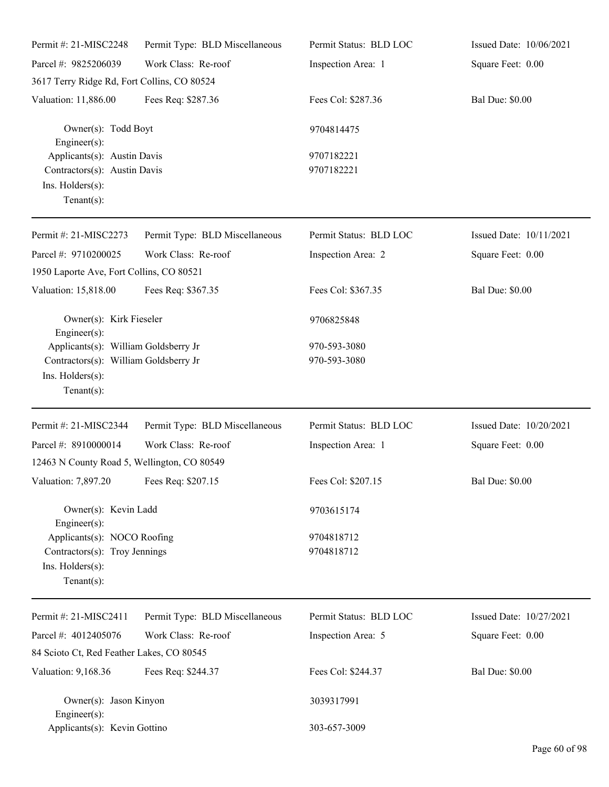| Permit #: 21-MISC2248                                                                                               | Permit Type: BLD Miscellaneous | Permit Status: BLD LOC       | Issued Date: 10/06/2021 |
|---------------------------------------------------------------------------------------------------------------------|--------------------------------|------------------------------|-------------------------|
| Parcel #: 9825206039                                                                                                | Work Class: Re-roof            | Inspection Area: 1           | Square Feet: 0.00       |
| 3617 Terry Ridge Rd, Fort Collins, CO 80524                                                                         |                                |                              |                         |
| Valuation: 11,886.00                                                                                                | Fees Req: \$287.36             | Fees Col: \$287.36           | <b>Bal Due: \$0.00</b>  |
| Owner(s): Todd Boyt<br>Engineer $(s)$ :                                                                             |                                | 9704814475                   |                         |
| Applicants(s): Austin Davis<br>Contractors(s): Austin Davis<br>Ins. Holders(s):<br>Tenant $(s)$ :                   |                                | 9707182221<br>9707182221     |                         |
| Permit #: 21-MISC2273                                                                                               | Permit Type: BLD Miscellaneous | Permit Status: BLD LOC       | Issued Date: 10/11/2021 |
| Parcel #: 9710200025<br>1950 Laporte Ave, Fort Collins, CO 80521                                                    | Work Class: Re-roof            | Inspection Area: 2           | Square Feet: 0.00       |
| Valuation: 15,818.00                                                                                                | Fees Req: \$367.35             | Fees Col: \$367.35           | <b>Bal Due: \$0.00</b>  |
| Owner(s): Kirk Fieseler<br>Engineer(s):                                                                             |                                | 9706825848                   |                         |
| Applicants(s): William Goldsberry Jr<br>Contractors(s): William Goldsberry Jr<br>Ins. Holders(s):<br>Tenant $(s)$ : |                                | 970-593-3080<br>970-593-3080 |                         |
| Permit #: 21-MISC2344                                                                                               | Permit Type: BLD Miscellaneous | Permit Status: BLD LOC       | Issued Date: 10/20/2021 |
| Parcel #: 8910000014<br>12463 N County Road 5, Wellington, CO 80549                                                 | Work Class: Re-roof            | Inspection Area: 1           | Square Feet: 0.00       |
| Valuation: 7,897.20 Fees Req: \$207.15                                                                              |                                | Fees Col: \$207.15           | <b>Bal Due: \$0.00</b>  |
| Owner(s): Kevin Ladd<br>Engineer(s):                                                                                |                                | 9703615174                   |                         |
| Applicants(s): NOCO Roofing<br>Contractors(s): Troy Jennings<br>Ins. Holders(s):<br>Tenant $(s)$ :                  |                                | 9704818712<br>9704818712     |                         |
| Permit #: 21-MISC2411                                                                                               | Permit Type: BLD Miscellaneous | Permit Status: BLD LOC       | Issued Date: 10/27/2021 |
| Parcel #: 4012405076                                                                                                | Work Class: Re-roof            | Inspection Area: 5           | Square Feet: 0.00       |
| 84 Scioto Ct, Red Feather Lakes, CO 80545                                                                           |                                |                              |                         |
| Valuation: 9,168.36                                                                                                 | Fees Req: \$244.37             | Fees Col: \$244.37           | <b>Bal Due: \$0.00</b>  |
| Owner(s): Jason Kinyon<br>Engineer(s):                                                                              |                                | 3039317991                   |                         |
| Applicants(s): Kevin Gottino                                                                                        |                                | 303-657-3009                 |                         |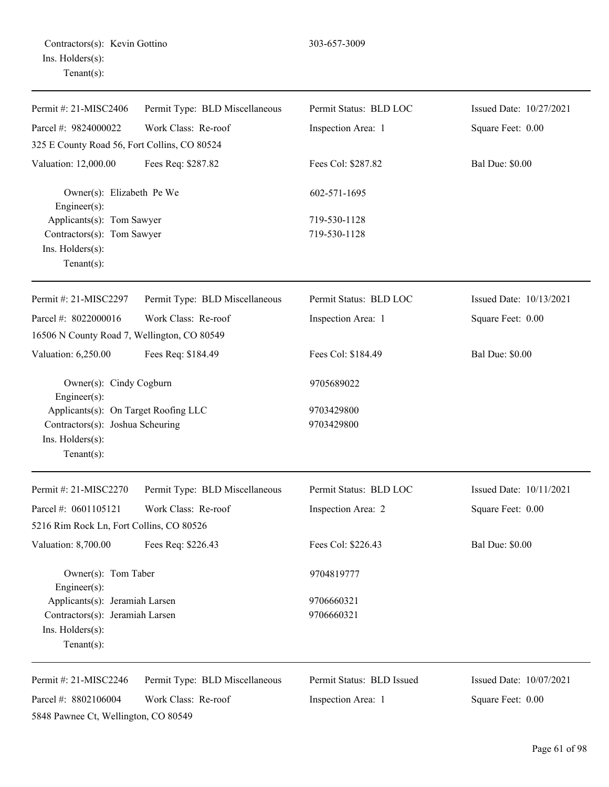| Contractors(s): Kevin Gottino |  |
|-------------------------------|--|
| Ins. Holders(s):              |  |
| $Tenant(s)$ :                 |  |

| Permit #: 21-MISC2406                                                                                          | Permit Type: BLD Miscellaneous | Permit Status: BLD LOC    | Issued Date: 10/27/2021 |
|----------------------------------------------------------------------------------------------------------------|--------------------------------|---------------------------|-------------------------|
| Parcel #: 9824000022                                                                                           | Work Class: Re-roof            | Inspection Area: 1        | Square Feet: 0.00       |
| 325 E County Road 56, Fort Collins, CO 80524                                                                   |                                |                           |                         |
| Valuation: 12,000.00                                                                                           | Fees Req: \$287.82             | Fees Col: \$287.82        | <b>Bal Due: \$0.00</b>  |
| Owner(s): Elizabeth Pe We<br>Engineer(s):                                                                      |                                | 602-571-1695              |                         |
| Applicants(s): Tom Sawyer                                                                                      |                                | 719-530-1128              |                         |
| Contractors(s): Tom Sawyer<br>Ins. Holders(s):<br>Tenant $(s)$ :                                               |                                | 719-530-1128              |                         |
| Permit #: 21-MISC2297                                                                                          | Permit Type: BLD Miscellaneous | Permit Status: BLD LOC    | Issued Date: 10/13/2021 |
| Parcel #: 8022000016                                                                                           | Work Class: Re-roof            | Inspection Area: 1        | Square Feet: 0.00       |
| 16506 N County Road 7, Wellington, CO 80549                                                                    |                                |                           |                         |
| Valuation: 6,250.00                                                                                            | Fees Req: \$184.49             | Fees Col: \$184.49        | <b>Bal Due: \$0.00</b>  |
| Owner(s): Cindy Cogburn<br>Engineer(s):                                                                        |                                | 9705689022                |                         |
| Applicants(s): On Target Roofing LLC<br>Contractors(s): Joshua Scheuring<br>Ins. Holders(s):<br>Tenant $(s)$ : |                                | 9703429800<br>9703429800  |                         |
| Permit #: 21-MISC2270                                                                                          | Permit Type: BLD Miscellaneous | Permit Status: BLD LOC    | Issued Date: 10/11/2021 |
| Parcel #: 0601105121                                                                                           | Work Class: Re-roof            | Inspection Area: 2        | Square Feet: 0.00       |
| 5216 Rim Rock Ln, Fort Collins, CO 80526                                                                       |                                |                           |                         |
| Valuation: 8,700.00                                                                                            | Fees Req: \$226.43             | Fees Col: \$226.43        | <b>Bal Due: \$0.00</b>  |
| Owner(s): Tom Taber<br>$Engineering(s)$ :                                                                      |                                | 9704819777                |                         |
| Applicants(s): Jeramiah Larsen                                                                                 |                                | 9706660321                |                         |
| Contractors(s): Jeramiah Larsen<br>Ins. Holders(s):<br>Tenant $(s)$ :                                          |                                | 9706660321                |                         |
| Permit #: 21-MISC2246                                                                                          | Permit Type: BLD Miscellaneous | Permit Status: BLD Issued | Issued Date: 10/07/2021 |
| Parcel #: 8802106004<br>5848 Pawnee Ct, Wellington, CO 80549                                                   | Work Class: Re-roof            | Inspection Area: 1        | Square Feet: 0.00       |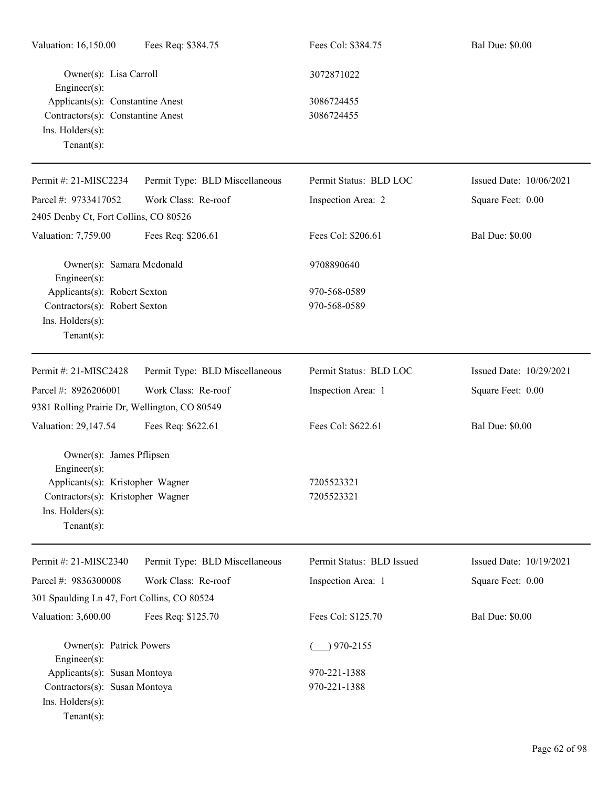| Valuation: 16,150.00                                                                                                                                    | Fees Req: \$384.75             | Fees Col: \$384.75                     | <b>Bal Due: \$0.00</b>  |
|---------------------------------------------------------------------------------------------------------------------------------------------------------|--------------------------------|----------------------------------------|-------------------------|
| Owner(s): Lisa Carroll<br>Engineer(s):<br>Applicants(s): Constantine Anest<br>Contractors(s): Constantine Anest<br>Ins. Holders(s):<br>Tenant $(s)$ :   |                                | 3072871022<br>3086724455<br>3086724455 |                         |
| Permit #: 21-MISC2234                                                                                                                                   | Permit Type: BLD Miscellaneous | Permit Status: BLD LOC                 | Issued Date: 10/06/2021 |
| Parcel #: 9733417052                                                                                                                                    | Work Class: Re-roof            | Inspection Area: 2                     | Square Feet: 0.00       |
| 2405 Denby Ct, Fort Collins, CO 80526                                                                                                                   |                                |                                        |                         |
| Valuation: 7,759.00                                                                                                                                     | Fees Req: \$206.61             | Fees Col: \$206.61                     | <b>Bal Due: \$0.00</b>  |
| Owner(s): Samara Mcdonald<br>Engineer(s):                                                                                                               |                                | 9708890640                             |                         |
| Applicants(s): Robert Sexton<br>Contractors(s): Robert Sexton<br>Ins. Holders(s):<br>Tenant $(s)$ :                                                     |                                | 970-568-0589<br>970-568-0589           |                         |
| Permit #: 21-MISC2428                                                                                                                                   | Permit Type: BLD Miscellaneous | Permit Status: BLD LOC                 | Issued Date: 10/29/2021 |
| Parcel #: 8926206001                                                                                                                                    | Work Class: Re-roof            | Inspection Area: 1                     | Square Feet: 0.00       |
| 9381 Rolling Prairie Dr, Wellington, CO 80549                                                                                                           |                                |                                        |                         |
| Valuation: 29,147.54                                                                                                                                    | Fees Req: \$622.61             | Fees Col: \$622.61                     | <b>Bal Due: \$0.00</b>  |
| Owner(s): James Pflipsen<br>Engineer(s):<br>Applicants(s): Kristopher Wagner<br>Contractors(s): Kristopher Wagner<br>Ins. Holders(s):<br>Tenant $(s)$ : |                                | 7205523321<br>7205523321               |                         |
| Permit #: 21-MISC2340                                                                                                                                   | Permit Type: BLD Miscellaneous | Permit Status: BLD Issued              | Issued Date: 10/19/2021 |
| Parcel #: 9836300008                                                                                                                                    | Work Class: Re-roof            | Inspection Area: 1                     | Square Feet: 0.00       |
| 301 Spaulding Ln 47, Fort Collins, CO 80524                                                                                                             |                                |                                        |                         |
| Valuation: 3,600.00                                                                                                                                     | Fees Req: \$125.70             | Fees Col: \$125.70                     | <b>Bal Due: \$0.00</b>  |
| Owner(s): Patrick Powers<br>Engineer(s):<br>Applicants(s): Susan Montoya                                                                                |                                | $)970 - 2155$<br>970-221-1388          |                         |
| Contractors(s): Susan Montoya<br>Ins. Holders(s):<br>Tenant $(s)$ :                                                                                     |                                | 970-221-1388                           |                         |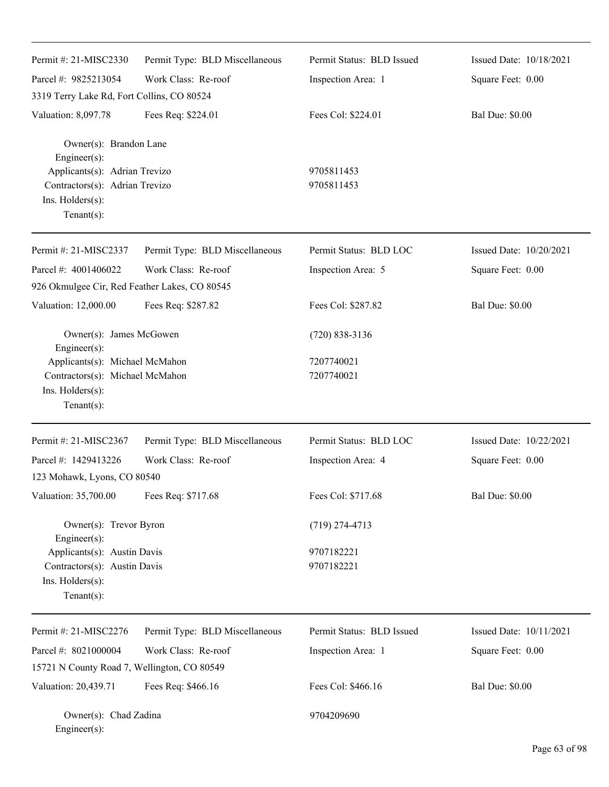| Permit #: 21-MISC2330                                                                                 | Permit Type: BLD Miscellaneous | Permit Status: BLD Issued | Issued Date: 10/18/2021 |
|-------------------------------------------------------------------------------------------------------|--------------------------------|---------------------------|-------------------------|
| Parcel #: 9825213054                                                                                  | Work Class: Re-roof            | Inspection Area: 1        | Square Feet: 0.00       |
| 3319 Terry Lake Rd, Fort Collins, CO 80524                                                            |                                |                           |                         |
| Valuation: 8,097.78                                                                                   | Fees Req: \$224.01             | Fees Col: \$224.01        | <b>Bal Due: \$0.00</b>  |
| Owner(s): Brandon Lane<br>Engineer(s):                                                                |                                |                           |                         |
| Applicants(s): Adrian Trevizo<br>Contractors(s): Adrian Trevizo<br>Ins. Holders(s):<br>Tenant $(s)$ : |                                | 9705811453<br>9705811453  |                         |
| Permit #: 21-MISC2337                                                                                 | Permit Type: BLD Miscellaneous | Permit Status: BLD LOC    | Issued Date: 10/20/2021 |
| Parcel #: 4001406022                                                                                  | Work Class: Re-roof            | Inspection Area: 5        | Square Feet: 0.00       |
| 926 Okmulgee Cir, Red Feather Lakes, CO 80545                                                         |                                |                           |                         |
| Valuation: 12,000.00                                                                                  | Fees Req: \$287.82             | Fees Col: \$287.82        | <b>Bal Due: \$0.00</b>  |
| Owner(s): James McGowen<br>Engineer(s):                                                               |                                | $(720)$ 838-3136          |                         |
| Applicants(s): Michael McMahon<br>Contractors(s): Michael McMahon                                     |                                | 7207740021<br>7207740021  |                         |
| Ins. Holders(s):<br>Tenant $(s)$ :                                                                    |                                |                           |                         |
| Permit #: 21-MISC2367                                                                                 | Permit Type: BLD Miscellaneous | Permit Status: BLD LOC    | Issued Date: 10/22/2021 |
| Parcel #: 1429413226                                                                                  | Work Class: Re-roof            | Inspection Area: 4        | Square Feet: 0.00       |
| 123 Mohawk, Lyons, CO 80540                                                                           |                                |                           |                         |
| Valuation: 35,700.00                                                                                  | Fees Req: \$717.68             | Fees Col: \$717.68        | <b>Bal Due: \$0.00</b>  |
| Owner(s): Trevor Byron<br>Engineer(s):                                                                |                                | $(719)$ 274-4713          |                         |
| Applicants(s): Austin Davis                                                                           |                                | 9707182221                |                         |
| Contractors(s): Austin Davis                                                                          |                                | 9707182221                |                         |
| Ins. Holders(s):<br>Tenant $(s)$ :                                                                    |                                |                           |                         |
| Permit #: 21-MISC2276                                                                                 | Permit Type: BLD Miscellaneous | Permit Status: BLD Issued | Issued Date: 10/11/2021 |
| Parcel #: 8021000004                                                                                  | Work Class: Re-roof            | Inspection Area: 1        | Square Feet: 0.00       |
| 15721 N County Road 7, Wellington, CO 80549                                                           |                                |                           |                         |
| Valuation: 20,439.71                                                                                  | Fees Req: \$466.16             | Fees Col: \$466.16        | <b>Bal Due: \$0.00</b>  |
| Owner(s): Chad Zadina<br>Engineer(s):                                                                 |                                | 9704209690                |                         |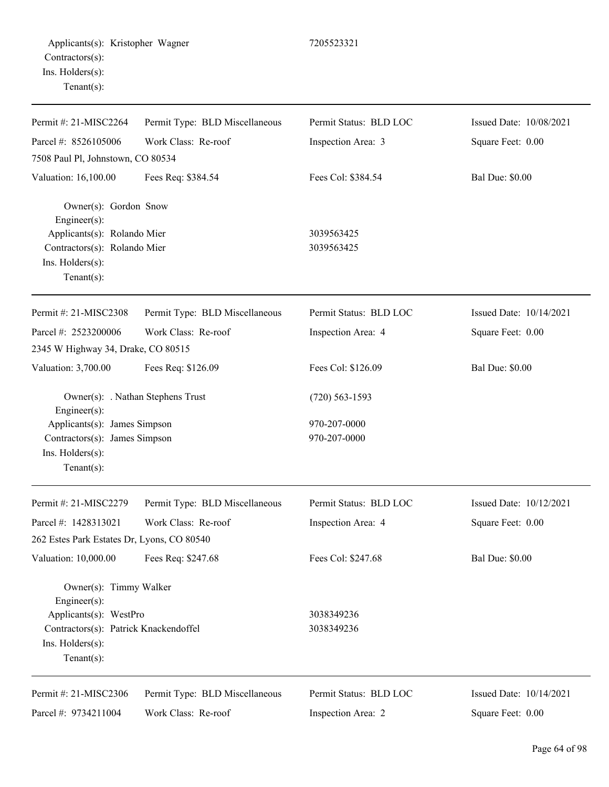| Permit #: 21-MISC2264                                                                                                              | Permit Type: BLD Miscellaneous    | Permit Status: BLD LOC   | Issued Date: 10/08/2021 |
|------------------------------------------------------------------------------------------------------------------------------------|-----------------------------------|--------------------------|-------------------------|
| Parcel #: 8526105006                                                                                                               | Work Class: Re-roof               | Inspection Area: 3       | Square Feet: 0.00       |
| 7508 Paul Pl, Johnstown, CO 80534                                                                                                  |                                   |                          |                         |
| Valuation: 16,100.00                                                                                                               | Fees Req: \$384.54                | Fees Col: \$384.54       | <b>Bal Due: \$0.00</b>  |
| Owner(s): Gordon Snow<br>Engineer $(s)$ :<br>Applicants(s): Rolando Mier<br>Contractors(s): Rolando Mier<br>$Ins.$ Holders $(s)$ : |                                   | 3039563425<br>3039563425 |                         |
| Tenant $(s)$ :                                                                                                                     |                                   |                          |                         |
| Permit #: 21-MISC2308                                                                                                              | Permit Type: BLD Miscellaneous    | Permit Status: BLD LOC   | Issued Date: 10/14/2021 |
| Parcel #: 2523200006                                                                                                               | Work Class: Re-roof               | Inspection Area: 4       | Square Feet: 0.00       |
| 2345 W Highway 34, Drake, CO 80515                                                                                                 |                                   |                          |                         |
| Valuation: 3,700.00                                                                                                                | Fees Req: \$126.09                | Fees Col: \$126.09       | <b>Bal Due: \$0.00</b>  |
| $Engineering(s)$ :                                                                                                                 | Owner(s): . Nathan Stephens Trust | $(720)$ 563-1593         |                         |
| Applicants(s): James Simpson                                                                                                       |                                   | 970-207-0000             |                         |
| Contractors(s): James Simpson                                                                                                      |                                   | 970-207-0000             |                         |

Ins. Holders(s):

| Permit #: $21-MISC2279$                      | Permit Type: BLD Miscellaneous | Permit Status: BLD LOC | Issued Date: $10/12/2021$ |
|----------------------------------------------|--------------------------------|------------------------|---------------------------|
| Parcel #: $1428313021$                       | Work Class: Re-roof            | Inspection Area: 4     | Square Feet: 0.00         |
| 262 Estes Park Estates Dr, Lyons, CO 80540   |                                |                        |                           |
| Valuation: 10,000.00                         | Fees Req: \$247.68             | Fees Col: \$247.68     | <b>Bal Due: \$0.00</b>    |
| Owner(s): Timmy Walker<br>$Engineering(s)$ : |                                |                        |                           |
| Applicants(s): WestPro                       |                                | 3038349236             |                           |
| Contractors(s): Patrick Knackendoffel        |                                | 3038349236             |                           |
| $Ins.$ Holders $(s)$ :                       |                                |                        |                           |
| Tenant $(s)$ :                               |                                |                        |                           |
| Permit #: $21-MISC2306$                      | Permit Type: BLD Miscellaneous | Permit Status: BLD LOC | Issued Date: $10/14/2021$ |
| Parcel #: $9734211004$                       | Work Class: Re-roof            | Inspection Area: 2     | Square Feet: 0.00         |

Square Feet: 0.00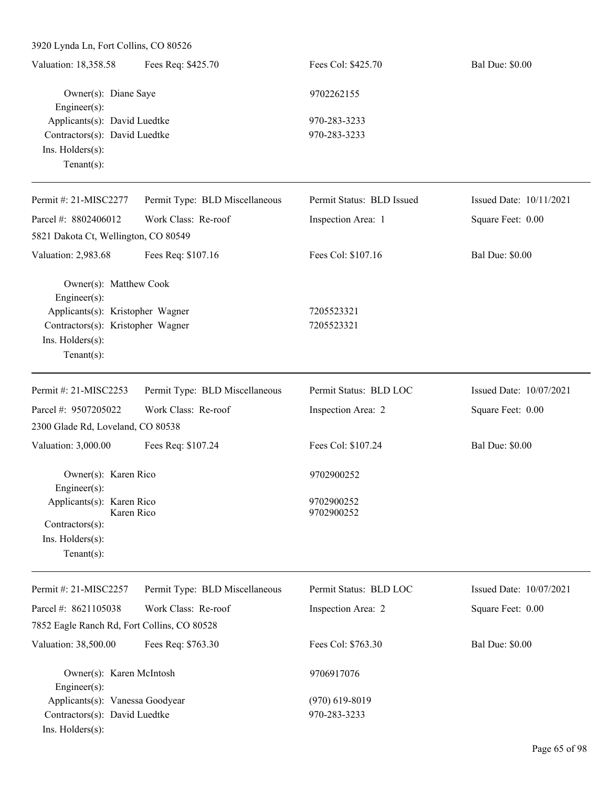| Valuation: 18,358.58          | Fees Req: \$425.70 | Fees Col: \$425.70 | <b>Bal Due: \$0.00</b> |
|-------------------------------|--------------------|--------------------|------------------------|
| Owner(s): Diane Saye          |                    | 9702262155         |                        |
| $Engineering(s)$ :            |                    |                    |                        |
| Applicants(s): David Luedtke  |                    | 970-283-3233       |                        |
| Contractors(s): David Luedtke |                    | 970-283-3233       |                        |
| $Ins.$ Holders $(s)$ :        |                    |                    |                        |
| Tenant $(s)$ :                |                    |                    |                        |
|                               |                    |                    |                        |

| Permit #: 21-MISC2277                      | Permit Type: BLD Miscellaneous | Permit Status: BLD Issued | Issued Date: 10/11/2021 |
|--------------------------------------------|--------------------------------|---------------------------|-------------------------|
| Parcel #: 8802406012                       | Work Class: Re-roof            | Inspection Area: 1        | Square Feet: 0.00       |
| 5821 Dakota Ct, Wellington, CO 80549       |                                |                           |                         |
| Valuation: 2,983.68                        | Fees Req: \$107.16             | Fees Col: \$107.16        | <b>Bal Due: \$0.00</b>  |
| Owner(s): Matthew Cook<br>Engineer $(s)$ : |                                |                           |                         |
| Applicants(s): Kristopher Wagner           |                                | 7205523321                |                         |
| Contractors(s): Kristopher Wagner          |                                | 7205523321                |                         |
| $Ins.$ Holders $(s)$ :                     |                                |                           |                         |
| Tenant $(s)$ :                             |                                |                           |                         |
|                                            |                                |                           |                         |
| Permit #: 21-MISC2253                      | Permit Type: BLD Miscellaneous | Permit Status: BLD LOC    | Issued Date: 10/07/2021 |
| Parcel #: 9507205022                       | Work Class: Re-roof            | Inspection Area: 2        | Square Feet: 0.00       |
| 2300 Glade Rd, Loveland, CO 80538          |                                |                           |                         |
| Valuation: 3,000.00                        | Fees Req: \$107.24             | Fees Col: \$107.24        | <b>Bal Due: \$0.00</b>  |
| Owner(s): Karen Rico<br>Engineer(s):       |                                | 9702900252                |                         |

Ins. Holders(s): Tenant(s):

| Permit #: 21-MISC2257                       | Permit Type: BLD Miscellaneous | Permit Status: BLD LOC | Issued Date: $10/07/2021$ |
|---------------------------------------------|--------------------------------|------------------------|---------------------------|
| Parcel #: $8621105038$                      | Work Class: Re-roof            | Inspection Area: 2     | Square Feet: 0.00         |
| 7852 Eagle Ranch Rd, Fort Collins, CO 80528 |                                |                        |                           |
| Valuation: 38,500.00                        | Fees Req: \$763.30             | Fees Col: \$763.30     | <b>Bal Due: \$0.00</b>    |
| Owner(s): Karen McIntosh                    |                                | 9706917076             |                           |
| $Engineering(s)$ :                          |                                |                        |                           |
| Applicants(s): Vanessa Goodyear             |                                | $(970)$ 619-8019       |                           |
| Contractors(s): David Luedtke               |                                | 970-283-3233           |                           |
| $Ins.$ Holders $(s)$ :                      |                                |                        |                           |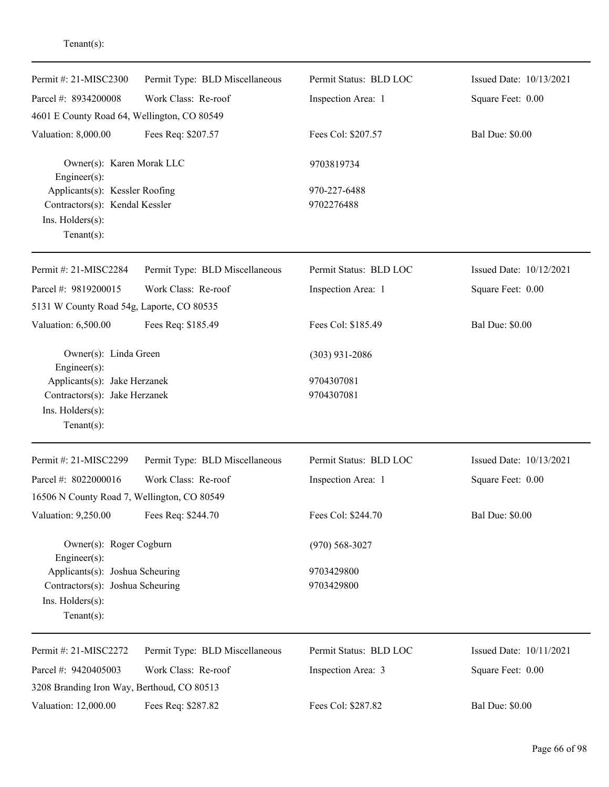| Parcel #: 8934200008<br>Work Class: Re-roof<br>Inspection Area: 1<br>Square Feet: 0.00<br>4601 E County Road 64, Wellington, CO 80549<br>Valuation: 8,000.00<br>Fees Req: \$207.57<br>Fees Col: \$207.57<br><b>Bal Due: \$0.00</b><br>Owner(s): Karen Morak LLC<br>9703819734<br>Engineer(s):<br>Applicants(s): Kessler Roofing<br>970-227-6488<br>9702276488<br>Contractors(s): Kendal Kessler<br>Ins. Holders(s):<br>Tenant $(s)$ :<br>Permit Status: BLD LOC<br>Issued Date: 10/12/2021<br>Permit #: 21-MISC2284<br>Permit Type: BLD Miscellaneous<br>Parcel #: 9819200015<br>Work Class: Re-roof<br>Inspection Area: 1<br>Square Feet: 0.00<br>5131 W County Road 54g, Laporte, CO 80535<br><b>Bal Due: \$0.00</b><br>Valuation: 6,500.00<br>Fees Req: \$185.49<br>Fees Col: \$185.49<br>Owner(s): Linda Green<br>$(303)$ 931-2086<br>Engineer(s):<br>Applicants(s): Jake Herzanek<br>9704307081<br>Contractors(s): Jake Herzanek<br>9704307081<br>Ins. Holders(s):<br>$Tenant(s)$ :<br>Permit #: 21-MISC2299<br>Permit Status: BLD LOC<br>Issued Date: 10/13/2021<br>Permit Type: BLD Miscellaneous<br>Work Class: Re-roof<br>Parcel #: 8022000016<br>Inspection Area: 1<br>Square Feet: 0.00<br>16506 N County Road 7, Wellington, CO 80549<br>Valuation: 9,250.00<br>Fees Req: \$244.70<br>Fees Col: \$244.70<br><b>Bal Due: \$0.00</b><br>Owner(s): Roger Cogburn<br>$(970) 568 - 3027$<br>Engineer(s):<br>Applicants(s): Joshua Scheuring<br>9703429800<br>Contractors(s): Joshua Scheuring<br>9703429800<br>Ins. Holders(s):<br>Tenant $(s)$ :<br>Permit #: 21-MISC2272<br>Permit Type: BLD Miscellaneous<br>Permit Status: BLD LOC<br>Issued Date: 10/11/2021<br>Work Class: Re-roof<br>Parcel #: 9420405003<br>Inspection Area: 3<br>Square Feet: 0.00<br>3208 Branding Iron Way, Berthoud, CO 80513<br><b>Bal Due: \$0.00</b><br>Valuation: 12,000.00<br>Fees Col: \$287.82<br>Fees Req: \$287.82 | Permit #: 21-MISC2300 | Permit Type: BLD Miscellaneous | Permit Status: BLD LOC | Issued Date: 10/13/2021 |
|----------------------------------------------------------------------------------------------------------------------------------------------------------------------------------------------------------------------------------------------------------------------------------------------------------------------------------------------------------------------------------------------------------------------------------------------------------------------------------------------------------------------------------------------------------------------------------------------------------------------------------------------------------------------------------------------------------------------------------------------------------------------------------------------------------------------------------------------------------------------------------------------------------------------------------------------------------------------------------------------------------------------------------------------------------------------------------------------------------------------------------------------------------------------------------------------------------------------------------------------------------------------------------------------------------------------------------------------------------------------------------------------------------------------------------------------------------------------------------------------------------------------------------------------------------------------------------------------------------------------------------------------------------------------------------------------------------------------------------------------------------------------------------------------------------------------------------------------------------------------------------------------------------------|-----------------------|--------------------------------|------------------------|-------------------------|
|                                                                                                                                                                                                                                                                                                                                                                                                                                                                                                                                                                                                                                                                                                                                                                                                                                                                                                                                                                                                                                                                                                                                                                                                                                                                                                                                                                                                                                                                                                                                                                                                                                                                                                                                                                                                                                                                                                                |                       |                                |                        |                         |
|                                                                                                                                                                                                                                                                                                                                                                                                                                                                                                                                                                                                                                                                                                                                                                                                                                                                                                                                                                                                                                                                                                                                                                                                                                                                                                                                                                                                                                                                                                                                                                                                                                                                                                                                                                                                                                                                                                                |                       |                                |                        |                         |
|                                                                                                                                                                                                                                                                                                                                                                                                                                                                                                                                                                                                                                                                                                                                                                                                                                                                                                                                                                                                                                                                                                                                                                                                                                                                                                                                                                                                                                                                                                                                                                                                                                                                                                                                                                                                                                                                                                                |                       |                                |                        |                         |
|                                                                                                                                                                                                                                                                                                                                                                                                                                                                                                                                                                                                                                                                                                                                                                                                                                                                                                                                                                                                                                                                                                                                                                                                                                                                                                                                                                                                                                                                                                                                                                                                                                                                                                                                                                                                                                                                                                                |                       |                                |                        |                         |
|                                                                                                                                                                                                                                                                                                                                                                                                                                                                                                                                                                                                                                                                                                                                                                                                                                                                                                                                                                                                                                                                                                                                                                                                                                                                                                                                                                                                                                                                                                                                                                                                                                                                                                                                                                                                                                                                                                                |                       |                                |                        |                         |
|                                                                                                                                                                                                                                                                                                                                                                                                                                                                                                                                                                                                                                                                                                                                                                                                                                                                                                                                                                                                                                                                                                                                                                                                                                                                                                                                                                                                                                                                                                                                                                                                                                                                                                                                                                                                                                                                                                                |                       |                                |                        |                         |
|                                                                                                                                                                                                                                                                                                                                                                                                                                                                                                                                                                                                                                                                                                                                                                                                                                                                                                                                                                                                                                                                                                                                                                                                                                                                                                                                                                                                                                                                                                                                                                                                                                                                                                                                                                                                                                                                                                                |                       |                                |                        |                         |
|                                                                                                                                                                                                                                                                                                                                                                                                                                                                                                                                                                                                                                                                                                                                                                                                                                                                                                                                                                                                                                                                                                                                                                                                                                                                                                                                                                                                                                                                                                                                                                                                                                                                                                                                                                                                                                                                                                                |                       |                                |                        |                         |
|                                                                                                                                                                                                                                                                                                                                                                                                                                                                                                                                                                                                                                                                                                                                                                                                                                                                                                                                                                                                                                                                                                                                                                                                                                                                                                                                                                                                                                                                                                                                                                                                                                                                                                                                                                                                                                                                                                                |                       |                                |                        |                         |
|                                                                                                                                                                                                                                                                                                                                                                                                                                                                                                                                                                                                                                                                                                                                                                                                                                                                                                                                                                                                                                                                                                                                                                                                                                                                                                                                                                                                                                                                                                                                                                                                                                                                                                                                                                                                                                                                                                                |                       |                                |                        |                         |
|                                                                                                                                                                                                                                                                                                                                                                                                                                                                                                                                                                                                                                                                                                                                                                                                                                                                                                                                                                                                                                                                                                                                                                                                                                                                                                                                                                                                                                                                                                                                                                                                                                                                                                                                                                                                                                                                                                                |                       |                                |                        |                         |
|                                                                                                                                                                                                                                                                                                                                                                                                                                                                                                                                                                                                                                                                                                                                                                                                                                                                                                                                                                                                                                                                                                                                                                                                                                                                                                                                                                                                                                                                                                                                                                                                                                                                                                                                                                                                                                                                                                                |                       |                                |                        |                         |
|                                                                                                                                                                                                                                                                                                                                                                                                                                                                                                                                                                                                                                                                                                                                                                                                                                                                                                                                                                                                                                                                                                                                                                                                                                                                                                                                                                                                                                                                                                                                                                                                                                                                                                                                                                                                                                                                                                                |                       |                                |                        |                         |
|                                                                                                                                                                                                                                                                                                                                                                                                                                                                                                                                                                                                                                                                                                                                                                                                                                                                                                                                                                                                                                                                                                                                                                                                                                                                                                                                                                                                                                                                                                                                                                                                                                                                                                                                                                                                                                                                                                                |                       |                                |                        |                         |
|                                                                                                                                                                                                                                                                                                                                                                                                                                                                                                                                                                                                                                                                                                                                                                                                                                                                                                                                                                                                                                                                                                                                                                                                                                                                                                                                                                                                                                                                                                                                                                                                                                                                                                                                                                                                                                                                                                                |                       |                                |                        |                         |
|                                                                                                                                                                                                                                                                                                                                                                                                                                                                                                                                                                                                                                                                                                                                                                                                                                                                                                                                                                                                                                                                                                                                                                                                                                                                                                                                                                                                                                                                                                                                                                                                                                                                                                                                                                                                                                                                                                                |                       |                                |                        |                         |
|                                                                                                                                                                                                                                                                                                                                                                                                                                                                                                                                                                                                                                                                                                                                                                                                                                                                                                                                                                                                                                                                                                                                                                                                                                                                                                                                                                                                                                                                                                                                                                                                                                                                                                                                                                                                                                                                                                                |                       |                                |                        |                         |
|                                                                                                                                                                                                                                                                                                                                                                                                                                                                                                                                                                                                                                                                                                                                                                                                                                                                                                                                                                                                                                                                                                                                                                                                                                                                                                                                                                                                                                                                                                                                                                                                                                                                                                                                                                                                                                                                                                                |                       |                                |                        |                         |
|                                                                                                                                                                                                                                                                                                                                                                                                                                                                                                                                                                                                                                                                                                                                                                                                                                                                                                                                                                                                                                                                                                                                                                                                                                                                                                                                                                                                                                                                                                                                                                                                                                                                                                                                                                                                                                                                                                                |                       |                                |                        |                         |
|                                                                                                                                                                                                                                                                                                                                                                                                                                                                                                                                                                                                                                                                                                                                                                                                                                                                                                                                                                                                                                                                                                                                                                                                                                                                                                                                                                                                                                                                                                                                                                                                                                                                                                                                                                                                                                                                                                                |                       |                                |                        |                         |
|                                                                                                                                                                                                                                                                                                                                                                                                                                                                                                                                                                                                                                                                                                                                                                                                                                                                                                                                                                                                                                                                                                                                                                                                                                                                                                                                                                                                                                                                                                                                                                                                                                                                                                                                                                                                                                                                                                                |                       |                                |                        |                         |
|                                                                                                                                                                                                                                                                                                                                                                                                                                                                                                                                                                                                                                                                                                                                                                                                                                                                                                                                                                                                                                                                                                                                                                                                                                                                                                                                                                                                                                                                                                                                                                                                                                                                                                                                                                                                                                                                                                                |                       |                                |                        |                         |
|                                                                                                                                                                                                                                                                                                                                                                                                                                                                                                                                                                                                                                                                                                                                                                                                                                                                                                                                                                                                                                                                                                                                                                                                                                                                                                                                                                                                                                                                                                                                                                                                                                                                                                                                                                                                                                                                                                                |                       |                                |                        |                         |
|                                                                                                                                                                                                                                                                                                                                                                                                                                                                                                                                                                                                                                                                                                                                                                                                                                                                                                                                                                                                                                                                                                                                                                                                                                                                                                                                                                                                                                                                                                                                                                                                                                                                                                                                                                                                                                                                                                                |                       |                                |                        |                         |
|                                                                                                                                                                                                                                                                                                                                                                                                                                                                                                                                                                                                                                                                                                                                                                                                                                                                                                                                                                                                                                                                                                                                                                                                                                                                                                                                                                                                                                                                                                                                                                                                                                                                                                                                                                                                                                                                                                                |                       |                                |                        |                         |
|                                                                                                                                                                                                                                                                                                                                                                                                                                                                                                                                                                                                                                                                                                                                                                                                                                                                                                                                                                                                                                                                                                                                                                                                                                                                                                                                                                                                                                                                                                                                                                                                                                                                                                                                                                                                                                                                                                                |                       |                                |                        |                         |
|                                                                                                                                                                                                                                                                                                                                                                                                                                                                                                                                                                                                                                                                                                                                                                                                                                                                                                                                                                                                                                                                                                                                                                                                                                                                                                                                                                                                                                                                                                                                                                                                                                                                                                                                                                                                                                                                                                                |                       |                                |                        |                         |
|                                                                                                                                                                                                                                                                                                                                                                                                                                                                                                                                                                                                                                                                                                                                                                                                                                                                                                                                                                                                                                                                                                                                                                                                                                                                                                                                                                                                                                                                                                                                                                                                                                                                                                                                                                                                                                                                                                                |                       |                                |                        |                         |
|                                                                                                                                                                                                                                                                                                                                                                                                                                                                                                                                                                                                                                                                                                                                                                                                                                                                                                                                                                                                                                                                                                                                                                                                                                                                                                                                                                                                                                                                                                                                                                                                                                                                                                                                                                                                                                                                                                                |                       |                                |                        |                         |
|                                                                                                                                                                                                                                                                                                                                                                                                                                                                                                                                                                                                                                                                                                                                                                                                                                                                                                                                                                                                                                                                                                                                                                                                                                                                                                                                                                                                                                                                                                                                                                                                                                                                                                                                                                                                                                                                                                                |                       |                                |                        |                         |
|                                                                                                                                                                                                                                                                                                                                                                                                                                                                                                                                                                                                                                                                                                                                                                                                                                                                                                                                                                                                                                                                                                                                                                                                                                                                                                                                                                                                                                                                                                                                                                                                                                                                                                                                                                                                                                                                                                                |                       |                                |                        |                         |
|                                                                                                                                                                                                                                                                                                                                                                                                                                                                                                                                                                                                                                                                                                                                                                                                                                                                                                                                                                                                                                                                                                                                                                                                                                                                                                                                                                                                                                                                                                                                                                                                                                                                                                                                                                                                                                                                                                                |                       |                                |                        |                         |
|                                                                                                                                                                                                                                                                                                                                                                                                                                                                                                                                                                                                                                                                                                                                                                                                                                                                                                                                                                                                                                                                                                                                                                                                                                                                                                                                                                                                                                                                                                                                                                                                                                                                                                                                                                                                                                                                                                                |                       |                                |                        |                         |
|                                                                                                                                                                                                                                                                                                                                                                                                                                                                                                                                                                                                                                                                                                                                                                                                                                                                                                                                                                                                                                                                                                                                                                                                                                                                                                                                                                                                                                                                                                                                                                                                                                                                                                                                                                                                                                                                                                                |                       |                                |                        |                         |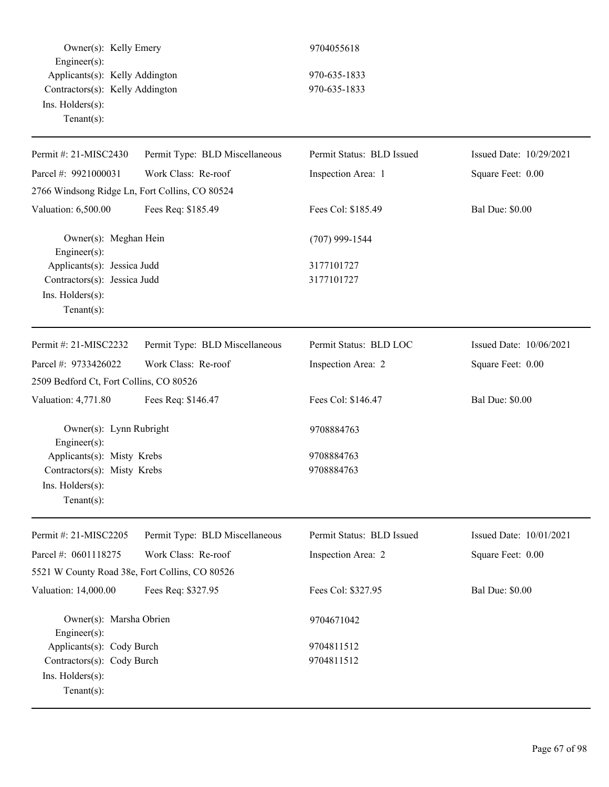Owner(s): Kelly Emery 9704055618 Engineer(s): Applicants(s): Kelly Addington 970-635-1833 Contractors(s): Kelly Addington 970-635-1833 Ins. Holders(s): Tenant(s):

| Permit #: 21-MISC2430                          | Permit Type: BLD Miscellaneous | Permit Status: BLD Issued | Issued Date: 10/29/2021 |
|------------------------------------------------|--------------------------------|---------------------------|-------------------------|
| Parcel #: 9921000031                           | Work Class: Re-roof            | Inspection Area: 1        | Square Feet: 0.00       |
| 2766 Windsong Ridge Ln, Fort Collins, CO 80524 |                                |                           |                         |
| Valuation: 6,500.00                            | Fees Req: \$185.49             | Fees Col: \$185.49        | <b>Bal Due: \$0.00</b>  |
| Owner(s): Meghan Hein<br>Engineer(s):          |                                | $(707)$ 999-1544          |                         |
| Applicants(s): Jessica Judd                    |                                | 3177101727                |                         |
| Contractors(s): Jessica Judd                   |                                | 3177101727                |                         |
| Ins. Holders(s):<br>Tenant $(s)$ :             |                                |                           |                         |
| Permit #: 21-MISC2232                          | Permit Type: BLD Miscellaneous | Permit Status: BLD LOC    | Issued Date: 10/06/2021 |
| Parcel #: 9733426022                           | Work Class: Re-roof            | Inspection Area: 2        | Square Feet: 0.00       |
| 2509 Bedford Ct, Fort Collins, CO 80526        |                                |                           |                         |
| Valuation: 4,771.80                            | Fees Req: \$146.47             | Fees Col: \$146.47        | <b>Bal Due: \$0.00</b>  |
| Owner(s): Lynn Rubright<br>Engineer(s):        |                                | 9708884763                |                         |
| Applicants(s): Misty Krebs                     |                                | 9708884763                |                         |
| Contractors(s): Misty Krebs                    |                                | 9708884763                |                         |
| Ins. Holders(s):<br>Tenant $(s)$ :             |                                |                           |                         |
| Permit #: 21-MISC2205                          | Permit Type: BLD Miscellaneous | Permit Status: BLD Issued | Issued Date: 10/01/2021 |
| Parcel #: 0601118275                           | Work Class: Re-roof            | Inspection Area: 2        | Square Feet: 0.00       |
| 5521 W County Road 38e, Fort Collins, CO 80526 |                                |                           |                         |
| Valuation: 14,000.00                           | Fees Req: \$327.95             | Fees Col: \$327.95        | <b>Bal Due: \$0.00</b>  |
|                                                |                                |                           |                         |
| Owner(s): Marsha Obrien<br>Engineer(s):        |                                | 9704671042                |                         |
| Applicants(s): Cody Burch                      |                                | 9704811512                |                         |
| Contractors(s): Cody Burch                     |                                | 9704811512                |                         |
| Ins. Holders(s):                               |                                |                           |                         |
| Tenant $(s)$ :                                 |                                |                           |                         |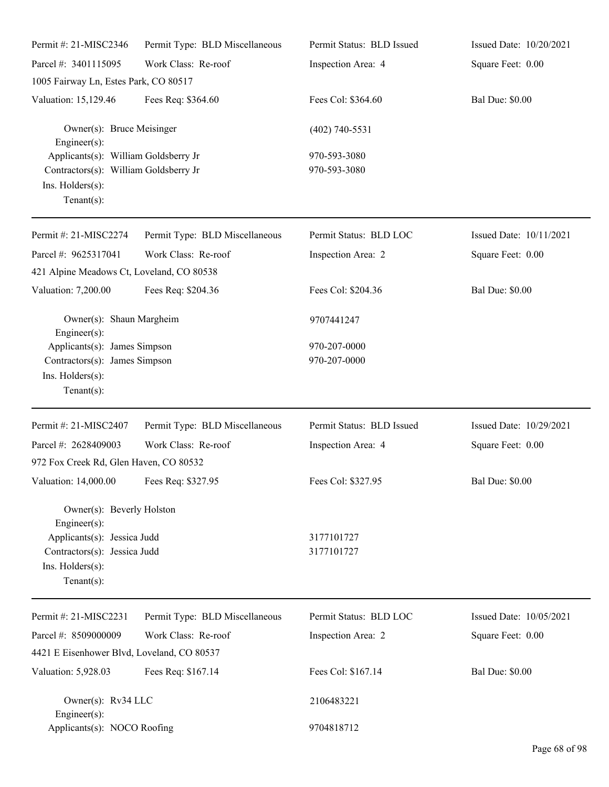| Permit #: 21-MISC2346                                                                                                                                | Permit Type: BLD Miscellaneous | Permit Status: BLD Issued    | Issued Date: 10/20/2021 |
|------------------------------------------------------------------------------------------------------------------------------------------------------|--------------------------------|------------------------------|-------------------------|
| Parcel #: 3401115095                                                                                                                                 | Work Class: Re-roof            | Inspection Area: 4           | Square Feet: 0.00       |
| 1005 Fairway Ln, Estes Park, CO 80517                                                                                                                |                                |                              |                         |
| Valuation: 15,129.46                                                                                                                                 | Fees Req: \$364.60             | Fees Col: \$364.60           | <b>Bal Due: \$0.00</b>  |
| Owner(s): Bruce Meisinger<br>$Engineering(s)$ :                                                                                                      |                                | $(402)$ 740-5531             |                         |
| Applicants(s): William Goldsberry Jr<br>Contractors(s): William Goldsberry Jr<br>Ins. Holders(s):<br>Tenant $(s)$ :                                  |                                | 970-593-3080<br>970-593-3080 |                         |
| Permit #: 21-MISC2274                                                                                                                                | Permit Type: BLD Miscellaneous | Permit Status: BLD LOC       | Issued Date: 10/11/2021 |
| Parcel #: 9625317041<br>421 Alpine Meadows Ct, Loveland, CO 80538                                                                                    | Work Class: Re-roof            | Inspection Area: 2           | Square Feet: 0.00       |
| Valuation: 7,200.00                                                                                                                                  | Fees Req: \$204.36             | Fees Col: \$204.36           | <b>Bal Due: \$0.00</b>  |
| Owner(s): Shaun Margheim<br>$Engineering(s)$ :                                                                                                       |                                | 9707441247                   |                         |
| Applicants(s): James Simpson<br>Contractors(s): James Simpson<br>Ins. Holders(s):<br>Tenant $(s)$ :                                                  |                                | 970-207-0000<br>970-207-0000 |                         |
| Permit #: 21-MISC2407                                                                                                                                | Permit Type: BLD Miscellaneous | Permit Status: BLD Issued    | Issued Date: 10/29/2021 |
| Parcel #: 2628409003                                                                                                                                 | Work Class: Re-roof            | Inspection Area: 4           | Square Feet: 0.00       |
| 972 Fox Creek Rd, Glen Haven, CO 80532                                                                                                               |                                |                              |                         |
| Valuation: 14,000.00 Fees Req: \$327.95                                                                                                              |                                | Fees Col: \$327.95           | <b>Bal Due: \$0.00</b>  |
| Owner(s): Beverly Holston<br>$Engineering(s)$ :<br>Applicants(s): Jessica Judd<br>Contractors(s): Jessica Judd<br>Ins. Holders(s):<br>Tenant $(s)$ : |                                | 3177101727<br>3177101727     |                         |
| Permit #: 21-MISC2231                                                                                                                                | Permit Type: BLD Miscellaneous | Permit Status: BLD LOC       | Issued Date: 10/05/2021 |
| Parcel #: 8509000009                                                                                                                                 | Work Class: Re-roof            | Inspection Area: 2           | Square Feet: 0.00       |
| 4421 E Eisenhower Blvd, Loveland, CO 80537                                                                                                           |                                |                              |                         |
| Valuation: 5,928.03                                                                                                                                  | Fees Req: \$167.14             | Fees Col: \$167.14           | <b>Bal Due: \$0.00</b>  |
| Owner(s): Rv34 LLC<br>Engineer $(s)$ :                                                                                                               |                                | 2106483221                   |                         |
| Applicants(s): NOCO Roofing                                                                                                                          |                                | 9704818712                   |                         |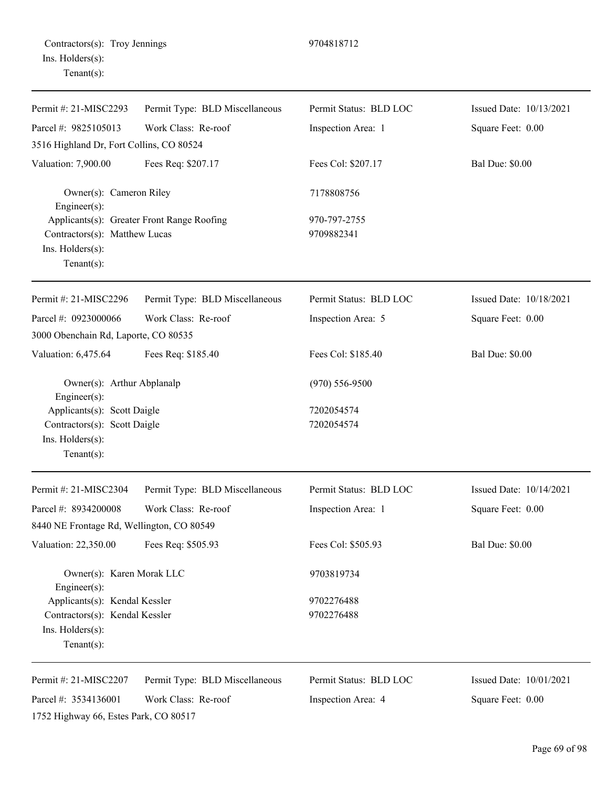| Permit #: 21-MISC2293                                                                            | Permit Type: BLD Miscellaneous             | Permit Status: BLD LOC     | Issued Date: 10/13/2021 |
|--------------------------------------------------------------------------------------------------|--------------------------------------------|----------------------------|-------------------------|
| Parcel #: 9825105013<br>3516 Highland Dr, Fort Collins, CO 80524                                 | Work Class: Re-roof                        | Inspection Area: 1         | Square Feet: 0.00       |
| Valuation: 7,900.00                                                                              | Fees Req: \$207.17                         | Fees Col: \$207.17         | <b>Bal Due: \$0.00</b>  |
| Owner(s): Cameron Riley<br>Engineer(s):                                                          |                                            | 7178808756                 |                         |
| Contractors(s): Matthew Lucas<br>Ins. Holders(s):<br>$Tenant(s)$ :                               | Applicants(s): Greater Front Range Roofing | 970-797-2755<br>9709882341 |                         |
| Permit #: 21-MISC2296                                                                            | Permit Type: BLD Miscellaneous             | Permit Status: BLD LOC     | Issued Date: 10/18/2021 |
| Parcel #: 0923000066<br>3000 Obenchain Rd, Laporte, CO 80535                                     | Work Class: Re-roof                        | Inspection Area: 5         | Square Feet: 0.00       |
| Valuation: 6,475.64                                                                              | Fees Req: \$185.40                         | Fees Col: \$185.40         | <b>Bal Due: \$0.00</b>  |
| Owner(s): Arthur Abplanalp<br>Engineer(s):                                                       |                                            | $(970) 556 - 9500$         |                         |
| Applicants(s): Scott Daigle<br>Contractors(s): Scott Daigle<br>Ins. Holders(s):<br>$Tenant(s)$ : |                                            | 7202054574<br>7202054574   |                         |
| Permit #: 21-MISC2304                                                                            | Permit Type: BLD Miscellaneous             | Permit Status: BLD LOC     | Issued Date: 10/14/2021 |
| Parcel #: 8934200008                                                                             | Work Class: Re-roof                        | Inspection Area: 1         | Square Feet: 0.00       |
| 8440 NE Frontage Rd, Wellington, CO 80549                                                        |                                            |                            |                         |
| Valuation: 22,350.00                                                                             | Fees Req: \$505.93                         | Fees Col: \$505.93         | <b>Bal Due: \$0.00</b>  |
| Owner(s): Karen Morak LLC<br>Engineer(s):                                                        |                                            | 9703819734                 |                         |
| Applicants(s): Kendal Kessler                                                                    |                                            | 9702276488                 |                         |
| Contractors(s): Kendal Kessler<br>Ins. Holders(s):<br>Tenant $(s)$ :                             |                                            | 9702276488                 |                         |
| Permit #: 21-MISC2207                                                                            | Permit Type: BLD Miscellaneous             | Permit Status: BLD LOC     | Issued Date: 10/01/2021 |
| Parcel #: 3534136001<br>1752 Highway 66, Estes Park, CO 80517                                    | Work Class: Re-roof                        | Inspection Area: 4         | Square Feet: 0.00       |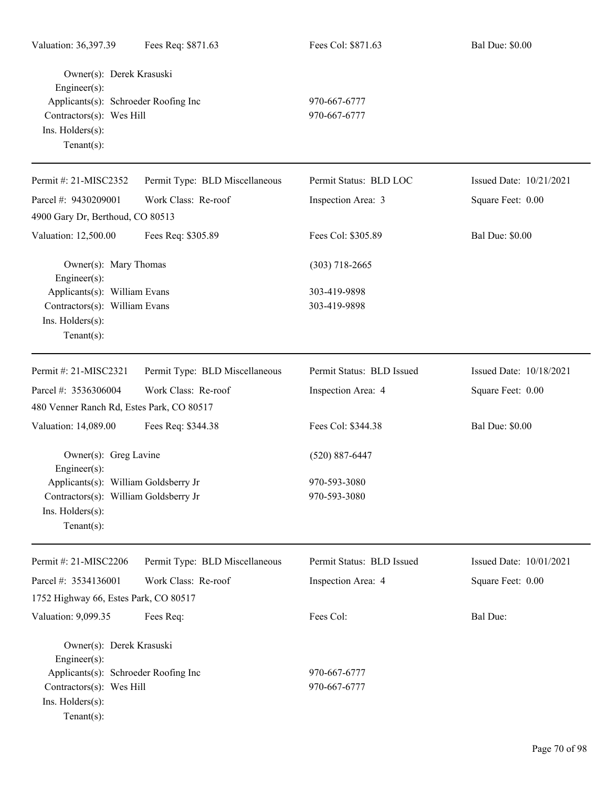| Valuation: 36,397.39                                             | Fees Req: \$871.63             | Fees Col: \$871.63        | <b>Bal Due: \$0.00</b>  |
|------------------------------------------------------------------|--------------------------------|---------------------------|-------------------------|
| Owner(s): Derek Krasuski<br>Engineer(s):                         |                                |                           |                         |
| Applicants(s): Schroeder Roofing Inc<br>Contractors(s): Wes Hill |                                | 970-667-6777              |                         |
|                                                                  |                                | 970-667-6777              |                         |
| Ins. Holders(s):                                                 |                                |                           |                         |
| Tenant $(s)$ :                                                   |                                |                           |                         |
| Permit #: 21-MISC2352                                            | Permit Type: BLD Miscellaneous | Permit Status: BLD LOC    | Issued Date: 10/21/2021 |
| Parcel #: 9430209001                                             | Work Class: Re-roof            | Inspection Area: 3        | Square Feet: 0.00       |
| 4900 Gary Dr, Berthoud, CO 80513                                 |                                |                           |                         |
| Valuation: 12,500.00                                             | Fees Req: \$305.89             | Fees Col: \$305.89        | <b>Bal Due: \$0.00</b>  |
| Owner(s): Mary Thomas<br>Engineer(s):                            |                                | $(303)$ 718-2665          |                         |
| Applicants(s): William Evans                                     |                                | 303-419-9898              |                         |
| Contractors(s): William Evans                                    |                                | 303-419-9898              |                         |
| Ins. Holders(s):                                                 |                                |                           |                         |
| Tenant $(s)$ :                                                   |                                |                           |                         |
| Permit #: 21-MISC2321                                            | Permit Type: BLD Miscellaneous | Permit Status: BLD Issued | Issued Date: 10/18/2021 |
| Parcel #: 3536306004                                             | Work Class: Re-roof            | Inspection Area: 4        | Square Feet: 0.00       |
| 480 Venner Ranch Rd, Estes Park, CO 80517                        |                                |                           |                         |
| Valuation: 14,089.00                                             | Fees Req: \$344.38             | Fees Col: \$344.38        | <b>Bal Due: \$0.00</b>  |
| Owner(s): Greg Lavine<br>Engineer(s):                            |                                | $(520) 887 - 6447$        |                         |
| Applicants(s): William Goldsberry Jr                             |                                | 970-593-3080              |                         |
| Contractors(s): William Goldsberry Jr                            |                                | 970-593-3080              |                         |
| Ins. Holders(s):                                                 |                                |                           |                         |
| $Tenant(s)$ :                                                    |                                |                           |                         |
| Permit #: 21-MISC2206                                            | Permit Type: BLD Miscellaneous | Permit Status: BLD Issued | Issued Date: 10/01/2021 |
| Parcel #: 3534136001                                             | Work Class: Re-roof            | Inspection Area: 4        | Square Feet: 0.00       |
| 1752 Highway 66, Estes Park, CO 80517                            |                                |                           |                         |
|                                                                  |                                |                           |                         |
| Valuation: 9,099.35                                              | Fees Req:                      | Fees Col:                 | <b>Bal Due:</b>         |
| Owner(s): Derek Krasuski<br>Engineer(s):                         |                                |                           |                         |
| Applicants(s): Schroeder Roofing Inc                             |                                | 970-667-6777              |                         |
| Contractors(s): Wes Hill                                         |                                | 970-667-6777              |                         |
| Ins. Holders(s):                                                 |                                |                           |                         |
| $Tenant(s)$ :                                                    |                                |                           |                         |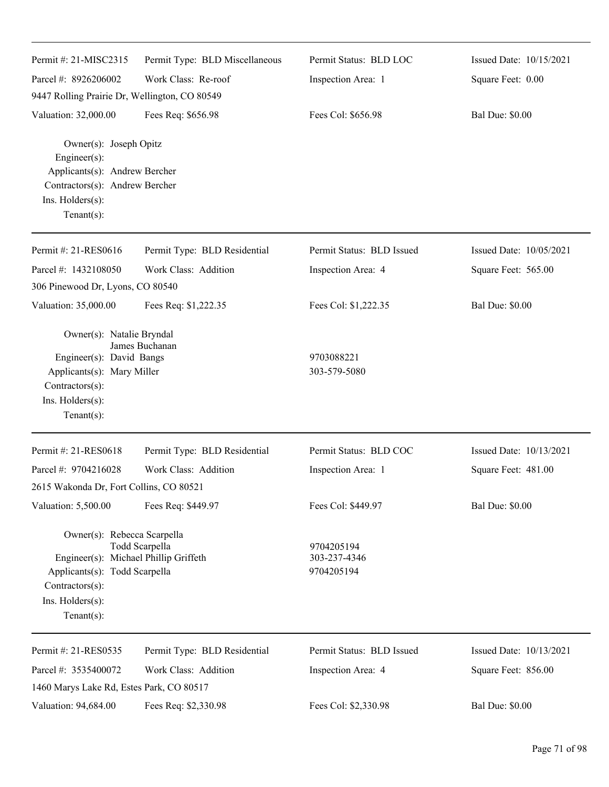| Permit #: 21-MISC2315                                                                                                                                          | Permit Type: BLD Miscellaneous | Permit Status: BLD LOC                   | Issued Date: 10/15/2021 |  |  |
|----------------------------------------------------------------------------------------------------------------------------------------------------------------|--------------------------------|------------------------------------------|-------------------------|--|--|
| Parcel #: 8926206002                                                                                                                                           | Work Class: Re-roof            | Inspection Area: 1                       | Square Feet: 0.00       |  |  |
| 9447 Rolling Prairie Dr, Wellington, CO 80549                                                                                                                  |                                |                                          |                         |  |  |
| Valuation: 32,000.00                                                                                                                                           | Fees Req: \$656.98             | Fees Col: \$656.98                       | <b>Bal Due: \$0.00</b>  |  |  |
| Owner(s): Joseph Opitz<br>$Engineering(s)$ :<br>Applicants(s): Andrew Bercher<br>Contractors(s): Andrew Bercher<br>Ins. Holders(s):<br>Tenant $(s)$ :          |                                |                                          |                         |  |  |
| Permit #: 21-RES0616                                                                                                                                           | Permit Type: BLD Residential   | Permit Status: BLD Issued                | Issued Date: 10/05/2021 |  |  |
| Parcel #: 1432108050                                                                                                                                           | Work Class: Addition           | Inspection Area: 4                       | Square Feet: 565.00     |  |  |
| 306 Pinewood Dr, Lyons, CO 80540                                                                                                                               |                                |                                          |                         |  |  |
| Valuation: 35,000.00                                                                                                                                           | Fees Req: \$1,222.35           | Fees Col: \$1,222.35                     | <b>Bal Due: \$0.00</b>  |  |  |
| Owner(s): Natalie Bryndal<br>Engineer(s): David Bangs<br>Applicants(s): Mary Miller<br>Contractors(s):<br>Ins. Holders(s):<br>Tenant $(s)$ :                   | James Buchanan                 | 9703088221<br>303-579-5080               |                         |  |  |
| Permit #: 21-RES0618                                                                                                                                           | Permit Type: BLD Residential   | Permit Status: BLD COC                   | Issued Date: 10/13/2021 |  |  |
| Parcel #: 9704216028                                                                                                                                           | Work Class: Addition           | Inspection Area: 1                       | Square Feet: 481.00     |  |  |
| 2615 Wakonda Dr, Fort Collins, CO 80521                                                                                                                        |                                |                                          |                         |  |  |
| Valuation: 5,500.00                                                                                                                                            | Fees Req: \$449.97             | Fees Col: \$449.97                       | <b>Bal Due: \$0.00</b>  |  |  |
| Owner(s): Rebecca Scarpella<br>Engineer(s): Michael Phillip Griffeth<br>Applicants(s): Todd Scarpella<br>Contractors(s):<br>Ins. Holders(s):<br>Tenant $(s)$ : | Todd Scarpella                 | 9704205194<br>303-237-4346<br>9704205194 |                         |  |  |
| Permit #: 21-RES0535                                                                                                                                           | Permit Type: BLD Residential   | Permit Status: BLD Issued                | Issued Date: 10/13/2021 |  |  |
| Parcel #: 3535400072                                                                                                                                           | Work Class: Addition           | Inspection Area: 4                       | Square Feet: 856.00     |  |  |
| 1460 Marys Lake Rd, Estes Park, CO 80517                                                                                                                       |                                |                                          |                         |  |  |
| Valuation: 94,684.00                                                                                                                                           | Fees Req: \$2,330.98           | Fees Col: \$2,330.98                     | <b>Bal Due: \$0.00</b>  |  |  |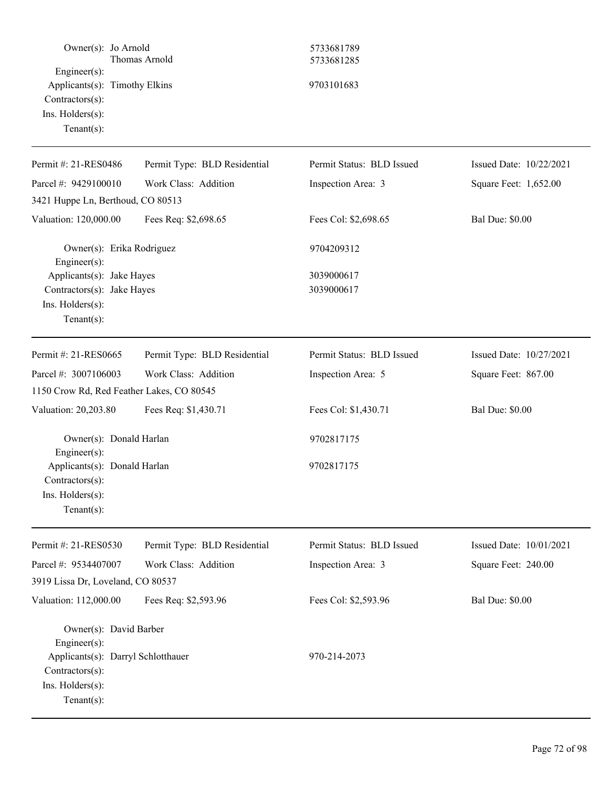| Owner(s): Jo Arnold<br>Thomas Arnold<br>Engineer(s):<br>Applicants(s): Timothy Elkins<br>Contractors(s):<br>Ins. Holders(s):<br>Tenant $(s)$ : |                              | 5733681789<br>5733681285<br>9703101683 |                         |  |
|------------------------------------------------------------------------------------------------------------------------------------------------|------------------------------|----------------------------------------|-------------------------|--|
| Permit #: 21-RES0486                                                                                                                           | Permit Type: BLD Residential | Permit Status: BLD Issued              | Issued Date: 10/22/2021 |  |
| Parcel #: 9429100010                                                                                                                           | Work Class: Addition         | Inspection Area: 3                     | Square Feet: 1,652.00   |  |
| 3421 Huppe Ln, Berthoud, CO 80513                                                                                                              |                              |                                        |                         |  |
| Valuation: 120,000.00                                                                                                                          | Fees Req: \$2,698.65         | Fees Col: \$2,698.65                   | <b>Bal Due: \$0.00</b>  |  |
| Owner(s): Erika Rodriguez<br>Engineer(s):                                                                                                      |                              | 9704209312                             |                         |  |
| Applicants(s): Jake Hayes<br>Contractors(s): Jake Hayes<br>Ins. $H$ olders $(s)$ :<br>Tenant $(s)$ :                                           |                              | 3039000617<br>3039000617               |                         |  |
| Permit #: 21-RES0665                                                                                                                           | Permit Type: BLD Residential | Permit Status: BLD Issued              | Issued Date: 10/27/2021 |  |
| Parcel #: 3007106003                                                                                                                           | Work Class: Addition         | Inspection Area: 5                     | Square Feet: 867.00     |  |
| 1150 Crow Rd, Red Feather Lakes, CO 80545                                                                                                      |                              |                                        |                         |  |
| Valuation: 20,203.80                                                                                                                           | Fees Req: \$1,430.71         | Fees Col: \$1,430.71                   | <b>Bal Due: \$0.00</b>  |  |
| Owner(s): Donald Harlan<br>Engineer(s):                                                                                                        |                              | 9702817175                             |                         |  |
| Applicants(s): Donald Harlan<br>$Contractors(s)$ :<br>$Ins.$ Holders $(s)$ :<br>Tenant $(s)$ :                                                 |                              | 9702817175                             |                         |  |
| Permit #: 21-RES0530                                                                                                                           | Permit Type: BLD Residential | Permit Status: BLD Issued              | Issued Date: 10/01/2021 |  |
| Parcel #: 9534407007                                                                                                                           | Work Class: Addition         | Inspection Area: 3                     | Square Feet: 240.00     |  |
| 3919 Lissa Dr, Loveland, CO 80537                                                                                                              |                              |                                        |                         |  |
| Valuation: 112,000.00                                                                                                                          | Fees Req: \$2,593.96         | Fees Col: \$2,593.96                   | <b>Bal Due: \$0.00</b>  |  |
| Owner(s): David Barber<br>Engineer $(s)$ :<br>Applicants(s): Darryl Schlotthauer<br>$Contractors(s)$ :<br>Ins. Holders(s):<br>Tenant $(s)$ :   |                              | 970-214-2073                           |                         |  |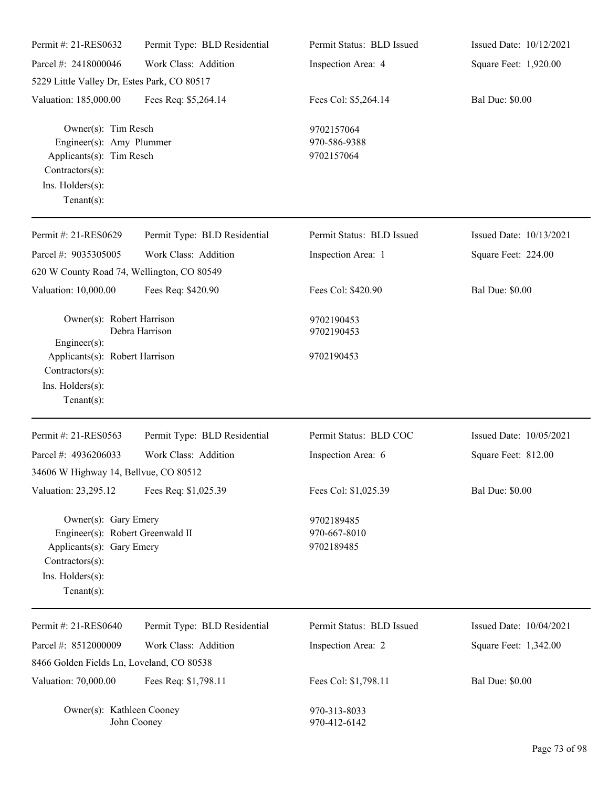| Permit #: 21-RES0632                                                                                                                           | Permit Type: BLD Residential | Permit Status: BLD Issued                | Issued Date: 10/12/2021 |
|------------------------------------------------------------------------------------------------------------------------------------------------|------------------------------|------------------------------------------|-------------------------|
| Parcel #: 2418000046                                                                                                                           | Work Class: Addition         | Inspection Area: 4                       | Square Feet: 1,920.00   |
| 5229 Little Valley Dr, Estes Park, CO 80517                                                                                                    |                              |                                          |                         |
| Valuation: 185,000.00                                                                                                                          | Fees Req: \$5,264.14         | Fees Col: \$5,264.14                     | <b>Bal Due: \$0.00</b>  |
| Owner(s): Tim Resch<br>Engineer(s): Amy Plummer<br>Applicants(s): Tim Resch<br>Contractors(s):<br>Ins. Holders(s):<br>Tenant $(s)$ :           |                              | 9702157064<br>970-586-9388<br>9702157064 |                         |
| Permit #: 21-RES0629                                                                                                                           | Permit Type: BLD Residential | Permit Status: BLD Issued                | Issued Date: 10/13/2021 |
| Parcel #: 9035305005                                                                                                                           | Work Class: Addition         | Inspection Area: 1                       | Square Feet: 224.00     |
| 620 W County Road 74, Wellington, CO 80549                                                                                                     |                              |                                          |                         |
| Valuation: 10,000.00                                                                                                                           | Fees Req: \$420.90           | Fees Col: \$420.90                       | <b>Bal Due: \$0.00</b>  |
| Owner(s): Robert Harrison<br>$Engineering(s)$ :<br>Applicants(s): Robert Harrison<br>Contractors(s):<br>Ins. Holders(s):<br>Tenant $(s)$ :     | Debra Harrison               | 9702190453<br>9702190453<br>9702190453   |                         |
| Permit #: 21-RES0563                                                                                                                           | Permit Type: BLD Residential | Permit Status: BLD COC                   | Issued Date: 10/05/2021 |
| Parcel #: 4936206033<br>34606 W Highway 14, Bellvue, CO 80512                                                                                  | Work Class: Addition         | Inspection Area: 6                       | Square Feet: 812.00     |
| Valuation: 23,295.12                                                                                                                           | Fees Req: \$1,025.39         | Fees Col: \$1,025.39                     | <b>Bal Due: \$0.00</b>  |
| Owner(s): Gary Emery<br>Engineer(s): Robert Greenwald II<br>Applicants(s): Gary Emery<br>Contractors(s):<br>Ins. Holders(s):<br>Tenant $(s)$ : |                              | 9702189485<br>970-667-8010<br>9702189485 |                         |
| Permit #: 21-RES0640                                                                                                                           | Permit Type: BLD Residential | Permit Status: BLD Issued                | Issued Date: 10/04/2021 |
| Parcel #: 8512000009                                                                                                                           | Work Class: Addition         | Inspection Area: 2                       | Square Feet: 1,342.00   |
| 8466 Golden Fields Ln, Loveland, CO 80538                                                                                                      |                              |                                          |                         |
| Valuation: 70,000.00                                                                                                                           | Fees Req: \$1,798.11         | Fees Col: \$1,798.11                     | <b>Bal Due: \$0.00</b>  |
| Owner(s): Kathleen Cooney                                                                                                                      | John Cooney                  | 970-313-8033<br>970-412-6142             |                         |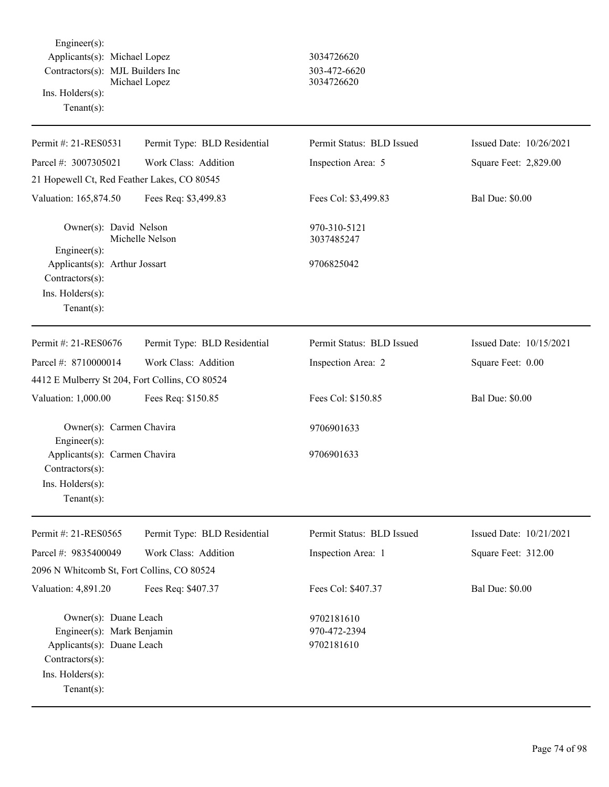Engineer(s): Applicants(s): Michael Lopez 3034726620 Contractors(s): MJL Builders Inc 303-472-6620 Michael Lopez 3034726620 Ins. Holders(s): Tenant(s):

| Permit #: 21-RES0531                                                                                                                       | Permit Type: BLD Residential | Permit Status: BLD Issued                | Issued Date: 10/26/2021 |
|--------------------------------------------------------------------------------------------------------------------------------------------|------------------------------|------------------------------------------|-------------------------|
| Parcel #: 3007305021                                                                                                                       | Work Class: Addition         | Inspection Area: 5                       | Square Feet: 2,829.00   |
| 21 Hopewell Ct, Red Feather Lakes, CO 80545                                                                                                |                              |                                          |                         |
| Valuation: 165,874.50                                                                                                                      | Fees Req: \$3,499.83         | Fees Col: \$3,499.83                     | <b>Bal Due: \$0.00</b>  |
| Owner(s): David Nelson<br>Michelle Nelson<br>Engineer(s):                                                                                  |                              | 970-310-5121<br>3037485247               |                         |
| Applicants(s): Arthur Jossart<br>$Contractors(s)$ :<br>Ins. $H$ olders $(s)$ :<br>Tenant $(s)$ :                                           |                              | 9706825042                               |                         |
| Permit #: 21-RES0676                                                                                                                       | Permit Type: BLD Residential | Permit Status: BLD Issued                | Issued Date: 10/15/2021 |
| Parcel #: 8710000014                                                                                                                       | Work Class: Addition         | Inspection Area: 2                       | Square Feet: 0.00       |
| 4412 E Mulberry St 204, Fort Collins, CO 80524                                                                                             |                              |                                          |                         |
| Valuation: 1,000.00                                                                                                                        | Fees Req: \$150.85           | Fees Col: \$150.85                       | <b>Bal Due: \$0.00</b>  |
| Owner(s): Carmen Chavira<br>$Engineering(s)$ :                                                                                             |                              | 9706901633                               |                         |
| Applicants(s): Carmen Chavira<br>$Contractors(s)$ :<br>Ins. Holders(s):<br>$Tenant(s)$ :                                                   |                              | 9706901633                               |                         |
| Permit #: 21-RES0565                                                                                                                       | Permit Type: BLD Residential | Permit Status: BLD Issued                | Issued Date: 10/21/2021 |
| Parcel #: 9835400049                                                                                                                       | Work Class: Addition         | Inspection Area: 1                       | Square Feet: 312.00     |
| 2096 N Whitcomb St, Fort Collins, CO 80524                                                                                                 |                              |                                          |                         |
| Valuation: 4,891.20                                                                                                                        | Fees Req: \$407.37           | Fees Col: \$407.37                       | <b>Bal Due: \$0.00</b>  |
| Owner(s): Duane Leach<br>Engineer(s): Mark Benjamin<br>Applicants(s): Duane Leach<br>Contractors(s):<br>Ins. Holders(s):<br>Tenant $(s)$ : |                              | 9702181610<br>970-472-2394<br>9702181610 |                         |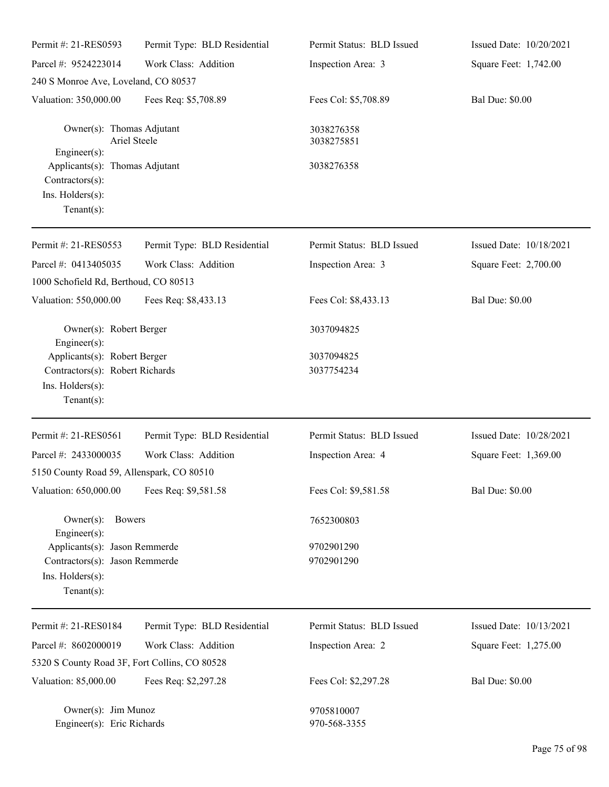| Permit #: 21-RES0593                                                                                  | Permit Type: BLD Residential | Permit Status: BLD Issued  | Issued Date: 10/20/2021 |
|-------------------------------------------------------------------------------------------------------|------------------------------|----------------------------|-------------------------|
| Parcel #: 9524223014                                                                                  | Work Class: Addition         | Inspection Area: 3         | Square Feet: 1,742.00   |
| 240 S Monroe Ave, Loveland, CO 80537                                                                  |                              |                            |                         |
| Valuation: 350,000.00                                                                                 | Fees Req: \$5,708.89         | Fees Col: \$5,708.89       | <b>Bal Due: \$0.00</b>  |
| Owner(s): Thomas Adjutant<br>Engineer(s):                                                             | Ariel Steele                 | 3038276358<br>3038275851   |                         |
| Applicants(s): Thomas Adjutant<br>Contractors(s):<br>Ins. Holders(s):<br>Tenant $(s)$ :               |                              | 3038276358                 |                         |
| Permit #: 21-RES0553                                                                                  | Permit Type: BLD Residential | Permit Status: BLD Issued  | Issued Date: 10/18/2021 |
| Parcel #: 0413405035                                                                                  | Work Class: Addition         | Inspection Area: 3         | Square Feet: 2,700.00   |
| 1000 Schofield Rd, Berthoud, CO 80513                                                                 |                              |                            |                         |
| Valuation: 550,000.00                                                                                 | Fees Req: \$8,433.13         | Fees Col: \$8,433.13       | <b>Bal Due: \$0.00</b>  |
| Owner(s): Robert Berger<br>Engineer(s):                                                               |                              | 3037094825                 |                         |
| Applicants(s): Robert Berger                                                                          |                              | 3037094825                 |                         |
| Contractors(s): Robert Richards<br>Ins. Holders(s):<br>Tenant $(s)$ :                                 |                              | 3037754234                 |                         |
| Permit #: 21-RES0561                                                                                  | Permit Type: BLD Residential | Permit Status: BLD Issued  | Issued Date: 10/28/2021 |
| Parcel #: 2433000035                                                                                  | Work Class: Addition         | Inspection Area: 4         | Square Feet: 1,369.00   |
| 5150 County Road 59, Allenspark, CO 80510                                                             |                              |                            |                         |
| Valuation: 650,000.00                                                                                 | Fees Req: \$9,581.58         | Fees Col: \$9,581.58       | <b>Bal Due: \$0.00</b>  |
| <b>Bowers</b><br>$Owner(s)$ :<br>Engineer(s):                                                         |                              | 7652300803                 |                         |
| Applicants(s): Jason Remmerde<br>Contractors(s): Jason Remmerde<br>Ins. Holders(s):<br>Tenant $(s)$ : |                              | 9702901290<br>9702901290   |                         |
| Permit #: 21-RES0184                                                                                  | Permit Type: BLD Residential | Permit Status: BLD Issued  | Issued Date: 10/13/2021 |
| Parcel #: 8602000019                                                                                  | Work Class: Addition         | Inspection Area: 2         | Square Feet: 1,275.00   |
| 5320 S County Road 3F, Fort Collins, CO 80528                                                         |                              |                            |                         |
| Valuation: 85,000.00                                                                                  | Fees Req: \$2,297.28         | Fees Col: \$2,297.28       | <b>Bal Due: \$0.00</b>  |
| Owner(s): Jim Munoz<br>Engineer(s): Eric Richards                                                     |                              | 9705810007<br>970-568-3355 |                         |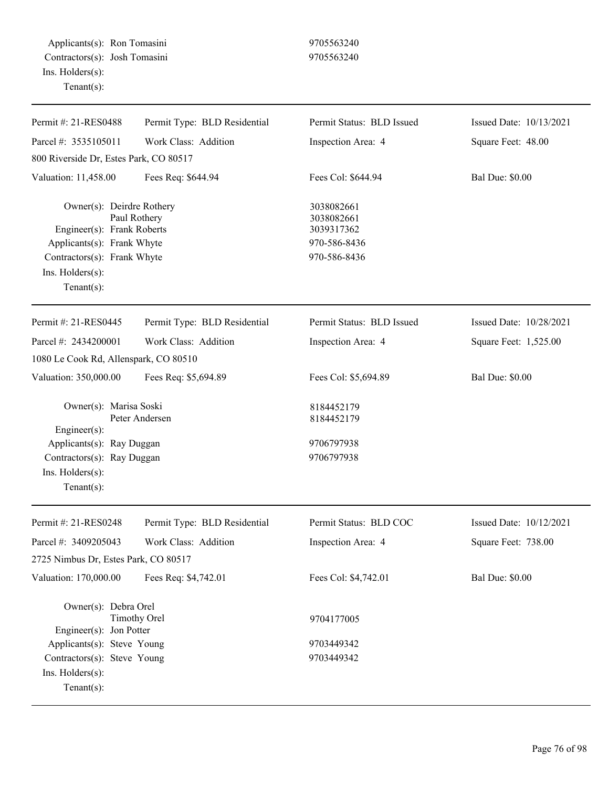Applicants(s): Ron Tomasini 9705563240 Contractors(s): Josh Tomasini 9705563240 Ins. Holders(s): Tenant(s):

| Permit #: 21-RES0488                                                                                                                                       | Permit Type: BLD Residential | Permit Status: BLD Issued                                              | Issued Date: 10/13/2021 |
|------------------------------------------------------------------------------------------------------------------------------------------------------------|------------------------------|------------------------------------------------------------------------|-------------------------|
| Parcel #: 3535105011                                                                                                                                       | Work Class: Addition         | Inspection Area: 4                                                     | Square Feet: 48.00      |
| 800 Riverside Dr, Estes Park, CO 80517                                                                                                                     |                              |                                                                        |                         |
| Valuation: 11,458.00                                                                                                                                       | Fees Req: \$644.94           | Fees Col: \$644.94                                                     | <b>Bal Due: \$0.00</b>  |
| Owner(s): Deirdre Rothery<br>Engineer(s): Frank Roberts<br>Applicants(s): Frank Whyte<br>Contractors(s): Frank Whyte<br>Ins. Holders(s):<br>Tenant $(s)$ : | Paul Rothery                 | 3038082661<br>3038082661<br>3039317362<br>970-586-8436<br>970-586-8436 |                         |
| Permit #: 21-RES0445                                                                                                                                       | Permit Type: BLD Residential | Permit Status: BLD Issued                                              | Issued Date: 10/28/2021 |
| Parcel #: 2434200001                                                                                                                                       | Work Class: Addition         | Inspection Area: 4                                                     | Square Feet: 1,525.00   |
| 1080 Le Cook Rd, Allenspark, CO 80510                                                                                                                      |                              |                                                                        |                         |
| Valuation: 350,000.00                                                                                                                                      | Fees Req: \$5,694.89         | Fees Col: \$5,694.89                                                   | <b>Bal Due: \$0.00</b>  |
| Owner(s): Marisa Soski<br>$Engineering(s)$ :                                                                                                               | Peter Andersen               | 8184452179<br>8184452179                                               |                         |
| Applicants(s): Ray Duggan                                                                                                                                  |                              | 9706797938                                                             |                         |
| Contractors(s): Ray Duggan                                                                                                                                 |                              | 9706797938                                                             |                         |
| Ins. Holders(s):<br>Tenant $(s)$ :                                                                                                                         |                              |                                                                        |                         |
| Permit #: 21-RES0248                                                                                                                                       | Permit Type: BLD Residential | Permit Status: BLD COC                                                 | Issued Date: 10/12/2021 |
| Parcel #: 3409205043                                                                                                                                       | Work Class: Addition         | Inspection Area: 4                                                     | Square Feet: 738.00     |
| 2725 Nimbus Dr, Estes Park, CO 80517                                                                                                                       |                              |                                                                        |                         |
| Valuation: 170,000.00                                                                                                                                      | Fees Req: \$4,742.01         | Fees Col: \$4,742.01                                                   | <b>Bal Due: \$0.00</b>  |
| Owner(s): Debra Orel<br>Engineer(s): Jon Potter                                                                                                            | <b>Timothy Orel</b>          | 9704177005                                                             |                         |
| Applicants(s): Steve Young                                                                                                                                 |                              | 9703449342                                                             |                         |
| Contractors(s): Steve Young                                                                                                                                |                              | 9703449342                                                             |                         |
| Ins. Holders(s):<br>Tenant $(s)$ :                                                                                                                         |                              |                                                                        |                         |
|                                                                                                                                                            |                              |                                                                        |                         |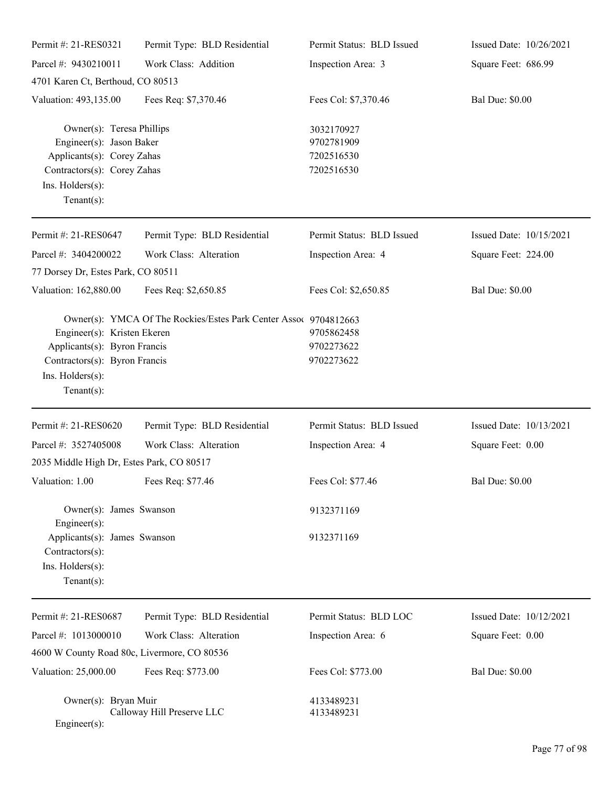| Permit #: 21-RES0321                                                                                                                                     | Permit Type: BLD Residential                                     | Permit Status: BLD Issued                            | Issued Date: 10/26/2021 |
|----------------------------------------------------------------------------------------------------------------------------------------------------------|------------------------------------------------------------------|------------------------------------------------------|-------------------------|
| Parcel #: 9430210011                                                                                                                                     | Work Class: Addition                                             | Inspection Area: 3                                   | Square Feet: 686.99     |
| 4701 Karen Ct, Berthoud, CO 80513                                                                                                                        |                                                                  |                                                      |                         |
| Valuation: 493,135.00                                                                                                                                    | Fees Req: \$7,370.46                                             | Fees Col: \$7,370.46                                 | <b>Bal Due: \$0.00</b>  |
| Owner(s): Teresa Phillips<br>Engineer(s): Jason Baker<br>Applicants(s): Corey Zahas<br>Contractors(s): Corey Zahas<br>Ins. Holders(s):<br>Tenant $(s)$ : |                                                                  | 3032170927<br>9702781909<br>7202516530<br>7202516530 |                         |
| Permit #: 21-RES0647                                                                                                                                     | Permit Type: BLD Residential                                     | Permit Status: BLD Issued                            | Issued Date: 10/15/2021 |
| Parcel #: 3404200022<br>77 Dorsey Dr, Estes Park, CO 80511                                                                                               | Work Class: Alteration                                           | Inspection Area: 4                                   | Square Feet: 224.00     |
| Valuation: 162,880.00                                                                                                                                    | Fees Req: \$2,650.85                                             | Fees Col: \$2,650.85                                 | <b>Bal Due: \$0.00</b>  |
| Engineer(s): Kristen Ekeren<br>Applicants(s): Byron Francis<br>Contractors(s): Byron Francis<br>Ins. $H$ olders $(s)$ :<br>Tenant $(s)$ :                | Owner(s): YMCA Of The Rockies/Estes Park Center Assoc 9704812663 | 9705862458<br>9702273622<br>9702273622               |                         |
| Permit #: 21-RES0620                                                                                                                                     | Permit Type: BLD Residential                                     | Permit Status: BLD Issued                            | Issued Date: 10/13/2021 |
| Parcel #: 3527405008                                                                                                                                     | Work Class: Alteration                                           | Inspection Area: 4                                   | Square Feet: 0.00       |
| 2035 Middle High Dr, Estes Park, CO 80517                                                                                                                |                                                                  |                                                      |                         |
| Valuation: 1.00                                                                                                                                          | Fees Req: \$77.46                                                | Fees Col: \$77.46                                    | <b>Bal Due: \$0.00</b>  |
| Owner(s): James Swanson<br>Engineer(s):                                                                                                                  |                                                                  | 9132371169                                           |                         |
| Applicants(s): James Swanson<br>Contractors(s):<br>Ins. Holders(s):<br>Tenant $(s)$ :                                                                    |                                                                  | 9132371169                                           |                         |
| Permit #: 21-RES0687                                                                                                                                     | Permit Type: BLD Residential                                     | Permit Status: BLD LOC                               | Issued Date: 10/12/2021 |
| Parcel #: 1013000010                                                                                                                                     | Work Class: Alteration                                           | Inspection Area: 6                                   | Square Feet: 0.00       |
| 4600 W County Road 80c, Livermore, CO 80536                                                                                                              |                                                                  |                                                      |                         |
| Valuation: 25,000.00                                                                                                                                     | Fees Req: \$773.00                                               | Fees Col: \$773.00                                   | <b>Bal Due: \$0.00</b>  |
| Owner(s): Bryan Muir<br>Engineer(s):                                                                                                                     | Calloway Hill Preserve LLC                                       | 4133489231<br>4133489231                             |                         |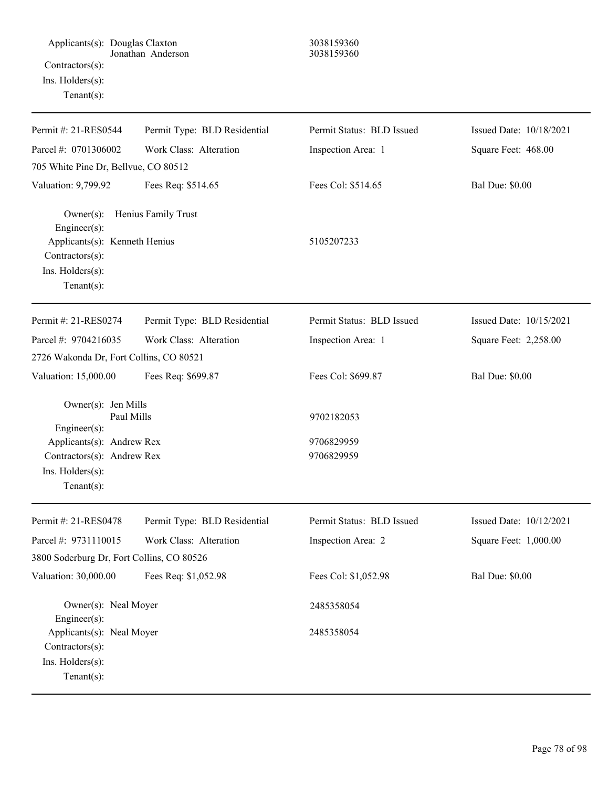| Applicants(s): Douglas Claxton<br>Contractors(s):<br>Ins. Holders(s):<br>Tenant $(s)$ :                                                            | Jonathan Anderson            | 3038159360<br>3038159360               |                         |
|----------------------------------------------------------------------------------------------------------------------------------------------------|------------------------------|----------------------------------------|-------------------------|
| Permit #: 21-RES0544                                                                                                                               | Permit Type: BLD Residential | Permit Status: BLD Issued              | Issued Date: 10/18/2021 |
| Parcel #: 0701306002                                                                                                                               | Work Class: Alteration       | Inspection Area: 1                     | Square Feet: 468.00     |
| 705 White Pine Dr, Bellvue, CO 80512                                                                                                               |                              |                                        |                         |
| Valuation: 9,799.92                                                                                                                                | Fees Req: \$514.65           | Fees Col: \$514.65                     | <b>Bal Due: \$0.00</b>  |
| $Owner(s)$ :<br>Engineer(s):<br>Applicants(s): Kenneth Henius<br>Contractors(s):<br>Ins. Holders(s):<br>Tenant $(s)$ :                             | Henius Family Trust          | 5105207233                             |                         |
| Permit #: 21-RES0274                                                                                                                               | Permit Type: BLD Residential | Permit Status: BLD Issued              | Issued Date: 10/15/2021 |
| Parcel #: 9704216035                                                                                                                               | Work Class: Alteration       | Inspection Area: 1                     | Square Feet: 2,258.00   |
| 2726 Wakonda Dr, Fort Collins, CO 80521                                                                                                            |                              |                                        |                         |
| Valuation: 15,000.00                                                                                                                               | Fees Req: \$699.87           | Fees Col: \$699.87                     | <b>Bal Due: \$0.00</b>  |
| Owner(s): Jen Mills<br>Paul Mills<br>Engineer(s):<br>Applicants(s): Andrew Rex<br>Contractors(s): Andrew Rex<br>Ins. Holders(s):<br>Tenant $(s)$ : |                              | 9702182053<br>9706829959<br>9706829959 |                         |
| Permit #: 21-RES0478                                                                                                                               | Permit Type: BLD Residential | Permit Status: BLD Issued              | Issued Date: 10/12/2021 |
| Parcel #: 9731110015                                                                                                                               | Work Class: Alteration       | Inspection Area: 2                     | Square Feet: 1,000.00   |
| 3800 Soderburg Dr, Fort Collins, CO 80526                                                                                                          |                              |                                        |                         |
| Valuation: 30,000.00                                                                                                                               | Fees Req: \$1,052.98         | Fees Col: \$1,052.98                   | <b>Bal Due: \$0.00</b>  |
| Owner(s): Neal Moyer<br>Engineer(s):                                                                                                               |                              | 2485358054                             |                         |
| Applicants(s): Neal Moyer<br>Contractors(s):<br>Ins. Holders(s):<br>Tenant $(s)$ :                                                                 |                              | 2485358054                             |                         |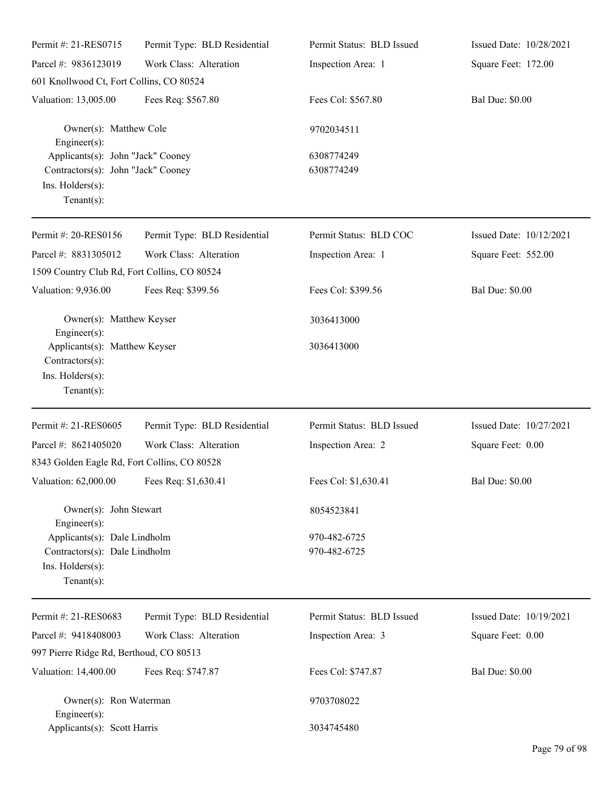| Permit #: 21-RES0715                                                                                          | Permit Type: BLD Residential | Permit Status: BLD Issued    | Issued Date: 10/28/2021 |
|---------------------------------------------------------------------------------------------------------------|------------------------------|------------------------------|-------------------------|
| Parcel #: 9836123019                                                                                          | Work Class: Alteration       | Inspection Area: 1           | Square Feet: 172.00     |
| 601 Knollwood Ct, Fort Collins, CO 80524                                                                      |                              |                              |                         |
| Valuation: 13,005.00                                                                                          | Fees Req: \$567.80           | Fees Col: \$567.80           | <b>Bal Due: \$0.00</b>  |
| Owner(s): Matthew Cole<br>Engineer(s):                                                                        |                              | 9702034511                   |                         |
| Applicants(s): John "Jack" Cooney<br>Contractors(s): John "Jack" Cooney<br>Ins. Holders(s):<br>Tenant $(s)$ : |                              | 6308774249<br>6308774249     |                         |
| Permit #: 20-RES0156                                                                                          | Permit Type: BLD Residential | Permit Status: BLD COC       | Issued Date: 10/12/2021 |
| Parcel #: 8831305012<br>1509 Country Club Rd, Fort Collins, CO 80524                                          | Work Class: Alteration       | Inspection Area: 1           | Square Feet: 552.00     |
| Valuation: 9,936.00                                                                                           | Fees Req: \$399.56           | Fees Col: \$399.56           | <b>Bal Due: \$0.00</b>  |
| Owner(s): Matthew Keyser<br>Engineer(s):                                                                      |                              | 3036413000                   |                         |
| Applicants(s): Matthew Keyser<br>Contractors(s):<br>Ins. Holders(s):<br>Tenant $(s)$ :                        |                              | 3036413000                   |                         |
| Permit #: 21-RES0605                                                                                          | Permit Type: BLD Residential | Permit Status: BLD Issued    | Issued Date: 10/27/2021 |
| Parcel #: 8621405020<br>8343 Golden Eagle Rd, Fort Collins, CO 80528                                          | Work Class: Alteration       | Inspection Area: 2           | Square Feet: 0.00       |
| Valuation: 62,000.00 Fees Req: \$1,630.41                                                                     |                              | Fees Col: \$1,630.41         | <b>Bal Due: \$0.00</b>  |
| Owner(s): John Stewart<br>$Engineering(s)$ :                                                                  |                              | 8054523841                   |                         |
| Applicants(s): Dale Lindholm<br>Contractors(s): Dale Lindholm<br>Ins. Holders(s):<br>Tenant $(s)$ :           |                              | 970-482-6725<br>970-482-6725 |                         |
| Permit #: 21-RES0683                                                                                          | Permit Type: BLD Residential | Permit Status: BLD Issued    | Issued Date: 10/19/2021 |
| Parcel #: 9418408003                                                                                          | Work Class: Alteration       | Inspection Area: 3           | Square Feet: 0.00       |
| 997 Pierre Ridge Rd, Berthoud, CO 80513                                                                       |                              |                              |                         |
| Valuation: 14,400.00                                                                                          | Fees Req: \$747.87           | Fees Col: \$747.87           | <b>Bal Due: \$0.00</b>  |
| Owner(s): Ron Waterman<br>Engineer $(s)$ :                                                                    |                              | 9703708022                   |                         |
| Applicants(s): Scott Harris                                                                                   |                              | 3034745480                   |                         |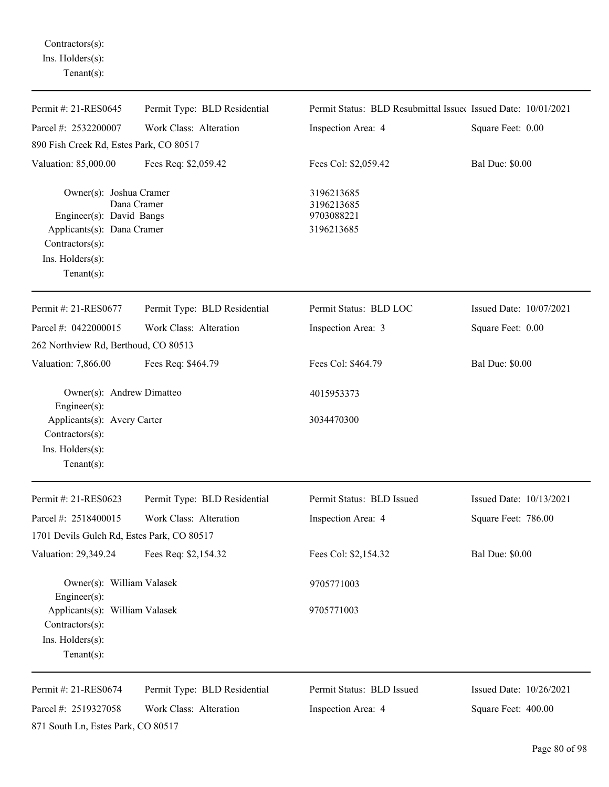Contractors(s): Ins. Holders(s): Tenant(s):

| Permit #: 21-RES0645                                                                                                                          | Permit Type: BLD Residential | Permit Status: BLD Resubmittal Issued Issued Date: 10/01/2021 |                         |
|-----------------------------------------------------------------------------------------------------------------------------------------------|------------------------------|---------------------------------------------------------------|-------------------------|
| Parcel #: 2532200007                                                                                                                          | Work Class: Alteration       | Inspection Area: 4                                            | Square Feet: 0.00       |
| 890 Fish Creek Rd, Estes Park, CO 80517                                                                                                       |                              |                                                               |                         |
| Valuation: 85,000.00                                                                                                                          | Fees Req: \$2,059.42         | Fees Col: \$2,059.42                                          | <b>Bal Due: \$0.00</b>  |
| Owner(s): Joshua Cramer<br>Engineer(s): David Bangs<br>Applicants(s): Dana Cramer<br>$Contractors(s)$ :<br>Ins. Holders(s):<br>Tenant $(s)$ : | Dana Cramer                  | 3196213685<br>3196213685<br>9703088221<br>3196213685          |                         |
| Permit #: 21-RES0677                                                                                                                          | Permit Type: BLD Residential | Permit Status: BLD LOC                                        | Issued Date: 10/07/2021 |
| Parcel #: 0422000015                                                                                                                          | Work Class: Alteration       | Inspection Area: 3                                            | Square Feet: 0.00       |
| 262 Northview Rd, Berthoud, CO 80513                                                                                                          |                              |                                                               |                         |
| Valuation: 7,866.00                                                                                                                           | Fees Req: \$464.79           | Fees Col: \$464.79                                            | <b>Bal Due: \$0.00</b>  |
| Owner(s): Andrew Dimatteo<br>Engineer(s):                                                                                                     |                              | 4015953373                                                    |                         |
| Applicants(s): Avery Carter<br>Contractors(s):<br>Ins. Holders(s):<br>Tenant $(s)$ :                                                          |                              | 3034470300                                                    |                         |
| Permit #: 21-RES0623                                                                                                                          | Permit Type: BLD Residential | Permit Status: BLD Issued                                     | Issued Date: 10/13/2021 |
| Parcel #: 2518400015                                                                                                                          | Work Class: Alteration       | Inspection Area: 4                                            | Square Feet: 786.00     |
| 1701 Devils Gulch Rd, Estes Park, CO 80517                                                                                                    |                              |                                                               |                         |
| Valuation: 29,349.24                                                                                                                          | Fees Req: \$2,154.32         | Fees Col: \$2,154.32                                          | <b>Bal Due: \$0.00</b>  |
| Owner(s): William Valasek<br>Engineer(s):                                                                                                     |                              | 9705771003                                                    |                         |
| Applicants(s): William Valasek<br>Contractors(s):<br>Ins. Holders(s):<br>Tenant $(s)$ :                                                       |                              | 9705771003                                                    |                         |
| Permit #: 21-RES0674                                                                                                                          | Permit Type: BLD Residential | Permit Status: BLD Issued                                     | Issued Date: 10/26/2021 |
| Parcel #: 2519327058                                                                                                                          | Work Class: Alteration       | Inspection Area: 4                                            | Square Feet: 400.00     |
| 871 South Ln, Estes Park, CO 80517                                                                                                            |                              |                                                               |                         |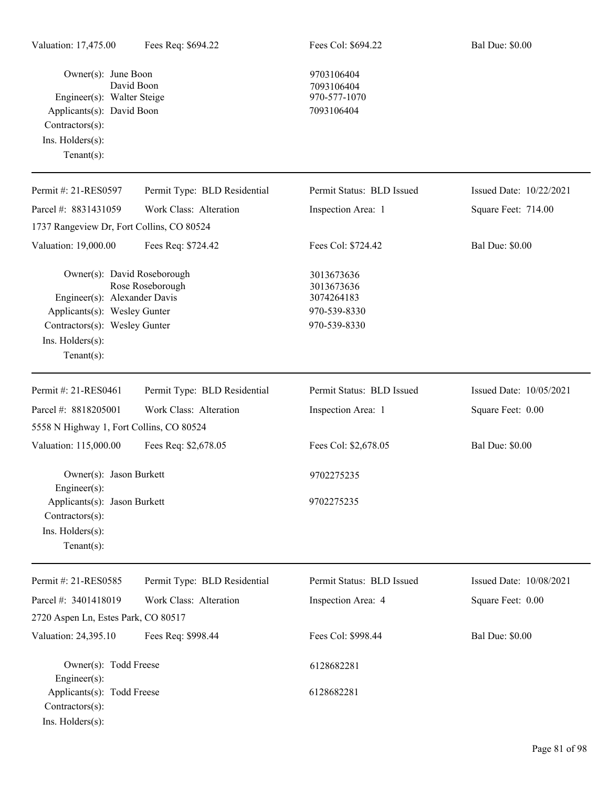Owner(s): June Boon 9703106404<br>David Boon 9703106404 Engineer(s): Walter Steige Applicants(s): David Boon 7093106404 Contractors(s): Ins. Holders(s): Tenant(s):

7093106404<br>970-577-1070

| Permit #: 21-RES0597                                                                                                                                              | Permit Type: BLD Residential | Permit Status: BLD Issued                                              | Issued Date: 10/22/2021 |
|-------------------------------------------------------------------------------------------------------------------------------------------------------------------|------------------------------|------------------------------------------------------------------------|-------------------------|
| Parcel #: 8831431059                                                                                                                                              | Work Class: Alteration       | Inspection Area: 1                                                     | Square Feet: 714.00     |
| 1737 Rangeview Dr, Fort Collins, CO 80524                                                                                                                         |                              |                                                                        |                         |
| Valuation: 19,000.00                                                                                                                                              | Fees Req: \$724.42           | Fees Col: \$724.42                                                     | <b>Bal Due: \$0.00</b>  |
| Owner(s): David Roseborough<br>Engineer(s): Alexander Davis<br>Applicants(s): Wesley Gunter<br>Contractors(s): Wesley Gunter<br>Ins. Holders(s):<br>$Tenant(s)$ : | Rose Roseborough             | 3013673636<br>3013673636<br>3074264183<br>970-539-8330<br>970-539-8330 |                         |
| Permit #: 21-RES0461                                                                                                                                              | Permit Type: BLD Residential | Permit Status: BLD Issued                                              | Issued Date: 10/05/2021 |
| Parcel #: 8818205001                                                                                                                                              | Work Class: Alteration       | Inspection Area: 1                                                     | Square Feet: 0.00       |
| 5558 N Highway 1, Fort Collins, CO 80524                                                                                                                          |                              |                                                                        |                         |
| Valuation: 115,000.00                                                                                                                                             | Fees Req: \$2,678.05         | Fees Col: \$2,678.05                                                   | <b>Bal Due: \$0.00</b>  |
| Owner(s): Jason Burkett<br>Engineer(s):                                                                                                                           |                              | 9702275235                                                             |                         |
| Applicants(s): Jason Burkett<br>Contractors(s):<br>Ins. Holders(s):<br>$Tenant(s)$ :                                                                              |                              | 9702275235                                                             |                         |
| Permit #: 21-RES0585                                                                                                                                              | Permit Type: BLD Residential | Permit Status: BLD Issued                                              | Issued Date: 10/08/2021 |
| Parcel #: 3401418019                                                                                                                                              | Work Class: Alteration       | Inspection Area: 4                                                     | Square Feet: 0.00       |
| 2720 Aspen Ln, Estes Park, CO 80517                                                                                                                               |                              |                                                                        |                         |
| Valuation: 24,395.10                                                                                                                                              | Fees Req: \$998.44           | Fees Col: \$998.44                                                     | <b>Bal Due: \$0.00</b>  |
| Owner(s): Todd Freese<br>Engineer(s):                                                                                                                             |                              | 6128682281                                                             |                         |
| Applicants(s): Todd Freese<br>Contractors(s):<br>Ins. Holders(s):                                                                                                 |                              | 6128682281                                                             |                         |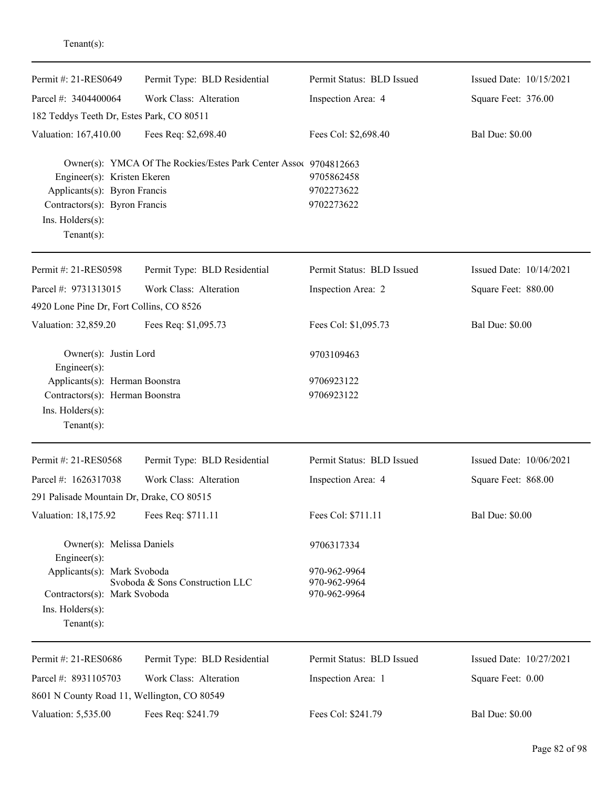| Permit #: 21-RES0649                                                                                                               | Permit Type: BLD Residential                                     | Permit Status: BLD Issued                    | Issued Date: 10/15/2021 |
|------------------------------------------------------------------------------------------------------------------------------------|------------------------------------------------------------------|----------------------------------------------|-------------------------|
| Parcel #: 3404400064                                                                                                               | Work Class: Alteration                                           | Inspection Area: 4                           | Square Feet: 376.00     |
| 182 Teddys Teeth Dr, Estes Park, CO 80511                                                                                          |                                                                  |                                              |                         |
| Valuation: 167,410.00                                                                                                              | Fees Req: \$2,698.40                                             | Fees Col: \$2,698.40                         | <b>Bal Due: \$0.00</b>  |
| Engineer(s): Kristen Ekeren<br>Applicants(s): Byron Francis<br>Contractors(s): Byron Francis<br>Ins. Holders(s):<br>Tenant $(s)$ : | Owner(s): YMCA Of The Rockies/Estes Park Center Assoc 9704812663 | 9705862458<br>9702273622<br>9702273622       |                         |
| Permit #: 21-RES0598                                                                                                               | Permit Type: BLD Residential                                     | Permit Status: BLD Issued                    | Issued Date: 10/14/2021 |
| Parcel #: 9731313015                                                                                                               | Work Class: Alteration                                           | Inspection Area: 2                           | Square Feet: 880.00     |
| 4920 Lone Pine Dr, Fort Collins, CO 8526                                                                                           |                                                                  |                                              |                         |
| Valuation: 32,859.20                                                                                                               | Fees Req: \$1,095.73                                             | Fees Col: \$1,095.73                         | <b>Bal Due: \$0.00</b>  |
| Owner(s): Justin Lord<br>Engineer(s):                                                                                              |                                                                  | 9703109463                                   |                         |
| Applicants(s): Herman Boonstra                                                                                                     |                                                                  | 9706923122                                   |                         |
| Contractors(s): Herman Boonstra<br>Ins. Holders(s):<br>Tenant $(s)$ :                                                              |                                                                  | 9706923122                                   |                         |
| Permit #: 21-RES0568                                                                                                               | Permit Type: BLD Residential                                     | Permit Status: BLD Issued                    | Issued Date: 10/06/2021 |
| Parcel #: 1626317038                                                                                                               | Work Class: Alteration                                           | Inspection Area: 4                           | Square Feet: 868.00     |
| 291 Palisade Mountain Dr, Drake, CO 80515                                                                                          |                                                                  |                                              |                         |
| Valuation: 18,175.92                                                                                                               | Fees Req: \$711.11                                               | Fees Col: \$711.11                           | <b>Bal Due: \$0.00</b>  |
| Owner(s): Melissa Daniels<br>Engineer(s):                                                                                          |                                                                  | 9706317334                                   |                         |
| Applicants(s): Mark Svoboda<br>Contractors(s): Mark Svoboda<br>Ins. $H$ olders $(s)$ :<br>Tenant $(s)$ :                           | Svoboda & Sons Construction LLC                                  | 970-962-9964<br>970-962-9964<br>970-962-9964 |                         |
| Permit #: 21-RES0686                                                                                                               | Permit Type: BLD Residential                                     | Permit Status: BLD Issued                    | Issued Date: 10/27/2021 |
| Parcel #: 8931105703                                                                                                               | Work Class: Alteration                                           | Inspection Area: 1                           | Square Feet: 0.00       |
| 8601 N County Road 11, Wellington, CO 80549                                                                                        |                                                                  |                                              |                         |
| Valuation: 5,535.00                                                                                                                | Fees Req: \$241.79                                               | Fees Col: \$241.79                           | <b>Bal Due: \$0.00</b>  |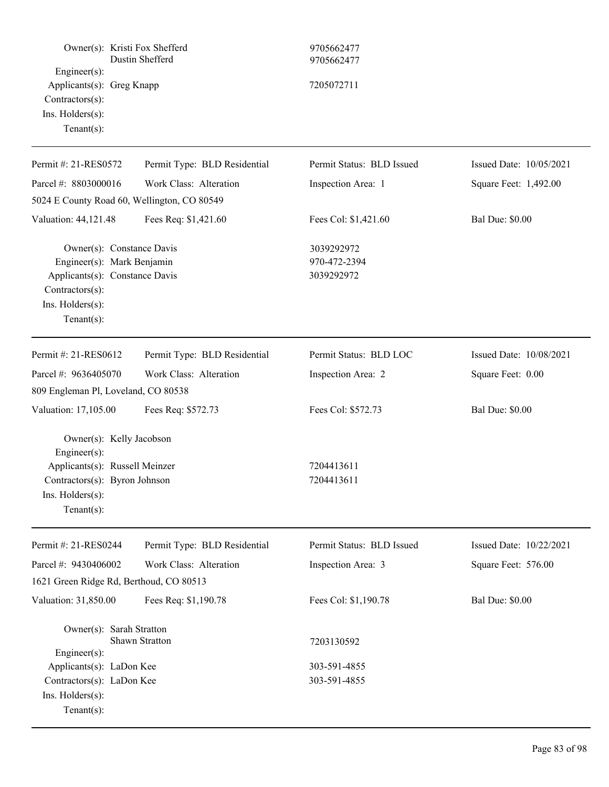| Owner(s): Kristi Fox Shefferd<br>$Engineering(s)$ :<br>Applicants(s): Greg Knapp<br>Contractors(s):                                                         | Dustin Shefferd              | 9705662477<br>9705662477<br>7205072711   |                         |
|-------------------------------------------------------------------------------------------------------------------------------------------------------------|------------------------------|------------------------------------------|-------------------------|
| Ins. Holders(s):<br>Tenant $(s)$ :                                                                                                                          |                              |                                          |                         |
| Permit #: 21-RES0572                                                                                                                                        | Permit Type: BLD Residential | Permit Status: BLD Issued                | Issued Date: 10/05/2021 |
| Parcel #: 8803000016                                                                                                                                        | Work Class: Alteration       | Inspection Area: 1                       | Square Feet: 1,492.00   |
| 5024 E County Road 60, Wellington, CO 80549                                                                                                                 |                              |                                          |                         |
| Valuation: 44,121.48                                                                                                                                        | Fees Req: \$1,421.60         | Fees Col: \$1,421.60                     | <b>Bal Due: \$0.00</b>  |
| Owner(s): Constance Davis<br>Engineer(s): Mark Benjamin<br>Applicants(s): Constance Davis<br>Contractors(s):<br>Ins. Holders(s):<br>Tenant $(s)$ :          |                              | 3039292972<br>970-472-2394<br>3039292972 |                         |
| Permit #: 21-RES0612                                                                                                                                        | Permit Type: BLD Residential | Permit Status: BLD LOC                   | Issued Date: 10/08/2021 |
| Parcel #: 9636405070                                                                                                                                        | Work Class: Alteration       | Inspection Area: 2                       | Square Feet: 0.00       |
| 809 Engleman Pl, Loveland, CO 80538                                                                                                                         |                              |                                          |                         |
| Valuation: 17,105.00                                                                                                                                        | Fees Req: \$572.73           | Fees Col: \$572.73                       | <b>Bal Due: \$0.00</b>  |
| Owner(s): Kelly Jacobson<br>Engineer $(s)$ :<br>Applicants(s): Russell Meinzer<br>Contractors(s): Byron Johnson<br>$Ins.$ Holders $(s)$ :<br>Tenant $(s)$ : |                              | 7204413611<br>7204413611                 |                         |
| Permit #: 21-RES0244                                                                                                                                        | Permit Type: BLD Residential | Permit Status: BLD Issued                | Issued Date: 10/22/2021 |
| Parcel #: 9430406002                                                                                                                                        | Work Class: Alteration       | Inspection Area: 3                       | Square Feet: 576.00     |
| 1621 Green Ridge Rd, Berthoud, CO 80513                                                                                                                     |                              |                                          |                         |
| Valuation: 31,850.00                                                                                                                                        | Fees Req: \$1,190.78         | Fees Col: \$1,190.78                     | <b>Bal Due: \$0.00</b>  |
| Owner(s): Sarah Stratton<br>Engineer(s):                                                                                                                    | Shawn Stratton               | 7203130592                               |                         |
| Applicants(s): LaDon Kee<br>Contractors(s): LaDon Kee<br>Ins. Holders(s):<br>Tenant $(s)$ :                                                                 |                              | 303-591-4855<br>303-591-4855             |                         |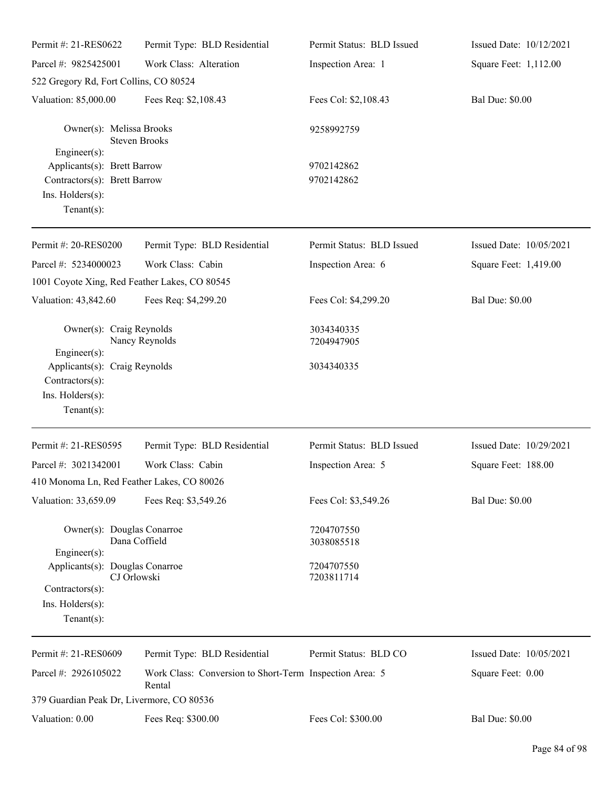| Permit #: 21-RES0622                                                                             | Permit Type: BLD Residential                                      | Permit Status: BLD Issued | Issued Date: 10/12/2021 |
|--------------------------------------------------------------------------------------------------|-------------------------------------------------------------------|---------------------------|-------------------------|
| Parcel #: 9825425001                                                                             | Work Class: Alteration                                            | Inspection Area: 1        | Square Feet: 1,112.00   |
| 522 Gregory Rd, Fort Collins, CO 80524                                                           |                                                                   |                           |                         |
| Valuation: 85,000.00                                                                             | Fees Req: \$2,108.43                                              | Fees Col: \$2,108.43      | <b>Bal Due: \$0.00</b>  |
| Owner(s): Melissa Brooks<br>$Engineering(s)$ :                                                   | <b>Steven Brooks</b>                                              | 9258992759                |                         |
| Applicants(s): Brett Barrow<br>Contractors(s): Brett Barrow<br>Ins. Holders(s):<br>$Tenant(s)$ : |                                                                   | 9702142862<br>9702142862  |                         |
| Permit #: 20-RES0200                                                                             | Permit Type: BLD Residential                                      | Permit Status: BLD Issued | Issued Date: 10/05/2021 |
| Parcel #: 5234000023                                                                             | Work Class: Cabin                                                 | Inspection Area: 6        | Square Feet: 1,419.00   |
| 1001 Coyote Xing, Red Feather Lakes, CO 80545                                                    |                                                                   |                           |                         |
| Valuation: 43,842.60                                                                             | Fees Req: \$4,299.20                                              | Fees Col: \$4,299.20      | <b>Bal Due: \$0.00</b>  |
| Owner(s): Craig Reynolds<br>Engineer(s):                                                         | Nancy Reynolds                                                    | 3034340335<br>7204947905  |                         |
| Applicants(s): Craig Reynolds<br>Contractors(s):<br>Ins. Holders(s):<br>$Tenant(s)$ :            |                                                                   | 3034340335                |                         |
| Permit #: 21-RES0595                                                                             | Permit Type: BLD Residential                                      | Permit Status: BLD Issued | Issued Date: 10/29/2021 |
| Parcel #: 3021342001                                                                             | Work Class: Cabin                                                 | Inspection Area: 5        | Square Feet: 188.00     |
| 410 Monoma Ln, Red Feather Lakes, CO 80026                                                       |                                                                   |                           |                         |
| Valuation: 33,659.09                                                                             | Fees Req: \$3,549.26                                              | Fees Col: \$3,549.26      | <b>Bal Due: \$0.00</b>  |
| Owner(s): Douglas Conarroe<br>$Engineering(s)$ :                                                 | Dana Coffield                                                     | 7204707550<br>3038085518  |                         |
| Applicants(s): Douglas Conarroe<br>Contractors(s):<br>Ins. Holders(s):<br>$Tenant(s)$ :          | CJ Orlowski                                                       | 7204707550<br>7203811714  |                         |
| Permit #: 21-RES0609                                                                             | Permit Type: BLD Residential                                      | Permit Status: BLD CO     | Issued Date: 10/05/2021 |
| Parcel #: 2926105022                                                                             | Work Class: Conversion to Short-Term Inspection Area: 5<br>Rental |                           | Square Feet: 0.00       |
| 379 Guardian Peak Dr, Livermore, CO 80536                                                        |                                                                   |                           |                         |
| Valuation: 0.00                                                                                  | Fees Req: \$300.00                                                | Fees Col: \$300.00        | <b>Bal Due: \$0.00</b>  |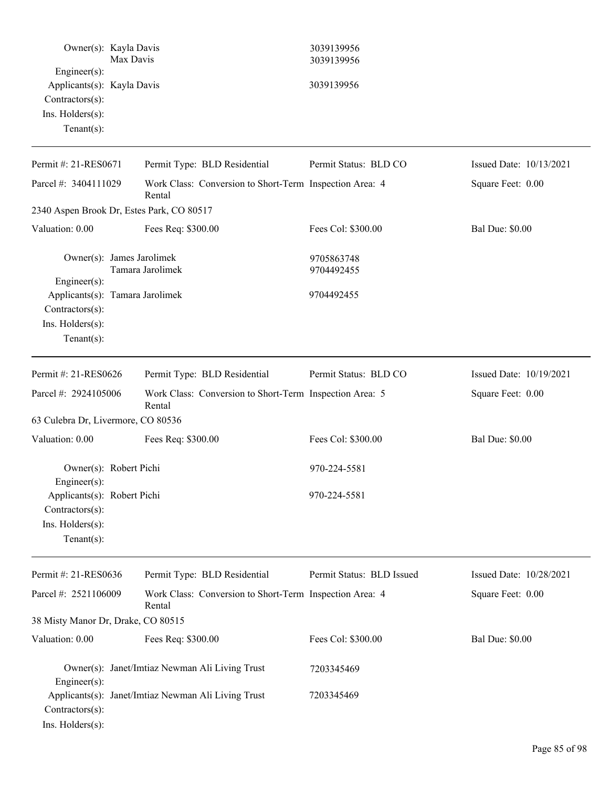|                                                                                                     | Owner(s): Kayla Davis<br>Max Davis                                | 3039139956<br>3039139956  |                         |
|-----------------------------------------------------------------------------------------------------|-------------------------------------------------------------------|---------------------------|-------------------------|
| Engineer(s):<br>Applicants(s): Kayla Davis<br>Contractors(s):<br>Ins. Holders(s):<br>Tenant $(s)$ : |                                                                   | 3039139956                |                         |
| Permit #: 21-RES0671                                                                                | Permit Type: BLD Residential                                      | Permit Status: BLD CO     | Issued Date: 10/13/2021 |
| Parcel #: 3404111029                                                                                | Work Class: Conversion to Short-Term Inspection Area: 4<br>Rental |                           | Square Feet: 0.00       |
|                                                                                                     | 2340 Aspen Brook Dr, Estes Park, CO 80517                         |                           |                         |
| Valuation: 0.00                                                                                     | Fees Req: \$300.00                                                | Fees Col: \$300.00        | <b>Bal Due: \$0.00</b>  |
| Engineer(s):                                                                                        | Owner(s): James Jarolimek<br>Tamara Jarolimek                     | 9705863748<br>9704492455  |                         |
| Contractors(s):<br>Ins. Holders(s):<br>Tenant $(s)$ :                                               | Applicants(s): Tamara Jarolimek                                   | 9704492455                |                         |
| Permit #: 21-RES0626                                                                                | Permit Type: BLD Residential                                      | Permit Status: BLD CO     | Issued Date: 10/19/2021 |
| Parcel #: 2924105006                                                                                | Work Class: Conversion to Short-Term Inspection Area: 5<br>Rental |                           | Square Feet: 0.00       |
| 63 Culebra Dr, Livermore, CO 80536                                                                  |                                                                   |                           |                         |
| Valuation: 0.00                                                                                     | Fees Req: \$300.00                                                | Fees Col: \$300.00        | <b>Bal Due: \$0.00</b>  |
| $Engineering(s)$ :                                                                                  | Owner(s): Robert Pichi                                            | 970-224-5581              |                         |
| Applicants(s): Robert Pichi<br>Contractors(s):<br>Ins. Holders(s):<br>Tenant $(s)$ :                |                                                                   | 970-224-5581              |                         |
| Permit #: 21-RES0636                                                                                | Permit Type: BLD Residential                                      | Permit Status: BLD Issued | Issued Date: 10/28/2021 |
| Parcel #: 2521106009                                                                                | Work Class: Conversion to Short-Term Inspection Area: 4<br>Rental |                           | Square Feet: 0.00       |
| 38 Misty Manor Dr, Drake, CO 80515                                                                  |                                                                   |                           |                         |
| Valuation: 0.00                                                                                     | Fees Req: \$300.00                                                | Fees Col: \$300.00        | <b>Bal Due: \$0.00</b>  |
| Engineer(s):                                                                                        | Owner(s): Janet/Imtiaz Newman Ali Living Trust                    | 7203345469                |                         |
| Contractors(s):<br>Ins. Holders(s):                                                                 | Applicants(s): Janet/Imtiaz Newman Ali Living Trust               | 7203345469                |                         |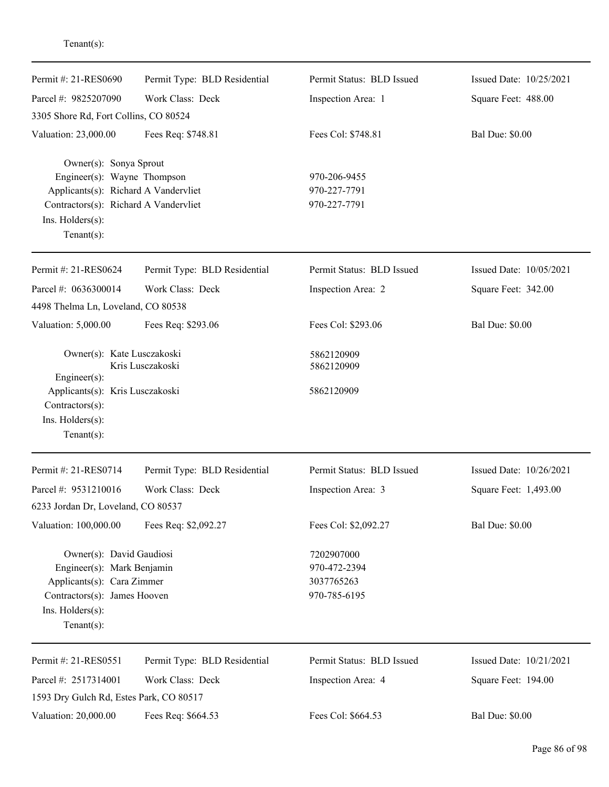| Permit #: 21-RES0690                                                                                                                                                        | Permit Type: BLD Residential | Permit Status: BLD Issued                                | Issued Date: 10/25/2021 |
|-----------------------------------------------------------------------------------------------------------------------------------------------------------------------------|------------------------------|----------------------------------------------------------|-------------------------|
| Parcel #: 9825207090                                                                                                                                                        | Work Class: Deck             | Inspection Area: 1                                       | Square Feet: 488.00     |
| 3305 Shore Rd, Fort Collins, CO 80524                                                                                                                                       |                              |                                                          |                         |
| Valuation: 23,000.00                                                                                                                                                        | Fees Req: \$748.81           | Fees Col: \$748.81                                       | <b>Bal Due: \$0.00</b>  |
| Owner(s): Sonya Sprout<br>Engineer(s): Wayne Thompson<br>Applicants(s): Richard A Vandervliet<br>Contractors(s): Richard A Vandervliet<br>Ins. Holders(s):<br>$Tenant(s)$ : |                              | 970-206-9455<br>970-227-7791<br>970-227-7791             |                         |
| Permit #: 21-RES0624                                                                                                                                                        | Permit Type: BLD Residential | Permit Status: BLD Issued                                | Issued Date: 10/05/2021 |
| Parcel #: 0636300014                                                                                                                                                        | Work Class: Deck             | Inspection Area: 2                                       | Square Feet: 342.00     |
| 4498 Thelma Ln, Loveland, CO 80538                                                                                                                                          |                              |                                                          |                         |
| Valuation: 5,000.00                                                                                                                                                         | Fees Req: \$293.06           | Fees Col: \$293.06                                       | <b>Bal Due: \$0.00</b>  |
| Owner(s): Kate Lusczakoski<br>$Engineering(s)$ :<br>Applicants(s): Kris Lusczakoski<br>Contractors(s):<br>Ins. $H$ olders $(s)$ :<br>$Tenant(s)$ :                          | Kris Lusczakoski             | 5862120909<br>5862120909<br>5862120909                   |                         |
| Permit #: 21-RES0714                                                                                                                                                        | Permit Type: BLD Residential | Permit Status: BLD Issued                                | Issued Date: 10/26/2021 |
| Parcel #: 9531210016                                                                                                                                                        | Work Class: Deck             | Inspection Area: 3                                       | Square Feet: 1,493.00   |
| 6233 Jordan Dr, Loveland, CO 80537                                                                                                                                          |                              |                                                          |                         |
| Valuation: 100,000.00                                                                                                                                                       | Fees Req: \$2,092.27         | Fees Col: \$2,092.27                                     | <b>Bal Due: \$0.00</b>  |
| Owner(s): David Gaudiosi<br>Engineer(s): Mark Benjamin<br>Applicants(s): Cara Zimmer<br>Contractors(s): James Hooven<br>Ins. Holders(s):<br>Tenant $(s)$ :                  |                              | 7202907000<br>970-472-2394<br>3037765263<br>970-785-6195 |                         |
| Permit #: 21-RES0551                                                                                                                                                        | Permit Type: BLD Residential | Permit Status: BLD Issued                                | Issued Date: 10/21/2021 |
| Parcel #: 2517314001                                                                                                                                                        | Work Class: Deck             | Inspection Area: 4                                       | Square Feet: 194.00     |
| 1593 Dry Gulch Rd, Estes Park, CO 80517                                                                                                                                     |                              |                                                          |                         |
| Valuation: 20,000.00                                                                                                                                                        | Fees Req: \$664.53           | Fees Col: \$664.53                                       | <b>Bal Due: \$0.00</b>  |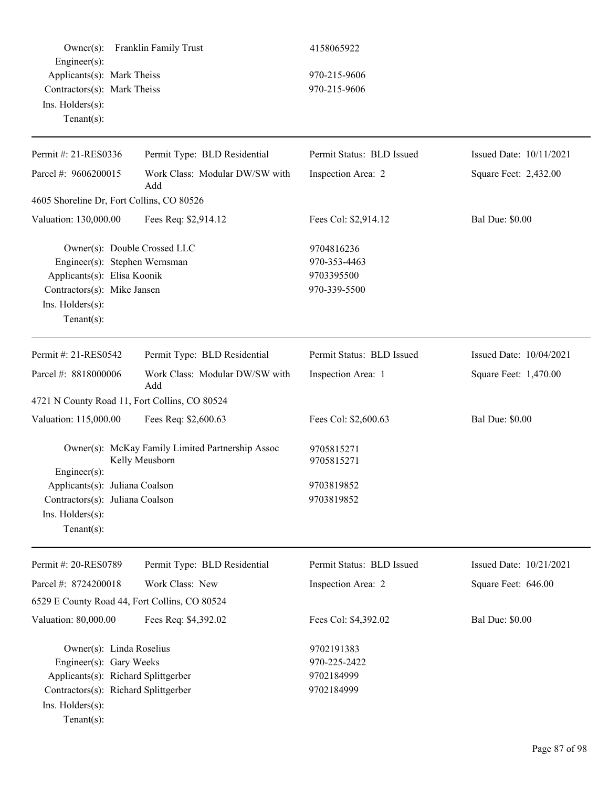| $Owner(s)$ :<br>Engineer(s):                  | Franklin Family Trust                            | 4158065922                |                         |
|-----------------------------------------------|--------------------------------------------------|---------------------------|-------------------------|
| Applicants(s): Mark Theiss                    |                                                  | 970-215-9606              |                         |
| Contractors(s): Mark Theiss                   |                                                  | 970-215-9606              |                         |
| Ins. $H$ olders $(s)$ :                       |                                                  |                           |                         |
| Tenant $(s)$ :                                |                                                  |                           |                         |
| Permit #: 21-RES0336                          | Permit Type: BLD Residential                     | Permit Status: BLD Issued | Issued Date: 10/11/2021 |
| Parcel #: 9606200015                          | Work Class: Modular DW/SW with<br>Add            | Inspection Area: 2        | Square Feet: 2,432.00   |
| 4605 Shoreline Dr, Fort Collins, CO 80526     |                                                  |                           |                         |
| Valuation: 130,000.00                         | Fees Req: \$2,914.12                             | Fees Col: \$2,914.12      | <b>Bal Due: \$0.00</b>  |
| Owner(s): Double Crossed LLC                  |                                                  | 9704816236                |                         |
| Engineer(s): Stephen Wernsman                 |                                                  | 970-353-4463              |                         |
| Applicants(s): Elisa Koonik                   |                                                  | 9703395500                |                         |
| Contractors(s): Mike Jansen                   |                                                  | 970-339-5500              |                         |
| Ins. Holders(s):<br>Tenant $(s)$ :            |                                                  |                           |                         |
|                                               |                                                  |                           |                         |
| Permit #: 21-RES0542                          | Permit Type: BLD Residential                     | Permit Status: BLD Issued | Issued Date: 10/04/2021 |
| Parcel #: 8818000006                          | Work Class: Modular DW/SW with<br>Add            | Inspection Area: 1        | Square Feet: 1,470.00   |
| 4721 N County Road 11, Fort Collins, CO 80524 |                                                  |                           |                         |
| Valuation: 115,000.00                         | Fees Req: \$2,600.63                             | Fees Col: \$2,600.63      | <b>Bal Due: \$0.00</b>  |
|                                               | Owner(s): McKay Family Limited Partnership Assoc | 9705815271                |                         |
| Engineer $(s)$ :                              | Kelly Meusborn                                   | 9705815271                |                         |
| Applicants(s): Juliana Coalson                |                                                  | 9703819852                |                         |
| Contractors(s): Juliana Coalson               |                                                  | 9703819852                |                         |
| Ins. Holders(s):                              |                                                  |                           |                         |
| Tenant $(s)$ :                                |                                                  |                           |                         |
| Permit #: 20-RES0789                          | Permit Type: BLD Residential                     | Permit Status: BLD Issued | Issued Date: 10/21/2021 |
| Parcel #: 8724200018                          | Work Class: New                                  | Inspection Area: 2        | Square Feet: 646.00     |
| 6529 E County Road 44, Fort Collins, CO 80524 |                                                  |                           |                         |
|                                               |                                                  |                           |                         |
| Valuation: 80,000.00                          | Fees Req: \$4,392.02                             | Fees Col: \$4,392.02      | <b>Bal Due: \$0.00</b>  |
| Owner(s): Linda Roselius                      |                                                  | 9702191383                |                         |
| Engineer(s): Gary Weeks                       |                                                  | 970-225-2422              |                         |
| Applicants(s): Richard Splittgerber           |                                                  | 9702184999                |                         |
| Contractors(s): Richard Splittgerber          |                                                  | 9702184999                |                         |
| Ins. Holders(s):                              |                                                  |                           |                         |
| Tenant $(s)$ :                                |                                                  |                           |                         |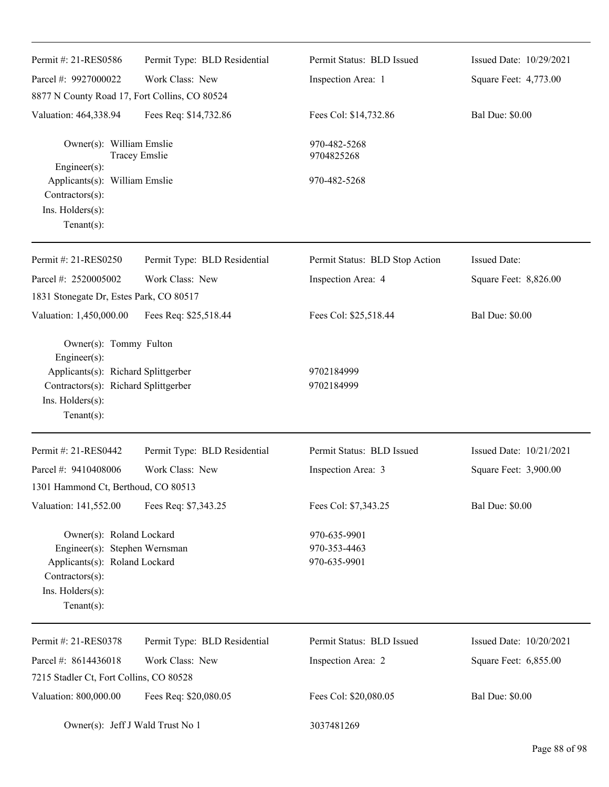| Permit #: 21-RES0586                                                                                                                               | Permit Type: BLD Residential | Permit Status: BLD Issued                    | Issued Date: 10/29/2021 |
|----------------------------------------------------------------------------------------------------------------------------------------------------|------------------------------|----------------------------------------------|-------------------------|
| Parcel #: 9927000022                                                                                                                               | Work Class: New              | Inspection Area: 1                           | Square Feet: 4,773.00   |
| 8877 N County Road 17, Fort Collins, CO 80524                                                                                                      |                              |                                              |                         |
| Valuation: 464,338.94                                                                                                                              | Fees Req: \$14,732.86        | Fees Col: \$14,732.86                        | <b>Bal Due: \$0.00</b>  |
| Owner(s): William Emslie                                                                                                                           | <b>Tracey Emslie</b>         | 970-482-5268<br>9704825268                   |                         |
| $Engineering(s)$ :<br>Applicants(s): William Emslie<br>Contractors(s):<br>Ins. Holders(s):<br>Tenant $(s)$ :                                       |                              | 970-482-5268                                 |                         |
| Permit #: 21-RES0250                                                                                                                               | Permit Type: BLD Residential | Permit Status: BLD Stop Action               | <b>Issued Date:</b>     |
| Parcel #: 2520005002                                                                                                                               | Work Class: New              | Inspection Area: 4                           | Square Feet: 8,826.00   |
| 1831 Stonegate Dr, Estes Park, CO 80517                                                                                                            |                              |                                              |                         |
| Valuation: 1,450,000.00                                                                                                                            | Fees Req: \$25,518.44        | Fees Col: \$25,518.44                        | <b>Bal Due: \$0.00</b>  |
| Owner(s): Tommy Fulton<br>Engineer(s):<br>Applicants(s): Richard Splittgerber<br>Contractors(s): Richard Splittgerber<br>Ins. Holders(s):          |                              | 9702184999<br>9702184999                     |                         |
| $Tenant(s)$ :                                                                                                                                      |                              |                                              |                         |
| Permit #: 21-RES0442                                                                                                                               | Permit Type: BLD Residential | Permit Status: BLD Issued                    | Issued Date: 10/21/2021 |
| Parcel #: 9410408006                                                                                                                               | Work Class: New              | Inspection Area: 3                           | Square Feet: 3,900.00   |
| 1301 Hammond Ct, Berthoud, CO 80513                                                                                                                |                              |                                              |                         |
| Valuation: 141,552.00                                                                                                                              | Fees Req: \$7,343.25         | Fees Col: \$7,343.25                         | <b>Bal Due: \$0.00</b>  |
| Owner(s): Roland Lockard<br>Engineer(s): Stephen Wernsman<br>Applicants(s): Roland Lockard<br>Contractors(s):<br>Ins. Holders(s):<br>$Tenant(s)$ : |                              | 970-635-9901<br>970-353-4463<br>970-635-9901 |                         |
| Permit #: 21-RES0378                                                                                                                               | Permit Type: BLD Residential | Permit Status: BLD Issued                    | Issued Date: 10/20/2021 |
| Parcel #: 8614436018                                                                                                                               | Work Class: New              | Inspection Area: 2                           | Square Feet: 6,855.00   |
| 7215 Stadler Ct, Fort Collins, CO 80528                                                                                                            |                              |                                              |                         |
| Valuation: 800,000.00                                                                                                                              | Fees Req: \$20,080.05        | Fees Col: \$20,080.05                        | <b>Bal Due: \$0.00</b>  |
| Owner(s): Jeff J Wald Trust No 1                                                                                                                   |                              | 3037481269                                   |                         |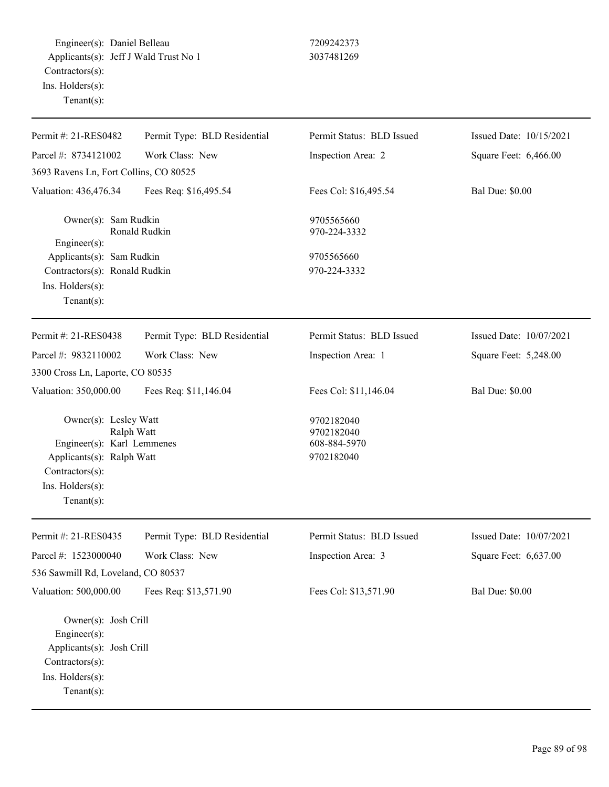Engineer(s): Daniel Belleau 7209242373 Applicants(s): Jeff J Wald Trust No 1 3037481269 Contractors(s): Ins. Holders(s): Tenant(s):

| Permit #: 21-RES0482                                                                                                                     | Permit Type: BLD Residential | Permit Status: BLD Issued                              | Issued Date: 10/15/2021 |
|------------------------------------------------------------------------------------------------------------------------------------------|------------------------------|--------------------------------------------------------|-------------------------|
| Parcel #: 8734121002                                                                                                                     | Work Class: New              | Inspection Area: 2                                     | Square Feet: 6,466.00   |
| 3693 Ravens Ln, Fort Collins, CO 80525                                                                                                   |                              |                                                        |                         |
| Valuation: 436,476.34                                                                                                                    | Fees Req: \$16,495.54        | Fees Col: \$16,495.54                                  | <b>Bal Due: \$0.00</b>  |
| Owner(s): Sam Rudkin<br>Engineer(s):                                                                                                     | Ronald Rudkin                | 9705565660<br>970-224-3332                             |                         |
| Applicants(s): Sam Rudkin                                                                                                                |                              | 9705565660                                             |                         |
| Contractors(s): Ronald Rudkin                                                                                                            |                              | 970-224-3332                                           |                         |
| Ins. Holders(s):                                                                                                                         |                              |                                                        |                         |
| $Tenant(s)$ :                                                                                                                            |                              |                                                        |                         |
| Permit #: 21-RES0438                                                                                                                     | Permit Type: BLD Residential | Permit Status: BLD Issued                              | Issued Date: 10/07/2021 |
| Parcel #: 9832110002                                                                                                                     | Work Class: New              | Inspection Area: 1                                     | Square Feet: 5,248.00   |
| 3300 Cross Ln, Laporte, CO 80535                                                                                                         |                              |                                                        |                         |
| Valuation: 350,000.00                                                                                                                    | Fees Req: \$11,146.04        | Fees Col: \$11,146.04                                  | <b>Bal Due: \$0.00</b>  |
| Owner(s): Lesley Watt<br>Engineer(s): Karl Lemmenes<br>Applicants(s): Ralph Watt<br>Contractors(s):<br>Ins. Holders(s):<br>$Tenant(s)$ : | Ralph Watt                   | 9702182040<br>9702182040<br>608-884-5970<br>9702182040 |                         |
| Permit #: 21-RES0435                                                                                                                     | Permit Type: BLD Residential | Permit Status: BLD Issued                              | Issued Date: 10/07/2021 |
| Parcel #: 1523000040                                                                                                                     | Work Class: New              | Inspection Area: 3                                     | Square Feet: 6,637.00   |
| 536 Sawmill Rd, Loveland, CO 80537                                                                                                       |                              |                                                        |                         |
| Valuation: 500,000.00                                                                                                                    | Fees Req: \$13,571.90        | Fees Col: \$13,571.90                                  | <b>Bal Due: \$0.00</b>  |
| Owner(s): Josh Crill<br>Engineer(s):<br>Applicants(s): Josh Crill<br>Contractors(s):<br>Ins. Holders(s):<br>$Tenant(s)$ :                |                              |                                                        |                         |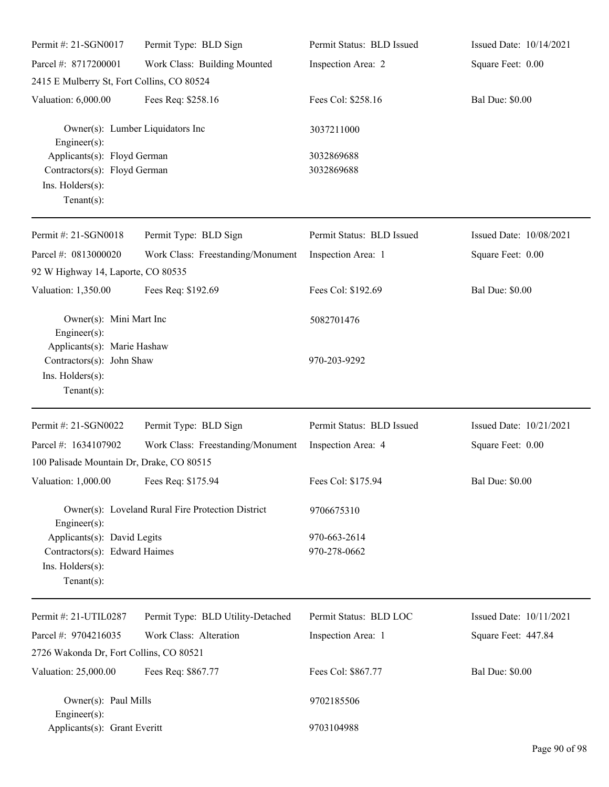| Permit #: 21-SGN0017                                                                               | Permit Type: BLD Sign                             | Permit Status: BLD Issued    | Issued Date: 10/14/2021 |
|----------------------------------------------------------------------------------------------------|---------------------------------------------------|------------------------------|-------------------------|
| Parcel #: 8717200001                                                                               | Work Class: Building Mounted                      | Inspection Area: 2           | Square Feet: 0.00       |
| 2415 E Mulberry St, Fort Collins, CO 80524                                                         |                                                   |                              |                         |
| Valuation: 6,000.00                                                                                | Fees Req: \$258.16                                | Fees Col: \$258.16           | <b>Bal Due: \$0.00</b>  |
| Engineer(s):                                                                                       | Owner(s): Lumber Liquidators Inc                  | 3037211000                   |                         |
| Applicants(s): Floyd German<br>Contractors(s): Floyd German<br>Ins. Holders(s):<br>Tenant $(s)$ :  |                                                   | 3032869688<br>3032869688     |                         |
| Permit #: 21-SGN0018                                                                               | Permit Type: BLD Sign                             | Permit Status: BLD Issued    | Issued Date: 10/08/2021 |
| Parcel #: 0813000020<br>92 W Highway 14, Laporte, CO 80535                                         | Work Class: Freestanding/Monument                 | Inspection Area: 1           | Square Feet: 0.00       |
| Valuation: 1,350.00                                                                                | Fees Req: \$192.69                                | Fees Col: \$192.69           | <b>Bal Due: \$0.00</b>  |
| Owner(s): Mini Mart Inc<br>$Engineering(s)$ :<br>Applicants(s): Marie Hashaw                       |                                                   | 5082701476                   |                         |
| Contractors(s): John Shaw<br>Ins. Holders(s):<br>Tenant $(s)$ :                                    |                                                   | 970-203-9292                 |                         |
| Permit #: 21-SGN0022                                                                               | Permit Type: BLD Sign                             | Permit Status: BLD Issued    | Issued Date: 10/21/2021 |
| Parcel #: 1634107902<br>100 Palisade Mountain Dr, Drake, CO 80515                                  | Work Class: Freestanding/Monument                 | Inspection Area: 4           | Square Feet: 0.00       |
| Valuation: 1,000.00 Fees Req: \$175.94                                                             |                                                   | Fees Col: \$175.94           | <b>Bal Due: \$0.00</b>  |
| $Engineering(s)$ :                                                                                 | Owner(s): Loveland Rural Fire Protection District | 9706675310                   |                         |
| Applicants(s): David Legits<br>Contractors(s): Edward Haimes<br>Ins. Holders(s):<br>Tenant $(s)$ : |                                                   | 970-663-2614<br>970-278-0662 |                         |
| Permit #: 21-UTIL0287                                                                              | Permit Type: BLD Utility-Detached                 | Permit Status: BLD LOC       | Issued Date: 10/11/2021 |
| Parcel #: 9704216035                                                                               | Work Class: Alteration                            | Inspection Area: 1           | Square Feet: 447.84     |
| 2726 Wakonda Dr, Fort Collins, CO 80521                                                            |                                                   |                              |                         |
| Valuation: 25,000.00                                                                               | Fees Req: \$867.77                                | Fees Col: \$867.77           | <b>Bal Due: \$0.00</b>  |
| Owner(s): Paul Mills<br>$Engineering(s)$ :                                                         |                                                   | 9702185506                   |                         |
|                                                                                                    | Applicants(s): Grant Everitt                      |                              |                         |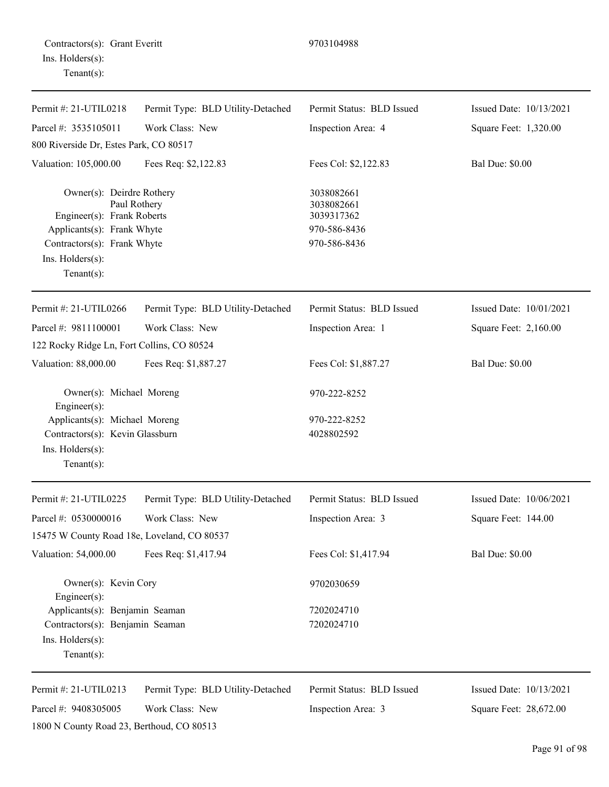| Contractors(s): Grant Everitt |  |
|-------------------------------|--|
| Ins. Holders(s):              |  |
| $Tenant(s)$ :                 |  |

1800 N County Road 23, Berthoud, CO 80513

| Permit #: 21-UTIL0218                                                                                                                                     | Permit Type: BLD Utility-Detached | Permit Status: BLD Issued                                              | Issued Date: 10/13/2021 |
|-----------------------------------------------------------------------------------------------------------------------------------------------------------|-----------------------------------|------------------------------------------------------------------------|-------------------------|
| Parcel #: 3535105011                                                                                                                                      | Work Class: New                   | Inspection Area: 4                                                     | Square Feet: 1,320.00   |
| 800 Riverside Dr, Estes Park, CO 80517                                                                                                                    |                                   |                                                                        |                         |
| Valuation: 105,000.00                                                                                                                                     | Fees Req: \$2,122.83              | Fees Col: \$2,122.83                                                   | <b>Bal Due: \$0.00</b>  |
| Owner(s): Deirdre Rothery<br>Engineer(s): Frank Roberts<br>Applicants(s): Frank Whyte<br>Contractors(s): Frank Whyte<br>Ins. Holders(s):<br>$Tenant(s)$ : | Paul Rothery                      | 3038082661<br>3038082661<br>3039317362<br>970-586-8436<br>970-586-8436 |                         |
| Permit #: 21-UTIL0266                                                                                                                                     | Permit Type: BLD Utility-Detached | Permit Status: BLD Issued                                              | Issued Date: 10/01/2021 |
| Parcel #: 9811100001                                                                                                                                      | Work Class: New                   | Inspection Area: 1                                                     | Square Feet: 2,160.00   |
| 122 Rocky Ridge Ln, Fort Collins, CO 80524                                                                                                                |                                   |                                                                        |                         |
| Valuation: 88,000.00                                                                                                                                      | Fees Req: \$1,887.27              | Fees Col: \$1,887.27                                                   | <b>Bal Due: \$0.00</b>  |
| Owner(s): Michael Moreng<br>Engineer $(s)$ :                                                                                                              |                                   | 970-222-8252                                                           |                         |
| Applicants(s): Michael Moreng<br>Contractors(s): Kevin Glassburn<br>Ins. Holders(s):<br>$Tenant(s)$ :                                                     |                                   | 970-222-8252<br>4028802592                                             |                         |
| Permit #: 21-UTIL0225                                                                                                                                     | Permit Type: BLD Utility-Detached | Permit Status: BLD Issued                                              | Issued Date: 10/06/2021 |
| Parcel #: 0530000016                                                                                                                                      | Work Class: New                   | Inspection Area: 3                                                     | Square Feet: 144.00     |
| 15475 W County Road 18e, Loveland, CO 80537                                                                                                               |                                   |                                                                        |                         |
| Valuation: 54,000.00                                                                                                                                      | Fees Req: \$1,417.94              | Fees Col: \$1,417.94                                                   | <b>Bal Due: \$0.00</b>  |
| Owner(s): Kevin Cory<br>Engineer $(s)$ :                                                                                                                  |                                   | 9702030659                                                             |                         |
| Applicants(s): Benjamin Seaman                                                                                                                            |                                   | 7202024710                                                             |                         |
| Contractors(s): Benjamin Seaman<br>Ins. Holders(s):<br>$Tenant(s)$ :                                                                                      |                                   | 7202024710                                                             |                         |
| Permit #: 21-UTIL0213                                                                                                                                     | Permit Type: BLD Utility-Detached | Permit Status: BLD Issued                                              | Issued Date: 10/13/2021 |
| Parcel #: 9408305005                                                                                                                                      | Work Class: New                   | Inspection Area: 3                                                     | Square Feet: 28,672.00  |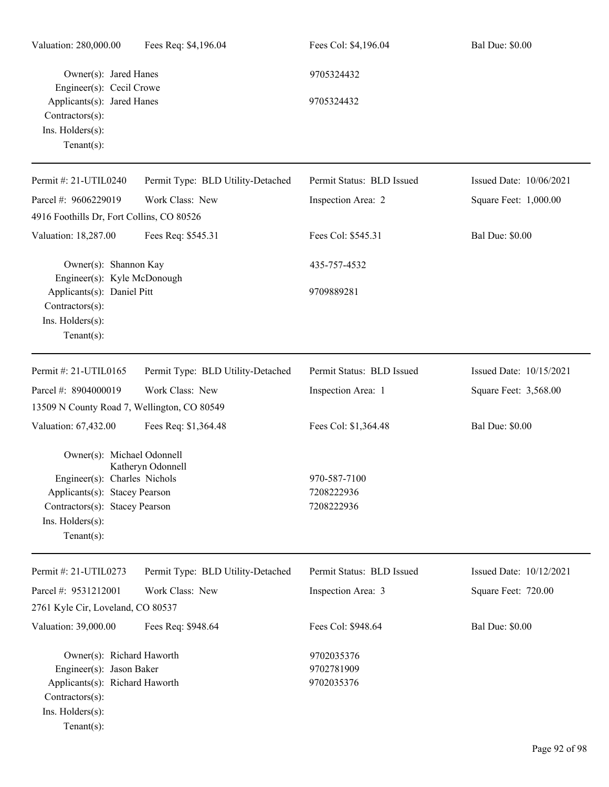| Valuation: 280,000.00                                                                                                                                               | Fees Req: \$4,196.04              | Fees Col: \$4,196.04                     | <b>Bal Due: \$0.00</b>  |
|---------------------------------------------------------------------------------------------------------------------------------------------------------------------|-----------------------------------|------------------------------------------|-------------------------|
| Owner(s): Jared Hanes                                                                                                                                               |                                   | 9705324432                               |                         |
| Engineer(s): Cecil Crowe<br>Applicants(s): Jared Hanes<br>Contractors(s):<br>Ins. Holders(s):<br>Tenant $(s)$ :                                                     |                                   | 9705324432                               |                         |
| Permit #: 21-UTIL0240                                                                                                                                               | Permit Type: BLD Utility-Detached | Permit Status: BLD Issued                | Issued Date: 10/06/2021 |
| Parcel #: 9606229019                                                                                                                                                | Work Class: New                   | Inspection Area: 2                       | Square Feet: 1,000.00   |
| 4916 Foothills Dr, Fort Collins, CO 80526                                                                                                                           |                                   |                                          |                         |
| Valuation: 18,287.00                                                                                                                                                | Fees Req: \$545.31                | Fees Col: \$545.31                       | <b>Bal Due: \$0.00</b>  |
| Owner(s): Shannon Kay                                                                                                                                               |                                   | 435-757-4532                             |                         |
| Engineer(s): Kyle McDonough<br>Applicants(s): Daniel Pitt<br>Contractors(s):                                                                                        |                                   | 9709889281                               |                         |
| Ins. Holders(s):<br>Tenant $(s)$ :                                                                                                                                  |                                   |                                          |                         |
| Permit #: 21-UTIL0165                                                                                                                                               | Permit Type: BLD Utility-Detached | Permit Status: BLD Issued                | Issued Date: 10/15/2021 |
| Parcel #: 8904000019                                                                                                                                                | Work Class: New                   | Inspection Area: 1                       | Square Feet: 3,568.00   |
| 13509 N County Road 7, Wellington, CO 80549                                                                                                                         |                                   |                                          |                         |
| Valuation: 67,432.00                                                                                                                                                | Fees Req: \$1,364.48              | Fees Col: \$1,364.48                     | <b>Bal Due: \$0.00</b>  |
| Owner(s): Michael Odonnell<br>Engineer(s): Charles Nichols<br>Applicants(s): Stacey Pearson<br>Contractors(s): Stacey Pearson<br>Ins. Holders(s):<br>Tenant $(s)$ : | Katheryn Odonnell                 | 970-587-7100<br>7208222936<br>7208222936 |                         |
| Permit #: 21-UTIL0273                                                                                                                                               | Permit Type: BLD Utility-Detached | Permit Status: BLD Issued                | Issued Date: 10/12/2021 |
| Parcel #: 9531212001                                                                                                                                                | Work Class: New                   | Inspection Area: 3                       | Square Feet: 720.00     |
| 2761 Kyle Cir, Loveland, CO 80537                                                                                                                                   |                                   |                                          |                         |
| Valuation: 39,000.00                                                                                                                                                | Fees Req: \$948.64                | Fees Col: \$948.64                       | <b>Bal Due: \$0.00</b>  |
| Owner(s): Richard Haworth<br>Engineer(s): Jason Baker<br>Applicants(s): Richard Haworth<br>Contractors(s):<br>Ins. Holders(s):<br>$Tenant(s)$ :                     |                                   | 9702035376<br>9702781909<br>9702035376   |                         |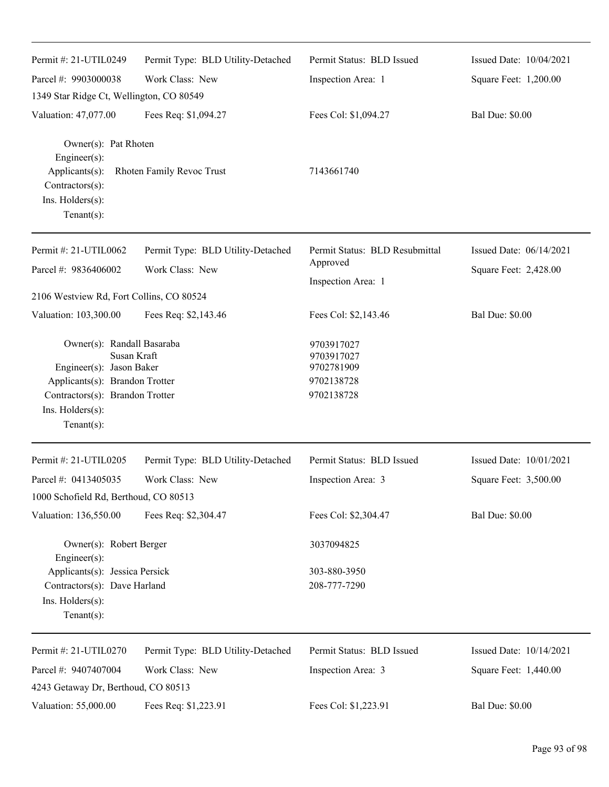| Permit #: 21-UTIL0249                                                                                                                                                                   | Permit Type: BLD Utility-Detached | Permit Status: BLD Issued                                          | Issued Date: 10/04/2021 |
|-----------------------------------------------------------------------------------------------------------------------------------------------------------------------------------------|-----------------------------------|--------------------------------------------------------------------|-------------------------|
| Parcel #: 9903000038                                                                                                                                                                    | Work Class: New                   | Inspection Area: 1                                                 | Square Feet: 1,200.00   |
| 1349 Star Ridge Ct, Wellington, CO 80549                                                                                                                                                |                                   |                                                                    |                         |
| Valuation: 47,077.00                                                                                                                                                                    | Fees Req: \$1,094.27              | Fees Col: \$1,094.27                                               | <b>Bal Due: \$0.00</b>  |
| Owner(s): Pat Rhoten<br>Engineer(s):<br>Applicants(s):<br>Contractors(s):<br>Ins. $H$ olders $(s)$ :<br>Tenant $(s)$ :                                                                  | Rhoten Family Revoc Trust         | 7143661740                                                         |                         |
| Permit #: 21-UTIL0062                                                                                                                                                                   | Permit Type: BLD Utility-Detached | Permit Status: BLD Resubmittal                                     | Issued Date: 06/14/2021 |
| Parcel #: 9836406002                                                                                                                                                                    | Work Class: New                   | Approved                                                           | Square Feet: 2,428.00   |
|                                                                                                                                                                                         |                                   | Inspection Area: 1                                                 |                         |
| 2106 Westview Rd, Fort Collins, CO 80524                                                                                                                                                |                                   |                                                                    |                         |
| Valuation: 103,300.00                                                                                                                                                                   | Fees Req: \$2,143.46              | Fees Col: \$2,143.46                                               | <b>Bal Due: \$0.00</b>  |
| Owner(s): Randall Basaraba<br>Susan Kraft<br>Engineer(s): Jason Baker<br>Applicants(s): Brandon Trotter<br>Contractors(s): Brandon Trotter<br>Ins. $H$ olders $(s)$ :<br>Tenant $(s)$ : |                                   | 9703917027<br>9703917027<br>9702781909<br>9702138728<br>9702138728 |                         |
| Permit #: 21-UTIL0205                                                                                                                                                                   | Permit Type: BLD Utility-Detached | Permit Status: BLD Issued                                          | Issued Date: 10/01/2021 |
| Parcel #: 0413405035                                                                                                                                                                    | Work Class: New                   | Inspection Area: 3                                                 | Square Feet: 3,500.00   |
| 1000 Schofield Rd, Berthoud, CO 80513                                                                                                                                                   |                                   |                                                                    |                         |
| Valuation: 136,550.00                                                                                                                                                                   | Fees Req: \$2,304.47              | Fees Col: \$2,304.47                                               | <b>Bal Due: \$0.00</b>  |
| Owner(s): Robert Berger<br>Engineer(s):                                                                                                                                                 |                                   | 3037094825                                                         |                         |
| Applicants(s): Jessica Persick                                                                                                                                                          |                                   | 303-880-3950                                                       |                         |
| Contractors(s): Dave Harland<br>Ins. Holders(s):<br>Tenant $(s)$ :                                                                                                                      |                                   | 208-777-7290                                                       |                         |
| Permit #: 21-UTIL0270                                                                                                                                                                   | Permit Type: BLD Utility-Detached | Permit Status: BLD Issued                                          | Issued Date: 10/14/2021 |
| Parcel #: 9407407004                                                                                                                                                                    | Work Class: New                   | Inspection Area: 3                                                 | Square Feet: 1,440.00   |
| 4243 Getaway Dr, Berthoud, CO 80513                                                                                                                                                     |                                   |                                                                    |                         |
| Valuation: 55,000.00                                                                                                                                                                    | Fees Req: \$1,223.91              | Fees Col: \$1,223.91                                               | <b>Bal Due: \$0.00</b>  |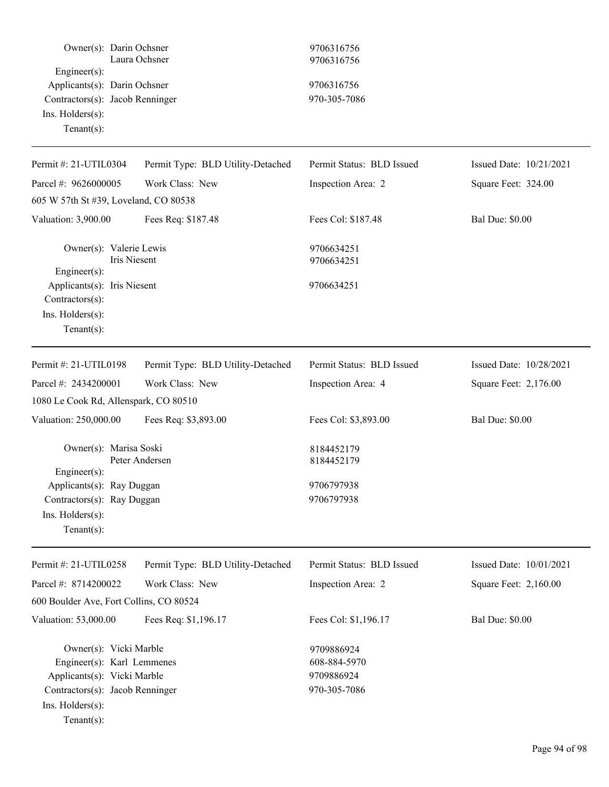| Owner(s): Darin Ochsner                                                                                                                    | Laura Ochsner                     | 9706316756<br>9706316756                                 |                                                                          |  |
|--------------------------------------------------------------------------------------------------------------------------------------------|-----------------------------------|----------------------------------------------------------|--------------------------------------------------------------------------|--|
| Engineer(s):<br>Applicants(s): Darin Ochsner                                                                                               |                                   |                                                          |                                                                          |  |
|                                                                                                                                            |                                   | 9706316756                                               | Issued Date: 10/21/2021<br>Square Feet: 324.00<br><b>Bal Due: \$0.00</b> |  |
| Contractors(s): Jacob Renninger                                                                                                            |                                   | 970-305-7086                                             |                                                                          |  |
| Ins. Holders(s):                                                                                                                           |                                   |                                                          |                                                                          |  |
| Tenant $(s)$ :                                                                                                                             |                                   |                                                          |                                                                          |  |
| Permit #: 21-UTIL0304                                                                                                                      | Permit Type: BLD Utility-Detached | Permit Status: BLD Issued                                |                                                                          |  |
| Parcel #: 9626000005                                                                                                                       | Work Class: New                   | Inspection Area: 2                                       |                                                                          |  |
| 605 W 57th St #39, Loveland, CO 80538                                                                                                      |                                   |                                                          |                                                                          |  |
| Valuation: 3,900.00                                                                                                                        | Fees Req: \$187.48                | Fees Col: \$187.48                                       |                                                                          |  |
| Owner(s): Valerie Lewis<br><b>Iris Niesent</b><br>Engineer(s):                                                                             |                                   | 9706634251<br>9706634251                                 |                                                                          |  |
| Applicants(s): Iris Niesent<br>Contractors(s):                                                                                             |                                   | 9706634251                                               |                                                                          |  |
| Ins. Holders(s):                                                                                                                           |                                   |                                                          |                                                                          |  |
| Tenant $(s)$ :                                                                                                                             |                                   |                                                          |                                                                          |  |
| Permit #: 21-UTIL0198                                                                                                                      | Permit Type: BLD Utility-Detached | Permit Status: BLD Issued                                | Issued Date: 10/28/2021                                                  |  |
| Parcel #: 2434200001                                                                                                                       | Work Class: New                   | Inspection Area: 4                                       | Square Feet: 2,176.00                                                    |  |
| 1080 Le Cook Rd, Allenspark, CO 80510                                                                                                      |                                   |                                                          |                                                                          |  |
| Valuation: 250,000.00                                                                                                                      | Fees Req: \$3,893.00              | Fees Col: \$3,893.00                                     | <b>Bal Due: \$0.00</b>                                                   |  |
| Owner(s): Marisa Soski<br>$Engineering(s)$ :                                                                                               | Peter Andersen                    | 8184452179<br>8184452179                                 |                                                                          |  |
| Applicants(s): Ray Duggan                                                                                                                  |                                   | 9706797938                                               |                                                                          |  |
| Contractors(s): Ray Duggan                                                                                                                 |                                   | 9706797938                                               |                                                                          |  |
| Ins. Holders(s):<br>Tenant $(s)$ :                                                                                                         |                                   |                                                          |                                                                          |  |
| Permit #: 21-UTIL0258                                                                                                                      | Permit Type: BLD Utility-Detached | Permit Status: BLD Issued                                | Issued Date: 10/01/2021                                                  |  |
| Parcel #: 8714200022                                                                                                                       | Work Class: New                   | Inspection Area: 2                                       | Square Feet: 2,160.00                                                    |  |
| 600 Boulder Ave, Fort Collins, CO 80524                                                                                                    |                                   |                                                          |                                                                          |  |
| Valuation: 53,000.00                                                                                                                       | Fees Req: \$1,196.17              | Fees Col: \$1,196.17                                     | <b>Bal Due: \$0.00</b>                                                   |  |
| Owner(s): Vicki Marble<br>Engineer(s): Karl Lemmenes<br>Applicants(s): Vicki Marble<br>Contractors(s): Jacob Renninger<br>Ins. Holders(s): |                                   | 9709886924<br>608-884-5970<br>9709886924<br>970-305-7086 |                                                                          |  |
| Tenant $(s)$ :                                                                                                                             |                                   |                                                          |                                                                          |  |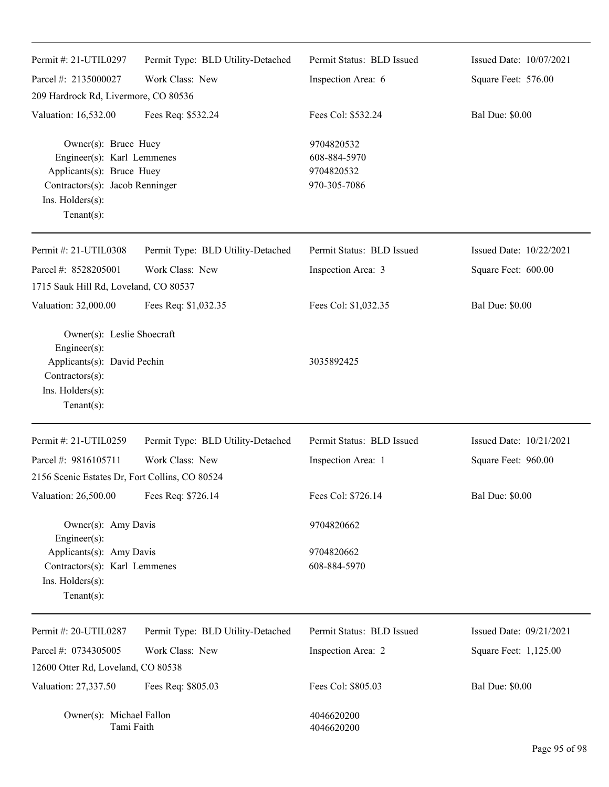| Permit #: 21-UTIL0297                                                                                                                                   | Permit Type: BLD Utility-Detached | Permit Status: BLD Issued                                | Issued Date: 10/07/2021 |
|---------------------------------------------------------------------------------------------------------------------------------------------------------|-----------------------------------|----------------------------------------------------------|-------------------------|
| Parcel #: 2135000027                                                                                                                                    | Work Class: New                   | Inspection Area: 6                                       | Square Feet: 576.00     |
| 209 Hardrock Rd, Livermore, CO 80536                                                                                                                    |                                   |                                                          |                         |
| Valuation: 16,532.00                                                                                                                                    | Fees Req: \$532.24                | Fees Col: \$532.24                                       | <b>Bal Due: \$0.00</b>  |
| Owner(s): Bruce Huey<br>Engineer(s): Karl Lemmenes<br>Applicants(s): Bruce Huey<br>Contractors(s): Jacob Renninger<br>Ins. Holders(s):<br>$Tenant(s)$ : |                                   | 9704820532<br>608-884-5970<br>9704820532<br>970-305-7086 |                         |
| Permit #: 21-UTIL0308                                                                                                                                   | Permit Type: BLD Utility-Detached | Permit Status: BLD Issued                                | Issued Date: 10/22/2021 |
| Parcel #: 8528205001<br>1715 Sauk Hill Rd, Loveland, CO 80537                                                                                           | Work Class: New                   | Inspection Area: 3                                       | Square Feet: 600.00     |
| Valuation: 32,000.00                                                                                                                                    | Fees Req: \$1,032.35              | Fees Col: \$1,032.35                                     | <b>Bal Due: \$0.00</b>  |
| Owner(s): Leslie Shoecraft<br>Engineer(s):<br>Applicants(s): David Pechin<br>Contractors(s):<br>Ins. Holders(s):<br>$Tenant(s)$ :                       |                                   | 3035892425                                               |                         |
| Permit #: 21-UTIL0259                                                                                                                                   | Permit Type: BLD Utility-Detached | Permit Status: BLD Issued                                | Issued Date: 10/21/2021 |
| Parcel #: 9816105711                                                                                                                                    | Work Class: New                   | Inspection Area: 1                                       | Square Feet: 960.00     |
| 2156 Scenic Estates Dr, Fort Collins, CO 80524                                                                                                          |                                   |                                                          |                         |
| Valuation: 26,500.00                                                                                                                                    | Fees Req: \$726.14                | Fees Col: \$726.14                                       | <b>Bal Due: \$0.00</b>  |
| Owner(s): Amy Davis                                                                                                                                     |                                   | 9704820662                                               |                         |
| Engineer(s):<br>Applicants(s): Amy Davis<br>Contractors(s): Karl Lemmenes<br>Ins. Holders(s):<br>$Tenant(s)$ :                                          |                                   | 9704820662<br>608-884-5970                               |                         |
| Permit #: 20-UTIL0287                                                                                                                                   | Permit Type: BLD Utility-Detached | Permit Status: BLD Issued                                | Issued Date: 09/21/2021 |
| Parcel #: 0734305005                                                                                                                                    | Work Class: New                   | Inspection Area: 2                                       | Square Feet: 1,125.00   |
| 12600 Otter Rd, Loveland, CO 80538                                                                                                                      |                                   |                                                          |                         |
| Valuation: 27,337.50                                                                                                                                    | Fees Req: \$805.03                | Fees Col: \$805.03                                       | <b>Bal Due: \$0.00</b>  |
| Owner(s): Michael Fallon<br>Tami Faith                                                                                                                  |                                   | 4046620200<br>4046620200                                 |                         |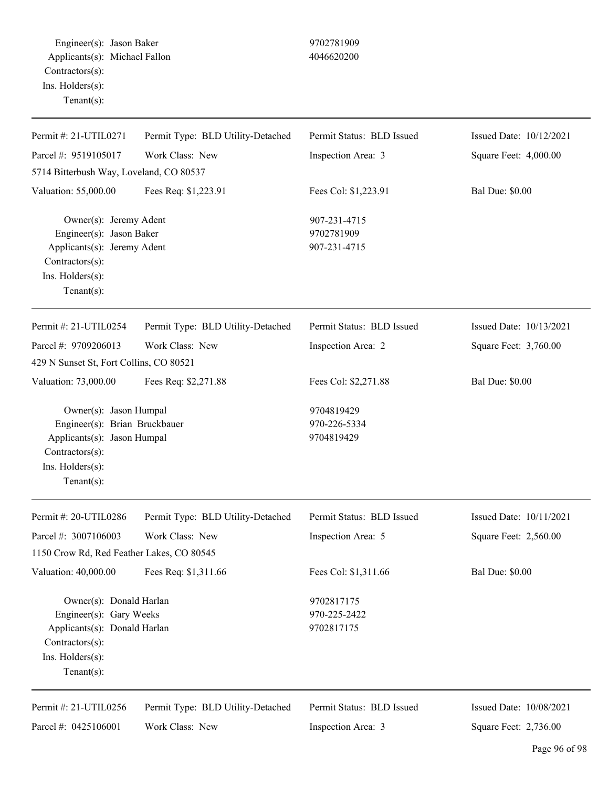Engineer(s): Jason Baker 9702781909 Applicants(s): Michael Fallon 4046620200 Contractors(s): Ins. Holders(s): Tenant(s):

| Permit #: 21-UTIL0271                                                                                                                          | Permit Type: BLD Utility-Detached | Permit Status: BLD Issued                  | Issued Date: 10/12/2021 |
|------------------------------------------------------------------------------------------------------------------------------------------------|-----------------------------------|--------------------------------------------|-------------------------|
| Parcel #: 9519105017                                                                                                                           | Work Class: New                   | Inspection Area: 3                         | Square Feet: 4,000.00   |
| 5714 Bitterbush Way, Loveland, CO 80537                                                                                                        |                                   |                                            |                         |
| Valuation: 55,000.00                                                                                                                           | Fees Req: \$1,223.91              | Fees Col: \$1,223.91                       | <b>Bal Due: \$0.00</b>  |
| Owner(s): Jeremy Adent<br>Engineer(s): Jason Baker<br>Applicants(s): Jeremy Adent<br>Contractors(s):<br>Ins. Holders(s):<br>$Tenant(s)$ :      |                                   | 907-231-4715<br>9702781909<br>907-231-4715 |                         |
| Permit #: 21-UTIL0254                                                                                                                          | Permit Type: BLD Utility-Detached | Permit Status: BLD Issued                  | Issued Date: 10/13/2021 |
| Parcel #: 9709206013                                                                                                                           | Work Class: New                   | Inspection Area: 2                         | Square Feet: 3,760.00   |
| 429 N Sunset St, Fort Collins, CO 80521                                                                                                        |                                   |                                            |                         |
| Valuation: 73,000.00                                                                                                                           | Fees Req: \$2,271.88              | Fees Col: \$2,271.88                       | <b>Bal Due: \$0.00</b>  |
| Owner(s): Jason Humpal<br>Engineer(s): Brian Bruckbauer<br>Applicants(s): Jason Humpal<br>Contractors(s):<br>Ins. Holders(s):<br>$Tenant(s)$ : |                                   | 9704819429<br>970-226-5334<br>9704819429   |                         |
| Permit #: 20-UTIL0286                                                                                                                          | Permit Type: BLD Utility-Detached | Permit Status: BLD Issued                  | Issued Date: 10/11/2021 |
| Parcel #: 3007106003                                                                                                                           | Work Class: New                   | Inspection Area: 5                         | Square Feet: 2,560.00   |
| 1150 Crow Rd, Red Feather Lakes, CO 80545                                                                                                      |                                   |                                            |                         |
| Valuation: 40,000.00                                                                                                                           | Fees Req: \$1,311.66              | Fees Col: \$1,311.66                       | <b>Bal Due: \$0.00</b>  |
| Owner(s): Donald Harlan<br>Engineer(s): Gary Weeks<br>Applicants(s): Donald Harlan<br>Contractors(s):<br>Ins. Holders(s):<br>$Tenant(s)$ :     |                                   | 9702817175<br>970-225-2422<br>9702817175   |                         |
| Permit#: 21-UTIL0256                                                                                                                           | Permit Type: BLD Utility-Detached | Permit Status: BLD Issued                  | Issued Date: 10/08/2021 |
| Parcel #: 0425106001                                                                                                                           | Work Class: New                   | Inspection Area: 3                         | Square Feet: 2,736.00   |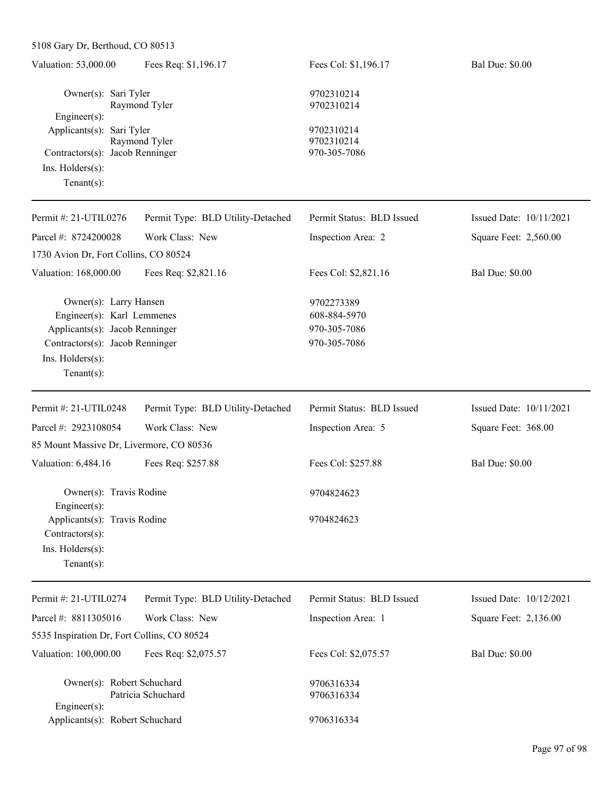| Valuation: 53,000.00                                                                                                                                            | Fees Req: \$1,196.17              | Fees Col: \$1,196.17                                       | <b>Bal Due: \$0.00</b>  |
|-----------------------------------------------------------------------------------------------------------------------------------------------------------------|-----------------------------------|------------------------------------------------------------|-------------------------|
| Owner(s): Sari Tyler<br>Engineer(s):                                                                                                                            | Raymond Tyler                     | 9702310214<br>9702310214                                   |                         |
| Applicants(s): Sari Tyler<br>Contractors(s): Jacob Renninger<br>Ins. $H$ olders $(s)$ :<br>Tenant $(s)$ :                                                       | Raymond Tyler                     | 9702310214<br>9702310214<br>970-305-7086                   |                         |
| Permit #: 21-UTIL0276                                                                                                                                           | Permit Type: BLD Utility-Detached | Permit Status: BLD Issued                                  | Issued Date: 10/11/2021 |
| Parcel #: 8724200028<br>1730 Avion Dr, Fort Collins, CO 80524                                                                                                   | Work Class: New                   | Inspection Area: 2                                         | Square Feet: 2,560.00   |
| Valuation: 168,000.00                                                                                                                                           | Fees Req: \$2,821.16              | Fees Col: \$2,821.16                                       | <b>Bal Due: \$0.00</b>  |
| Owner(s): Larry Hansen<br>Engineer(s): Karl Lemmenes<br>Applicants(s): Jacob Renninger<br>Contractors(s): Jacob Renninger<br>Ins. Holders(s):<br>Tenant $(s)$ : |                                   | 9702273389<br>608-884-5970<br>970-305-7086<br>970-305-7086 |                         |
| Permit #: 21-UTIL0248                                                                                                                                           | Permit Type: BLD Utility-Detached | Permit Status: BLD Issued                                  | Issued Date: 10/11/2021 |
| Parcel #: 2923108054                                                                                                                                            | Work Class: New                   | Inspection Area: 5                                         | Square Feet: 368.00     |
| 85 Mount Massive Dr, Livermore, CO 80536                                                                                                                        |                                   |                                                            |                         |
| Valuation: 6,484.16                                                                                                                                             | Fees Req: \$257.88                | Fees Col: \$257.88                                         | <b>Bal Due: \$0.00</b>  |
| Owner(s): Travis Rodine<br>Engineer(s):                                                                                                                         |                                   | 9704824623                                                 |                         |
| Applicants(s): Travis Rodine<br>Contractors(s):<br>Ins. Holders(s):<br>Tenant $(s)$ :                                                                           |                                   | 9704824623                                                 |                         |
| Permit #: 21-UTIL0274                                                                                                                                           | Permit Type: BLD Utility-Detached | Permit Status: BLD Issued                                  | Issued Date: 10/12/2021 |
| Parcel #: 8811305016                                                                                                                                            | Work Class: New                   | Inspection Area: 1                                         | Square Feet: 2,136.00   |
| 5535 Inspiration Dr, Fort Collins, CO 80524                                                                                                                     |                                   |                                                            |                         |
| Valuation: 100,000.00                                                                                                                                           | Fees Req: \$2,075.57              | Fees Col: \$2,075.57                                       | <b>Bal Due: \$0.00</b>  |
| Owner(s): Robert Schuchard<br>Engineer(s):<br>Applicants(s): Robert Schuchard                                                                                   | Patricia Schuchard                | 9706316334<br>9706316334<br>9706316334                     |                         |